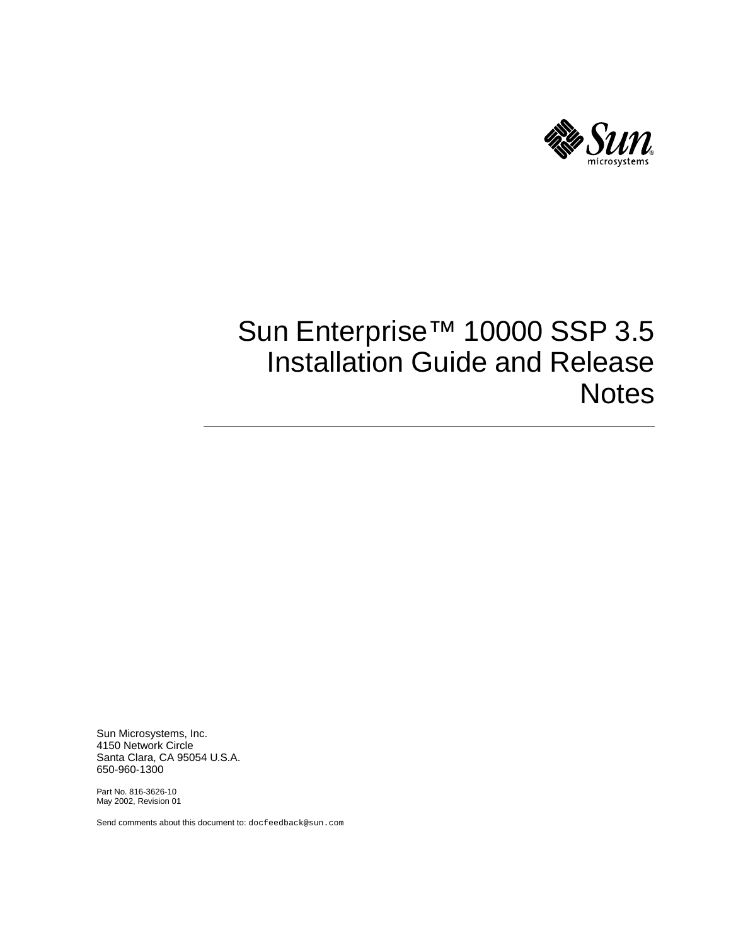

# Sun Enterprise™ 10000 SSP 3.5 Installation Guide and Release **Notes**

Sun Microsystems, Inc. 4150 Network Circle Santa Clara, CA 95054 U.S.A. 650-960-1300

Part No. 816-3626-10 May 2002, Revision 01

Send comments about this document to: docfeedback@sun.com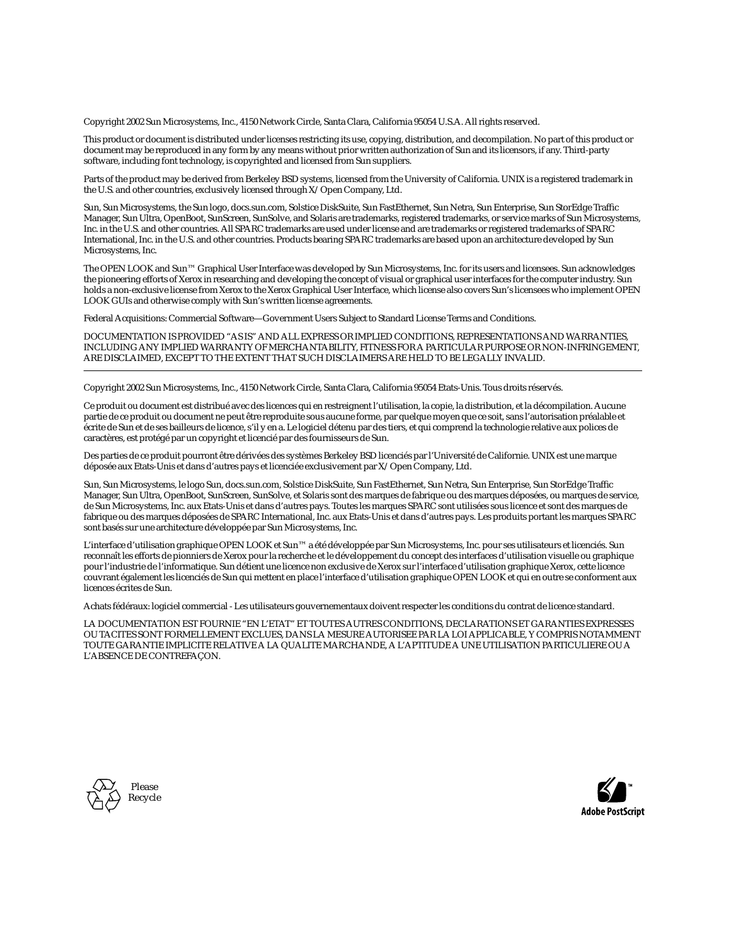Copyright 2002 Sun Microsystems, Inc., 4150 Network Circle, Santa Clara, California 95054 U.S.A. All rights reserved.

This product or document is distributed under licenses restricting its use, copying, distribution, and decompilation. No part of this product or document may be reproduced in any form by any means without prior written authorization of Sun and its licensors, if any. Third-party software, including font technology, is copyrighted and licensed from Sun suppliers.

Parts of the product may be derived from Berkeley BSD systems, licensed from the University of California. UNIX is a registered trademark in the U.S. and other countries, exclusively licensed through X/Open Company, Ltd.

Sun, Sun Microsystems, the Sun logo, docs.sun.com, Solstice DiskSuite, Sun FastEthernet, Sun Netra, Sun Enterprise, Sun StorEdge Traffic Manager, Sun Ultra, OpenBoot, SunScreen, SunSolve, and Solaris are trademarks, registered trademarks, or service marks of Sun Microsystems, Inc. in the U.S. and other countries. All SPARC trademarks are used under license and are trademarks or registered trademarks of SPARC International, Inc. in the U.S. and other countries. Products bearing SPARC trademarks are based upon an architecture developed by Sun Microsystems, Inc.

The OPEN LOOK and Sun™ Graphical User Interface was developed by Sun Microsystems, Inc. for its users and licensees. Sun acknowledges the pioneering efforts of Xerox in researching and developing the concept of visual or graphical user interfaces for the computer industry. Sun holds a non-exclusive license from Xerox to the Xerox Graphical User Interface, which license also covers Sun's licensees who implement OPEN LOOK GUIs and otherwise comply with Sun's written license agreements.

Federal Acquisitions: Commercial Software—Government Users Subject to Standard License Terms and Conditions.

DOCUMENTATION IS PROVIDED "AS IS" AND ALL EXPRESS OR IMPLIED CONDITIONS, REPRESENTATIONS AND WARRANTIES, INCLUDING ANY IMPLIED WARRANTY OF MERCHANTABILITY, FITNESS FOR A PARTICULAR PURPOSE OR NON-INFRINGEMENT, ARE DISCLAIMED, EXCEPT TO THE EXTENT THAT SUCH DISCLAIMERS ARE HELD TO BE LEGALLY INVALID.

Copyright 2002 Sun Microsystems, Inc., 4150 Network Circle, Santa Clara, California 95054 Etats-Unis. Tous droits réservés.

Ce produit ou document est distribué avec des licences qui en restreignent l'utilisation, la copie, la distribution, et la décompilation. Aucune partie de ce produit ou document ne peut être reproduite sous aucune forme, par quelque moyen que ce soit, sans l'autorisation préalable et écrite de Sun et de ses bailleurs de licence, s'il y en a. Le logiciel détenu par des tiers, et qui comprend la technologie relative aux polices de caractères, est protégé par un copyright et licencié par des fournisseurs de Sun.

Des parties de ce produit pourront être dérivées des systèmes Berkeley BSD licenciés par l'Université de Californie. UNIX est une marque déposée aux Etats-Unis et dans d'autres pays et licenciée exclusivement par X/Open Company, Ltd.

Sun, Sun Microsystems, le logo Sun, docs.sun.com, Solstice DiskSuite, Sun FastEthernet, Sun Netra, Sun Enterprise, Sun StorEdge Traffic Manager, Sun Ultra, OpenBoot, SunScreen, SunSolve, et Solaris sont des marques de fabrique ou des marques déposées, ou marques de service, de Sun Microsystems, Inc. aux Etats-Unis et dans d'autres pays. Toutes les marques SPARC sont utilisées sous licence et sont des marques de fabrique ou des marques déposées de SPARC International, Inc. aux Etats-Unis et dans d'autres pays. Les produits portant les marques SPARC sont basés sur une architecture développée par Sun Microsystems, Inc.

L'interface d'utilisation graphique OPEN LOOK et Sun™ a été développée par Sun Microsystems, Inc. pour ses utilisateurs et licenciés. Sun reconnaît les efforts de pionniers de Xerox pour la recherche et le développement du concept des interfaces d'utilisation visuelle ou graphique pour l'industrie de l'informatique. Sun détient une licence non exclusive de Xerox sur l'interface d'utilisation graphique Xerox, cette licence couvrant également les licenciés de Sun qui mettent en place l'interface d'utilisation graphique OPEN LOOK et qui en outre se conforment aux licences écrites de Sun.

Achats fédéraux: logiciel commercial - Les utilisateurs gouvernementaux doivent respecter les conditions du contrat de licence standard.

LA DOCUMENTATION EST FOURNIE "EN L'ETAT" ET TOUTES AUTRES CONDITIONS, DECLARATIONS ET GARANTIES EXPRESSES OU TACITES SONT FORMELLEMENT EXCLUES, DANS LA MESURE AUTORISEE PAR LA LOI APPLICABLE, Y COMPRIS NOTAMMENT TOUTE GARANTIE IMPLICITE RELATIVE A LA QUALITE MARCHANDE, A L'APTITUDE A UNE UTILISATION PARTICULIERE OU A L'ABSENCE DE CONTREFAÇON.



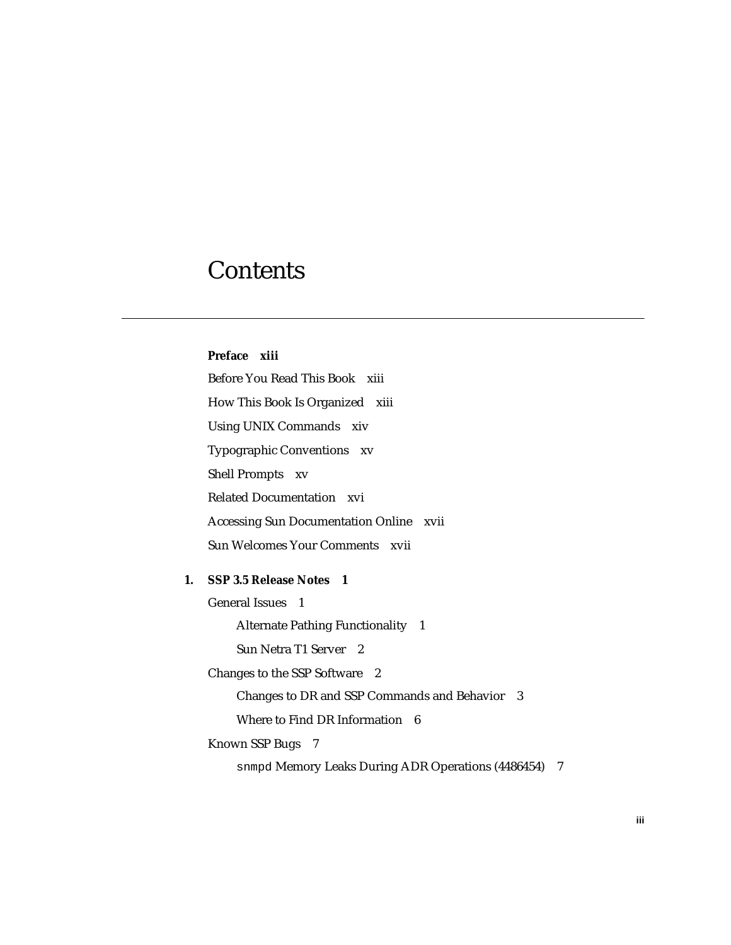## **Contents**

**[Preface](#page-12-0) xiii** [Before You Read This Book](#page-12-1) xiii [How This Book Is Organized](#page-12-2) xiii [Using UNIX Commands x](#page-13-0)iv [Typographic Conventions](#page-14-0) xv [Shell Prompts](#page-14-1) xv [Related Documentation](#page-15-0) xvi [Accessing Sun Documentation Online](#page-16-0) xvii [Sun Welcomes Your Comments](#page-16-1) xvii **1. [SSP 3.5 Release Notes](#page-18-0) 1** [General Issues 1](#page-18-1) [Alternate Pathing Functionality](#page-18-2) 1 [Sun Netra T1 Server](#page-19-0) 2 [Changes to the SSP Software 2](#page-19-1) [Changes to DR and SSP Commands and Behavior 3](#page-20-0) [Where to Find DR Information 6](#page-23-0) [Known SSP Bugs 7](#page-24-0) [snmpd](#page-24-1) Memory Leaks During ADR Operations (4486454) 7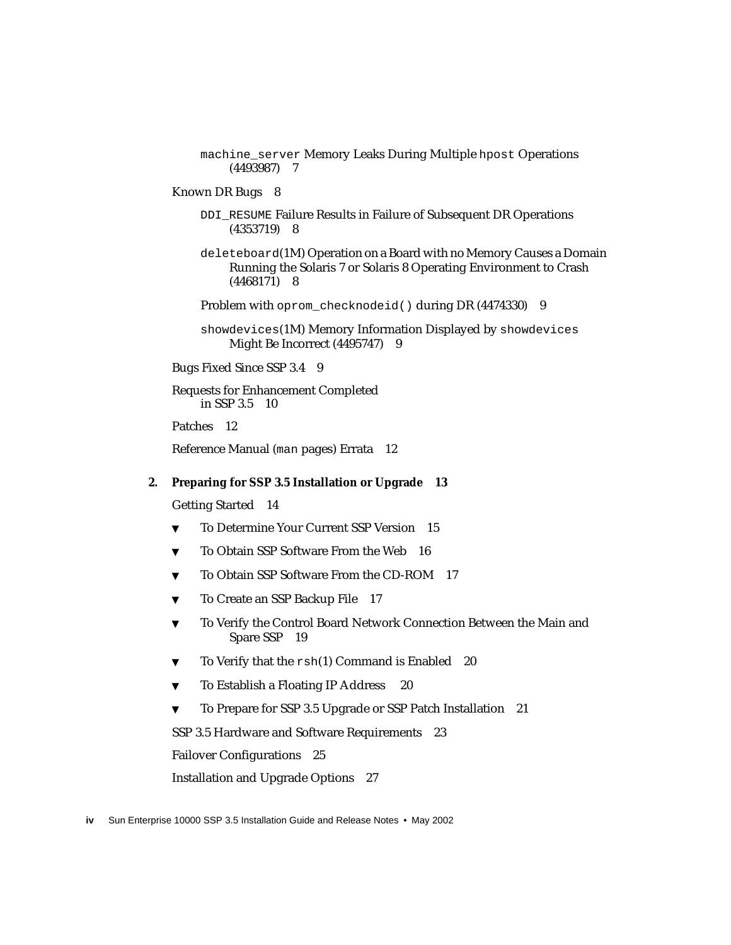machine server Memory Leaks During Multiple hpost Operations (4493987) 7

#### [Known DR Bugs](#page-25-0) 8

[DDI\\_RESUME](#page-25-1) Failure Results in Failure of Subsequent DR Operations (4353719) 8

[deleteboard](#page-25-2)(1M) Operation on a Board with no Memory Causes a Domain Running the Solaris 7 or Solaris 8 Operating Environment to Crash (4468171) 8

[Problem with](#page-26-0) oprom\_checknodeid() during DR (4474330) 9

[showdevices](#page-26-1)(1M) Memory Information Displayed by showdevices Might Be Incorrect (4495747) 9

[Bugs Fixed Since SSP 3.4](#page-26-2) 9

[Requests for Enhancement Completed](#page-27-0) [in SSP 3.5 1](#page-27-0)0

[Patches](#page-29-0) 12

[Reference Manual \(](#page-29-1)man pages) Errata 12

#### **2. [Preparing for SSP 3.5 Installation or Upgrade](#page-30-0) 13**

[Getting Started 1](#page-31-0)4

- ▼ [To Determine Your Current SSP Version 1](#page-32-0)5
- ▼ [To Obtain SSP Software From the Web](#page-33-0) 16
- ▼ [To Obtain SSP Software From the CD-ROM](#page-34-0) 17
- ▼ [To Create an SSP Backup File](#page-34-1) 17
- ▼ [To Verify the Control Board Network Connection Between the Main and](#page-36-0) [Spare SSP 1](#page-36-0)9
- ▼ [To Verify that the](#page-37-0) rsh(1) Command is Enabled 20
- ▼ [To Establish a Floating IP Address](#page-37-1) 20
- ▼ [To Prepare for SSP 3.5 Upgrade or SSP Patch Installation](#page-38-0) 21

[SSP 3.5 Hardware and Software Requirements](#page-40-0) 23

[Failover Configurations 2](#page-42-0)5

[Installation and Upgrade Options](#page-44-0) 27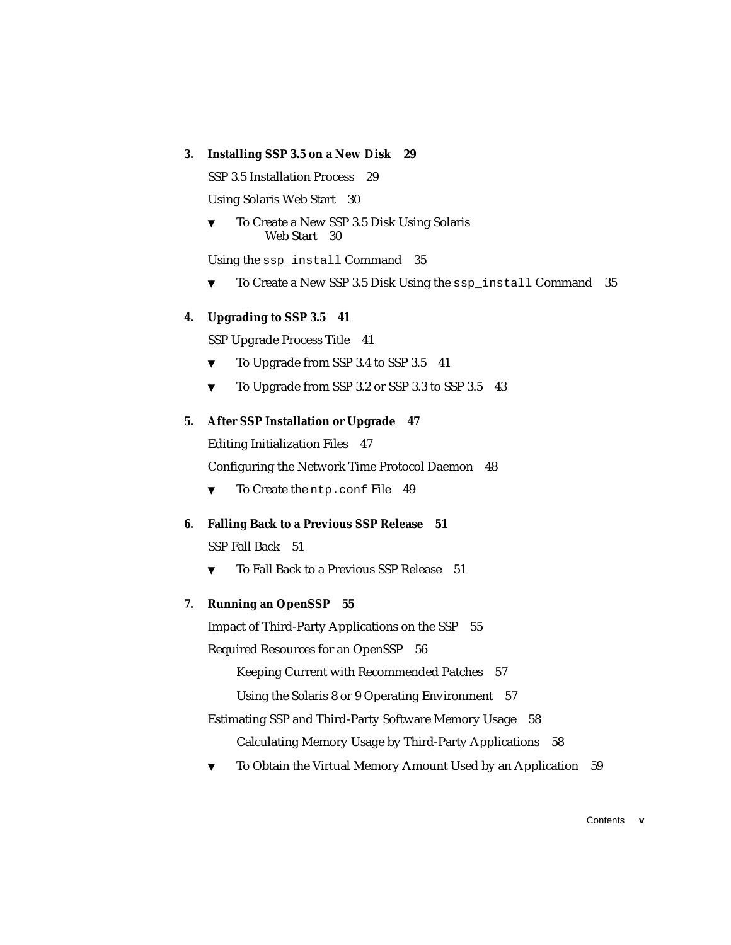### **3. [Installing SSP 3.5 on a New Disk](#page-46-0) 29**

[SSP 3.5 Installation Process 2](#page-46-1)9

[Using Solaris Web Start 3](#page-47-0)0

[To Create a New SSP 3.5 Disk Using Solaris](#page-47-1) [Web Start 3](#page-47-1)0

[Using the](#page-52-0) ssp\_install Command 35

▼ [To Create a New SSP 3.5 Disk Using the](#page-52-1) ssp\_install Command 35

### **4. [Upgrading to SSP 3.5 4](#page-58-0)1**

[SSP Upgrade Process Title](#page-58-1) 41

- ▼ [To Upgrade from SSP 3.4 to SSP 3.5](#page-58-2) 41
- ▼ [To Upgrade from SSP 3.2 or SSP 3.3 to SSP 3.5](#page-60-0) 43

### **5. [After SSP Installation or Upgrade](#page-64-0) 47**

[Editing Initialization Files 4](#page-64-1)7

[Configuring the Network Time Protocol Daemon](#page-65-0) 48

▼ [To Create the](#page-66-0) ntp.conf File 49

### **6. [Falling Back to a Previous SSP Release 5](#page-68-0)1**

[SSP Fall Back](#page-68-1) 51

▼ [To Fall Back to a Previous SSP Release 5](#page-68-2)1

### **7. [Running an OpenSSP](#page-72-0) 55**

[Impact of Third-Party Applications on the SSP 5](#page-72-1)5

[Required Resources for an OpenSSP](#page-73-0) 56

[Keeping Current with Recommended Patches 5](#page-74-0)7

[Using the Solaris 8 or 9 Operating Environment 5](#page-74-1)7

- [Estimating SSP and Third-Party Software Memory Usage 5](#page-75-0)8 [Calculating Memory Usage by Third-Party Applications 5](#page-75-1)8
- [To Obtain the Virtual Memory Amount Used by an Application 5](#page-76-0)9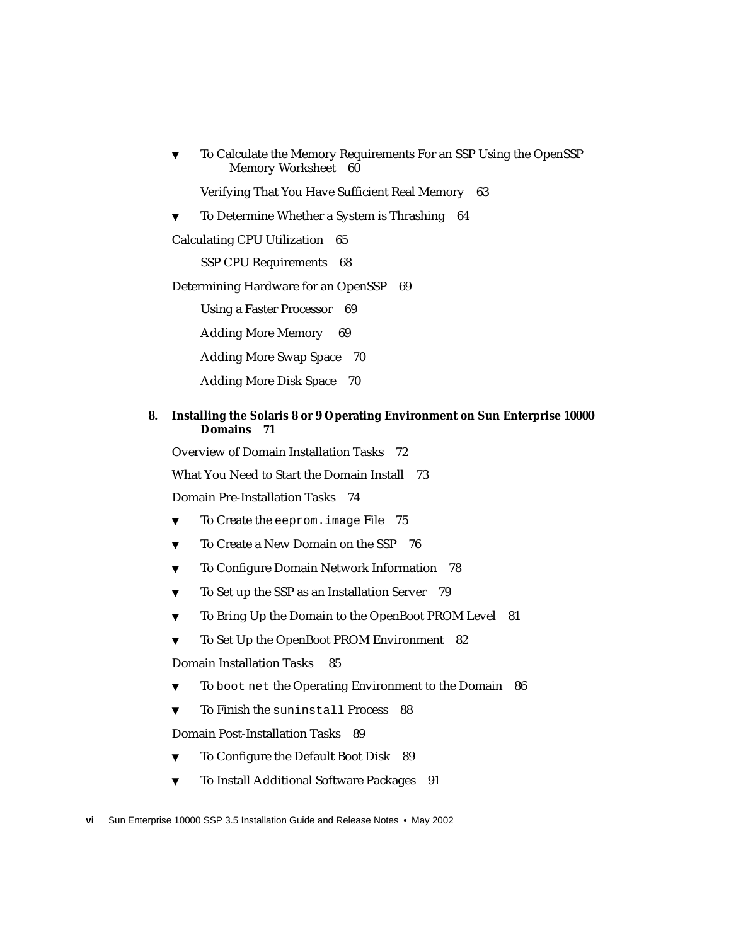▼ [To Calculate the Memory Requirements For an SSP Using the OpenSSP](#page-77-0) [Memory Worksheet](#page-77-0) 60

[Verifying That You Have Sufficient Real Memory 6](#page-80-0)3

▼ [To Determine Whether a System is Thrashing 6](#page-81-0)4

[Calculating CPU Utilization 6](#page-82-0)5

[SSP CPU Requirements](#page-85-0) 68

[Determining Hardware for an OpenSSP](#page-86-0) 69

[Using a Faster Processor](#page-86-1) 69

[Adding More Memory](#page-86-2) 69

[Adding More Swap Space 7](#page-87-0)0

[Adding More Disk Space 7](#page-87-1)0

### **8. [Installing the Solaris 8 or 9 Operating Environment on Sun Enterprise 10000](#page-88-0) [Domains](#page-88-0) 71**

[Overview of Domain Installation Tasks](#page-89-0) 72

[What You Need to Start the Domain Install 7](#page-90-0)3

[Domain Pre-Installation Tasks](#page-91-0) 74

- ▼ [To Create the](#page-92-0) eeprom.image File 75
- ▼ [To Create a New Domain on the SSP](#page-93-0) 76
- ▼ [To Configure Domain Network Information 7](#page-95-0)8
- ▼ [To Set up the SSP as an Installation Server](#page-96-0) 79
- ▼ [To Bring Up the Domain to the OpenBoot PROM Level 8](#page-98-0)1
- ▼ [To Set Up the OpenBoot PROM Environment 8](#page-99-0)2

[Domain Installation Tasks](#page-102-0) 85

- [To](#page-103-0) boot net the Operating Environment to the Domain 86
- ▼ [To Finish the](#page-105-0) suninstall Process 88

[Domain Post-Installation Tasks](#page-106-0) 89

- ▼ [To Configure the Default Boot Disk 8](#page-106-1)9
- ▼ [To Install Additional Software Packages](#page-108-0) 91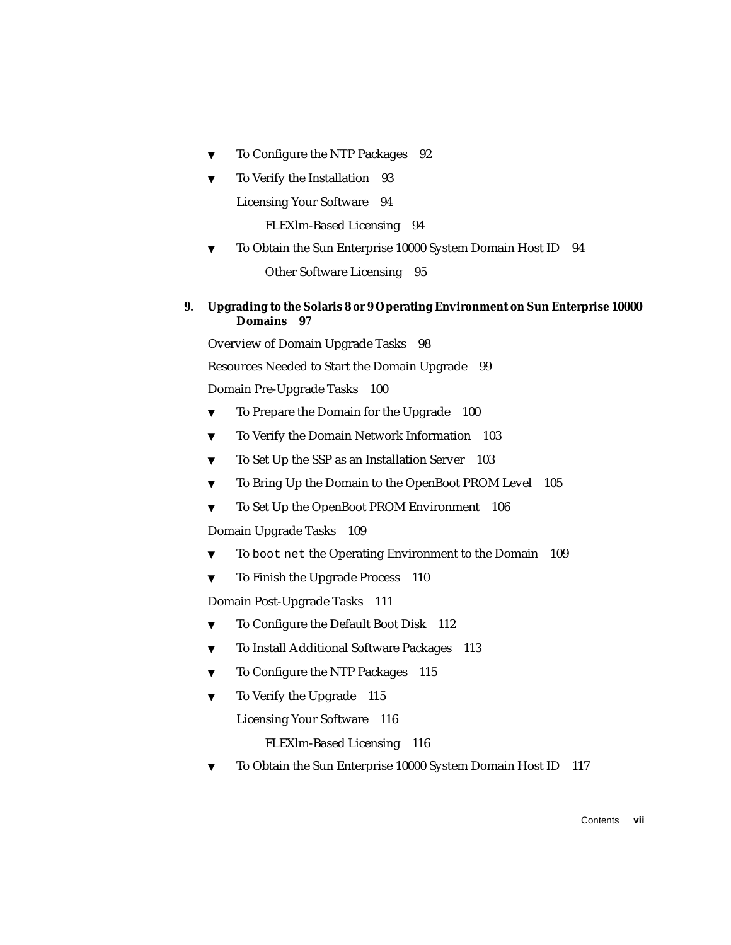- ▼ [To Configure the NTP Packages](#page-109-0) 92
- [To Verify the Installation](#page-110-0) 93

[Licensing Your Software](#page-111-0) 94

[FLEXlm-Based Licensing](#page-111-1) 94

▼ [To Obtain the Sun Enterprise 10000 System Domain Host ID](#page-111-2) 94

[Other Software Licensing 9](#page-112-0)5

### **9. [Upgrading to the Solaris 8 or 9 Operating Environment on Sun Enterprise 10000](#page-114-0) [Domains](#page-114-0) 97**

[Overview of Domain Upgrade Tasks](#page-115-0) 98

[Resources Needed to Start the Domain Upgrade](#page-116-0) 99

[Domain Pre-Upgrade Tasks 1](#page-117-0)00

- ▼ [To Prepare the Domain for the Upgrade](#page-117-1) 100
- ▼ [To Verify the Domain Network Information](#page-120-0) 103
- ▼ [To Set Up the SSP as an Installation Server 1](#page-120-1)03
- ▼ [To Bring Up the Domain to the OpenBoot PROM Level 1](#page-122-0)05
- ▼ [To Set Up the OpenBoot PROM Environment 1](#page-123-0)06

[Domain Upgrade Tasks](#page-126-0) 109

- [To](#page-126-1) boot net the Operating Environment to the Domain 109
- ▼ [To Finish the Upgrade Process 1](#page-127-0)10

[Domain Post-Upgrade Tasks](#page-128-0) 111

- ▼ [To Configure the Default Boot Disk 1](#page-129-0)12
- ▼ [To Install Additional Software Packages](#page-130-0) 113
- ▼ [To Configure the NTP Packages](#page-132-0) 115
- ▼ [To Verify the Upgrade](#page-132-1) 115

[Licensing Your Software](#page-133-0) 116

[FLEXlm-Based Licensing](#page-133-1) 116

[To Obtain the Sun Enterprise 10000 System Domain Host ID](#page-134-0) 117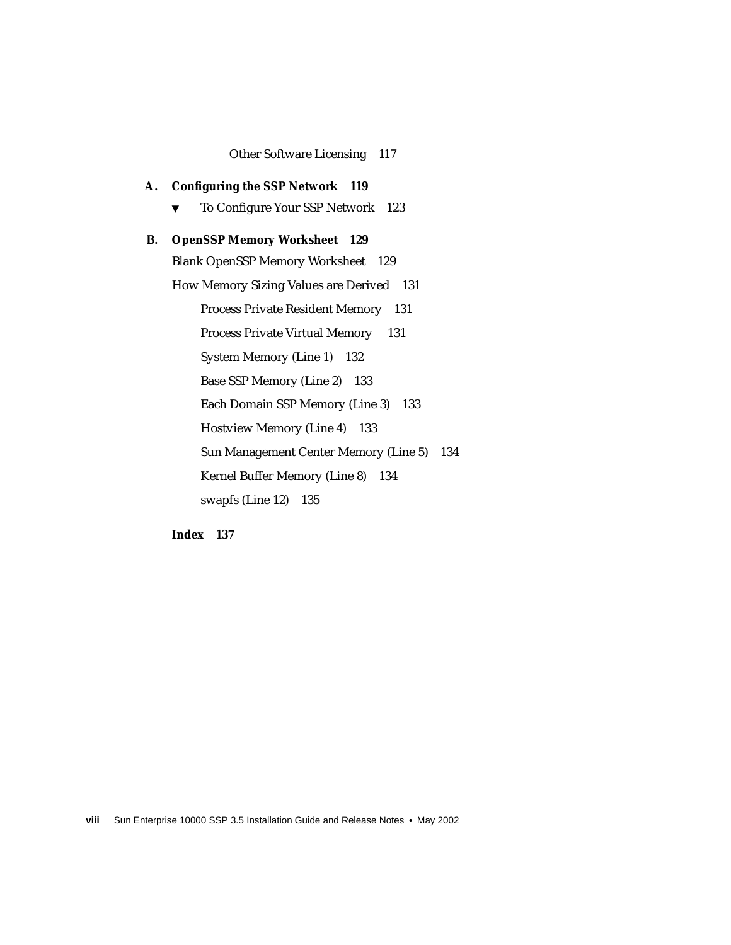#### [Other Software Licensing 1](#page-134-1)17

**A. [Configuring the SSP Network](#page-136-0) 119** ▼ [To Configure Your SSP Network 1](#page-140-0)23 **B. [OpenSSP Memory Worksheet 1](#page-146-0)29** [Blank OpenSSP Memory Worksheet](#page-146-1) 129 [How Memory Sizing Values are Derived 1](#page-148-0)31 [Process Private Resident Memory 1](#page-148-1)31 [Process Private Virtual Memory 1](#page-148-2)31 [System Memory \(Line 1\)](#page-149-0) 132 [Base SSP Memory \(Line 2\) 1](#page-150-0)33 [Each Domain SSP Memory \(Line 3\) 1](#page-150-1)33 [Hostview Memory \(Line 4\)](#page-150-2) 133 [Sun Management Center Memory \(Line 5\) 1](#page-151-0)34 [Kernel Buffer Memory \(Line 8\)](#page-151-1) 134 [swapfs \(Line 12\)](#page-152-0) 135

**[Index 1](#page-154-0)37**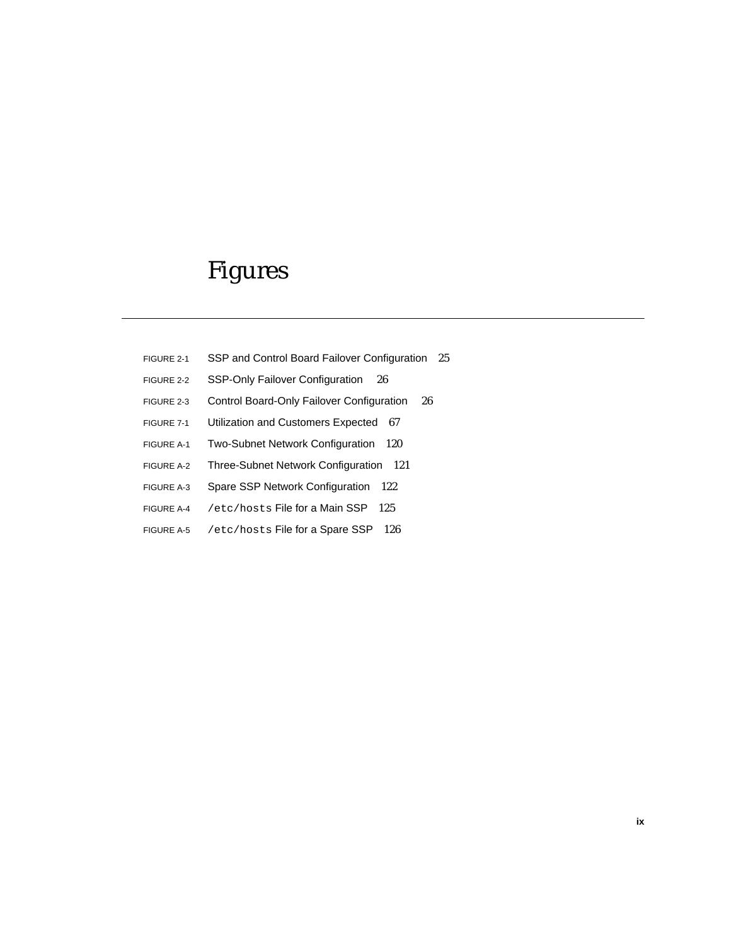# Figures

- FIGURE 2-1 SSP and Control Board Failover Configuration 25
- FIGURE 2-2 SSP-Only Failover Configuration 26
- FIGURE 2-3 Control Board-Only Failover Configuration 26
- FIGURE 7-1 Utilization and Customers Expected 67
- FIGURE A-1 Two-Subnet Network Configuration 120
- FIGURE A-2 Three-Subnet Network Configuration 121
- FIGURE A-3 Spare SSP Network Configuration 122
- FIGURE A-4 /etc/hosts File for a Main SSP 125
- FIGURE A-5 /etc/hosts File for a Spare SSP 126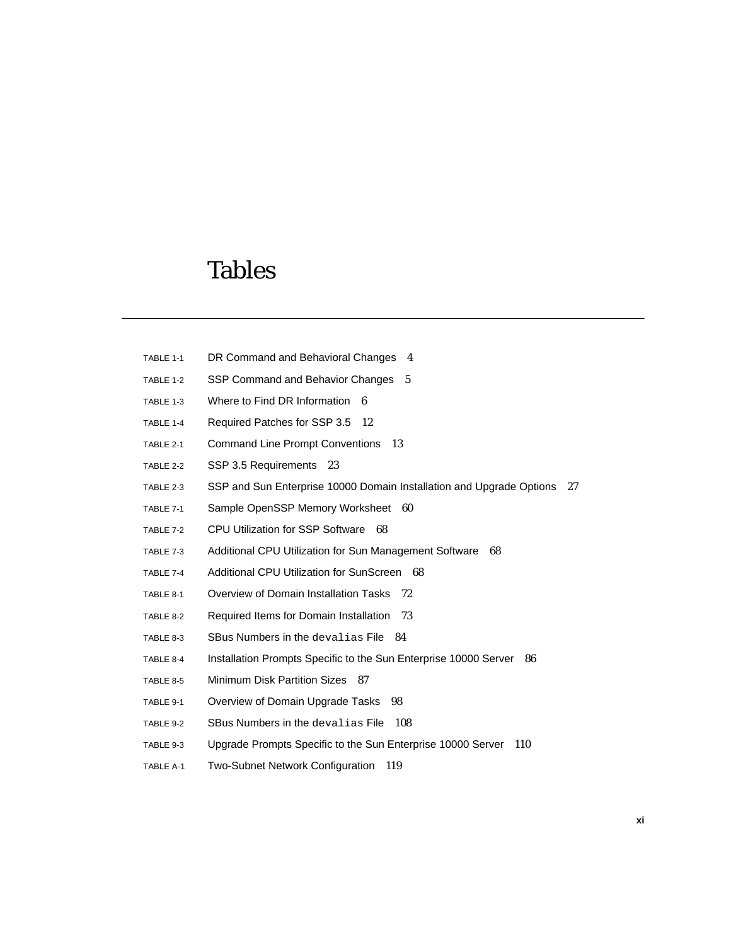## Tables

- TABLE 1-1 DR Command and Behavioral Changes 4
- TABLE 1-2 SSP Command and Behavior Changes 5
- TABLE 1-3 Where to Find DR Information 6
- TABLE 1-4 Required Patches for SSP 3.5 12
- TABLE 2-1 Command Line Prompt Conventions 13
- TABLE 2-2 SSP 3.5 Requirements 23
- TABLE 2-3 SSP and Sun Enterprise 10000 Domain Installation and Upgrade Options 27
- TABLE 7-1 Sample OpenSSP Memory Worksheet 60
- TABLE 7-2 CPU Utilization for SSP Software 68
- TABLE 7-3 Additional CPU Utilization for Sun Management Software 68
- TABLE 7-4 Additional CPU Utilization for SunScreen 68
- TABLE 8-1 Overview of Domain Installation Tasks 72
- TABLE 8-2 Required Items for Domain Installation 73
- TABLE 8-3 SBus Numbers in the devalias File 84
- TABLE 8-4 Installation Prompts Specific to the Sun Enterprise 10000 Server 86
- TABLE 8-5 Minimum Disk Partition Sizes 87
- TABLE 9-1 Overview of Domain Upgrade Tasks 98
- TABLE 9-2 SBus Numbers in the devalias File 108
- TABLE 9-3 Upgrade Prompts Specific to the Sun Enterprise 10000 Server 110
- TABLE A-1 Two-Subnet Network Configuration 119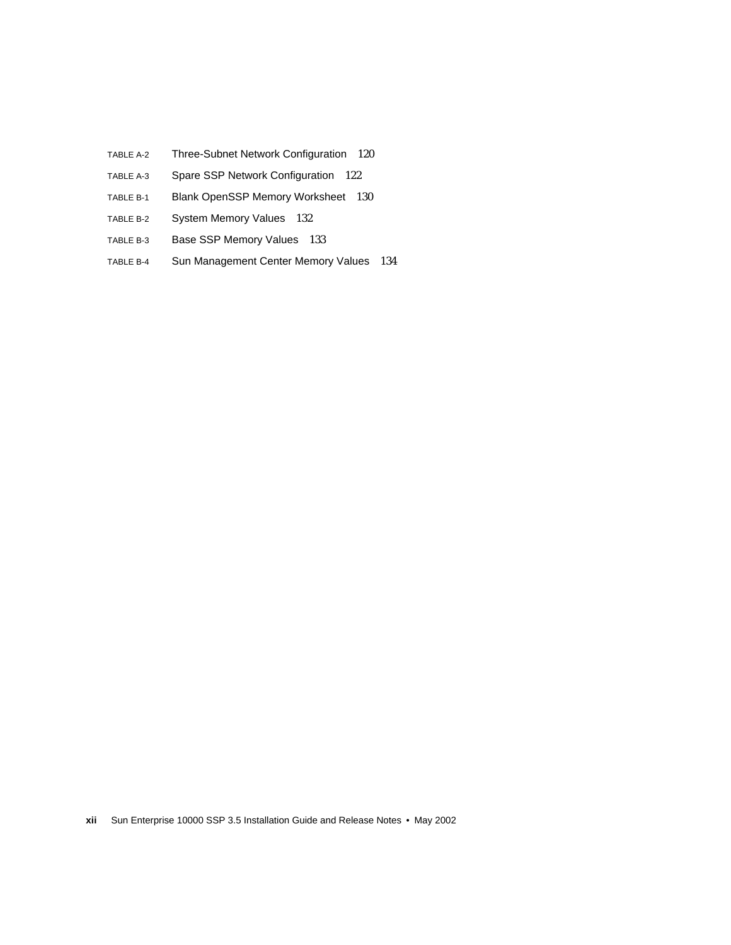- TABLE A-2 Three-Subnet Network Configuration 120
- TABLE A-3 Spare SSP Network Configuration 122
- TABLE B-1 Blank OpenSSP Memory Worksheet 130
- TABLE B-2 System Memory Values 132
- TABLE B-3 Base SSP Memory Values 133
- TABLE B-4 Sun Management Center Memory Values 134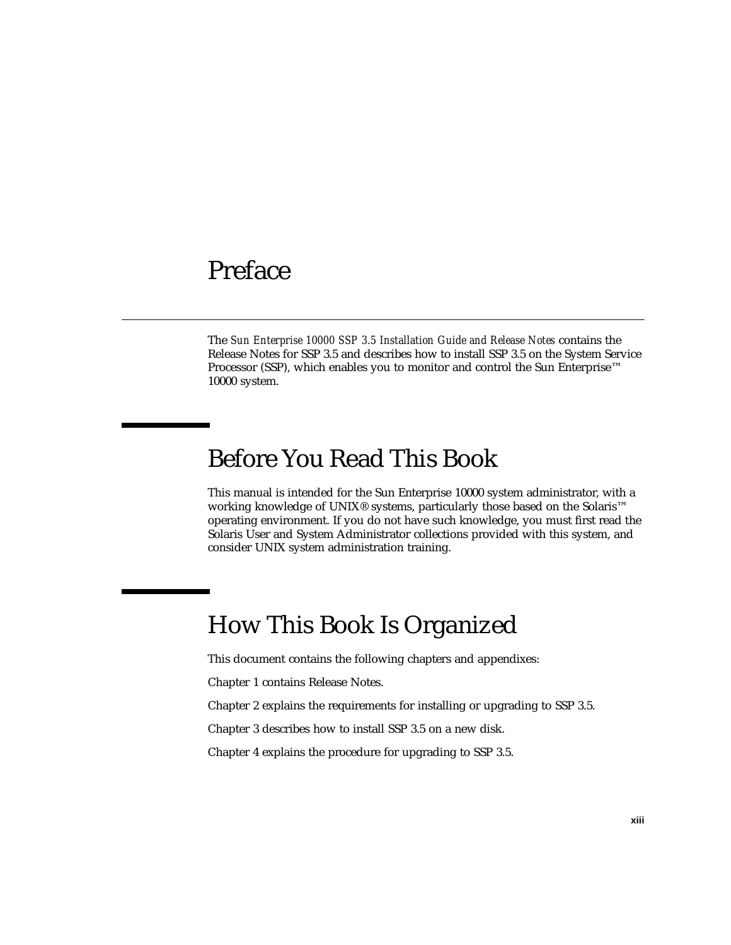## <span id="page-12-0"></span>Preface

The *Sun Enterprise 10000 SSP 3.5 Installation Guide and Release Notes* contains the Release Notes for SSP 3.5 and describes how to install SSP 3.5 on the System Service Processor (SSP), which enables you to monitor and control the Sun Enterprise™ 10000 system.

## <span id="page-12-1"></span>Before You Read This Book

This manual is intended for the Sun Enterprise 10000 system administrator, with a working knowledge of UNIX<sup>®</sup> systems, particularly those based on the Solaris<sup>™</sup> operating environment. If you do not have such knowledge, you must first read the Solaris User and System Administrator collections provided with this system, and consider UNIX system administration training.

# <span id="page-12-2"></span>How This Book Is Organized

This document contains the following chapters and appendixes:

[Chapter 1](#page-18-3) contains Release Notes.

[Chapter 2](#page-30-1) explains the requirements for installing or upgrading to SSP 3.5.

[Chapter 3](#page-46-2) describes how to install SSP 3.5 on a new disk.

[Chapter 4](#page-58-3) explains the procedure for upgrading to SSP 3.5.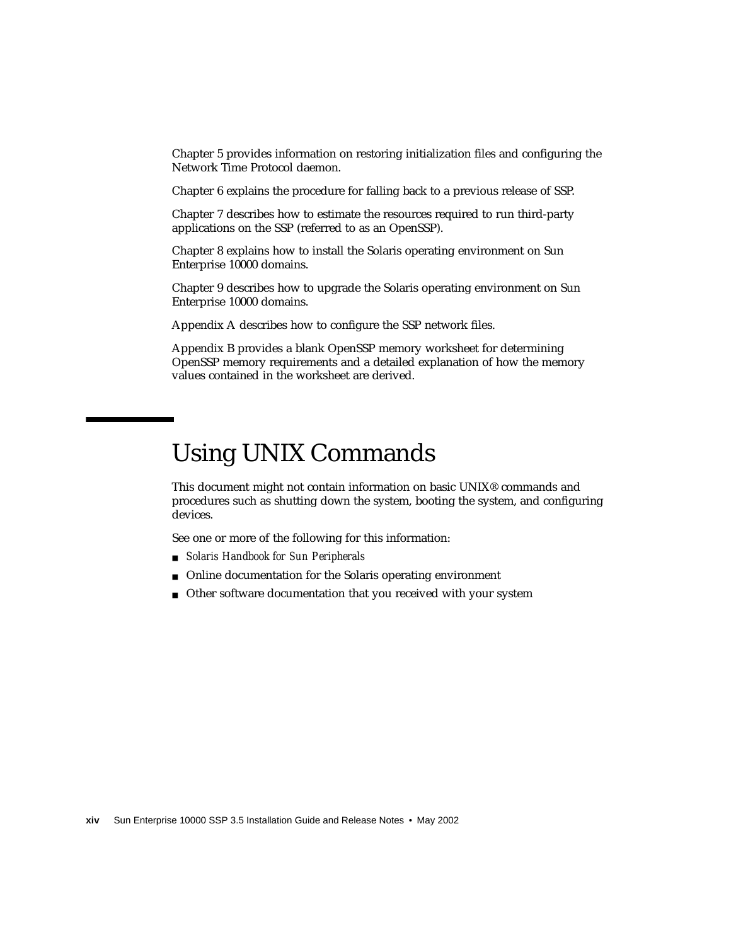[Chapter 5](#page-64-2) provides information on restoring initialization files and configuring the Network Time Protocol daemon.

[Chapter 6](#page-68-3) explains the procedure for falling back to a previous release of SSP.

[Chapter 7](#page-72-2) describes how to estimate the resources required to run third-party applications on the SSP (referred to as an OpenSSP).

[Chapter 8](#page-88-1) explains how to install the Solaris operating environment on Sun Enterprise 10000 domains.

[Chapter 9](#page-114-1) describes how to upgrade the Solaris operating environment on Sun Enterprise 10000 domains.

[Appendix A](#page-136-1) describes how to configure the SSP network files.

[Appendix B](#page-146-2) provides a blank OpenSSP memory worksheet for determining OpenSSP memory requirements and a detailed explanation of how the memory values contained in the worksheet are derived.

## <span id="page-13-0"></span>Using UNIX Commands

This document might not contain information on basic UNIX® commands and procedures such as shutting down the system, booting the system, and configuring devices.

See one or more of the following for this information:

- *Solaris Handbook for Sun Peripherals*
- Online documentation for the Solaris operating environment
- Other software documentation that you received with your system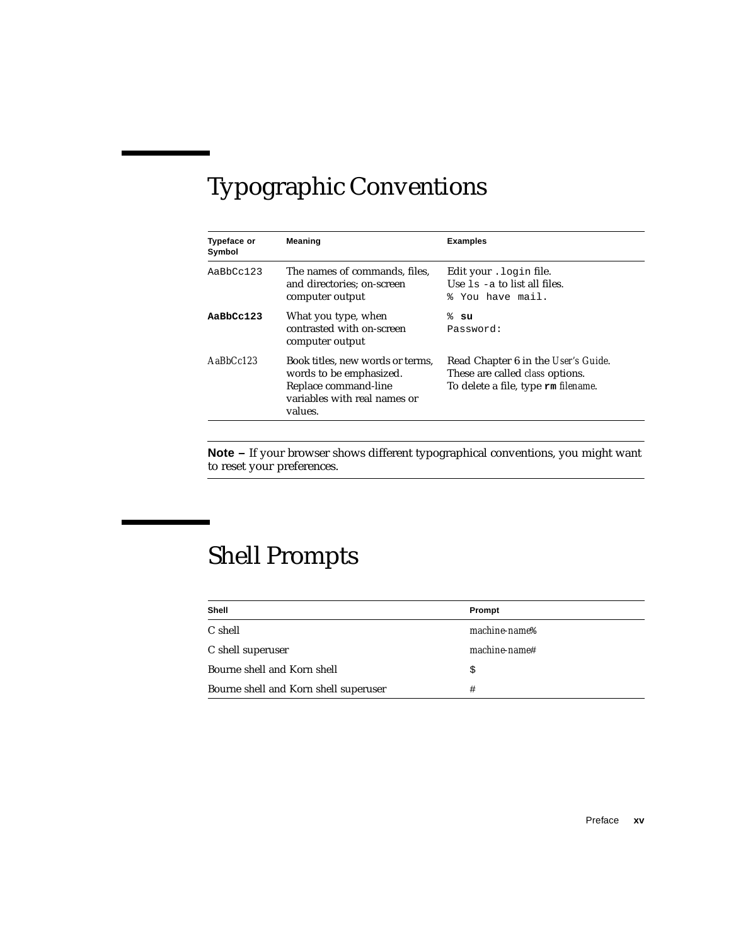# <span id="page-14-0"></span>Typographic Conventions

| <b>Typeface or</b><br>Symbol | <b>Meaning</b>                                                                                                                 | <b>Examples</b>                                                                                                      |
|------------------------------|--------------------------------------------------------------------------------------------------------------------------------|----------------------------------------------------------------------------------------------------------------------|
| AaBbCc123                    | The names of commands, files,<br>and directories: on-screen<br>computer output                                                 | Edit your . login file.<br>Use $1s - a$ to list all files.<br>% You have mail.                                       |
| AaBbCc123                    | What you type, when<br>contrasted with on-screen<br>computer output                                                            | % su<br>Password:                                                                                                    |
| $A$ a $BhCr123$              | Book titles, new words or terms.<br>words to be emphasized.<br>Replace command-line<br>variables with real names or<br>values. | Read Chapter 6 in the User's Guide.<br>These are called <i>class</i> options.<br>To delete a file, type rm filename. |

**Note –** If your browser shows different typographical conventions, you might want to reset your preferences.

# <span id="page-14-1"></span>Shell Prompts

| Shell                                 | Prompt                    |
|---------------------------------------|---------------------------|
| C shell                               | machine-name <sup>§</sup> |
| C shell superuser                     | machine-name#             |
| Bourne shell and Korn shell           | \$                        |
| Bourne shell and Korn shell superuser | #                         |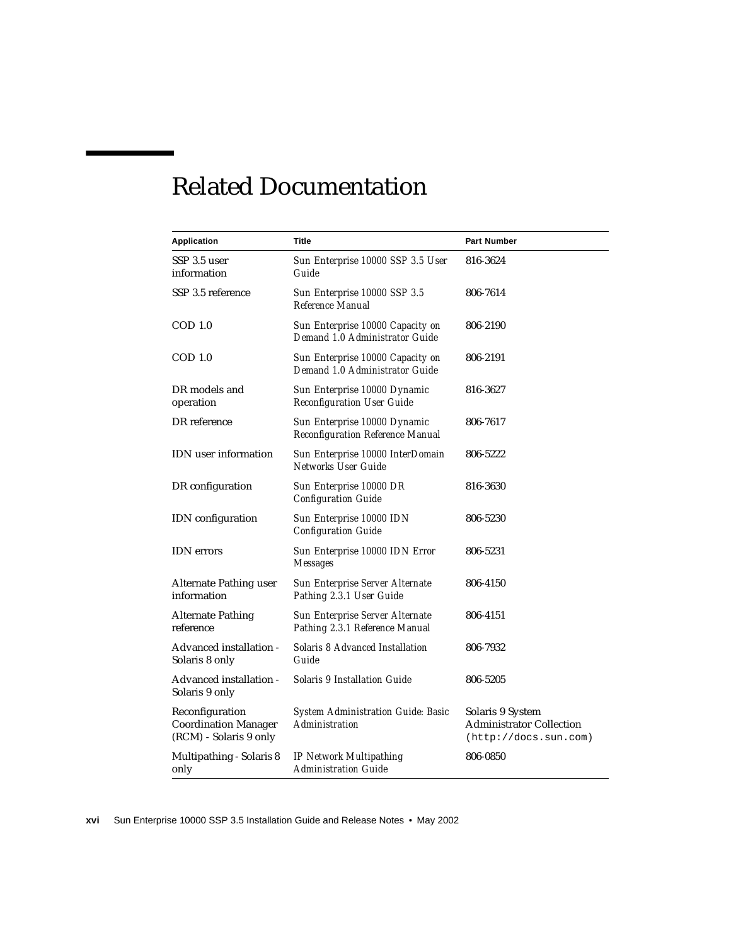# Related Documentation

<span id="page-15-0"></span>

| <b>Application</b>                                                       | Title                                                                    | <b>Part Number</b>                                                           |
|--------------------------------------------------------------------------|--------------------------------------------------------------------------|------------------------------------------------------------------------------|
| SSP 3.5 user<br>information                                              | Sun Enterprise 10000 SSP 3.5 User<br>Guide                               | 816-3624                                                                     |
| SSP 3.5 reference                                                        | Sun Enterprise 10000 SSP 3.5<br><b>Reference Manual</b>                  | 806-7614                                                                     |
| $\text{COD}1.0$                                                          | Sun Enterprise 10000 Capacity on<br>Demand 1.0 Administrator Guide       | 806-2190                                                                     |
| $\text{COD}1.0$                                                          | Sun Enterprise 10000 Capacity on<br>Demand 1.0 Administrator Guide       | 806-2191                                                                     |
| DR models and<br>operation                                               | Sun Enterprise 10000 Dynamic<br><b>Reconfiguration User Guide</b>        | 816-3627                                                                     |
| DR reference                                                             | Sun Enterprise 10000 Dynamic<br><b>Reconfiguration Reference Manual</b>  | 806-7617                                                                     |
| <b>IDN</b> user information                                              | Sun Enterprise 10000 InterDomain<br><b>Networks User Guide</b>           | 806-5222                                                                     |
| DR configuration                                                         | Sun Enterprise 10000 DR<br><b>Configuration Guide</b>                    | 816-3630                                                                     |
| IDN configuration                                                        | Sun Enterprise 10000 IDN<br><b>Configuration Guide</b>                   | 806-5230                                                                     |
| <b>IDN</b> errors                                                        | Sun Enterprise 10000 IDN Error<br><b>Messages</b>                        | 806-5231                                                                     |
| Alternate Pathing user<br>information                                    | <b>Sun Enterprise Server Alternate</b><br>Pathing 2.3.1 User Guide       | 806-4150                                                                     |
| <b>Alternate Pathing</b><br>reference                                    | <b>Sun Enterprise Server Alternate</b><br>Pathing 2.3.1 Reference Manual | 806-4151                                                                     |
| Advanced installation -<br>Solaris 8 only                                | <b>Solaris 8 Advanced Installation</b><br>Guide                          | 806-7932                                                                     |
| Advanced installation -<br>Solaris 9 only                                | <b>Solaris 9 Installation Guide</b>                                      | 806-5205                                                                     |
| Reconfiguration<br><b>Coordination Manager</b><br>(RCM) - Solaris 9 only | <b>System Administration Guide: Basic</b><br><b>Administration</b>       | Solaris 9 System<br><b>Administrator Collection</b><br>(http://docs.sum.com) |
| Multipathing - Solaris 8<br>only                                         | <b>IP Network Multipathing</b><br><b>Administration Guide</b>            | 806-0850                                                                     |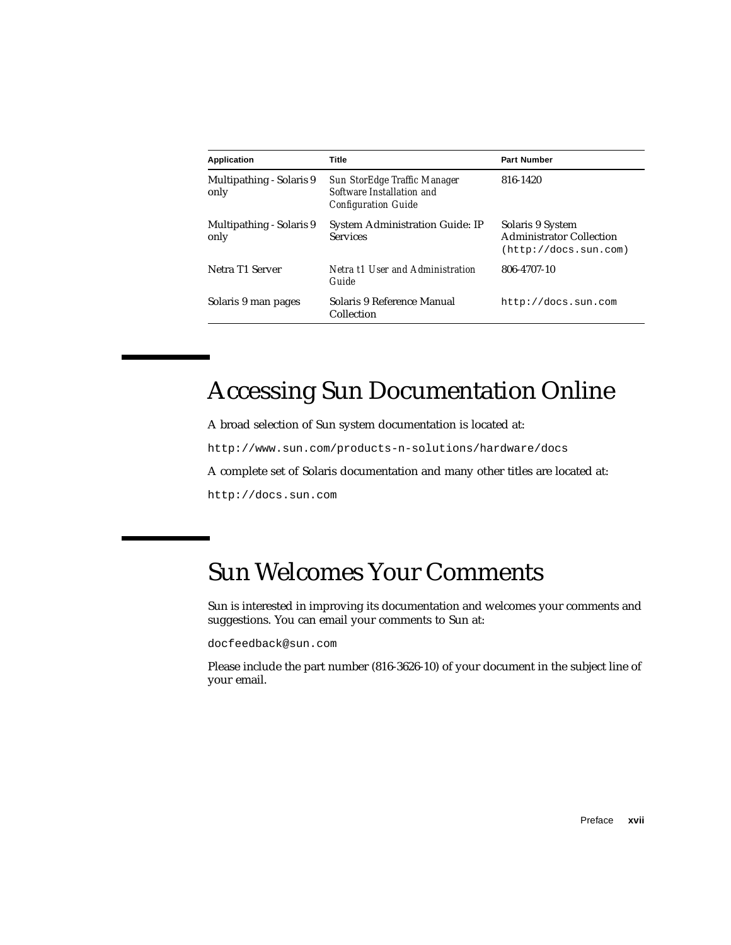| <b>Application</b>               | Title                                                                                   | <b>Part Number</b>                                                           |
|----------------------------------|-----------------------------------------------------------------------------------------|------------------------------------------------------------------------------|
| Multipathing - Solaris 9<br>only | Sun StorEdge Traffic Manager<br>Software Installation and<br><b>Configuration Guide</b> | 816-1420                                                                     |
| Multipathing - Solaris 9<br>only | <b>System Administration Guide: IP</b><br><b>Services</b>                               | Solaris 9 System<br><b>Administrator Collection</b><br>(http://docs.sum.com) |
| Netra T1 Server                  | Netra t1 User and Administration<br>Guide                                               | 806-4707-10                                                                  |
| Solaris 9 man pages              | Solaris 9 Reference Manual<br>Collection                                                | http://docs.sun.com                                                          |

# <span id="page-16-0"></span>Accessing Sun Documentation Online

A broad selection of Sun system documentation is located at:

http://www.sun.com/products-n-solutions/hardware/docs

A complete set of Solaris documentation and many other titles are located at:

http://docs.sun.com

# <span id="page-16-1"></span>Sun Welcomes Your Comments

Sun is interested in improving its documentation and welcomes your comments and suggestions. You can email your comments to Sun at:

docfeedback@sun.com

Please include the part number (816-3626-10) of your document in the subject line of your email.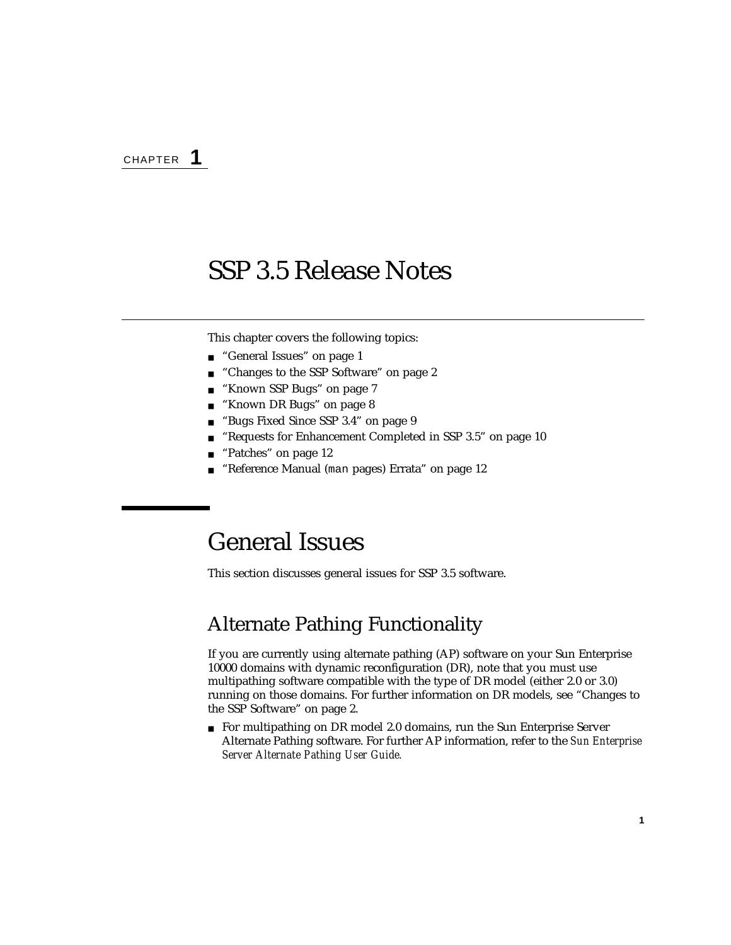<span id="page-18-3"></span>CHAPTER **1**

## <span id="page-18-0"></span>SSP 3.5 Release Notes

This chapter covers the following topics:

- ["General Issues" on page 1](#page-18-1)
- ["Changes to the SSP Software" on page 2](#page-19-1)
- ["Known SSP Bugs" on page 7](#page-24-0)
- ["Known DR Bugs" on page 8](#page-25-0)
- ["Bugs Fixed Since SSP 3.4" on page 9](#page-26-2)
- ["Requests for Enhancement Completed in SSP 3.5" on page 10](#page-27-0)
- ["Patches" on page 12](#page-29-0)
- "Reference Manual (man [pages\) Errata" on page 12](#page-29-1)

## <span id="page-18-1"></span>General Issues

This section discusses general issues for SSP 3.5 software.

### <span id="page-18-2"></span>Alternate Pathing Functionality

If you are currently using alternate pathing (AP) software on your Sun Enterprise 10000 domains with dynamic reconfiguration (DR), note that you must use multipathing software compatible with the type of DR model (either 2.0 or 3.0) running on those domains. For further information on DR models, see ["Changes to](#page-19-1) [the SSP Software" on page 2.](#page-19-1)

■ For multipathing on DR model 2.0 domains, run the Sun Enterprise Server Alternate Pathing software. For further AP information, refer to the *Sun Enterprise Server Alternate Pathing User Guide.*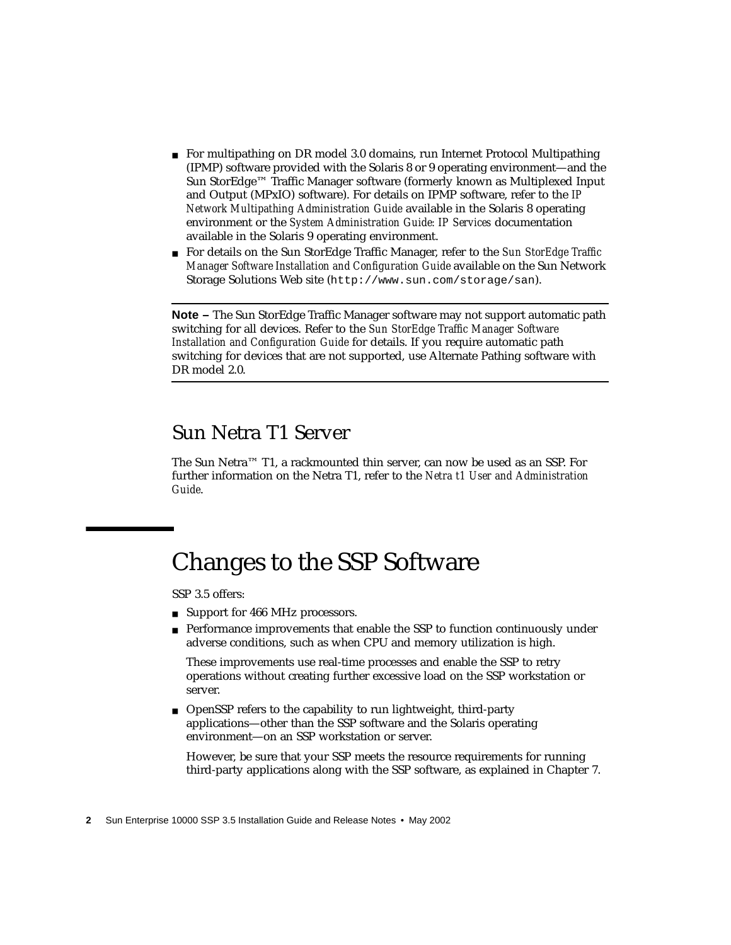- For multipathing on DR model 3.0 domains, run Internet Protocol Multipathing (IPMP) software provided with the Solaris 8 or 9 operating environment—and the Sun StorEdge™ Traffic Manager software (formerly known as Multiplexed Input and Output (MPxIO) software). For details on IPMP software, refer to the *IP Network Multipathing Administration Guide* available in the Solaris 8 operating environment or the *System Administration Guide: IP Services* documentation available in the Solaris 9 operating environment.
- For details on the Sun StorEdge Traffic Manager, refer to the *Sun StorEdge Traffic Manager Software Installation and Configuration Guide* available on the Sun Network Storage Solutions Web site (http://www.sun.com/storage/san).

**Note –** The Sun StorEdge Traffic Manager software may not support automatic path switching for all devices. Refer to the *Sun StorEdge Traffic Manager Software Installation and Configuration Guide* for details. If you require automatic path switching for devices that are not supported, use Alternate Pathing software with DR model 2.0.

### <span id="page-19-0"></span>Sun Netra T1 Server

The Sun Netra™ T1, a rackmounted thin server, can now be used as an SSP. For further information on the Netra T1, refer to the *Netra t1 User and Administration Guide*.

# <span id="page-19-1"></span>Changes to the SSP Software

SSP 3.5 offers:

- Support for 466 MHz processors.
- Performance improvements that enable the SSP to function continuously under adverse conditions, such as when CPU and memory utilization is high.

These improvements use real-time processes and enable the SSP to retry operations without creating further excessive load on the SSP workstation or server.

■ OpenSSP refers to the capability to run lightweight, third-party applications—other than the SSP software and the Solaris operating environment—on an SSP workstation or server.

However, be sure that your SSP meets the resource requirements for running third-party applications along with the SSP software, as explained in [Chapter 7.](#page-72-2)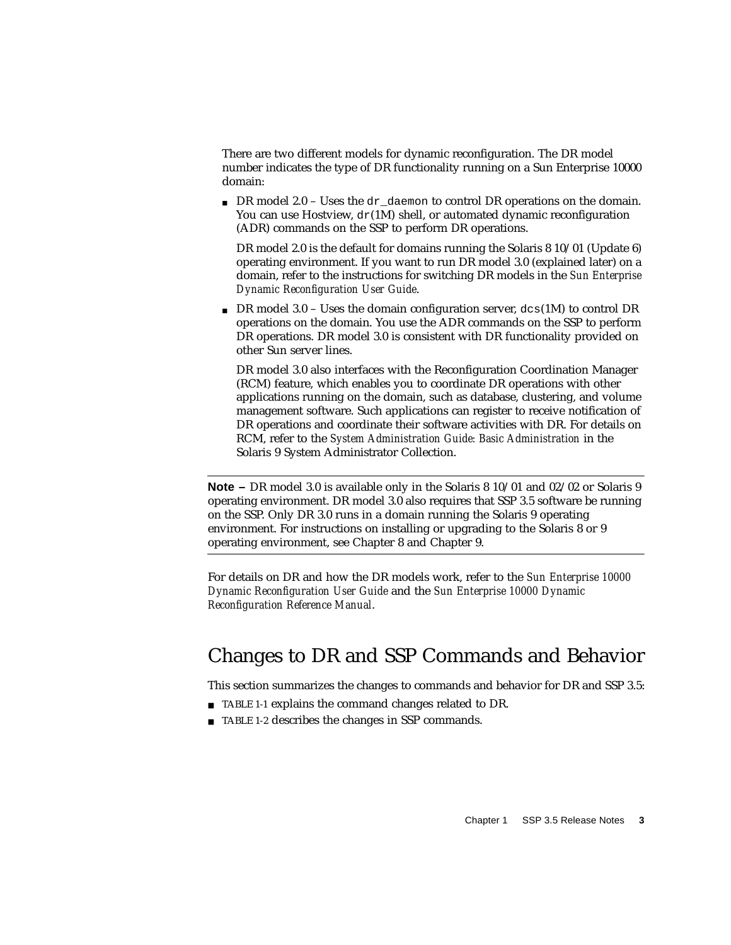There are two different models for dynamic reconfiguration. The DR model number indicates the type of DR functionality running on a Sun Enterprise 10000 domain:

**• DR model 2.0** – Uses the dr\_daemon to control DR operations on the domain. You can use Hostview,  $dr(1M)$  shell, or automated dynamic reconfiguration (ADR) commands on the SSP to perform DR operations.

DR model 2.0 is the default for domains running the Solaris 8 10/01 (Update 6) operating environment. If you want to run DR model 3.0 (explained later) on a domain, refer to the instructions for switching DR models in the *Sun Enterprise Dynamic Reconfiguration User Guide*.

**• DR** model 3.0 – Uses the domain configuration server,  $dcs(1M)$  to control DR operations on the domain. You use the ADR commands on the SSP to perform DR operations. DR model 3.0 is consistent with DR functionality provided on other Sun server lines.

DR model 3.0 also interfaces with the Reconfiguration Coordination Manager (RCM) feature, which enables you to coordinate DR operations with other applications running on the domain, such as database, clustering, and volume management software. Such applications can register to receive notification of DR operations and coordinate their software activities with DR. For details on RCM, refer to the *System Administration Guide: Basic Administration* in the Solaris 9 System Administrator Collection.

**Note –** DR model 3.0 is available only in the Solaris 8 10/01 and 02/02 or Solaris 9 operating environment. DR model 3.0 also requires that SSP 3.5 software be running on the SSP. Only DR 3.0 runs in a domain running the Solaris 9 operating environment. For instructions on installing or upgrading to the Solaris 8 or 9 operating environment, see [Chapter 8](#page-88-1) and [Chapter 9.](#page-114-1)

For details on DR and how the DR models work, refer to the *Sun Enterprise 10000 Dynamic Reconfiguration User Guide* and the *Sun Enterprise 10000 Dynamic Reconfiguration Reference Manual*.

### <span id="page-20-0"></span>Changes to DR and SSP Commands and Behavior

This section summarizes the changes to commands and behavior for DR and SSP 3.5:

- [TABLE 1-1](#page-21-0) explains the command changes related to DR.
- [TABLE 1-2](#page-22-0) describes the changes in SSP commands.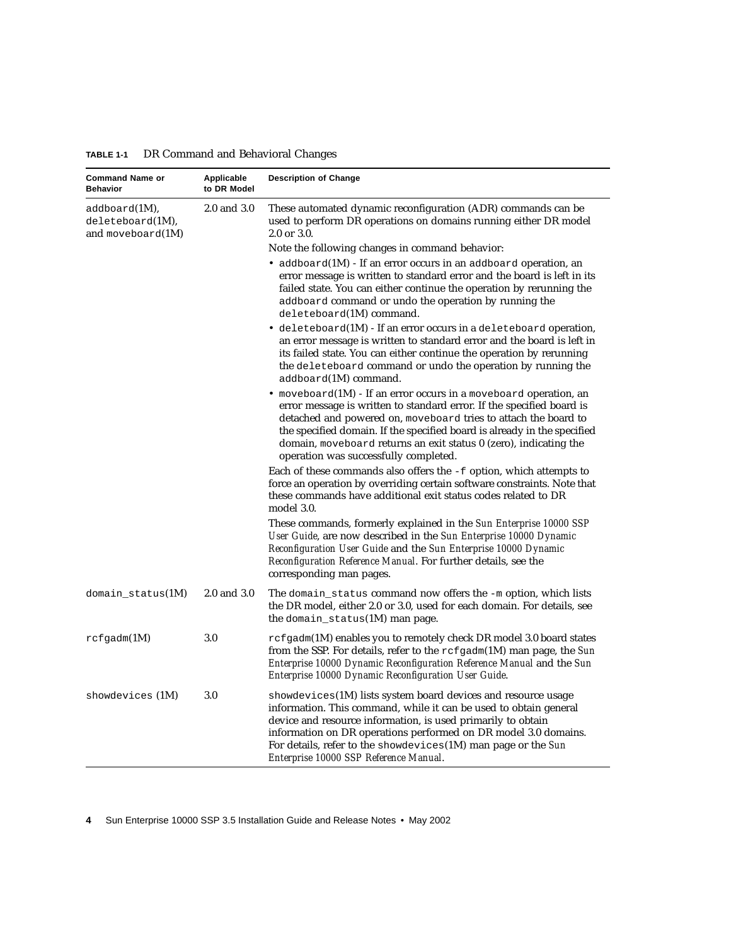| <b>Command Name or</b><br><b>Behavior</b>             | Applicable<br>to DR Model | <b>Description of Change</b>                                                                                                                                                                                                                                                                                                                                                                               |
|-------------------------------------------------------|---------------------------|------------------------------------------------------------------------------------------------------------------------------------------------------------------------------------------------------------------------------------------------------------------------------------------------------------------------------------------------------------------------------------------------------------|
| addboard(1M),<br>deleteboard(M),<br>and moveboard(1M) | 2.0 and 3.0               | These automated dynamic reconfiguration (ADR) commands can be<br>used to perform DR operations on domains running either DR model<br>2.0 or 3.0.                                                                                                                                                                                                                                                           |
|                                                       |                           | Note the following changes in command behavior:                                                                                                                                                                                                                                                                                                                                                            |
|                                                       |                           | • addboard $(1M)$ - If an error occurs in an addboard operation, an<br>error message is written to standard error and the board is left in its<br>failed state. You can either continue the operation by rerunning the<br>addboard command or undo the operation by running the<br>deleteboard(1M) command.                                                                                                |
|                                                       |                           | $\bullet$ deleteboard(1M) - If an error occurs in a deleteboard operation,<br>an error message is written to standard error and the board is left in<br>its failed state. You can either continue the operation by rerunning<br>the deleteboard command or undo the operation by running the<br>addboard(1M) command.                                                                                      |
|                                                       |                           | • moveboard $(1M)$ - If an error occurs in a moveboard operation, an<br>error message is written to standard error. If the specified board is<br>detached and powered on, moveboard tries to attach the board to<br>the specified domain. If the specified board is already in the specified<br>domain, moveboard returns an exit status 0 (zero), indicating the<br>operation was successfully completed. |
|                                                       |                           | Each of these commands also offers the -f option, which attempts to<br>force an operation by overriding certain software constraints. Note that<br>these commands have additional exit status codes related to DR<br>model 3.0.                                                                                                                                                                            |
|                                                       |                           | These commands, formerly explained in the Sun Enterprise 10000 SSP<br>User Guide, are now described in the Sun Enterprise 10000 Dynamic<br>Reconfiguration User Guide and the Sun Enterprise 10000 Dynamic<br>Reconfiguration Reference Manual. For further details, see the<br>corresponding man pages.                                                                                                   |
| $domain\_status(1M)$                                  | 2.0 and 3.0               | The domain_status command now offers the $-m$ option, which lists<br>the DR model, either 2.0 or 3.0, used for each domain. For details, see<br>the domain_status(1M) man page.                                                                                                                                                                                                                            |
| $rcf$ gadm $(1M)$                                     | 3.0                       | $rcf$ gadm(1M) enables you to remotely check DR model 3.0 board states<br>from the SSP. For details, refer to the rcfgadm(1M) man page, the Sun<br>Enterprise 10000 Dynamic Reconfiguration Reference Manual and the Sun<br>Enterprise 10000 Dynamic Reconfiguration User Guide.                                                                                                                           |
| showdevices (1M)                                      | 3.0                       | showdevices (1M) lists system board devices and resource usage<br>information. This command, while it can be used to obtain general<br>device and resource information, is used primarily to obtain<br>information on DR operations performed on DR model 3.0 domains.<br>For details, refer to the showdevices $(1M)$ man page or the Sun<br>Enterprise 10000 SSP Reference Manual.                       |

<span id="page-21-0"></span>**TABLE 1-1** DR Command and Behavioral Changes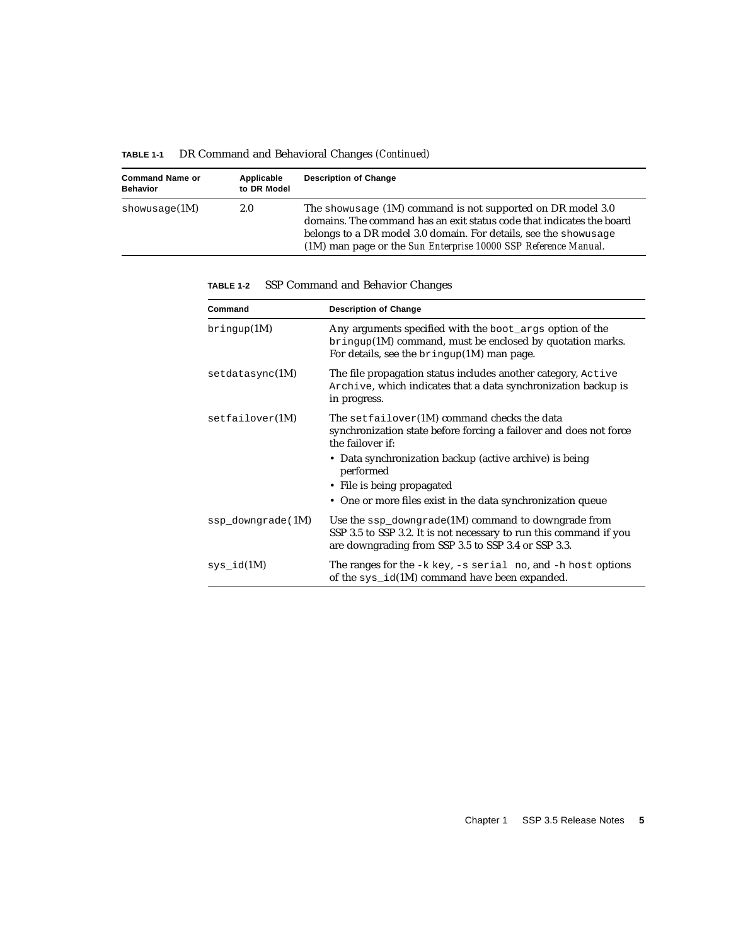| <b>Command Name or</b><br><b>Behavior</b> | Applicable<br>to DR Model | <b>Description of Change</b>                                                                                                                                                                                                                                                    |
|-------------------------------------------|---------------------------|---------------------------------------------------------------------------------------------------------------------------------------------------------------------------------------------------------------------------------------------------------------------------------|
| showusage(1M)                             | 2.0                       | The show usage $(1M)$ command is not supported on DR model 3.0<br>domains. The command has an exit status code that indicates the board<br>belongs to a DR model 3.0 domain. For details, see the shown sage<br>(1M) man page or the Sun Enterprise 10000 SSP Reference Manual. |

**TABLE 1-1** DR Command and Behavioral Changes *(Continued)*

| Command           | <b>Description of Change</b>                                                                                                                                                     |
|-------------------|----------------------------------------------------------------------------------------------------------------------------------------------------------------------------------|
| $b$ ringup $(1M)$ | Any arguments specified with the boot_args option of the<br>bringup(1M) command, must be enclosed by quotation marks.<br>For details, see the $b$ ringup $(1M)$ man page.        |
| setdatasync(1M)   | The file propagation status includes another category, Active<br>Archive, which indicates that a data synchronization backup is<br>in progress.                                  |
| setfailover(1M)   | The $\texttt{setfailure}(1\text{M})$ command checks the data<br>synchronization state before forcing a failover and does not force<br>the failover if:                           |
|                   | • Data synchronization backup (active archive) is being<br>performed                                                                                                             |
|                   | • File is being propagated                                                                                                                                                       |
|                   | • One or more files exist in the data synchronization queue                                                                                                                      |
| ssp_downgrade(1M) | Use the ssp_downgrade(1M) command to downgrade from<br>SSP 3.5 to SSP 3.2. It is not necessary to run this command if you<br>are downgrading from SSP 3.5 to SSP 3.4 or SSP 3.3. |
| $sys_id(M)$       | The ranges for the $-k$ key, $-s$ serial no, and $-h$ host options<br>of the sys_id(1M) command have been expanded.                                                              |

<span id="page-22-0"></span>**TABLE 1-2** SSP Command and Behavior Changes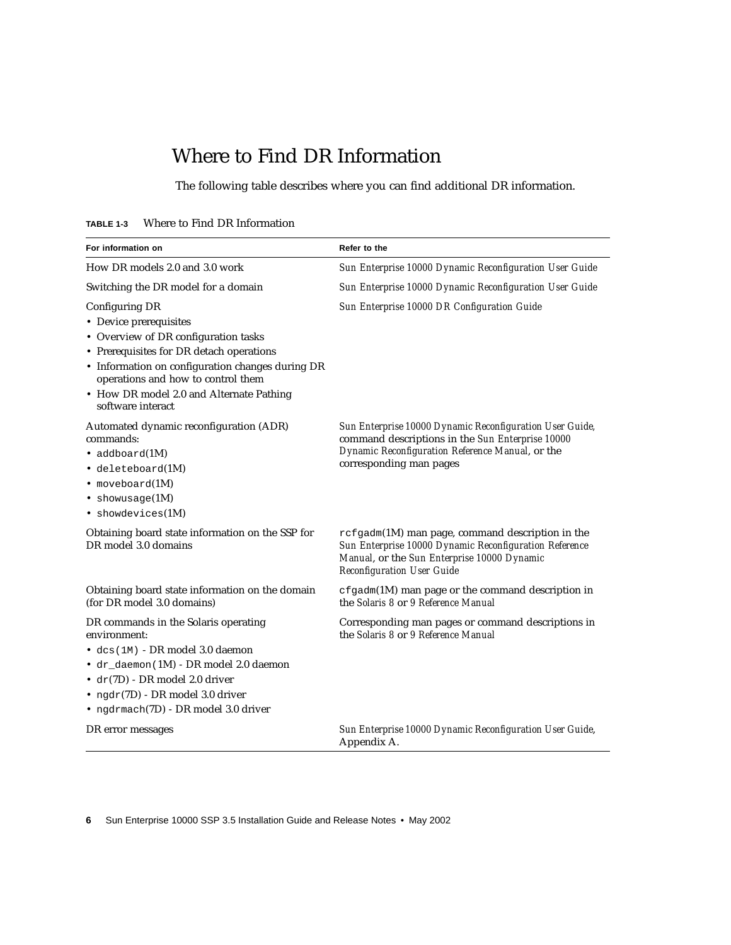## Where to Find DR Information

The following table describes where you can find additional DR information.

<span id="page-23-0"></span>

| <b>TABLE 1-3</b> |  |  |  |  | Where to Find DR Information |  |
|------------------|--|--|--|--|------------------------------|--|
|------------------|--|--|--|--|------------------------------|--|

| For information on                                                                                                                                                                                                                                                                      | Refer to the                                                                                                                                                                                   |
|-----------------------------------------------------------------------------------------------------------------------------------------------------------------------------------------------------------------------------------------------------------------------------------------|------------------------------------------------------------------------------------------------------------------------------------------------------------------------------------------------|
| How DR models 2.0 and 3.0 work                                                                                                                                                                                                                                                          | Sun Enterprise 10000 Dynamic Reconfiguration User Guide                                                                                                                                        |
| Switching the DR model for a domain                                                                                                                                                                                                                                                     | Sun Enterprise 10000 Dynamic Reconfiguration User Guide                                                                                                                                        |
| Configuring DR<br>• Device prerequisites<br>• Overview of DR configuration tasks<br>• Prerequisites for DR detach operations<br>• Information on configuration changes during DR<br>operations and how to control them<br>• How DR model 2.0 and Alternate Pathing<br>software interact | Sun Enterprise 10000 DR Configuration Guide                                                                                                                                                    |
| Automated dynamic reconfiguration (ADR)<br>commands:<br>$\bullet$ addboard $(1M)$<br>· deleteboard(1M)<br>$\bullet$ moveboard $(1M)$<br>$\bullet$ showusage $(1M)$<br>• showdevices(1M)                                                                                                 | Sun Enterprise 10000 Dynamic Reconfiguration User Guide,<br>command descriptions in the Sun Enterprise 10000<br>Dynamic Reconfiguration Reference Manual, or the<br>corresponding man pages    |
| Obtaining board state information on the SSP for<br>DR model 3.0 domains                                                                                                                                                                                                                | rcfgadm(1M) man page, command description in the<br>Sun Enterprise 10000 Dynamic Reconfiguration Reference<br>Manual, or the Sun Enterprise 10000 Dynamic<br><b>Reconfiguration User Guide</b> |
| Obtaining board state information on the domain<br>(for DR model 3.0 domains)                                                                                                                                                                                                           | $cf$ gadm $(1M)$ man page or the command description in<br>the Solaris 8 or 9 Reference Manual                                                                                                 |
| DR commands in the Solaris operating<br>environment:<br>· dcs(1M) - DR model 3.0 daemon<br>· dr_daemon(1M) - DR model 2.0 daemon<br>$\bullet$ dr(7D) - DR model 2.0 driver<br>• $ngdr(TD)$ - DR model 3.0 driver<br>• ngdrmach(7D) - DR model 3.0 driver                                | Corresponding man pages or command descriptions in<br>the Solaris 8 or 9 Reference Manual                                                                                                      |
| DR error messages                                                                                                                                                                                                                                                                       | Sun Enterprise 10000 Dynamic Reconfiguration User Guide,<br>Appendix A.                                                                                                                        |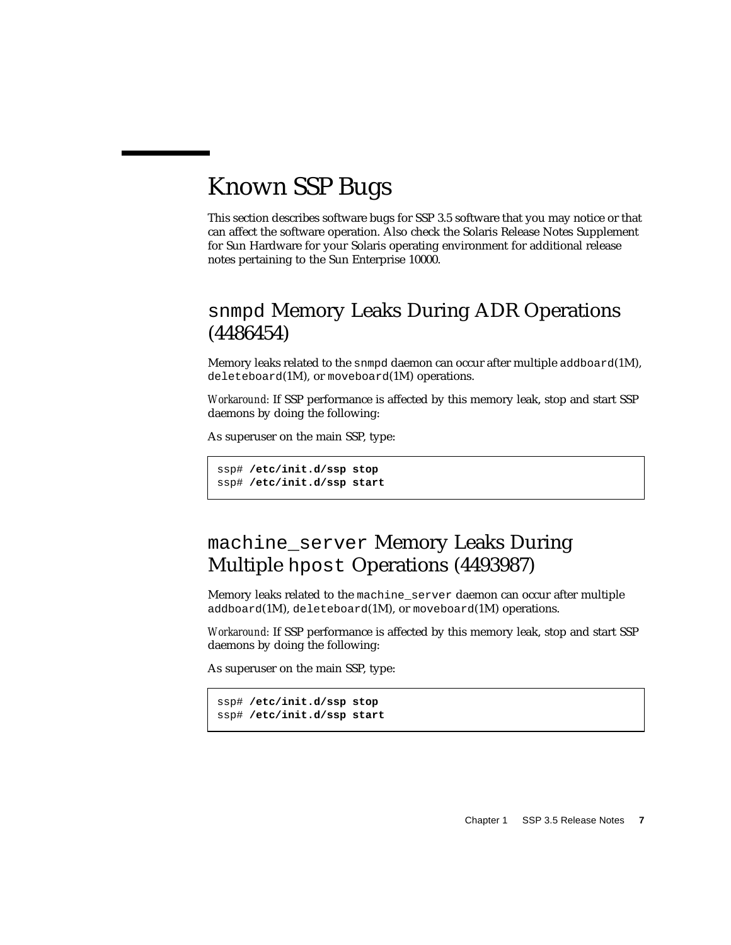# <span id="page-24-0"></span>Known SSP Bugs

This section describes software bugs for SSP 3.5 software that you may notice or that can affect the software operation. Also check the Solaris Release Notes Supplement for Sun Hardware for your Solaris operating environment for additional release notes pertaining to the Sun Enterprise 10000.

### <span id="page-24-1"></span>snmpd Memory Leaks During ADR Operations (4486454)

Memory leaks related to the snmpd daemon can occur after multiple addboard(1M), deleteboard(1M), or moveboard(1M) operations.

*Workaround:* If SSP performance is affected by this memory leak, stop and start SSP daemons by doing the following:

As superuser on the main SSP, type:

```
ssp# /etc/init.d/ssp stop
ssp# /etc/init.d/ssp start
```
### <span id="page-24-2"></span>machine\_server Memory Leaks During Multiple hpost Operations (4493987)

Memory leaks related to the machine server daemon can occur after multiple addboard(1M), deleteboard(1M), or moveboard(1M) operations.

*Workaround:* If SSP performance is affected by this memory leak, stop and start SSP daemons by doing the following:

As superuser on the main SSP, type:

```
ssp# /etc/init.d/ssp stop
ssp# /etc/init.d/ssp start
```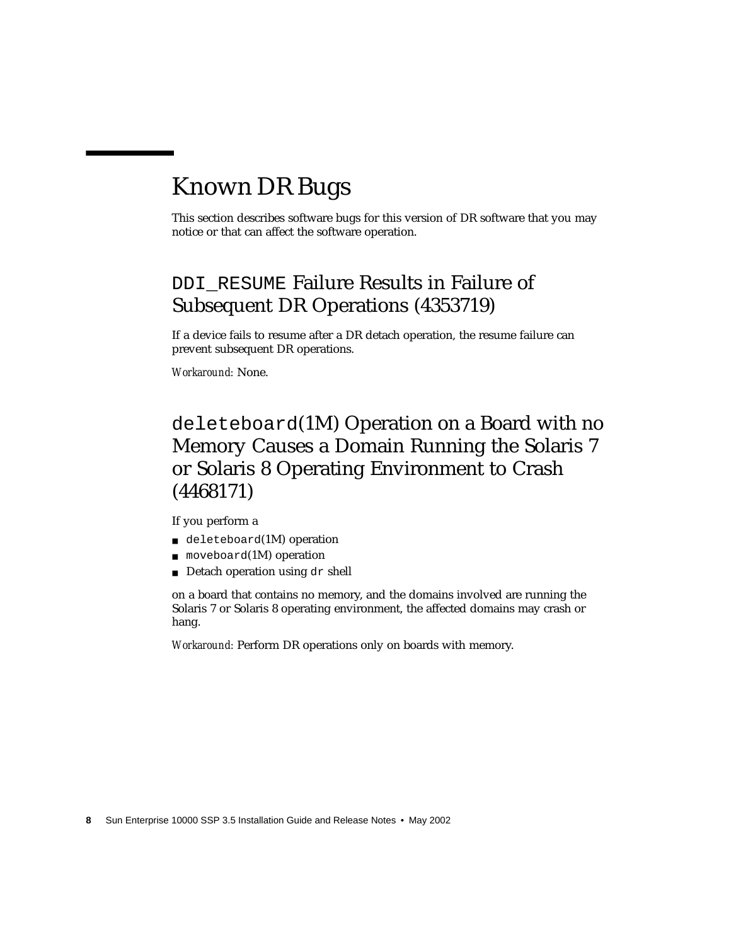# <span id="page-25-0"></span>Known DR Bugs

This section describes software bugs for this version of DR software that you may notice or that can affect the software operation.

### <span id="page-25-1"></span>DDI RESUME Failure Results in Failure of Subsequent DR Operations (4353719)

If a device fails to resume after a DR detach operation, the resume failure can prevent subsequent DR operations.

*Workaround:* None.

## <span id="page-25-2"></span>deleteboard(1M) Operation on a Board with no Memory Causes a Domain Running the Solaris 7 or Solaris 8 Operating Environment to Crash (4468171)

If you perform a

- deleteboard(1M) operation
- $\blacksquare$  moveboard(1M) operation
- Detach operation using dr shell

on a board that contains no memory, and the domains involved are running the Solaris 7 or Solaris 8 operating environment, the affected domains may crash or hang.

*Workaround:* Perform DR operations only on boards with memory.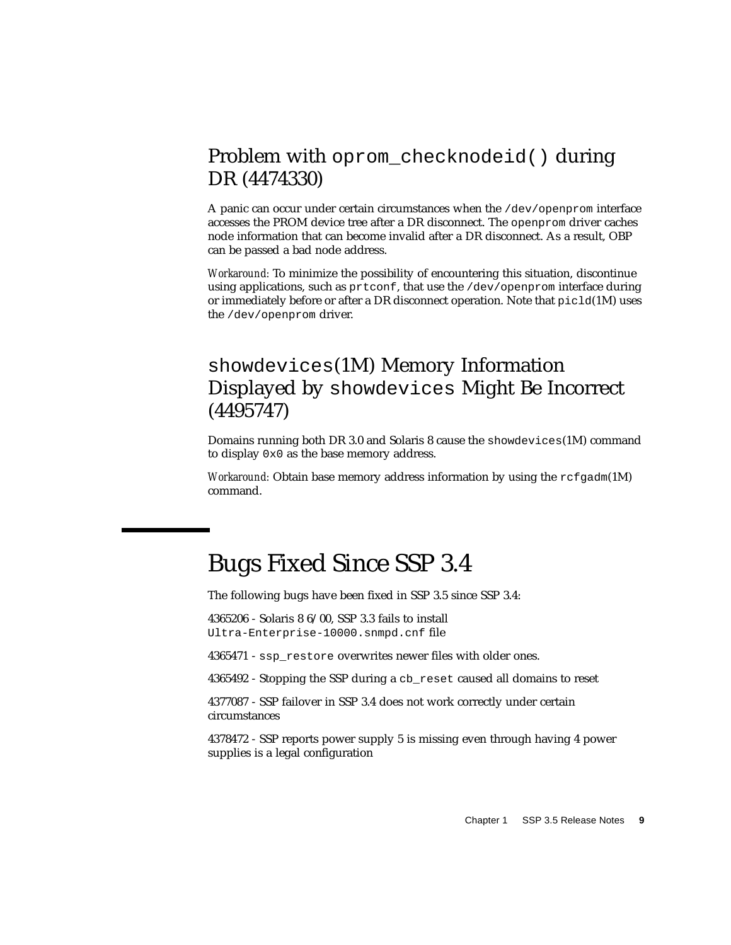### <span id="page-26-0"></span>Problem with oprom\_checknodeid() during DR (4474330)

A panic can occur under certain circumstances when the /dev/openprom interface accesses the PROM device tree after a DR disconnect. The openprom driver caches node information that can become invalid after a DR disconnect. As a result, OBP can be passed a bad node address.

*Workaround:* To minimize the possibility of encountering this situation, discontinue using applications, such as  $\text{prtconf}$ , that use the /dev/openprom interface during or immediately before or after a DR disconnect operation. Note that  $picld(1M)$  uses the /dev/openprom driver.

### <span id="page-26-1"></span>showdevices(1M) Memory Information Displayed by showdevices Might Be Incorrect (4495747)

Domains running both DR 3.0 and Solaris 8 cause the showdevices(1M) command to display 0x0 as the base memory address.

*Workaround:* Obtain base memory address information by using the refeadm(1M) command.

## <span id="page-26-2"></span>Bugs Fixed Since SSP 3.4

The following bugs have been fixed in SSP 3.5 since SSP 3.4:

4365206 - Solaris 8 6/00, SSP 3.3 fails to install Ultra-Enterprise-10000.snmpd.cnf file

4365471 - ssp\_restore overwrites newer files with older ones.

4365492 - Stopping the SSP during a cb\_reset caused all domains to reset

4377087 - SSP failover in SSP 3.4 does not work correctly under certain circumstances

4378472 - SSP reports power supply 5 is missing even through having 4 power supplies is a legal configuration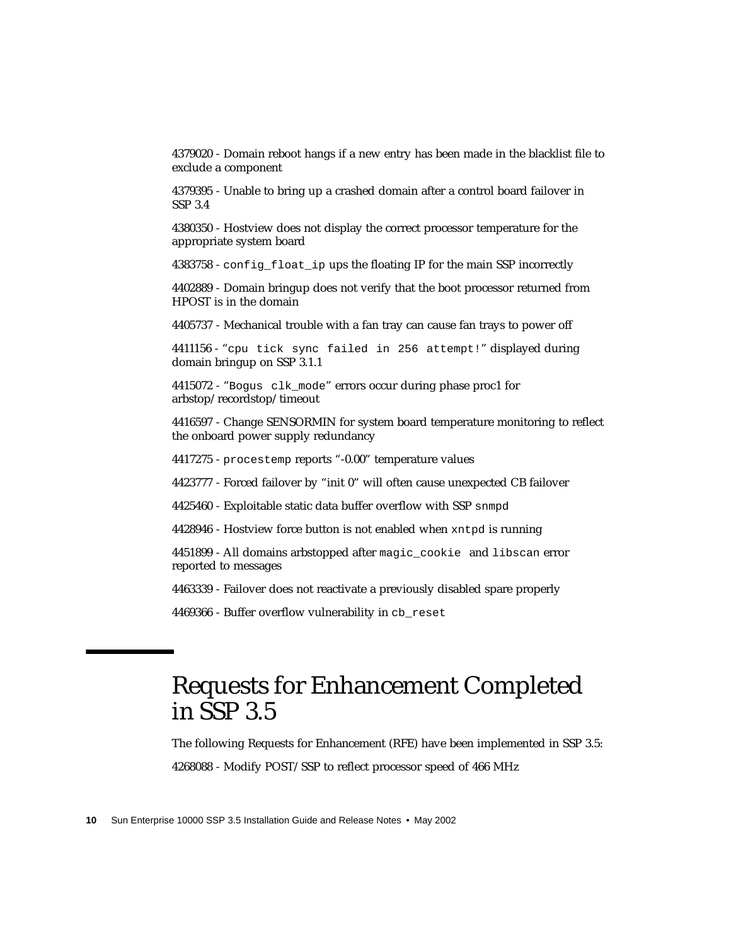4379020 - Domain reboot hangs if a new entry has been made in the blacklist file to exclude a component

4379395 - Unable to bring up a crashed domain after a control board failover in SSP 3.4

4380350 - Hostview does not display the correct processor temperature for the appropriate system board

4383758 - config float ip ups the floating IP for the main SSP incorrectly

4402889 - Domain bringup does not verify that the boot processor returned from HPOST is in the domain

4405737 - Mechanical trouble with a fan tray can cause fan trays to power off

4411156 - "cpu tick sync failed in 256 attempt!" displayed during domain bringup on SSP 3.1.1

4415072 - "Bogus clk\_mode" errors occur during phase proc1 for arbstop/recordstop/timeout

4416597 - Change SENSORMIN for system board temperature monitoring to reflect the onboard power supply redundancy

4417275 - procestemp reports "-0.00" temperature values

4423777 - Forced failover by "init 0" will often cause unexpected CB failover

4425460 - Exploitable static data buffer overflow with SSP snmpd

4428946 - Hostview force button is not enabled when xntpd is running

4451899 - All domains arbstopped after magic\_cookie and libscan error reported to messages

4463339 - Failover does not reactivate a previously disabled spare properly

4469366 - Buffer overflow vulnerability in cb\_reset

# <span id="page-27-0"></span>Requests for Enhancement Completed in SSP 3.5

The following Requests for Enhancement (RFE) have been implemented in SSP 3.5: 4268088 - Modify POST/SSP to reflect processor speed of 466 MHz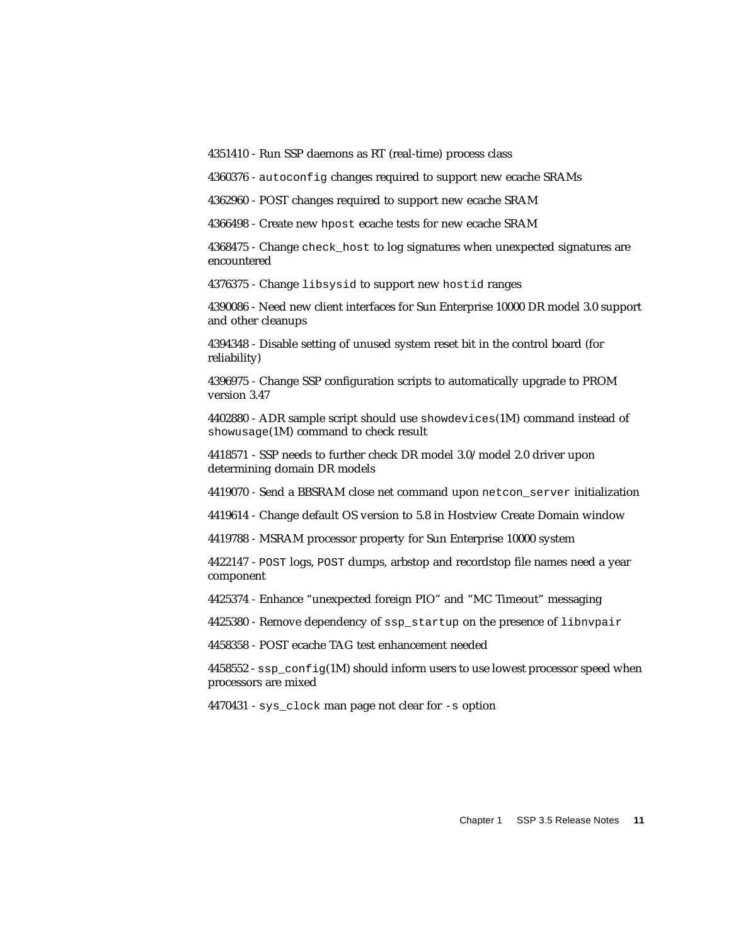4351410 - Run SSP daemons as RT (real-time) process class

4360376 - autoconfig changes required to support new ecache SRAMs

4362960 - POST changes required to support new ecache SRAM

4366498 - Create new hpost ecache tests for new ecache SRAM

4368475 - Change check\_host to log signatures when unexpected signatures are encountered

4376375 - Change libsysid to support new hostid ranges

4390086 - Need new client interfaces for Sun Enterprise 10000 DR model 3.0 support and other cleanups

4394348 - Disable setting of unused system reset bit in the control board (for reliability)

4396975 - Change SSP configuration scripts to automatically upgrade to PROM version 3.47

4402880 - ADR sample script should use showdevices(1M) command instead of showusage(1M) command to check result

4418571 - SSP needs to further check DR model 3.0/model 2.0 driver upon determining domain DR models

4419070 - Send a BBSRAM close net command upon netcon\_server initialization

4419614 - Change default OS version to 5.8 in Hostview Create Domain window

4419788 - MSRAM processor property for Sun Enterprise 10000 system

4422147 - POST logs, POST dumps, arbstop and recordstop file names need a year component

4425374 - Enhance "unexpected foreign PIO" and "MC Timeout" messaging

4425380 - Remove dependency of ssp\_startup on the presence of libnvpair

4458358 - POST ecache TAG test enhancement needed

 $4458552$  - ssp\_config(1M) should inform users to use lowest processor speed when processors are mixed

4470431 - sys\_clock man page not clear for -s option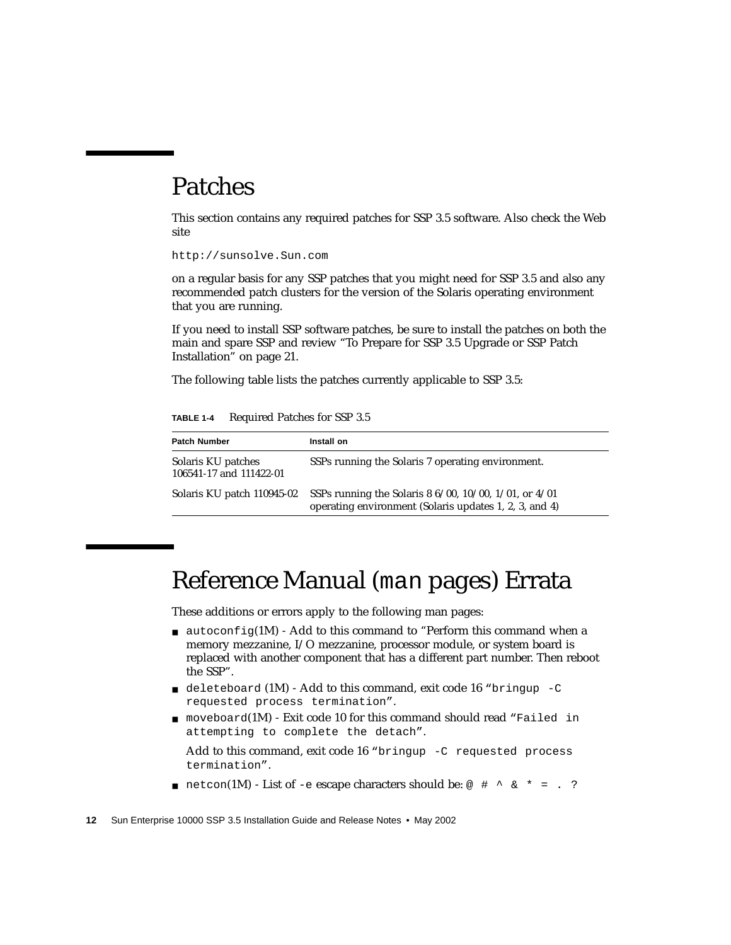# <span id="page-29-0"></span>Patches

This section contains any required patches for SSP 3.5 software. Also check the Web site

http://sunsolve.Sun.com

on a regular basis for any SSP patches that you might need for SSP 3.5 and also any recommended patch clusters for the version of the Solaris operating environment that you are running.

If you need to install SSP software patches, be sure to install the patches on both the main and spare SSP and review ["To Prepare for SSP 3.5 Upgrade or SSP Patch](#page-38-1) [Installation" on page 21.](#page-38-1)

The following table lists the patches currently applicable to SSP 3.5:

| TABLE 1-4 | Required Patches for SSP 3.5 |  |  |  |  |
|-----------|------------------------------|--|--|--|--|
|-----------|------------------------------|--|--|--|--|

| <b>Patch Number</b>                           | Install on                                                                                                                 |
|-----------------------------------------------|----------------------------------------------------------------------------------------------------------------------------|
| Solaris KU patches<br>106541-17 and 111422-01 | SSPs running the Solaris 7 operating environment.                                                                          |
| Solaris KU patch 110945-02                    | SSPs running the Solaris 8 $6/00$ , $10/00$ , $1/01$ , or $4/01$<br>operating environment (Solaris updates 1, 2, 3, and 4) |

# <span id="page-29-1"></span>Reference Manual (man pages) Errata

These additions or errors apply to the following man pages:

- $\blacksquare$  autoconfig(1M) Add to this command to "Perform this command when a memory mezzanine, I/O mezzanine, processor module, or system board is replaced with another component that has a different part number. Then reboot the SSP".
- $\blacksquare$  deleteboard (1M) Add to this command, exit code 16 "bringup -C requested process termination".
- $\blacksquare$  moveboard(1M) Exit code 10 for this command should read "Failed in attempting to complete the detach".

Add to this command, exit code  $16$  "bringup  $-C$  requested process termination".

**■** netcon(1M) - List of -e escape characters should be:  $\omega$  # ^ & \* = . ?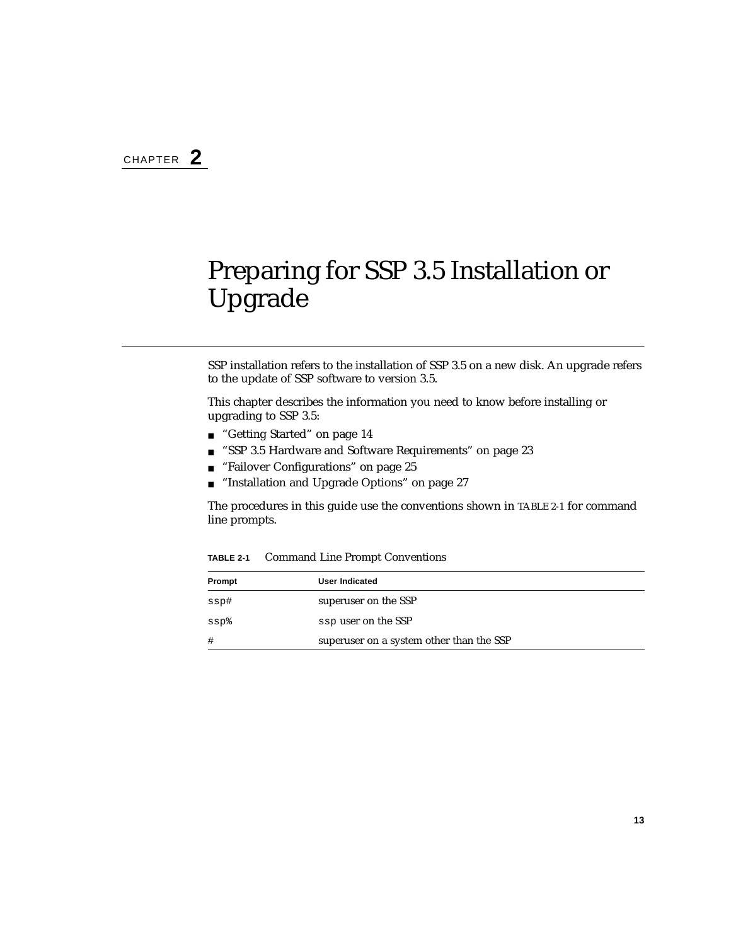# <span id="page-30-1"></span><span id="page-30-0"></span>Preparing for SSP 3.5 Installation or Upgrade

SSP installation refers to the installation of SSP 3.5 on a new disk. An upgrade refers to the update of SSP software to version 3.5.

This chapter describes the information you need to know before installing or upgrading to SSP 3.5:

- ["Getting Started" on page 14](#page-31-0)
- ["SSP 3.5 Hardware and Software Requirements" on page 23](#page-40-0)
- ["Failover Configurations" on page 25](#page-42-0)
- ["Installation and Upgrade Options" on page 27](#page-44-0)

The procedures in this guide use the conventions shown in [TABLE 2-1](#page-30-2) for command line prompts.

| Prompt | User Indicated                           |  |
|--------|------------------------------------------|--|
| ssp#   | superuser on the SSP                     |  |
| $ssp\$ | ssp user on the SSP                      |  |
| #      | superuser on a system other than the SSP |  |

<span id="page-30-2"></span>**TABLE 2-1** Command Line Prompt Conventions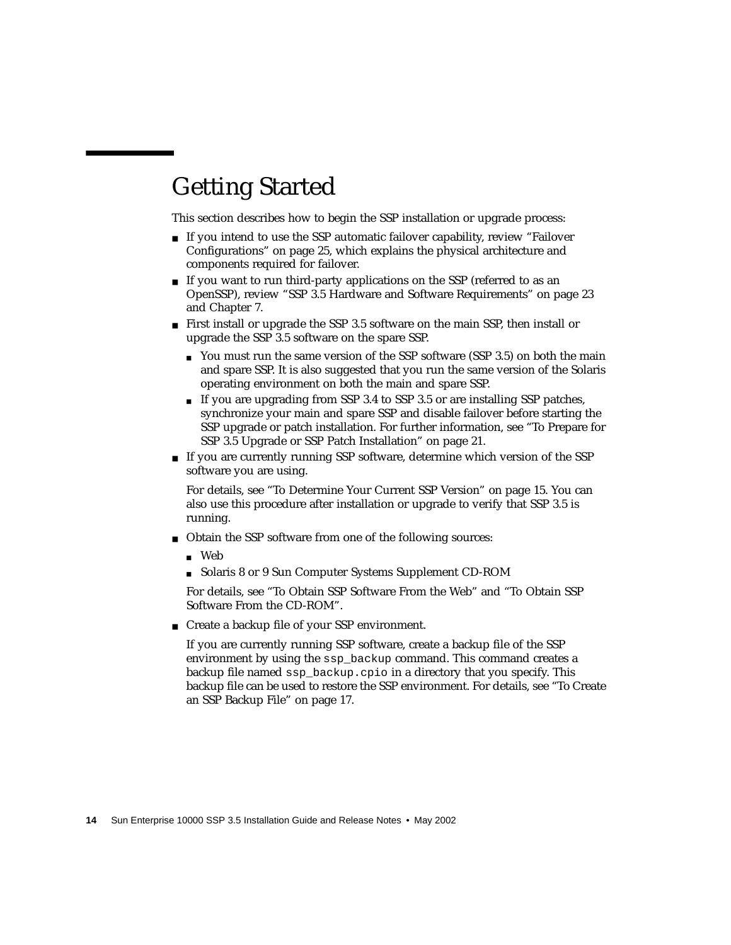# <span id="page-31-0"></span>Getting Started

This section describes how to begin the SSP installation or upgrade process:

- If you intend to use the SSP automatic failover capability, review ["Failover](#page-42-0) [Configurations" on page 25,](#page-42-0) which explains the physical architecture and components required for failover.
- If you want to run third-party applications on the SSP (referred to as an OpenSSP), review ["SSP 3.5 Hardware and Software Requirements" on page 23](#page-40-0) and [Chapter 7.](#page-72-2)
- First install or upgrade the SSP 3.5 software on the main SSP, then install or upgrade the SSP 3.5 software on the spare SSP.
	- You must run the same version of the SSP software (SSP 3.5) on both the main and spare SSP. It is also suggested that you run the same version of the Solaris operating environment on both the main and spare SSP.
	- If you are upgrading from SSP 3.4 to SSP 3.5 or are installing SSP patches, synchronize your main and spare SSP and disable failover before starting the SSP upgrade or patch installation. For further information, see ["To Prepare for](#page-38-0) [SSP 3.5 Upgrade or SSP Patch Installation" on page 21](#page-38-0).
- If you are currently running SSP software, determine which version of the SSP software you are using.

For details, see ["To Determine Your Current SSP Version" on page 15.](#page-32-0) You can also use this procedure after installation or upgrade to verify that SSP 3.5 is running.

- Obtain the SSP software from one of the following sources:
	- Web
	- Solaris 8 or 9 Sun Computer Systems Supplement CD-ROM

For details, see ["To Obtain SSP Software From the Web"](#page-33-0) and ["To Obtain SSP](#page-34-0) [Software From the CD-ROM".](#page-34-0)

■ Create a backup file of your SSP environment.

If you are currently running SSP software, create a backup file of the SSP environment by using the ssp\_backup command. This command creates a backup file named ssp\_backup.cpio in a directory that you specify. This backup file can be used to restore the SSP environment. For details, see ["To Create](#page-34-1) [an SSP Backup File" on page 17](#page-34-1).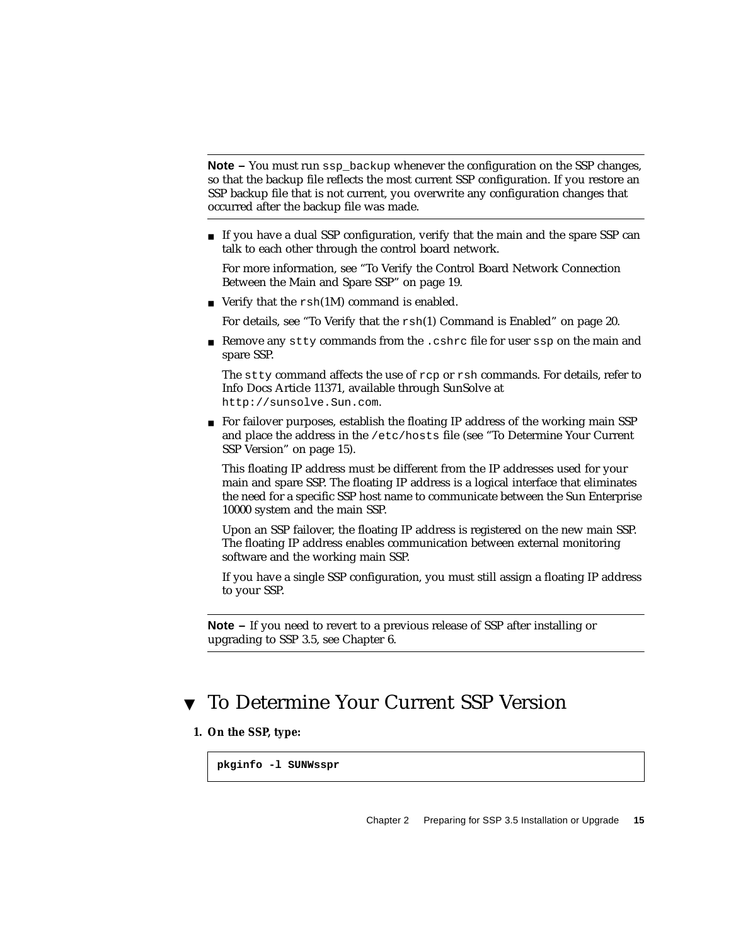**Note –** You must run ssp\_backup whenever the configuration on the SSP changes, so that the backup file reflects the most current SSP configuration. If you restore an SSP backup file that is not current, you overwrite any configuration changes that occurred after the backup file was made.

■ If you have a dual SSP configuration, verify that the main and the spare SSP can talk to each other through the control board network.

For more information, see ["To Verify the Control Board Network Connection](#page-36-0) [Between the Main and Spare SSP" on page 19.](#page-36-0)

■ Verify that the  $rsh(1M)$  command is enabled.

For details, see "To Verify that the rsh[\(1\) Command is Enabled" on page 20.](#page-37-0)

■ Remove any stty commands from the .cshrc file for user ssp on the main and spare SSP.

The stty command affects the use of rcp or rsh commands. For details, refer to Info Docs Article 11371, available through SunSolve at http://sunsolve.Sun.com.

■ For failover purposes, establish the floating IP address of the working main SSP and place the address in the /etc/hosts file (see ["To Determine Your Current](#page-32-0) [SSP Version" on page 15](#page-32-0)).

This floating IP address must be different from the IP addresses used for your main and spare SSP. The floating IP address is a logical interface that eliminates the need for a specific SSP host name to communicate between the Sun Enterprise 10000 system and the main SSP.

Upon an SSP failover, the floating IP address is registered on the new main SSP. The floating IP address enables communication between external monitoring software and the working main SSP.

If you have a single SSP configuration, you must still assign a floating IP address to your SSP.

**Note –** If you need to revert to a previous release of SSP after installing or upgrading to SSP 3.5, see [Chapter 6](#page-68-3).

### <span id="page-32-0"></span>▼ To Determine Your Current SSP Version

#### **1. On the SSP, type:**

```
pkginfo -l SUNWsspr
```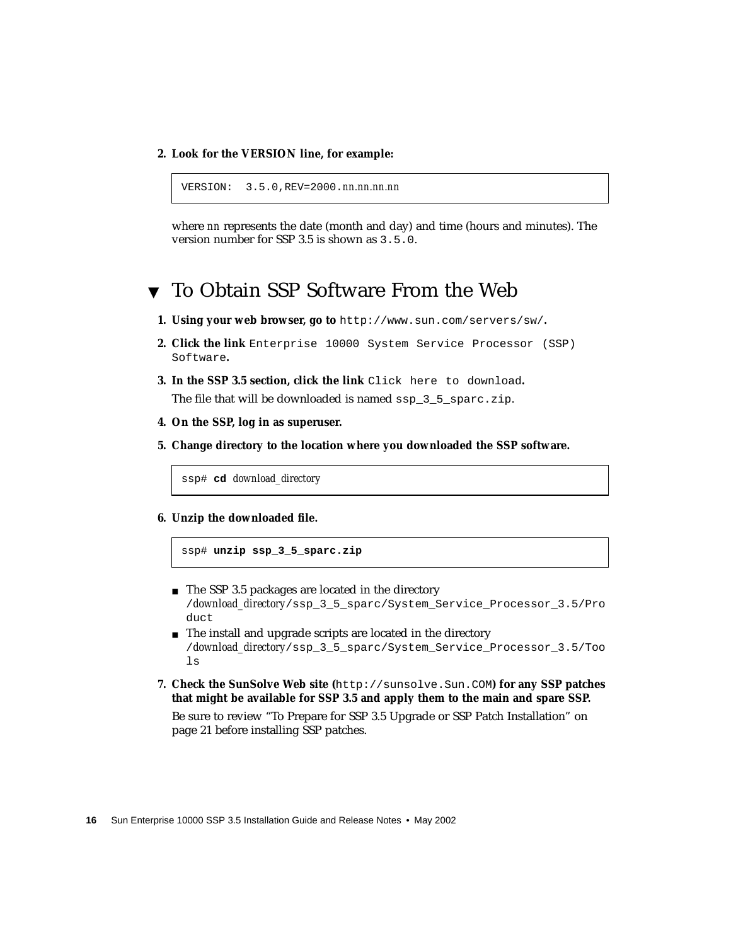**2. Look for the VERSION line, for example:**

```
VERSION: 3.5.0,REV=2000.nn.nn.nn.nn
```
where *nn* represents the date (month and day) and time (hours and minutes). The version number for SSP 3.5 is shown as 3.5.0.

### <span id="page-33-0"></span>▼ To Obtain SSP Software From the Web

- **1. Using your web browser, go to** http://www.sun.com/servers/sw/**.**
- **2. Click the link** Enterprise 10000 System Service Processor (SSP) Software**.**
- **3. In the SSP 3.5 section, click the link** Click here to download**.** The file that will be downloaded is named ssp 3 5 sparc.zip.
- **4. On the SSP, log in as superuser.**
- **5. Change directory to the location where you downloaded the SSP software.**

ssp# **cd** *download\_directory*

**6. Unzip the downloaded file.**

ssp# **unzip ssp\_3\_5\_sparc.zip**

- The SSP 3.5 packages are located in the directory /*download\_directory*/ssp\_3\_5\_sparc/System\_Service\_Processor\_3.5/Pro duct
- The install and upgrade scripts are located in the directory /*download\_directory*/ssp\_3\_5\_sparc/System\_Service\_Processor\_3.5/Too  $\log$
- **7. Check the SunSolve Web site (**http://sunsolve.Sun.COM**) for any SSP patches that might be available for SSP 3.5 and apply them to the main and spare SSP.**

Be sure to review ["To Prepare for SSP 3.5 Upgrade or SSP Patch Installation" on](#page-38-0) [page 21](#page-38-0) before installing SSP patches.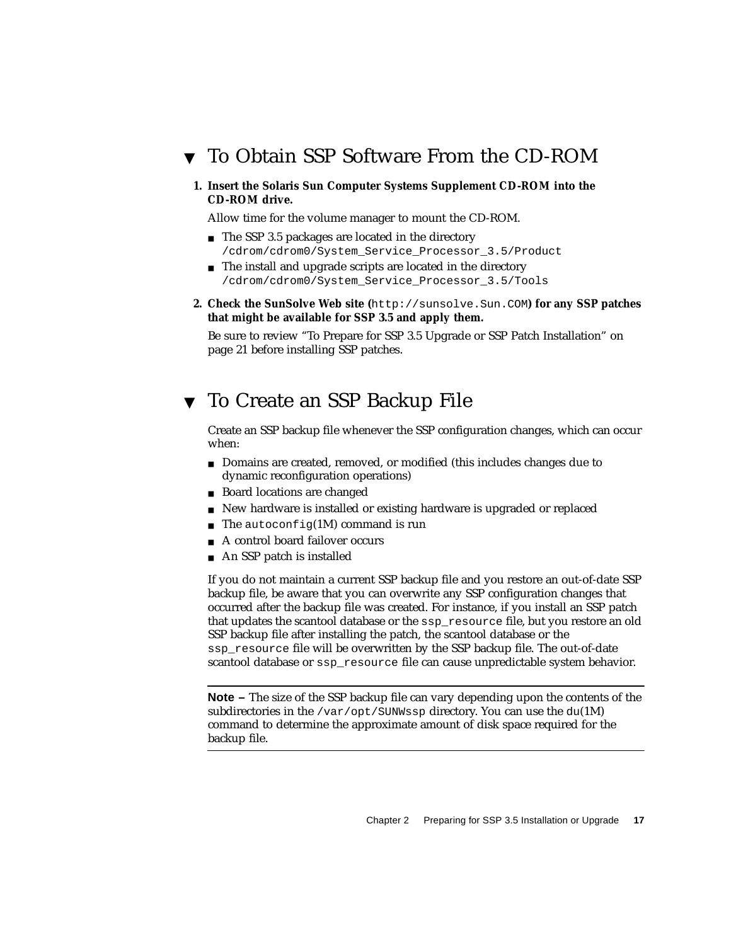- <span id="page-34-0"></span>▼ To Obtain SSP Software From the CD-ROM
	- **1. Insert the Solaris Sun Computer Systems Supplement CD-ROM into the CD-ROM drive.**

Allow time for the volume manager to mount the CD-ROM.

- The SSP 3.5 packages are located in the directory /cdrom/cdrom0/System\_Service\_Processor\_3.5/Product
- The install and upgrade scripts are located in the directory /cdrom/cdrom0/System\_Service\_Processor\_3.5/Tools
- **2. Check the SunSolve Web site (**http://sunsolve.Sun.COM**) for any SSP patches that might be available for SSP 3.5 and apply them.**

Be sure to review ["To Prepare for SSP 3.5 Upgrade or SSP Patch Installation" on](#page-38-0) [page 21](#page-38-0) before installing SSP patches.

### <span id="page-34-1"></span>▼ To Create an SSP Backup File

Create an SSP backup file whenever the SSP configuration changes, which can occur when:

- Domains are created, removed, or modified (this includes changes due to dynamic reconfiguration operations)
- Board locations are changed
- New hardware is installed or existing hardware is upgraded or replaced
- The autoconfig(1M) command is run
- A control board failover occurs
- An SSP patch is installed

If you do not maintain a current SSP backup file and you restore an out-of-date SSP backup file, be aware that you can overwrite any SSP configuration changes that occurred after the backup file was created. For instance, if you install an SSP patch that updates the scantool database or the ssp\_resource file, but you restore an old SSP backup file after installing the patch, the scantool database or the ssp\_resource file will be overwritten by the SSP backup file. The out-of-date scantool database or ssp\_resource file can cause unpredictable system behavior.

**Note –** The size of the SSP backup file can vary depending upon the contents of the subdirectories in the /var/opt/SUNWssp directory. You can use the  $du(1M)$ command to determine the approximate amount of disk space required for the backup file.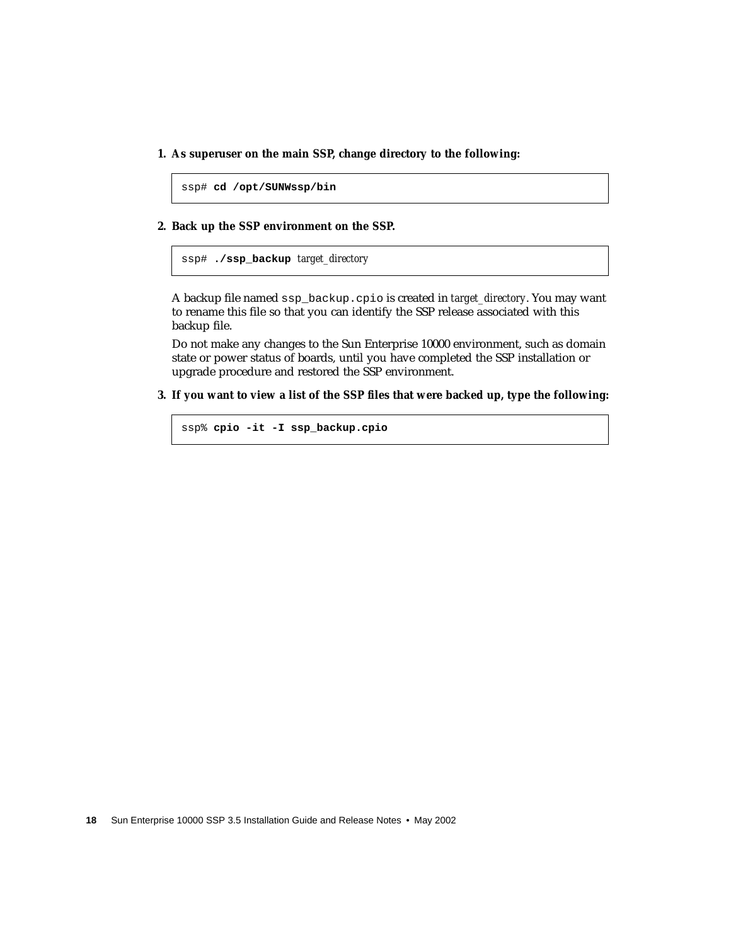**1. As superuser on the main SSP, change directory to the following:**

```
ssp# cd /opt/SUNWssp/bin
```
**2. Back up the SSP environment on the SSP.**

ssp# **./ssp\_backup** *target\_directory*

A backup file named ssp\_backup.cpio is created in *target\_directory*. You may want to rename this file so that you can identify the SSP release associated with this backup file.

Do not make any changes to the Sun Enterprise 10000 environment, such as domain state or power status of boards, until you have completed the SSP installation or upgrade procedure and restored the SSP environment.

**3. If you want to view a list of the SSP files that were backed up, type the following:**

```
ssp% cpio -it -I ssp_backup.cpio
```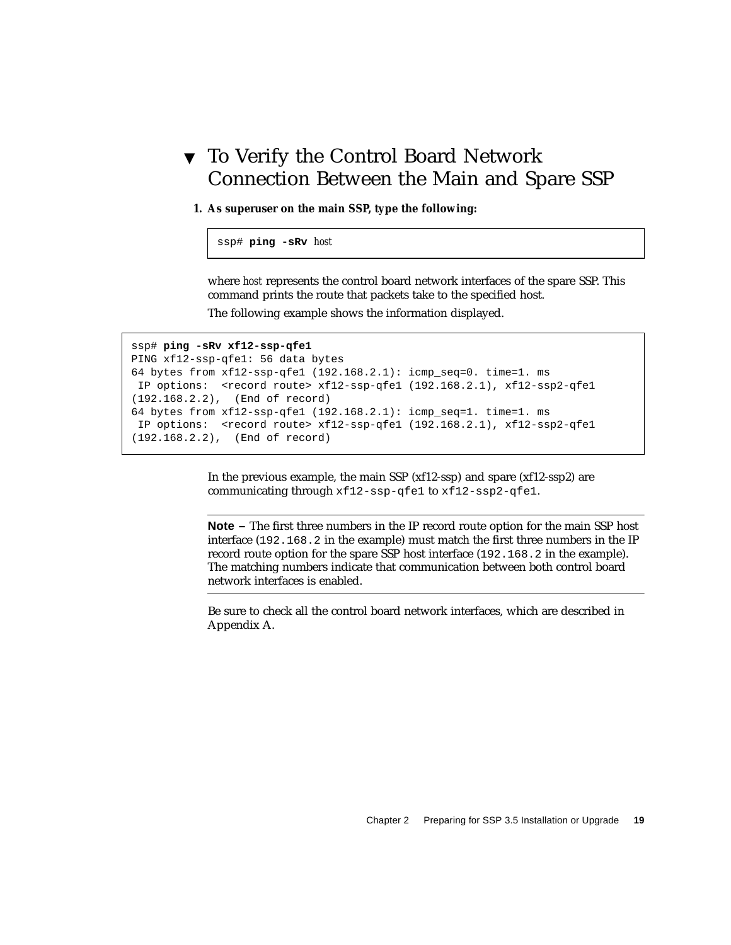## ▼ To Verify the Control Board Network Connection Between the Main and Spare SSP

**1. As superuser on the main SSP, type the following:**

ssp# **ping -sRv** *host*

where *host* represents the control board network interfaces of the spare SSP. This command prints the route that packets take to the specified host.

The following example shows the information displayed.

```
ssp# ping -sRv xf12-ssp-qfe1
PING xf12-ssp-qfe1: 56 data bytes
64 bytes from xf12-ssp-qfe1 (192.168.2.1): icmp_seq=0. time=1. ms
 IP options: <record route> xf12-ssp-qfe1 (192.168.2.1), xf12-ssp2-qfe1
(192.168.2.2), (End of record)
64 bytes from xf12-ssp-qfe1 (192.168.2.1): icmp_seq=1. time=1. ms
 IP options: <record route> xf12-ssp-qfe1 (192.168.2.1), xf12-ssp2-qfe1
(192.168.2.2), (End of record)
```
In the previous example, the main SSP (xf12-ssp) and spare (xf12-ssp2) are communicating through xf12-ssp-qfe1 to xf12-ssp2-qfe1.

**Note –** The first three numbers in the IP record route option for the main SSP host interface (192.168.2 in the example) must match the first three numbers in the IP record route option for the spare SSP host interface (192.168.2 in the example). The matching numbers indicate that communication between both control board network interfaces is enabled.

Be sure to check all the control board network interfaces, which are described in [Appendix A.](#page-136-0)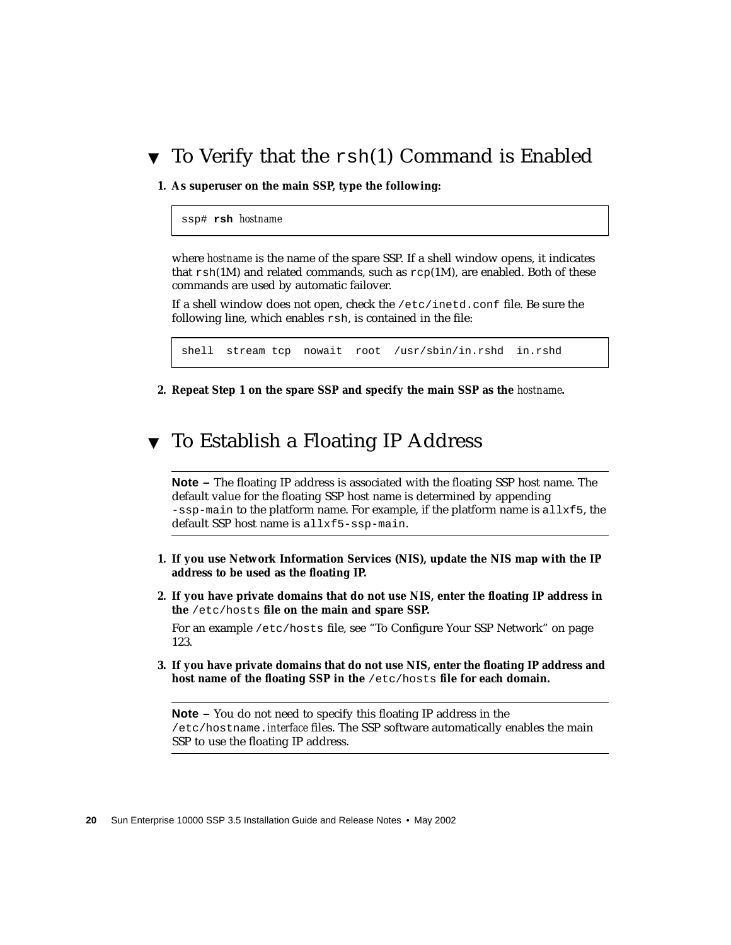### ▼ To Verify that the rsh(1) Command is Enabled

**1. As superuser on the main SSP, type the following:**

ssp# **rsh** *hostname*

where *hostname* is the name of the spare SSP. If a shell window opens, it indicates that  $rsh(1M)$  and related commands, such as  $rcp(1M)$ , are enabled. Both of these commands are used by automatic failover.

If a shell window does not open, check the /etc/inetd.conf file. Be sure the following line, which enables rsh, is contained in the file:

shell stream tcp nowait root /usr/sbin/in.rshd in.rshd

**2. Repeat Step 1 on the spare SSP and specify the main SSP as the** *hostname***.**

### ▼ To Establish a Floating IP Address

**Note –** The floating IP address is associated with the floating SSP host name. The default value for the floating SSP host name is determined by appending  $-$ ssp-main to the platform name. For example, if the platform name is all $x$ f5, the default SSP host name is allxf5-ssp-main.

- **1. If you use Network Information Services (NIS), update the NIS map with the IP address to be used as the floating IP.**
- **2. If you have private domains that do not use NIS, enter the floating IP address in the** /etc/hosts **file on the main and spare SSP.**

For an example /etc/hosts file, see ["To Configure Your SSP Network" on page](#page-140-0) [123.](#page-140-0)

**3. If you have private domains that do not use NIS, enter the floating IP address and host name of the floating SSP in the** /etc/hosts **file for each domain.**

**Note –** You do not need to specify this floating IP address in the /etc/hostname.*interface* files. The SSP software automatically enables the main SSP to use the floating IP address.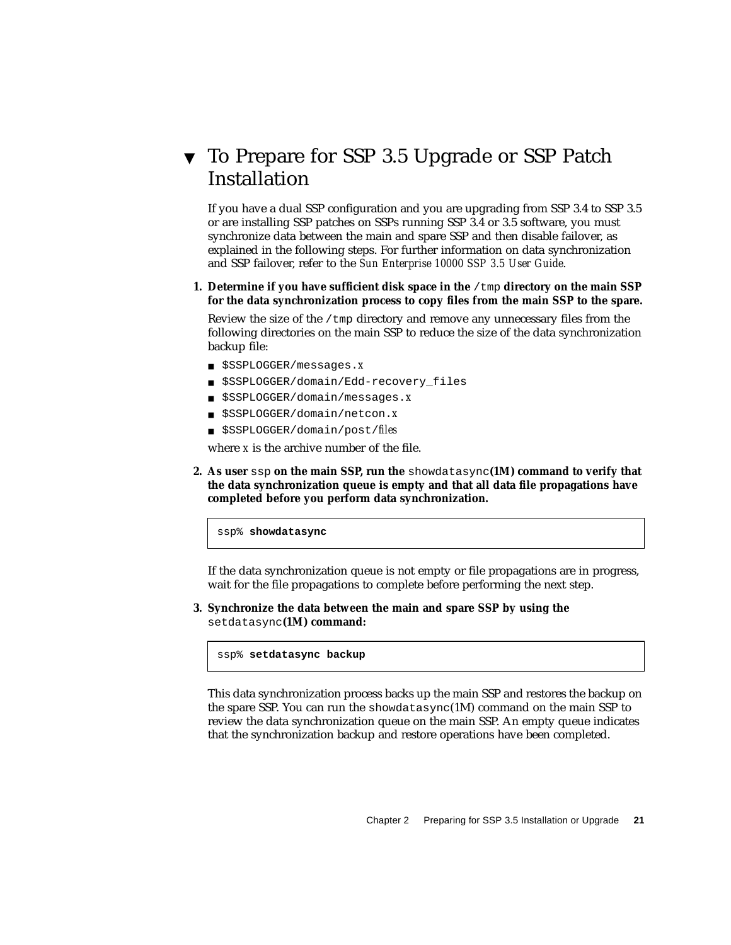## <span id="page-38-0"></span>▼ To Prepare for SSP 3.5 Upgrade or SSP Patch Installation

If you have a dual SSP configuration and you are upgrading from SSP 3.4 to SSP 3.5 or are installing SSP patches on SSPs running SSP 3.4 or 3.5 software, you must synchronize data between the main and spare SSP and then disable failover, as explained in the following steps. For further information on data synchronization and SSP failover, refer to the *Sun Enterprise 10000 SSP 3.5 User Guide*.

**1. Determine if you have sufficient disk space in the** /tmp **directory on the main SSP for the data synchronization process to copy files from the main SSP to the spare.**

Review the size of the /tmp directory and remove any unnecessary files from the following directories on the main SSP to reduce the size of the data synchronization backup file:

- \$SSPLOGGER/messages.*x*
- \$SSPLOGGER/domain/Edd-recovery files
- \$SSPLOGGER/domain/messages.*x*
- \$SSPLOGGER/domain/netcon.*x*
- \$SSPLOGGER/domain/post/*files*

where *x* is the archive number of the file.

**2. As user** ssp **on the main SSP, run the** showdatasync**(1M) command to verify that the data synchronization queue is empty and that all data file propagations have completed before you perform data synchronization.**

ssp% **showdatasync**

If the data synchronization queue is not empty or file propagations are in progress, wait for the file propagations to complete before performing the next step.

**3. Synchronize the data between the main and spare SSP by using the** setdatasync**(1M) command:**

ssp% **setdatasync backup**

This data synchronization process backs up the main SSP and restores the backup on the spare SSP. You can run the showdatasync(1M) command on the main SSP to review the data synchronization queue on the main SSP. An empty queue indicates that the synchronization backup and restore operations have been completed.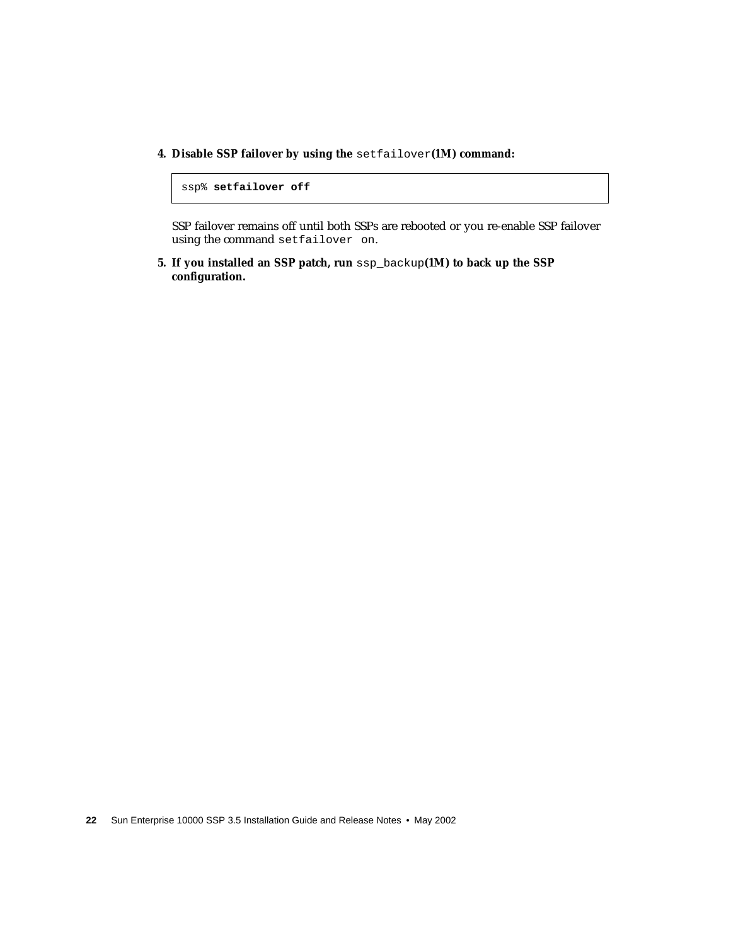**4. Disable SSP failover by using the** setfailover**(1M) command:**

```
ssp% setfailover off
```
SSP failover remains off until both SSPs are rebooted or you re-enable SSP failover using the command setfailover on.

**5. If you installed an SSP patch, run** ssp\_backup**(1M) to back up the SSP configuration.**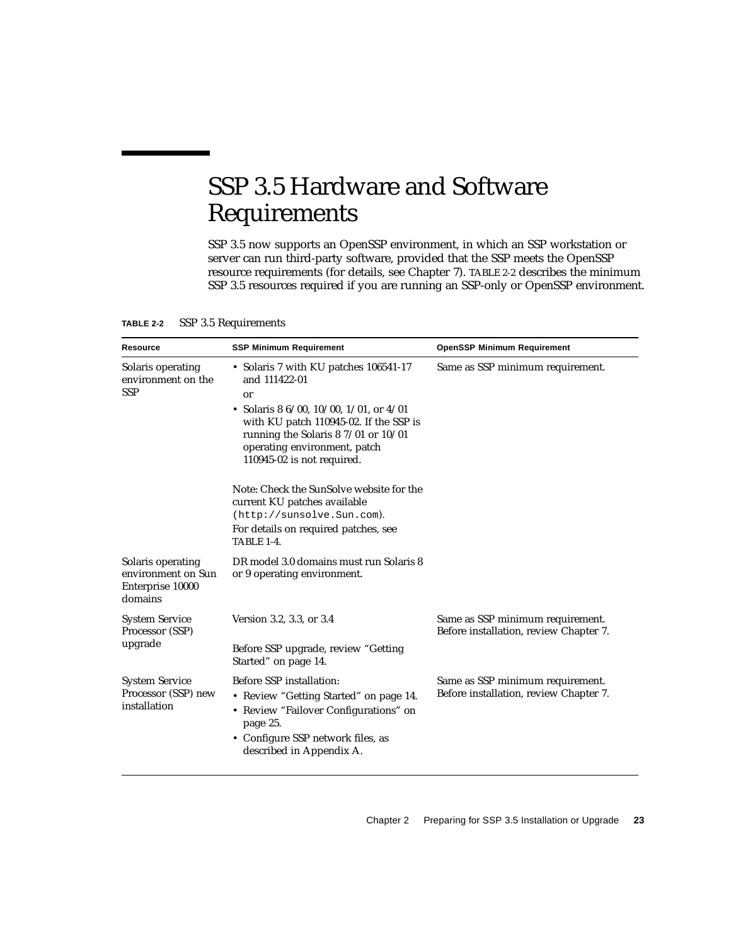# SSP 3.5 Hardware and Software Requirements

SSP 3.5 now supports an OpenSSP environment, in which an SSP workstation or server can run third-party software, provided that the SSP meets the OpenSSP resource requirements (for details, see [Chapter 7](#page-72-0)). [TABLE 2-2](#page-40-0) describes the minimum SSP 3.5 resources required if you are running an SSP-only or OpenSSP environment.

| <b>Resource</b>                                                        | <b>SSP Minimum Requirement</b>                                                                                                                                                                                                                             | <b>OpenSSP Minimum Requirement</b>                                         |
|------------------------------------------------------------------------|------------------------------------------------------------------------------------------------------------------------------------------------------------------------------------------------------------------------------------------------------------|----------------------------------------------------------------------------|
| Solaris operating<br>environment on the<br><b>SSP</b>                  | • Solaris 7 with KU patches 106541-17<br>and 111422-01<br>or<br>• Solaris 8 6/00, 10/00, 1/01, or $4/01$<br>with KU patch 110945-02. If the SSP is<br>running the Solaris $87/01$ or $10/01$<br>operating environment, patch<br>110945-02 is not required. | Same as SSP minimum requirement.                                           |
|                                                                        | Note: Check the SunSolve website for the<br>current KU patches available<br>(http://sunsolve.Sun.com).<br>For details on required patches, see<br><b>TABLE 1-4.</b>                                                                                        |                                                                            |
| Solaris operating<br>environment on Sun<br>Enterprise 10000<br>domains | DR model 3.0 domains must run Solaris 8<br>or 9 operating environment.                                                                                                                                                                                     |                                                                            |
| <b>System Service</b><br>Processor (SSP)<br>upgrade                    | Version 3.2, 3.3, or 3.4<br>Before SSP upgrade, review "Getting<br>Started" on page 14.                                                                                                                                                                    | Same as SSP minimum requirement.<br>Before installation, review Chapter 7. |
| <b>System Service</b><br>Processor (SSP) new<br>installation           | Before SSP installation:<br>• Review "Getting Started" on page 14.<br>• Review "Failover Configurations" on<br>page 25.<br>• Configure SSP network files, as<br>described in Appendix A.                                                                   | Same as SSP minimum requirement.<br>Before installation, review Chapter 7. |

<span id="page-40-0"></span>**TABLE 2-2** SSP 3.5 Requirements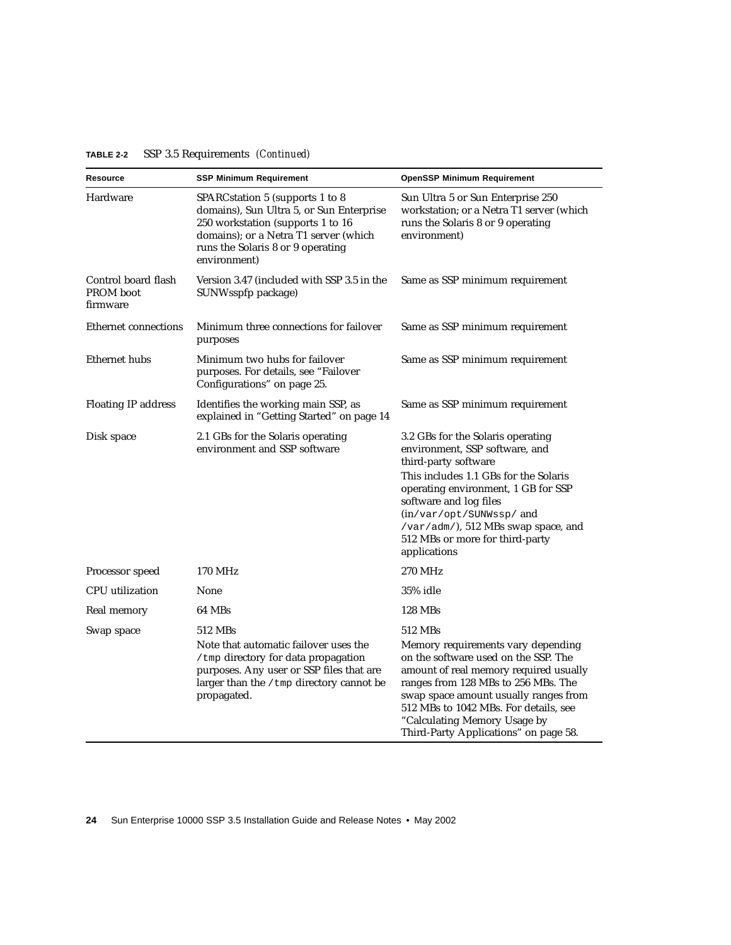| Resource                                     | SSP Minimum Requirement                                                                                                                                                                                        | <b>OpenSSP Minimum Requirement</b>                                                                                                                                                                                                                                                                                                |
|----------------------------------------------|----------------------------------------------------------------------------------------------------------------------------------------------------------------------------------------------------------------|-----------------------------------------------------------------------------------------------------------------------------------------------------------------------------------------------------------------------------------------------------------------------------------------------------------------------------------|
| Hardware                                     | SPARCstation 5 (supports 1 to 8<br>domains), Sun Ultra 5, or Sun Enterprise<br>250 workstation (supports 1 to 16<br>domains); or a Netra T1 server (which<br>runs the Solaris 8 or 9 operating<br>environment) | Sun Ultra 5 or Sun Enterprise 250<br>workstation; or a Netra T1 server (which<br>runs the Solaris 8 or 9 operating<br>environment)                                                                                                                                                                                                |
| Control board flash<br>PROM boot<br>firmware | Version 3.47 (included with SSP 3.5 in the<br>SUNWsspfp package)                                                                                                                                               | Same as SSP minimum requirement                                                                                                                                                                                                                                                                                                   |
| Ethernet connections                         | Minimum three connections for failover<br>purposes                                                                                                                                                             | Same as SSP minimum requirement                                                                                                                                                                                                                                                                                                   |
| Ethernet hubs                                | Minimum two hubs for failover<br>purposes. For details, see "Failover<br>Configurations" on page 25.                                                                                                           | Same as SSP minimum requirement                                                                                                                                                                                                                                                                                                   |
| <b>Floating IP address</b>                   | Identifies the working main SSP, as<br>explained in "Getting Started" on page 14                                                                                                                               | Same as SSP minimum requirement                                                                                                                                                                                                                                                                                                   |
| Disk space                                   | 2.1 GBs for the Solaris operating<br>environment and SSP software                                                                                                                                              | 3.2 GBs for the Solaris operating<br>environment, SSP software, and<br>third-party software<br>This includes 1.1 GBs for the Solaris<br>operating environment, 1 GB for SSP<br>software and log files<br>(in/var/opt/SUNWssp/and<br>/var/adm/), 512 MBs swap space, and<br>512 MBs or more for third-party<br>applications        |
| Processor speed                              | 170 MHz                                                                                                                                                                                                        | 270 MHz                                                                                                                                                                                                                                                                                                                           |
| <b>CPU</b> utilization                       | None                                                                                                                                                                                                           | 35% idle                                                                                                                                                                                                                                                                                                                          |
| Real memory                                  | 64 MBs                                                                                                                                                                                                         | 128 MBs                                                                                                                                                                                                                                                                                                                           |
| Swap space                                   | 512 MBs<br>Note that automatic failover uses the<br>/tmp directory for data propagation<br>purposes. Any user or SSP files that are<br>larger than the / tmp directory cannot be<br>propagated.                | 512 MBs<br>Memory requirements vary depending<br>on the software used on the SSP. The<br>amount of real memory required usually<br>ranges from 128 MBs to 256 MBs. The<br>swap space amount usually ranges from<br>512 MBs to 1042 MBs. For details, see<br>"Calculating Memory Usage by<br>Third-Party Applications" on page 58. |

#### **TABLE 2-2** SSP 3.5 Requirements *(Continued)*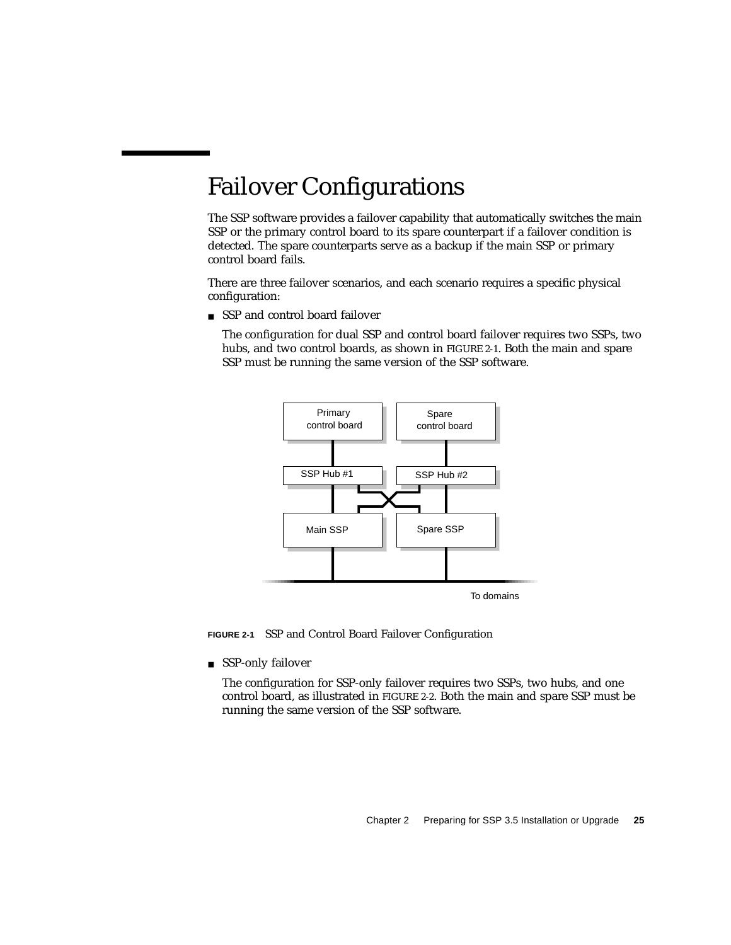# <span id="page-42-0"></span>Failover Configurations

The SSP software provides a failover capability that automatically switches the main SSP or the primary control board to its spare counterpart if a failover condition is detected. The spare counterparts serve as a backup if the main SSP or primary control board fails.

There are three failover scenarios, and each scenario requires a specific physical configuration:

■ SSP and control board failover

The configuration for dual SSP and control board failover requires two SSPs, two hubs, and two control boards, as shown in [FIGURE 2-1](#page-42-1). Both the main and spare SSP must be running the same version of the SSP software.



<span id="page-42-1"></span>**FIGURE 2-1** SSP and Control Board Failover Configuration

■ SSP-only failover

The configuration for SSP-only failover requires two SSPs, two hubs, and one control board, as illustrated in [FIGURE 2-2](#page-43-0). Both the main and spare SSP must be running the same version of the SSP software.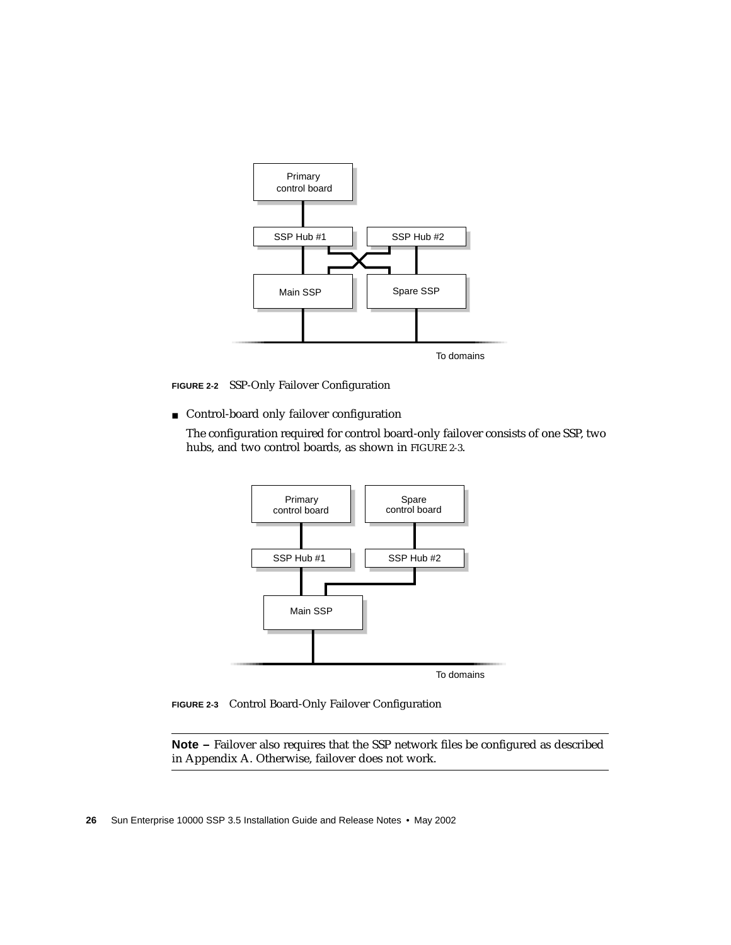

■ Control-board only failover configuration

<span id="page-43-0"></span>**FIGURE 2-2** SSP-Only Failover Configuration

The configuration required for control board-only failover consists of one SSP, two hubs, and two control boards, as shown in [FIGURE 2-3](#page-43-1).



<span id="page-43-1"></span>**FIGURE 2-3** Control Board-Only Failover Configuration

**Note –** Failover also requires that the SSP network files be configured as described in [Appendix A](#page-136-0). Otherwise, failover does not work.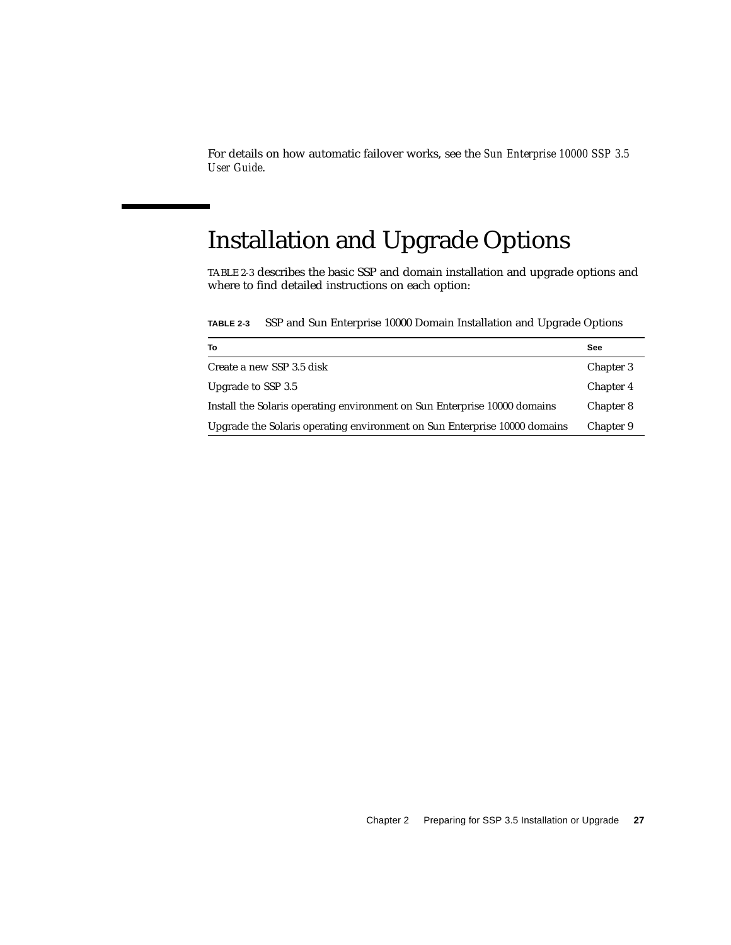For details on how automatic failover works, see the *Sun Enterprise 10000 SSP 3.5 User Guide*.

# Installation and Upgrade Options

[TABLE 2-3](#page-44-0) describes the basic SSP and domain installation and upgrade options and where to find detailed instructions on each option:

<span id="page-44-0"></span>**TABLE 2-3** SSP and Sun Enterprise 10000 Domain Installation and Upgrade Options

| To                                                                        | See       |
|---------------------------------------------------------------------------|-----------|
| Create a new SSP 3.5 disk                                                 | Chapter 3 |
| Upgrade to SSP 3.5                                                        | Chapter 4 |
| Install the Solaris operating environment on Sun Enterprise 10000 domains | Chapter 8 |
| Upgrade the Solaris operating environment on Sun Enterprise 10000 domains | Chapter 9 |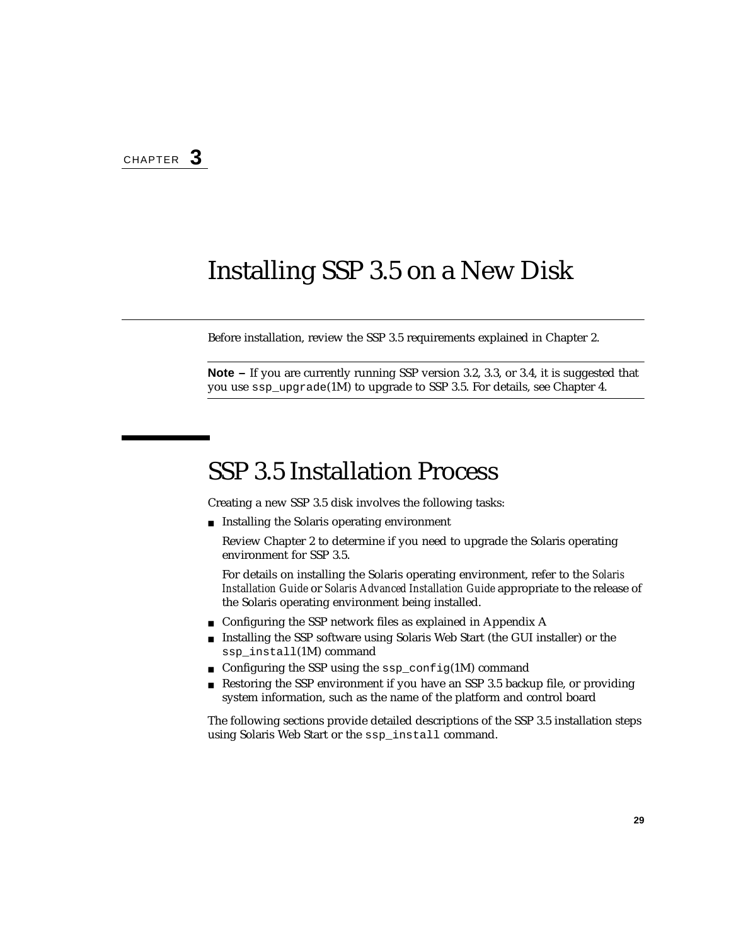# <span id="page-46-0"></span>Installing SSP 3.5 on a New Disk

Before installation, review the SSP 3.5 requirements explained in [Chapter 2.](#page-30-0)

**Note –** If you are currently running SSP version 3.2, 3.3, or 3.4, it is suggested that you use ssp\_upgrade(1M) to upgrade to SSP 3.5. For details, see [Chapter 4](#page-58-0).

## SSP 3.5 Installation Process

Creating a new SSP 3.5 disk involves the following tasks:

■ Installing the Solaris operating environment

Review [Chapter 2](#page-30-0) to determine if you need to upgrade the Solaris operating environment for SSP 3.5.

For details on installing the Solaris operating environment, refer to the *Solaris Installation Guide* or *Solaris Advanced Installation Guide* appropriate to the release of the Solaris operating environment being installed.

- Configuring the SSP network files as explained in [Appendix A](#page-136-0)
- Installing the SSP software using Solaris Web Start (the GUI installer) or the ssp\_install(1M) command
- Configuring the SSP using the ssp\_config(1M) command
- Restoring the SSP environment if you have an SSP 3.5 backup file, or providing system information, such as the name of the platform and control board

The following sections provide detailed descriptions of the SSP 3.5 installation steps using Solaris Web Start or the ssp\_install command.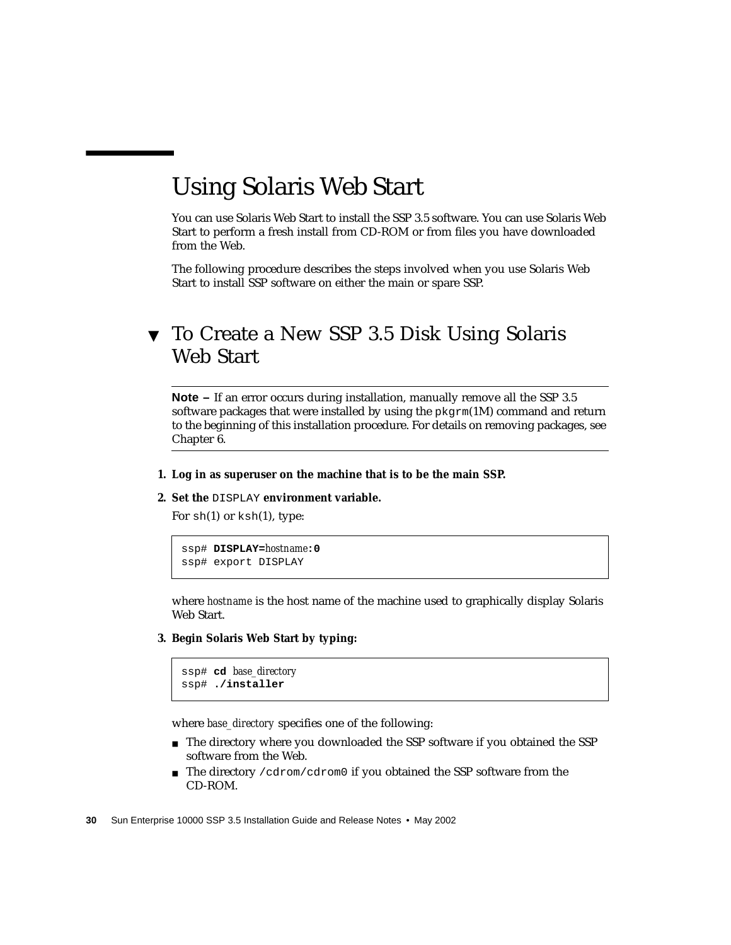# Using Solaris Web Start

You can use Solaris Web Start to install the SSP 3.5 software. You can use Solaris Web Start to perform a fresh install from CD-ROM or from files you have downloaded from the Web.

The following procedure describes the steps involved when you use Solaris Web Start to install SSP software on either the main or spare SSP.

## ▼ To Create a New SSP 3.5 Disk Using Solaris Web Start

**Note –** If an error occurs during installation, manually remove all the SSP 3.5 software packages that were installed by using the  $p\text{kgrm}(1M)$  command and return to the beginning of this installation procedure. For details on removing packages, see [Chapter 6.](#page-68-0)

- **1. Log in as superuser on the machine that is to be the main SSP.**
- **2. Set the** DISPLAY **environment variable.**

For  $sh(1)$  or  $ksh(1)$ , type:

```
ssp# DISPLAY=hostname:0
ssp# export DISPLAY
```
where *hostname* is the host name of the machine used to graphically display Solaris Web Start.

**3. Begin Solaris Web Start by typing:**

```
ssp# cd base_directory
ssp# ./installer
```
where *base\_directory* specifies one of the following:

- The directory where you downloaded the SSP software if you obtained the SSP software from the Web.
- The directory / cdrom/cdrom0 if you obtained the SSP software from the CD-ROM.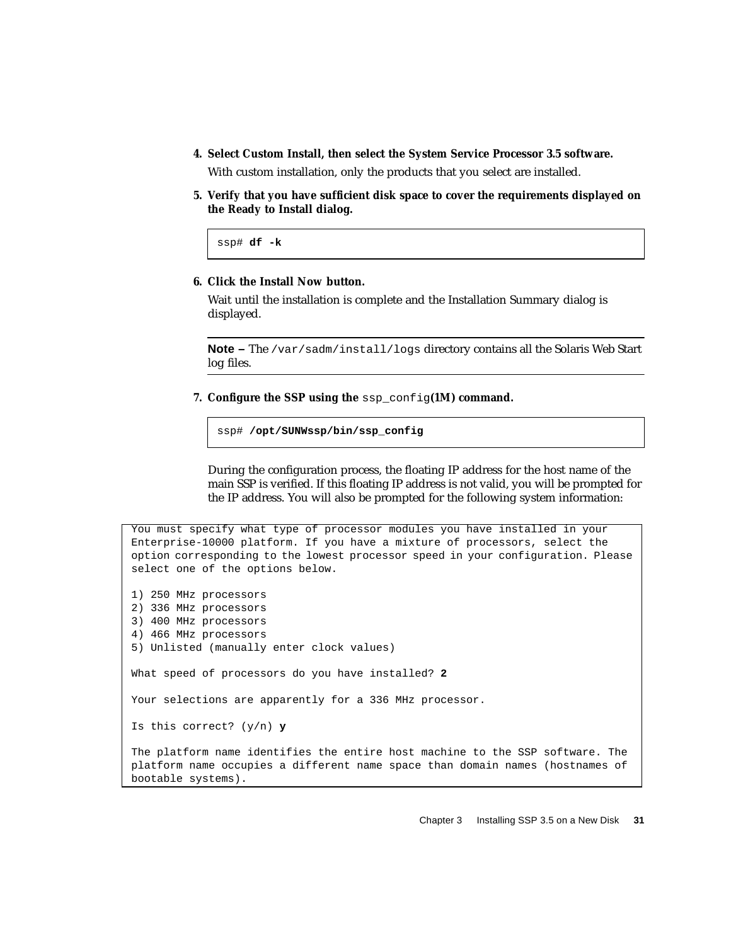**4. Select Custom Install, then select the System Service Processor 3.5 software.**

With custom installation, only the products that you select are installed.

**5. Verify that you have sufficient disk space to cover the requirements displayed on the Ready to Install dialog.**

ssp# **df -k**

bootable systems).

#### **6. Click the Install Now button.**

Wait until the installation is complete and the Installation Summary dialog is displayed.

**Note –** The /var/sadm/install/logs directory contains all the Solaris Web Start log files.

**7. Configure the SSP using the** ssp\_config**(1M) command.**

ssp# **/opt/SUNWssp/bin/ssp\_config**

During the configuration process, the floating IP address for the host name of the main SSP is verified. If this floating IP address is not valid, you will be prompted for the IP address. You will also be prompted for the following system information:

You must specify what type of processor modules you have installed in your Enterprise-10000 platform. If you have a mixture of processors, select the option corresponding to the lowest processor speed in your configuration. Please select one of the options below. 1) 250 MHz processors 2) 336 MHz processors 3) 400 MHz processors 4) 466 MHz processors 5) Unlisted (manually enter clock values) What speed of processors do you have installed? **2** Your selections are apparently for a 336 MHz processor. Is this correct? (y/n) **y** The platform name identifies the entire host machine to the SSP software. The platform name occupies a different name space than domain names (hostnames of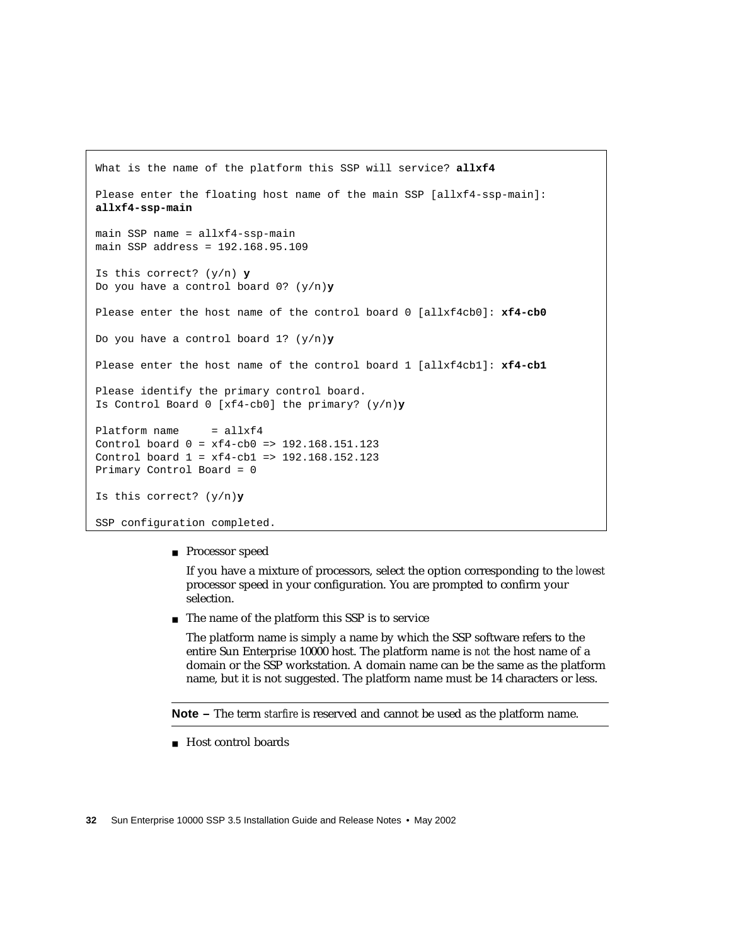```
What is the name of the platform this SSP will service? allxf4
Please enter the floating host name of the main SSP [allxf4-ssp-main]:
allxf4-ssp-main
main SSP name = allxf4-ssp-main
main SSP address = 192.168.95.109
Is this correct? (y/n) y
Do you have a control board 0? (y/n)y
Please enter the host name of the control board 0 [allxf4cb0]: xf4-cb0
Do you have a control board 1? (y/n)y
Please enter the host name of the control board 1 [allxf4cb1]: xf4-cb1
Please identify the primary control board.
Is Control Board 0 [xf4-cb0] the primary? (y/n)y
Platform name = allxf4
Control board 0 = xf4-cb0 => 192.168.151.123
Control board 1 = xf4-cb1 => 192.168.152.123
Primary Control Board = 0
Is this correct? (y/n)y
SSP configuration completed.
```
■ Processor speed

If you have a mixture of processors, select the option corresponding to the *lowest* processor speed in your configuration. You are prompted to confirm your selection.

■ The name of the platform this SSP is to service

The platform name is simply a name by which the SSP software refers to the entire Sun Enterprise 10000 host. The platform name is *not* the host name of a domain or the SSP workstation. A domain name can be the same as the platform name, but it is not suggested. The platform name must be 14 characters or less.

**Note –** The term *starfire* is reserved and cannot be used as the platform name.

■ Host control boards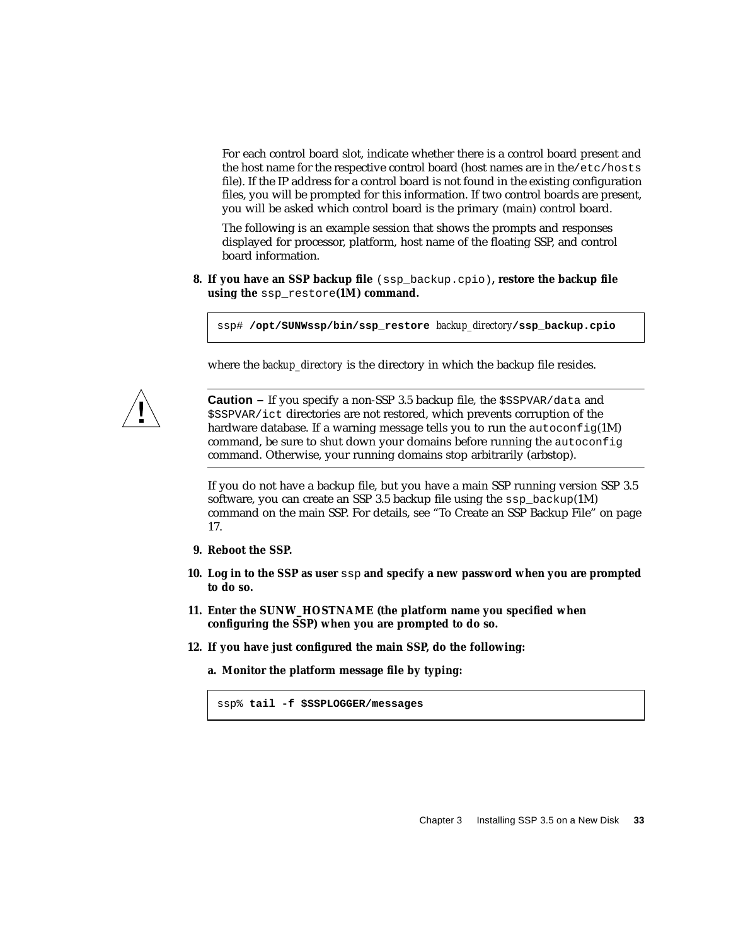For each control board slot, indicate whether there is a control board present and the host name for the respective control board (host names are in the/etc/hosts file). If the IP address for a control board is not found in the existing configuration files, you will be prompted for this information. If two control boards are present, you will be asked which control board is the primary (main) control board.

The following is an example session that shows the prompts and responses displayed for processor, platform, host name of the floating SSP, and control board information.

**8. If you have an SSP backup file** (ssp\_backup.cpio)**, restore the backup file using the** ssp\_restore**(1M) command.**

ssp# **/opt/SUNWssp/bin/ssp\_restore** *backup\_directory***/ssp\_backup.cpio**

where the *backup* directory is the directory in which the backup file resides.



**Caution –** If you specify a non-SSP 3.5 backup file, the \$SSPVAR/data and \$SSPVAR/ict directories are not restored, which prevents corruption of the hardware database. If a warning message tells you to run the  $autoconfig(1M)$ command, be sure to shut down your domains before running the autoconfig command. Otherwise, your running domains stop arbitrarily (arbstop).

If you do not have a backup file, but you have a main SSP running version SSP 3.5 software, you can create an SSP 3.5 backup file using the  $\text{ssp}$  backup(1M) command on the main SSP. For details, see ["To Create an SSP Backup File" on page](#page-34-0) [17.](#page-34-0)

- **9. Reboot the SSP.**
- **10. Log in to the SSP as user** ssp **and specify a new password when you are prompted to do so.**
- **11. Enter the SUNW\_HOSTNAME (the platform name you specified when configuring the SSP) when you are prompted to do so.**
- **12. If you have just configured the main SSP, do the following:**
	- **a. Monitor the platform message file by typing:**

ssp% **tail -f \$SSPLOGGER/messages**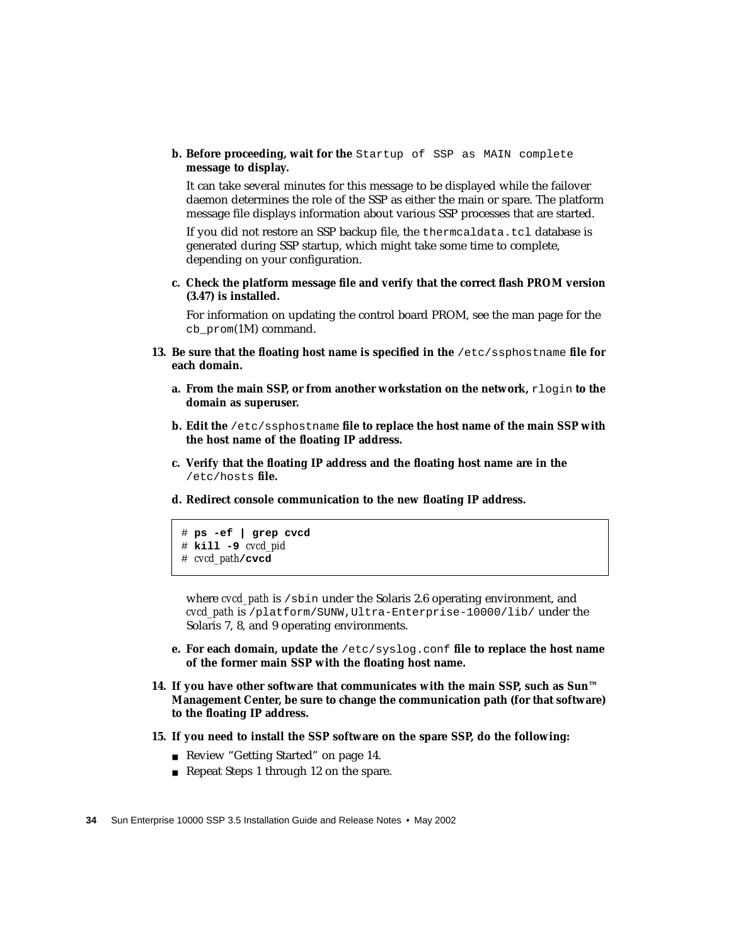**b. Before proceeding, wait for the** Startup of SSP as MAIN complete **message to display.**

It can take several minutes for this message to be displayed while the failover daemon determines the role of the SSP as either the main or spare. The platform message file displays information about various SSP processes that are started.

If you did not restore an SSP backup file, the thermcaldata.tcl database is generated during SSP startup, which might take some time to complete, depending on your configuration.

**c. Check the platform message file and verify that the correct flash PROM version (3.47) is installed.**

For information on updating the control board PROM, see the man page for the cb\_prom(1M) command.

- **13. Be sure that the floating host name is specified in the** /etc/ssphostname **file for each domain.**
	- **a. From the main SSP, or from another workstation on the network, rlogin to the domain as superuser.**
	- **b. Edit the** /etc/ssphostname **file to replace the host name of the main SSP with the host name of the floating IP address.**
	- **c. Verify that the floating IP address and the floating host name are in the** /etc/hosts **file.**
	- **d. Redirect console communication to the new floating IP address.**

```
# ps -ef | grep cvcd
# kill -9 cvcd_pid
# cvcd_path/cvcd
```
where *cvcd\_path* is /sbin under the Solaris 2.6 operating environment, and *cvcd\_path* is /platform/SUNW,Ultra-Enterprise-10000/lib/ under the Solaris 7, 8, and 9 operating environments.

- **e. For each domain, update the** /etc/syslog.conf **file to replace the host name of the former main SSP with the floating host name.**
- **14. If you have other software that communicates with the main SSP, such as Sun™ Management Center, be sure to change the communication path (for that software) to the floating IP address.**
- **15. If you need to install the SSP software on the spare SSP, do the following:**
	- Review ["Getting Started" on page 14.](#page-31-1)
	- Repeat Steps 1 through 12 on the spare.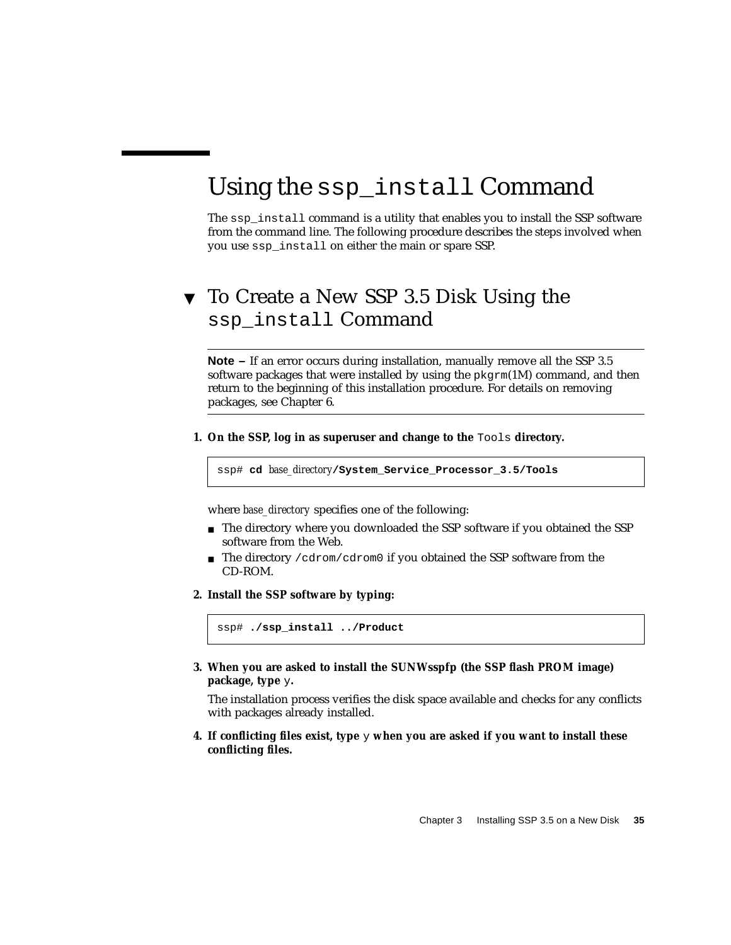# Using the ssp\_install Command

The ssp\_install command is a utility that enables you to install the SSP software from the command line. The following procedure describes the steps involved when you use ssp\_install on either the main or spare SSP.

## ▼ To Create a New SSP 3.5 Disk Using the ssp\_install Command

**Note –** If an error occurs during installation, manually remove all the SSP 3.5 software packages that were installed by using the  $pkgram(1M)$  command, and then return to the beginning of this installation procedure. For details on removing packages, see [Chapter 6.](#page-68-0)

**1. On the SSP, log in as superuser and change to the** Tools **directory.**

ssp# **cd** *base\_directory***/System\_Service\_Processor\_3.5/Tools**

where *base\_directory* specifies one of the following:

- The directory where you downloaded the SSP software if you obtained the SSP software from the Web.
- The directory / cdrom/cdrom0 if you obtained the SSP software from the CD-ROM.
- **2. Install the SSP software by typing:**

ssp# **./ssp\_install ../Product**

**3. When you are asked to install the SUNWsspfp (the SSP flash PROM image) package, type** y**.**

The installation process verifies the disk space available and checks for any conflicts with packages already installed.

**4. If conflicting files exist, type** y **when you are asked if you want to install these conflicting files.**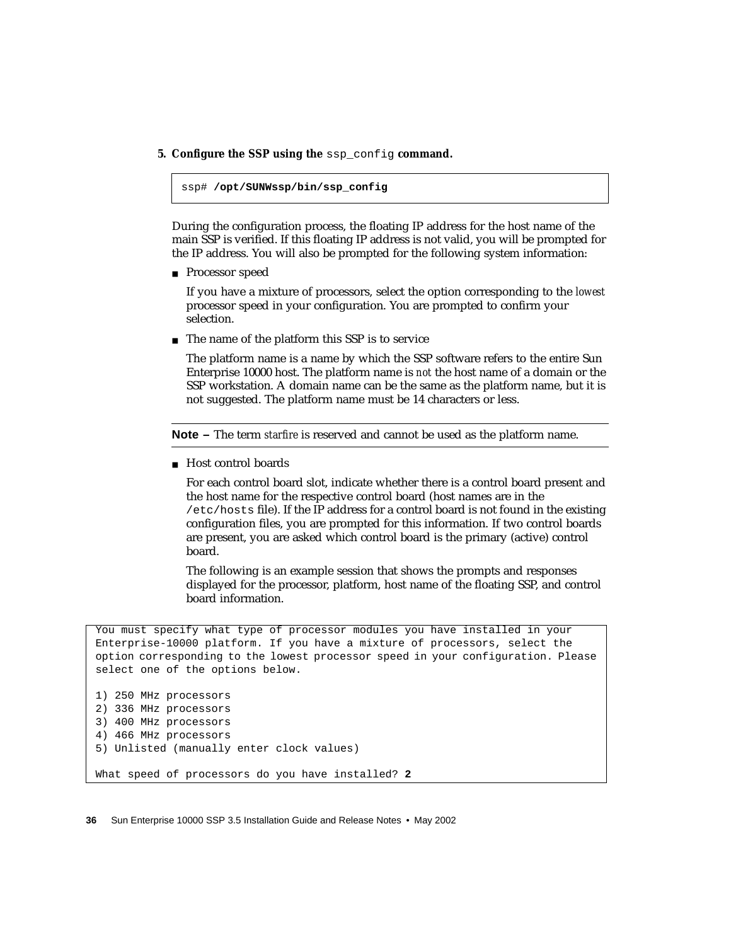**5. Configure the SSP using the** ssp\_config **command.**

```
ssp# /opt/SUNWssp/bin/ssp_config
```
During the configuration process, the floating IP address for the host name of the main SSP is verified. If this floating IP address is not valid, you will be prompted for the IP address. You will also be prompted for the following system information:

■ Processor speed

If you have a mixture of processors, select the option corresponding to the *lowest* processor speed in your configuration. You are prompted to confirm your selection.

■ The name of the platform this SSP is to service

The platform name is a name by which the SSP software refers to the entire Sun Enterprise 10000 host. The platform name is *not* the host name of a domain or the SSP workstation. A domain name can be the same as the platform name, but it is not suggested. The platform name must be 14 characters or less.

**Note –** The term *starfire* is reserved and cannot be used as the platform name.

■ Host control boards

For each control board slot, indicate whether there is a control board present and the host name for the respective control board (host names are in the /etc/hosts file). If the IP address for a control board is not found in the existing configuration files, you are prompted for this information. If two control boards are present, you are asked which control board is the primary (active) control board.

The following is an example session that shows the prompts and responses displayed for the processor, platform, host name of the floating SSP, and control board information.

You must specify what type of processor modules you have installed in your Enterprise-10000 platform. If you have a mixture of processors, select the option corresponding to the lowest processor speed in your configuration. Please select one of the options below.

```
1) 250 MHz processors
2) 336 MHz processors
3) 400 MHz processors
4) 466 MHz processors
5) Unlisted (manually enter clock values)
What speed of processors do you have installed? 2
```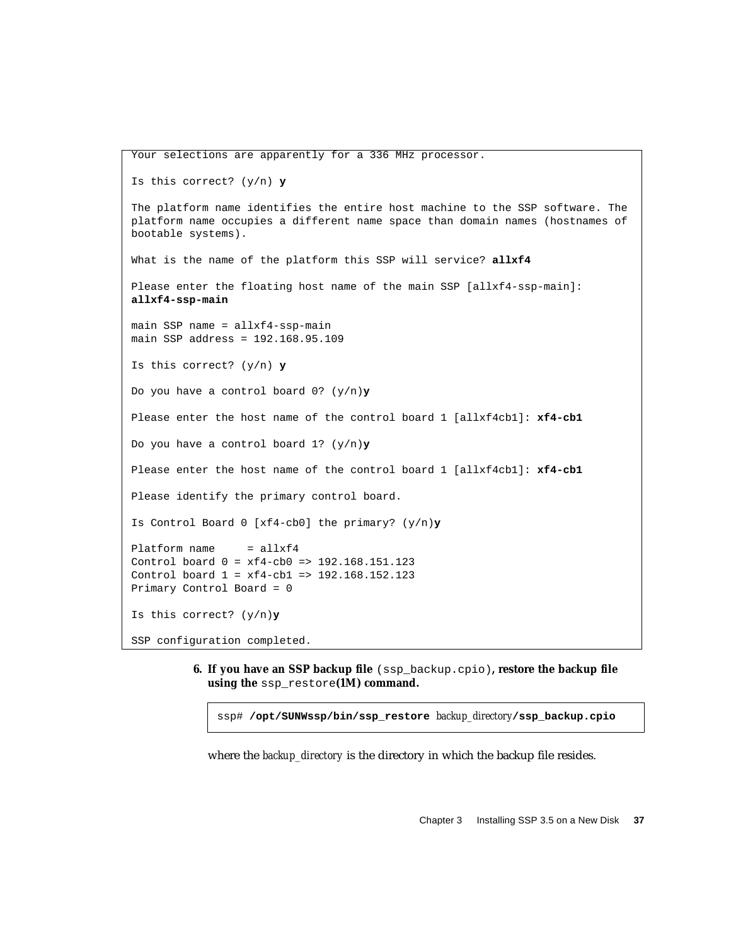```
Your selections are apparently for a 336 MHz processor.
Is this correct? (y/n) y
The platform name identifies the entire host machine to the SSP software. The
platform name occupies a different name space than domain names (hostnames of
bootable systems).
What is the name of the platform this SSP will service? allxf4
Please enter the floating host name of the main SSP [allxf4-ssp-main]:
allxf4-ssp-main
main SSP name = allxf4-ssp-main
main SSP address = 192.168.95.109
Is this correct? (y/n) y
Do you have a control board 0? (y/n)y
Please enter the host name of the control board 1 [allxf4cb1]: xf4-cb1
Do you have a control board 1? (y/n)y
Please enter the host name of the control board 1 [allxf4cb1]: xf4-cb1
Please identify the primary control board.
Is Control Board 0 [xf4-cb0] the primary? (y/n)y
Platform name = allxf4
Control board 0 = xf4-cb0 => 192.168.151.123
Control board 1 = xf4-cb1 => 192.168.152.123
Primary Control Board = 0
Is this correct? (y/n)y
SSP configuration completed.
```
**6. If you have an SSP backup file** (ssp\_backup.cpio)**, restore the backup file using the** ssp\_restore**(1M) command.**

ssp# **/opt/SUNWssp/bin/ssp\_restore** *backup\_directory***/ssp\_backup.cpio**

where the *backup* directory is the directory in which the backup file resides.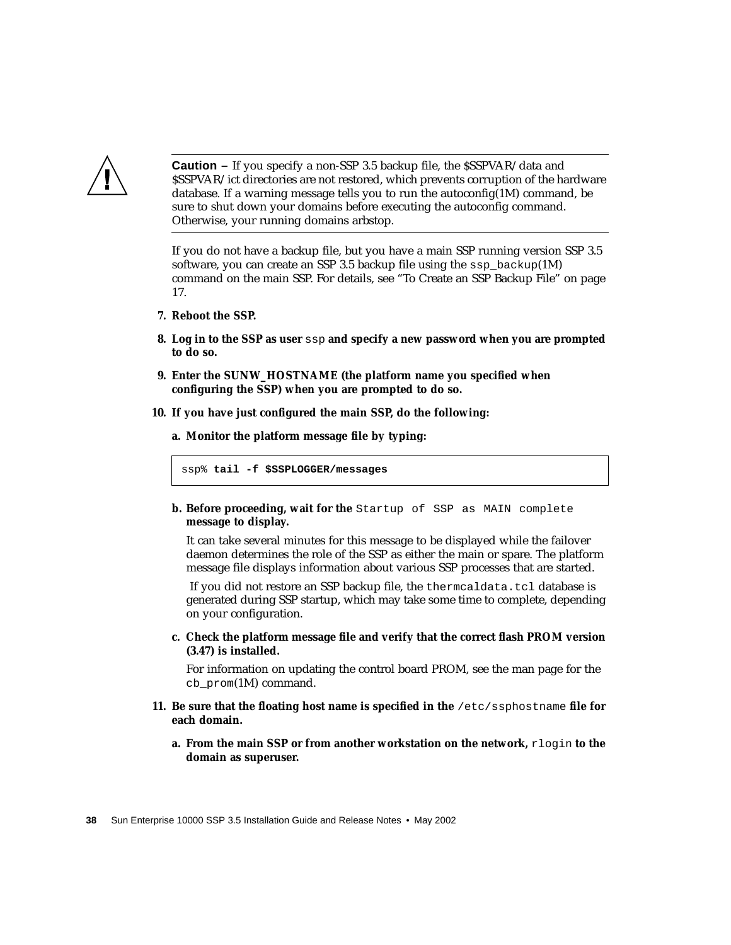

**Caution –** If you specify a non-SSP 3.5 backup file, the \$SSPVAR/data and \$SSPVAR/ict directories are not restored, which prevents corruption of the hardware database. If a warning message tells you to run the autoconfig(1M) command, be sure to shut down your domains before executing the autoconfig command. Otherwise, your running domains arbstop.

If you do not have a backup file, but you have a main SSP running version SSP 3.5 software, you can create an SSP 3.5 backup file using the  $\text{ssp}$  backup(1M) command on the main SSP. For details, see ["To Create an SSP Backup File" on page](#page-34-0) [17.](#page-34-0)

- **7. Reboot the SSP.**
- **8. Log in to the SSP as user** ssp **and specify a new password when you are prompted to do so.**
- **9. Enter the SUNW\_HOSTNAME (the platform name you specified when configuring the SSP) when you are prompted to do so.**
- **10. If you have just configured the main SSP, do the following:**

**a. Monitor the platform message file by typing:**

ssp% **tail -f \$SSPLOGGER/messages**

**b. Before proceeding, wait for the** Startup of SSP as MAIN complete **message to display.**

It can take several minutes for this message to be displayed while the failover daemon determines the role of the SSP as either the main or spare. The platform message file displays information about various SSP processes that are started.

If you did not restore an SSP backup file, the thermcaldata.tcl database is generated during SSP startup, which may take some time to complete, depending on your configuration.

**c. Check the platform message file and verify that the correct flash PROM version (3.47) is installed.**

For information on updating the control board PROM, see the man page for the cb\_prom(1M) command.

- **11. Be sure that the floating host name is specified in the** /etc/ssphostname **file for each domain.**
	- **a. From the main SSP or from another workstation on the network, rlogin to the domain as superuser.**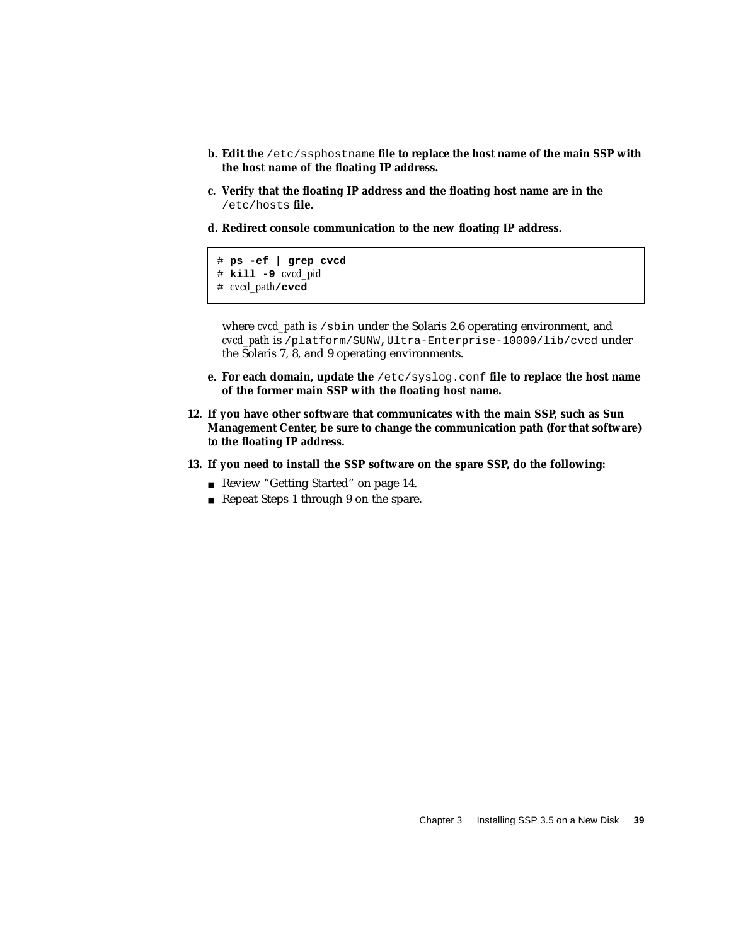- **b. Edit the** /etc/ssphostname **file to replace the host name of the main SSP with the host name of the floating IP address.**
- **c. Verify that the floating IP address and the floating host name are in the** /etc/hosts **file.**
- **d. Redirect console communication to the new floating IP address.**

```
# ps -ef | grep cvcd
# kill -9 cvcd_pid
# cvcd_path/cvcd
```
where *cvcd\_path* is /sbin under the Solaris 2.6 operating environment, and *cvcd\_path* is /platform/SUNW,Ultra-Enterprise-10000/lib/cvcd under the Solaris 7, 8, and 9 operating environments.

- **e. For each domain, update the** /etc/syslog.conf **file to replace the host name of the former main SSP with the floating host name.**
- **12. If you have other software that communicates with the main SSP, such as Sun Management Center, be sure to change the communication path (for that software) to the floating IP address.**
- **13. If you need to install the SSP software on the spare SSP, do the following:**
	- Review ["Getting Started" on page 14.](#page-31-1)
	- Repeat Steps 1 through 9 on the spare.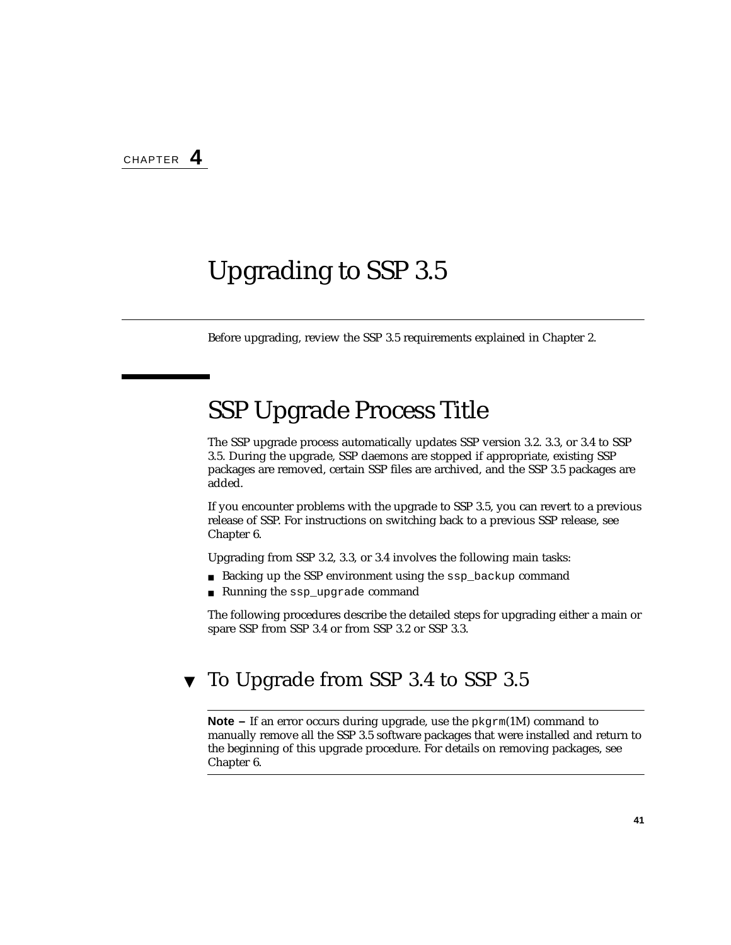# <span id="page-58-0"></span>Upgrading to SSP 3.5

Before upgrading, review the SSP 3.5 requirements explained in [Chapter 2.](#page-30-0)

# SSP Upgrade Process Title

The SSP upgrade process automatically updates SSP version 3.2. 3.3, or 3.4 to SSP 3.5. During the upgrade, SSP daemons are stopped if appropriate, existing SSP packages are removed, certain SSP files are archived, and the SSP 3.5 packages are added.

If you encounter problems with the upgrade to SSP 3.5, you can revert to a previous release of SSP. For instructions on switching back to a previous SSP release, see [Chapter 6.](#page-68-0)

Upgrading from SSP 3.2, 3.3, or 3.4 involves the following main tasks:

- Backing up the SSP environment using the ssp\_backup command
- Running the ssp\_upgrade command

The following procedures describe the detailed steps for upgrading either a main or spare SSP from SSP 3.4 or from SSP 3.2 or SSP 3.3.

### ▼ To Upgrade from SSP 3.4 to SSP 3.5

**Note –** If an error occurs during upgrade, use the  $pkgram(1M)$  command to manually remove all the SSP 3.5 software packages that were installed and return to the beginning of this upgrade procedure. For details on removing packages, see [Chapter 6.](#page-68-0)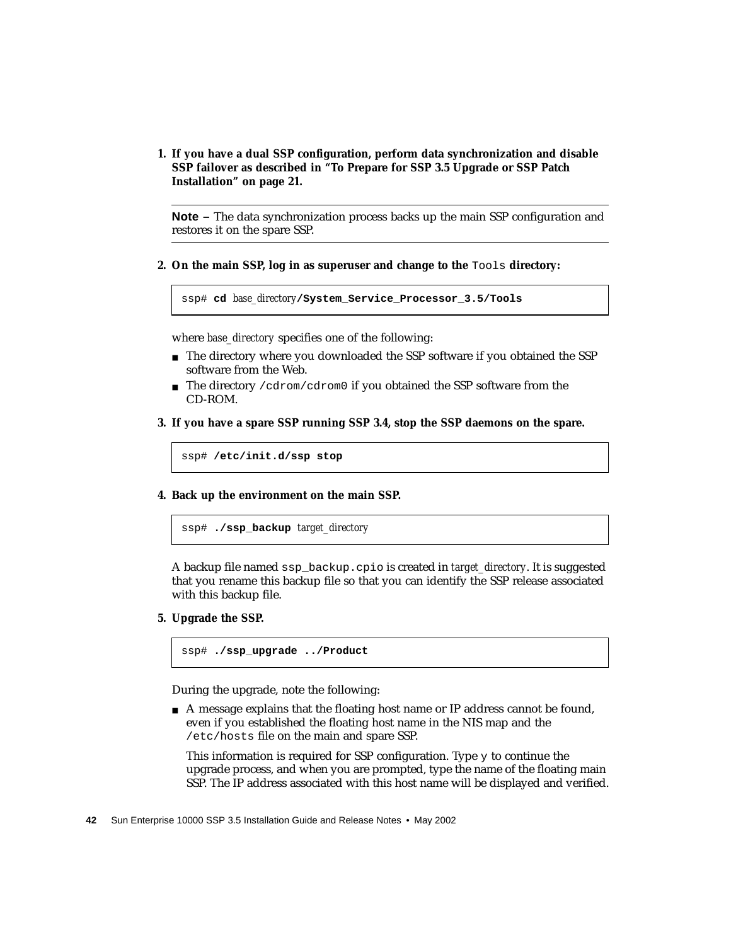**1. If you have a dual SSP configuration, perform data synchronization and disable SSP failover as described in ["To Prepare for SSP 3.5 Upgrade or SSP Patch](#page-38-0) [Installation" on page 21.](#page-38-0)**

**Note –** The data synchronization process backs up the main SSP configuration and restores it on the spare SSP.

**2. On the main SSP, log in as superuser and change to the** Tools **directory:**

```
ssp# cd base_directory/System_Service_Processor_3.5/Tools
```
where *base\_directory* specifies one of the following:

- The directory where you downloaded the SSP software if you obtained the SSP software from the Web.
- The directory / cdrom/cdrom0 if you obtained the SSP software from the CD-ROM.
- **3. If you have a spare SSP running SSP 3.4, stop the SSP daemons on the spare.**

ssp# **/etc/init.d/ssp stop**

**4. Back up the environment on the main SSP.**

ssp# **./ssp\_backup** *target\_directory*

A backup file named ssp\_backup.cpio is created in *target\_directory*. It is suggested that you rename this backup file so that you can identify the SSP release associated with this backup file.

**5. Upgrade the SSP.**

ssp# **./ssp\_upgrade ../Product**

During the upgrade, note the following:

■ A message explains that the floating host name or IP address cannot be found, even if you established the floating host name in the NIS map and the /etc/hosts file on the main and spare SSP.

This information is required for SSP configuration. Type  $\gamma$  to continue the upgrade process, and when you are prompted, type the name of the floating main SSP. The IP address associated with this host name will be displayed and verified.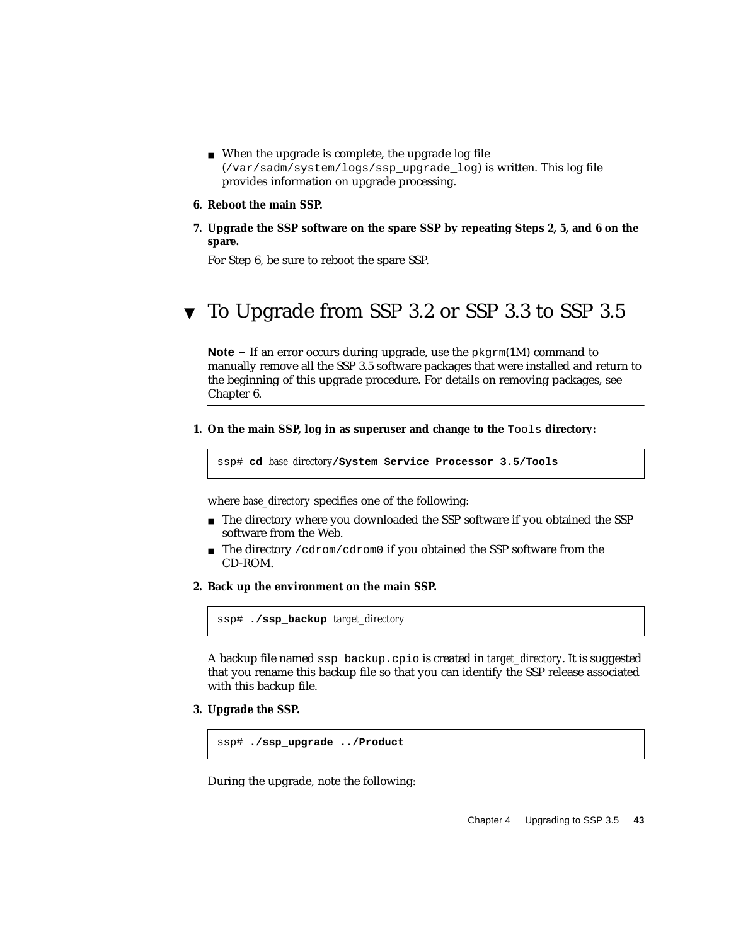- When the upgrade is complete, the upgrade log file (/var/sadm/system/logs/ssp\_upgrade\_log) is written. This log file provides information on upgrade processing.
- **6. Reboot the main SSP.**
- **7. Upgrade the SSP software on the spare SSP by repeating Steps 2, 5, and 6 on the spare.**

For Step 6, be sure to reboot the spare SSP.

## ▼ To Upgrade from SSP 3.2 or SSP 3.3 to SSP 3.5

**Note –** If an error occurs during upgrade, use the pkgrm(1M) command to manually remove all the SSP 3.5 software packages that were installed and return to the beginning of this upgrade procedure. For details on removing packages, see [Chapter 6.](#page-68-0)

**1. On the main SSP, log in as superuser and change to the** Tools **directory:**

```
ssp# cd base_directory/System_Service_Processor_3.5/Tools
```
where *base* directory specifies one of the following:

- The directory where you downloaded the SSP software if you obtained the SSP software from the Web.
- **The directory** /  $cdrom/cdrom0$  if you obtained the SSP software from the CD-ROM.
- **2. Back up the environment on the main SSP.**

ssp# **./ssp\_backup** *target\_directory*

A backup file named ssp\_backup.cpio is created in *target\_directory*. It is suggested that you rename this backup file so that you can identify the SSP release associated with this backup file.

**3. Upgrade the SSP.**

```
ssp# ./ssp_upgrade ../Product
```
During the upgrade, note the following: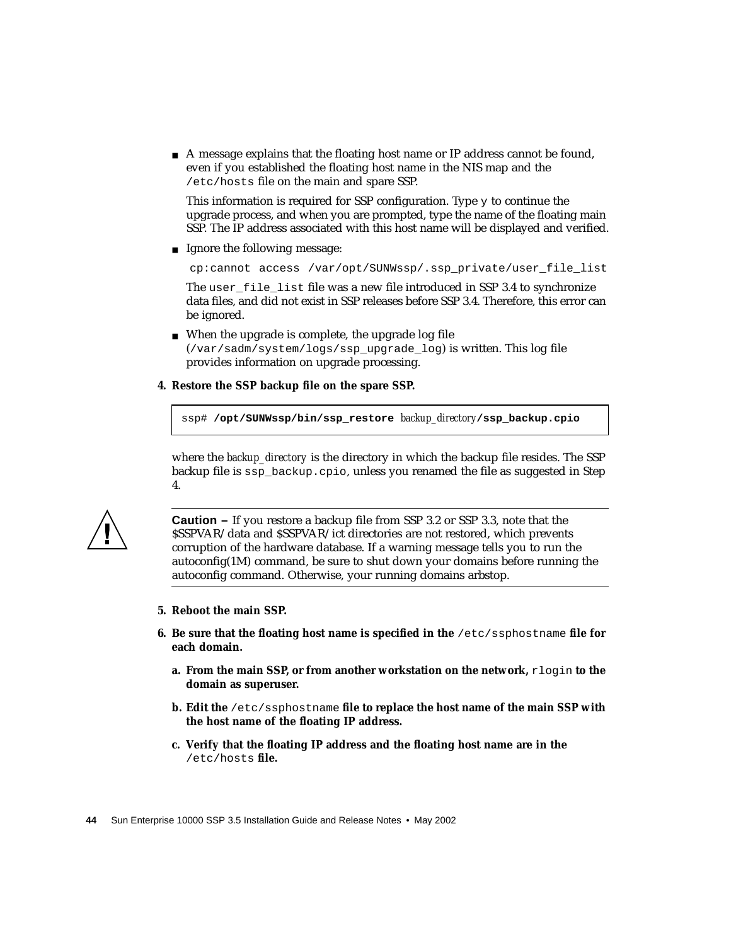■ A message explains that the floating host name or IP address cannot be found, even if you established the floating host name in the NIS map and the /etc/hosts file on the main and spare SSP.

This information is required for SSP configuration. Type  $\gamma$  to continue the upgrade process, and when you are prompted, type the name of the floating main SSP. The IP address associated with this host name will be displayed and verified.

■ Ignore the following message:

cp:cannot access /var/opt/SUNWssp/.ssp\_private/user\_file\_list

The user\_file\_list file was a new file introduced in SSP 3.4 to synchronize data files, and did not exist in SSP releases before SSP 3.4. Therefore, this error can be ignored.

- When the upgrade is complete, the upgrade log file (/var/sadm/system/logs/ssp\_upgrade\_log) is written. This log file provides information on upgrade processing.
- **4. Restore the SSP backup file on the spare SSP.**

ssp# **/opt/SUNWssp/bin/ssp\_restore** *backup\_directory***/ssp\_backup.cpio**

where the *backup* directory is the directory in which the backup file resides. The SSP backup file is ssp\_backup.cpio, unless you renamed the file as suggested in Step 4.



**Caution –** If you restore a backup file from SSP 3.2 or SSP 3.3, note that the \$SSPVAR/data and \$SSPVAR/ict directories are not restored, which prevents corruption of the hardware database. If a warning message tells you to run the autoconfig(1M) command, be sure to shut down your domains before running the autoconfig command. Otherwise, your running domains arbstop.

- **5. Reboot the main SSP.**
- **6. Be sure that the floating host name is specified in the** /etc/ssphostname **file for each domain.**
	- **a. From the main SSP, or from another workstation on the network,** rlogin **to the domain as superuser.**
	- **b. Edit the** /etc/ssphostname **file to replace the host name of the main SSP with the host name of the floating IP address.**
	- **c. Verify that the floating IP address and the floating host name are in the** /etc/hosts **file.**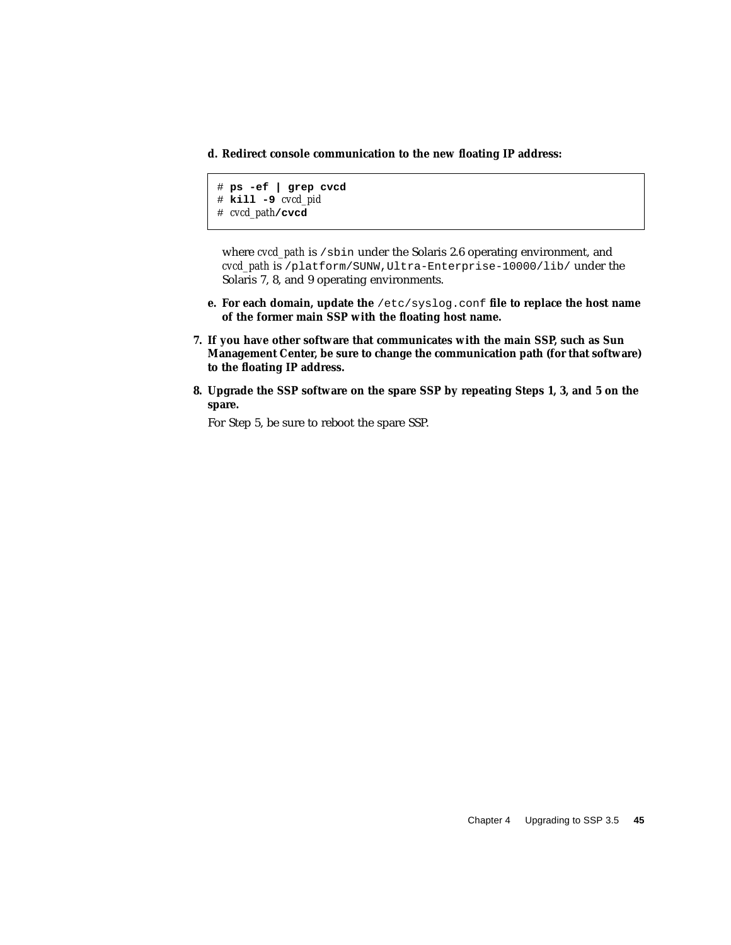**d. Redirect console communication to the new floating IP address:**

```
# ps -ef | grep cvcd
# kill -9 cvcd_pid
# cvcd_path/cvcd
```
where *cvcd* path is /sbin under the Solaris 2.6 operating environment, and *cvcd\_path* is /platform/SUNW,Ultra-Enterprise-10000/lib/ under the Solaris 7, 8, and 9 operating environments.

- **e. For each domain, update the** /etc/syslog.conf **file to replace the host name of the former main SSP with the floating host name.**
- **7. If you have other software that communicates with the main SSP, such as Sun Management Center, be sure to change the communication path (for that software) to the floating IP address.**
- **8. Upgrade the SSP software on the spare SSP by repeating Steps 1, 3, and 5 on the spare.**

For Step 5, be sure to reboot the spare SSP.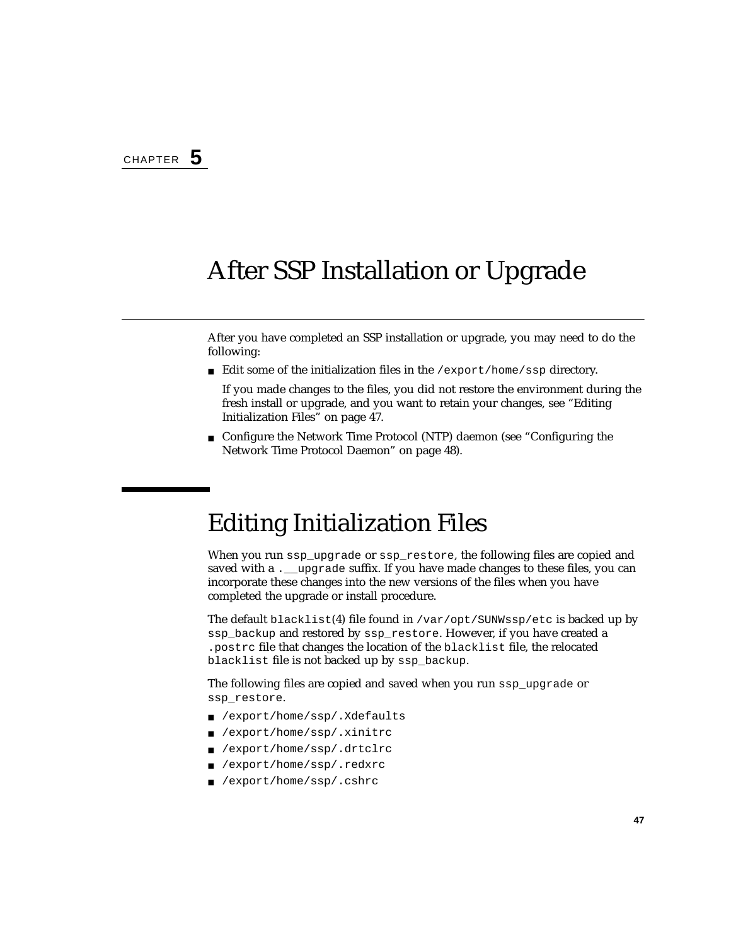# After SSP Installation or Upgrade

After you have completed an SSP installation or upgrade, you may need to do the following:

■ Edit some of the initialization files in the /export/home/ssp directory.

If you made changes to the files, you did not restore the environment during the fresh install or upgrade, and you want to retain your changes, see ["Editing](#page-64-0) [Initialization Files" on page 47.](#page-64-0)

■ Configure the Network Time Protocol (NTP) daemon (see ["Configuring the](#page-65-0) [Network Time Protocol Daemon" on page 48\)](#page-65-0).

## <span id="page-64-0"></span>Editing Initialization Files

When you run ssp\_upgrade or ssp\_restore, the following files are copied and saved with a . upgrade suffix. If you have made changes to these files, you can incorporate these changes into the new versions of the files when you have completed the upgrade or install procedure.

The default blacklist(4) file found in /var/opt/SUNWssp/etc is backed up by ssp\_backup and restored by ssp\_restore. However, if you have created a .postrc file that changes the location of the blacklist file, the relocated blacklist file is not backed up by ssp\_backup.

The following files are copied and saved when you run ssp\_upgrade or ssp\_restore.

- /export/home/ssp/.Xdefaults
- /export/home/ssp/.xinitrc
- /export/home/ssp/.drtclrc
- /export/home/ssp/.redxrc
- /export/home/ssp/.cshrc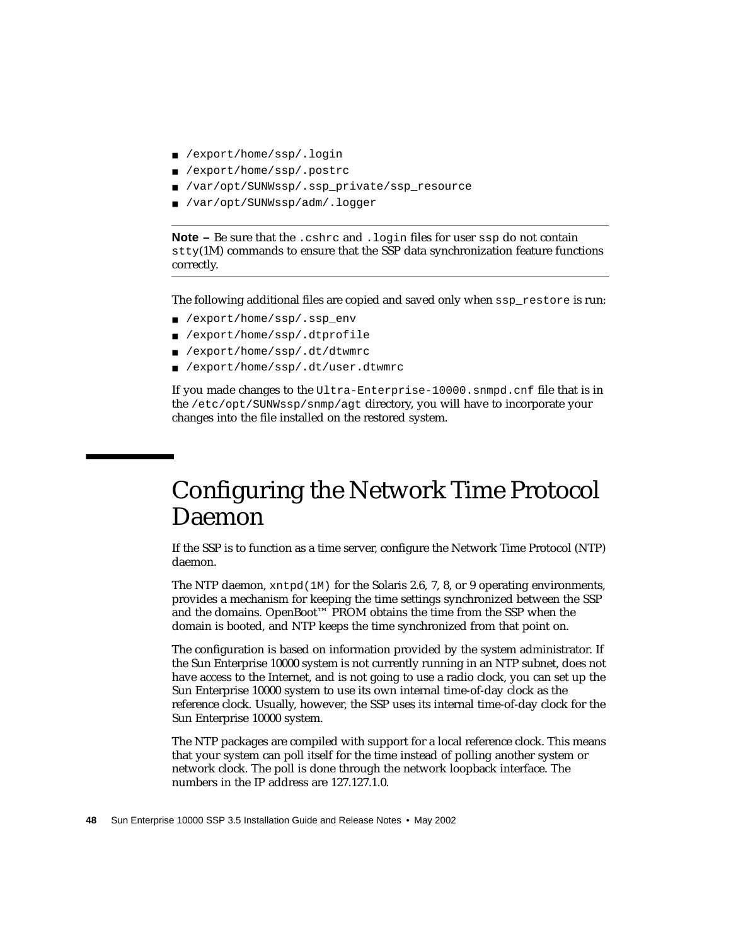- /export/home/ssp/.login
- /export/home/ssp/.postrc
- /var/opt/SUNWssp/.ssp\_private/ssp\_resource
- /var/opt/SUNWssp/adm/.logger

**Note –** Be sure that the .cshrc and .login files for user ssp do not contain stty(1M) commands to ensure that the SSP data synchronization feature functions correctly.

The following additional files are copied and saved only when ssp\_restore is run:

- /export/home/ssp/.ssp\_env
- /export/home/ssp/.dtprofile
- /export/home/ssp/.dt/dtwmrc
- /export/home/ssp/.dt/user.dtwmrc

If you made changes to the Ultra-Enterprise-10000.snmpd.cnf file that is in the /etc/opt/SUNWssp/snmp/agt directory, you will have to incorporate your changes into the file installed on the restored system.

## <span id="page-65-0"></span>Configuring the Network Time Protocol Daemon

If the SSP is to function as a time server, configure the Network Time Protocol (NTP) daemon.

The NTP daemon,  $xntpd(M)$  for the Solaris 2.6, 7, 8, or 9 operating environments, provides a mechanism for keeping the time settings synchronized between the SSP and the domains. OpenBoot™ PROM obtains the time from the SSP when the domain is booted, and NTP keeps the time synchronized from that point on.

The configuration is based on information provided by the system administrator. If the Sun Enterprise 10000 system is not currently running in an NTP subnet, does not have access to the Internet, and is not going to use a radio clock, you can set up the Sun Enterprise 10000 system to use its own internal time-of-day clock as the reference clock. Usually, however, the SSP uses its internal time-of-day clock for the Sun Enterprise 10000 system.

The NTP packages are compiled with support for a local reference clock. This means that your system can poll itself for the time instead of polling another system or network clock. The poll is done through the network loopback interface. The numbers in the IP address are 127.127.1.0.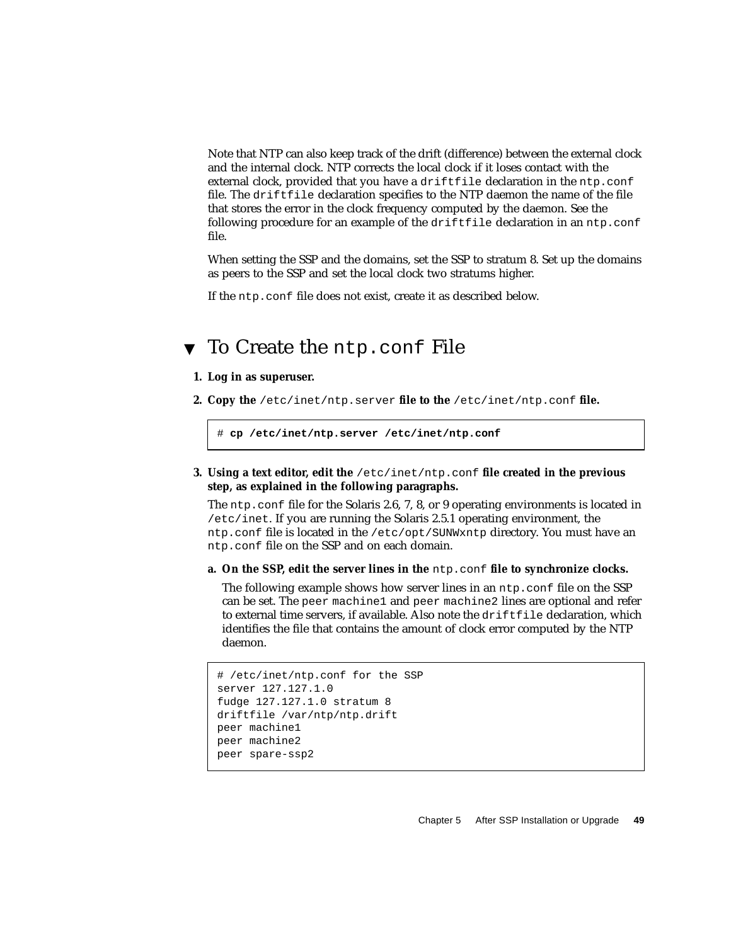Note that NTP can also keep track of the drift (difference) between the external clock and the internal clock. NTP corrects the local clock if it loses contact with the external clock, provided that you have a driftfile declaration in the ntp.conf file. The driftfile declaration specifies to the NTP daemon the name of the file that stores the error in the clock frequency computed by the daemon. See the following procedure for an example of the driftfile declaration in an ntp.conf file.

When setting the SSP and the domains, set the SSP to stratum 8. Set up the domains as peers to the SSP and set the local clock two stratums higher.

If the ntp.conf file does not exist, create it as described below.

## ▼ To Create the ntp.conf File

#### **1. Log in as superuser.**

**2. Copy the** /etc/inet/ntp.server **file to the** /etc/inet/ntp.conf **file.**

```
# cp /etc/inet/ntp.server /etc/inet/ntp.conf
```
**3. Using a text editor, edit the** /etc/inet/ntp.conf **file created in the previous step, as explained in the following paragraphs.**

The ntp.conf file for the Solaris 2.6, 7, 8, or 9 operating environments is located in /etc/inet. If you are running the Solaris 2.5.1 operating environment, the ntp.conf file is located in the /etc/opt/SUNWxntp directory. You must have an ntp.conf file on the SSP and on each domain.

**a. On the SSP, edit the server lines in the** ntp.conf **file to synchronize clocks.**

The following example shows how server lines in an ntp.conf file on the SSP can be set. The peer machine1 and peer machine2 lines are optional and refer to external time servers, if available. Also note the driftfile declaration, which identifies the file that contains the amount of clock error computed by the NTP daemon.

```
# /etc/inet/ntp.conf for the SSP
server 127.127.1.0
fudge 127.127.1.0 stratum 8
driftfile /var/ntp/ntp.drift
peer machine1
peer machine2
peer spare-ssp2
```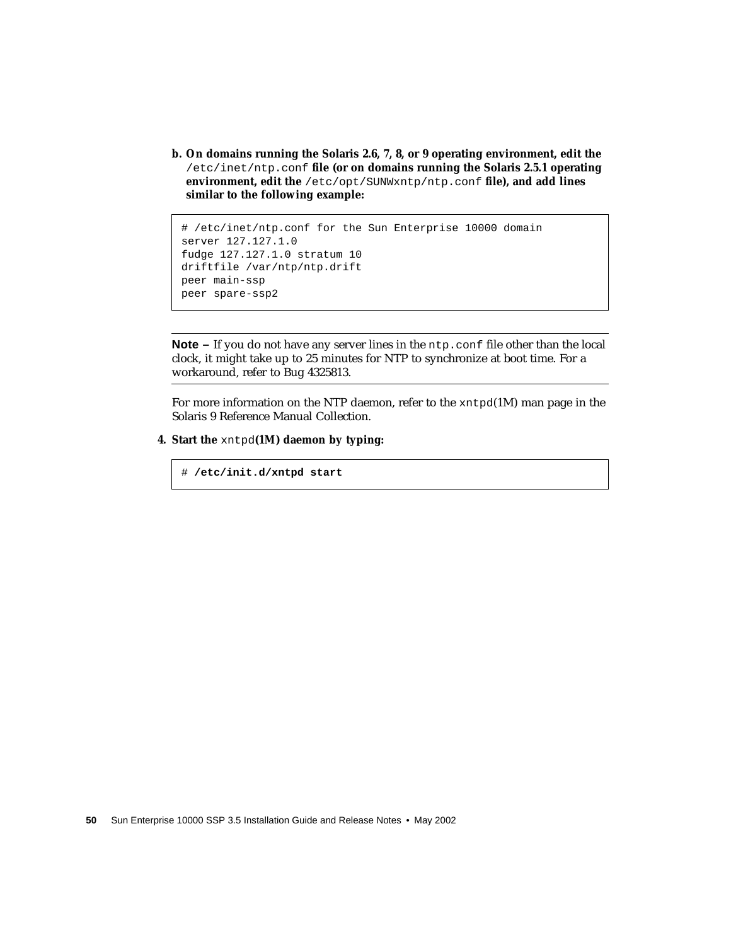**b. On domains running the Solaris 2.6, 7, 8, or 9 operating environment, edit the** /etc/inet/ntp.conf **file (or on domains running the Solaris 2.5.1 operating environment, edit the** /etc/opt/SUNWxntp/ntp.conf **file), and add lines similar to the following example:**

```
# /etc/inet/ntp.conf for the Sun Enterprise 10000 domain
server 127.127.1.0
fudge 127.127.1.0 stratum 10
driftfile /var/ntp/ntp.drift
peer main-ssp
peer spare-ssp2
```
**Note –** If you do not have any server lines in the ntp.confile other than the local clock, it might take up to 25 minutes for NTP to synchronize at boot time. For a workaround, refer to Bug 4325813.

For more information on the NTP daemon, refer to the xntpd(1M) man page in the Solaris 9 Reference Manual Collection.

#### **4. Start the** xntpd**(1M) daemon by typing:**

# **/etc/init.d/xntpd start**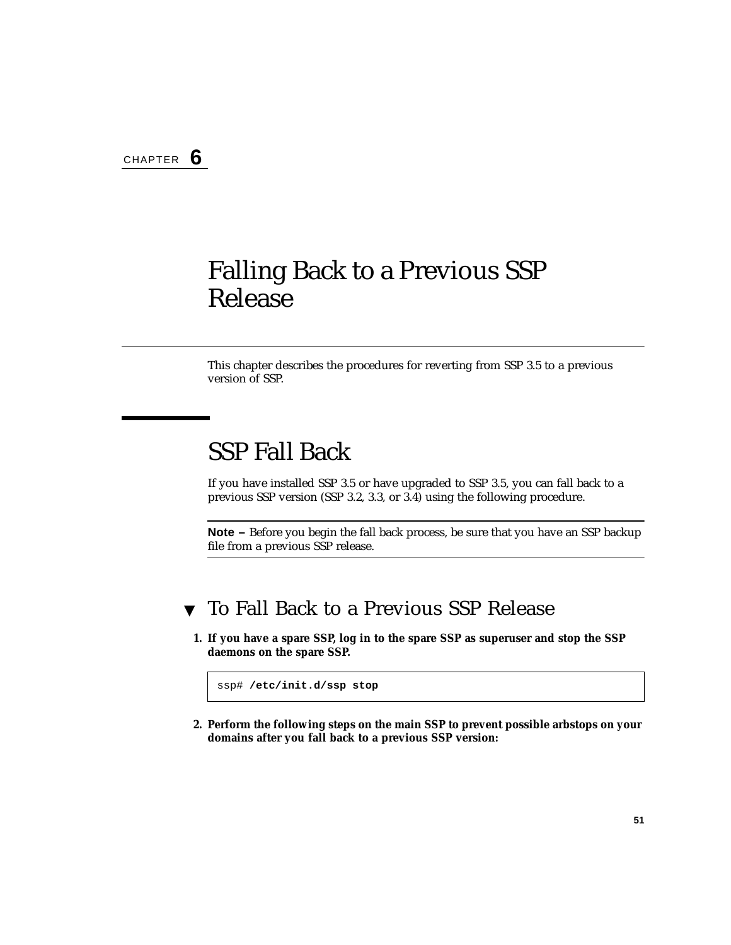# <span id="page-68-0"></span>Falling Back to a Previous SSP Release

This chapter describes the procedures for reverting from SSP 3.5 to a previous version of SSP.

# SSP Fall Back

If you have installed SSP 3.5 or have upgraded to SSP 3.5, you can fall back to a previous SSP version (SSP 3.2, 3.3, or 3.4) using the following procedure.

**Note –** Before you begin the fall back process, be sure that you have an SSP backup file from a previous SSP release.

### ▼ To Fall Back to a Previous SSP Release

**1. If you have a spare SSP, log in to the spare SSP as superuser and stop the SSP daemons on the spare SSP.**

```
ssp# /etc/init.d/ssp stop
```
**2. Perform the following steps on the main SSP to prevent possible arbstops on your domains after you fall back to a previous SSP version:**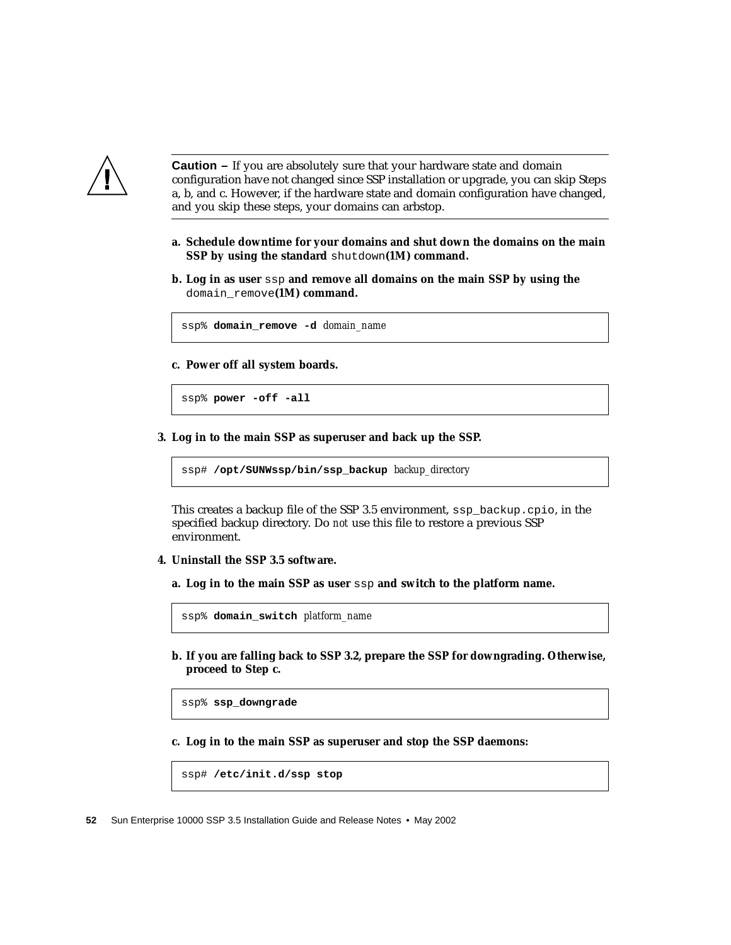

**Caution –** If you are absolutely sure that your hardware state and domain configuration have not changed since SSP installation or upgrade, you can skip Steps a, b, and c. However, if the hardware state and domain configuration have changed, and you skip these steps, your domains can arbstop.

- **a. Schedule downtime for your domains and shut down the domains on the main SSP by using the standard** shutdown**(1M) command.**
- **b. Log in as user** ssp **and remove all domains on the main SSP by using the** domain\_remove**(1M) command.**

ssp% **domain\_remove -d** *domain\_name*

**c. Power off all system boards.**

ssp% **power -off -all**

**3. Log in to the main SSP as superuser and back up the SSP.**

ssp# **/opt/SUNWssp/bin/ssp\_backup** *backup\_directory*

This creates a backup file of the SSP 3.5 environment, ssp\_backup.cpio, in the specified backup directory. Do *not* use this file to restore a previous SSP environment.

- **4. Uninstall the SSP 3.5 software.**
	- **a. Log in to the main SSP as user** ssp **and switch to the platform name.**

ssp% **domain\_switch** *platform\_name*

**b. If you are falling back to SSP 3.2, prepare the SSP for downgrading. Otherwise, proceed to Step c.**

ssp% **ssp\_downgrade**

**c. Log in to the main SSP as superuser and stop the SSP daemons:**

ssp# **/etc/init.d/ssp stop**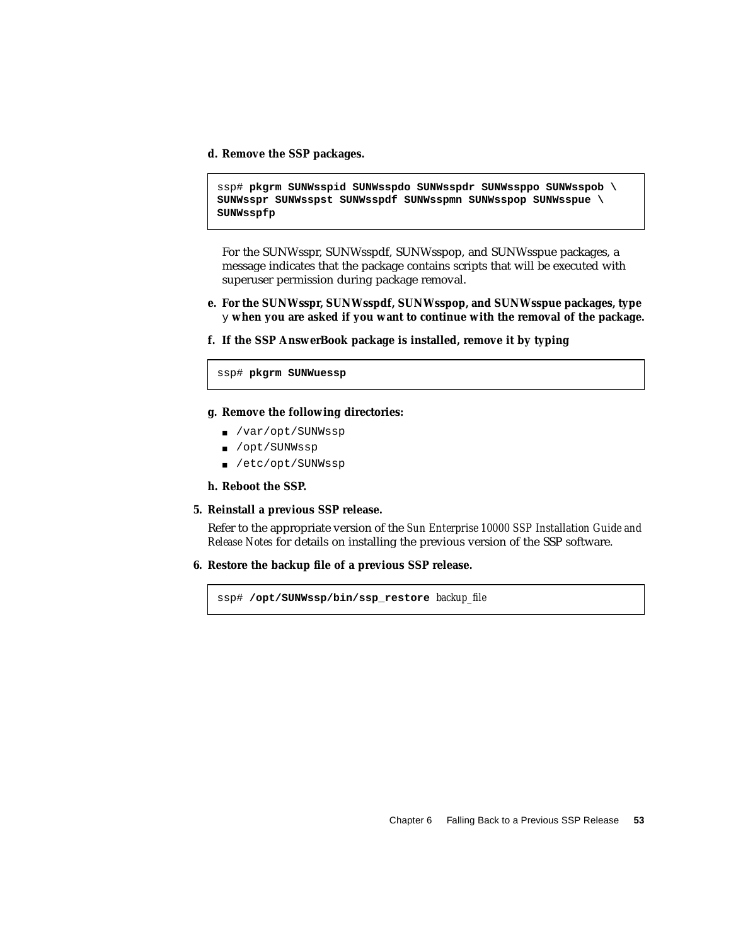**d. Remove the SSP packages.**

ssp# **pkgrm SUNWsspid SUNWsspdo SUNWsspdr SUNWssppo SUNWsspob \ SUNWsspr SUNWsspst SUNWsspdf SUNWsspmn SUNWsspop SUNWsspue \ SUNWsspfp**

For the SUNWsspr, SUNWsspdf, SUNWsspop, and SUNWsspue packages, a message indicates that the package contains scripts that will be executed with superuser permission during package removal.

- **e. For the SUNWsspr, SUNWsspdf, SUNWsspop, and SUNWsspue packages, type** y **when you are asked if you want to continue with the removal of the package.**
- **f. If the SSP AnswerBook package is installed, remove it by typing**

ssp# **pkgrm SUNWuessp**

- **g. Remove the following directories:**
	- /var/opt/SUNWssp
	- /opt/SUNWssp
	- /etc/opt/SUNWssp
- **h. Reboot the SSP.**

#### **5. Reinstall a previous SSP release.**

Refer to the appropriate version of the *Sun Enterprise 10000 SSP Installation Guide and Release Notes* for details on installing the previous version of the SSP software.

**6. Restore the backup file of a previous SSP release.**

ssp# **/opt/SUNWssp/bin/ssp\_restore** *backup\_file*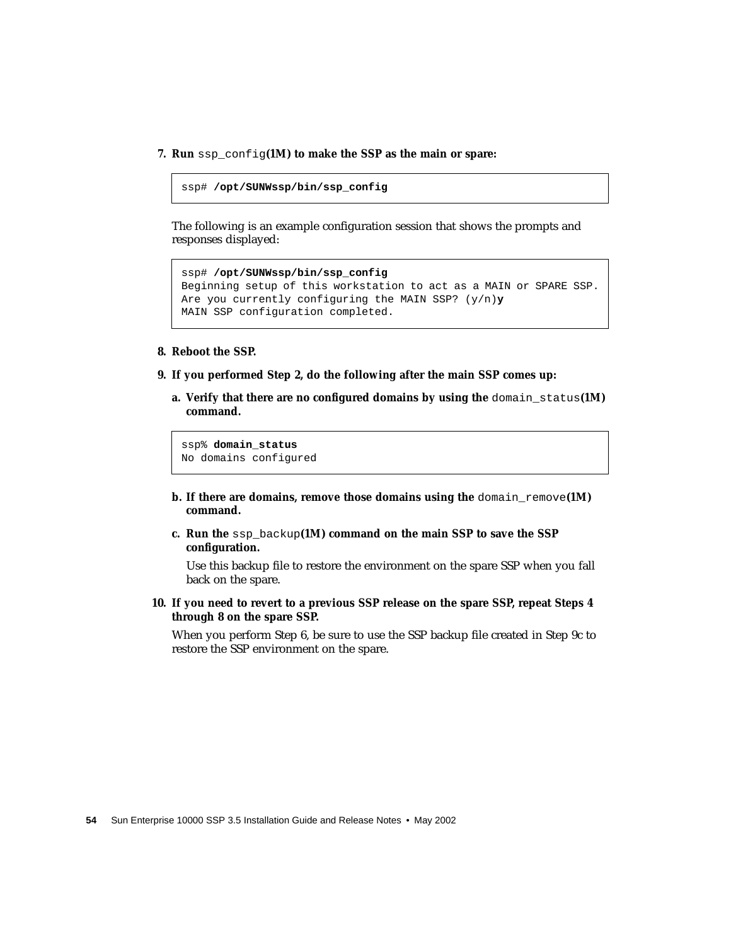**7. Run** ssp\_config**(1M) to make the SSP as the main or spare:**

```
ssp# /opt/SUNWssp/bin/ssp_config
```
The following is an example configuration session that shows the prompts and responses displayed:

```
ssp# /opt/SUNWssp/bin/ssp_config
Beginning setup of this workstation to act as a MAIN or SPARE SSP.
Are you currently configuring the MAIN SSP? (y/n)y
MAIN SSP configuration completed.
```
- **8. Reboot the SSP.**
- **9. If you performed Step 2, do the following after the main SSP comes up:**
	- **a. Verify that there are no configured domains by using the** domain\_status**(1M) command.**

ssp% **domain\_status** No domains configured

- **b.** If there are domains, remove those domains using the domain remove(1M) **command.**
- **c. Run the** ssp\_backup**(1M) command on the main SSP to save the SSP configuration.**

Use this backup file to restore the environment on the spare SSP when you fall back on the spare.

**10. If you need to revert to a previous SSP release on the spare SSP, repeat Steps 4 through 8 on the spare SSP.**

When you perform Step 6, be sure to use the SSP backup file created in Step 9c to restore the SSP environment on the spare.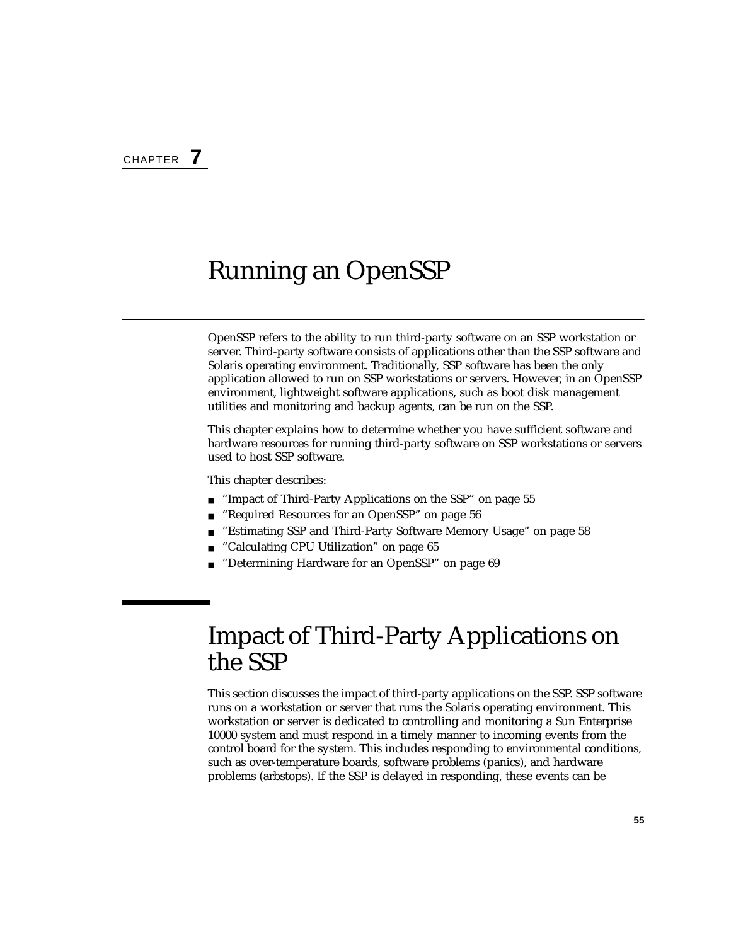# Running an OpenSSP

OpenSSP refers to the ability to run third-party software on an SSP workstation or server. Third-party software consists of applications other than the SSP software and Solaris operating environment. Traditionally, SSP software has been the only application allowed to run on SSP workstations or servers. However, in an OpenSSP environment, lightweight software applications, such as boot disk management utilities and monitoring and backup agents, can be run on the SSP.

This chapter explains how to determine whether you have sufficient software and hardware resources for running third-party software on SSP workstations or servers used to host SSP software.

This chapter describes:

- ["Impact of Third-Party Applications on the SSP" on page 55](#page-72-0)
- ["Required Resources for an OpenSSP" on page 56](#page-73-0)
- ["Estimating SSP and Third-Party Software Memory Usage" on page 58](#page-75-0)
- ["Calculating CPU Utilization" on page 65](#page-82-0)
- ["Determining Hardware for an OpenSSP" on page 69](#page-86-0)

## <span id="page-72-0"></span>Impact of Third-Party Applications on the SSP

This section discusses the impact of third-party applications on the SSP. SSP software runs on a workstation or server that runs the Solaris operating environment. This workstation or server is dedicated to controlling and monitoring a Sun Enterprise 10000 system and must respond in a timely manner to incoming events from the control board for the system. This includes responding to environmental conditions, such as over-temperature boards, software problems (panics), and hardware problems (arbstops). If the SSP is delayed in responding, these events can be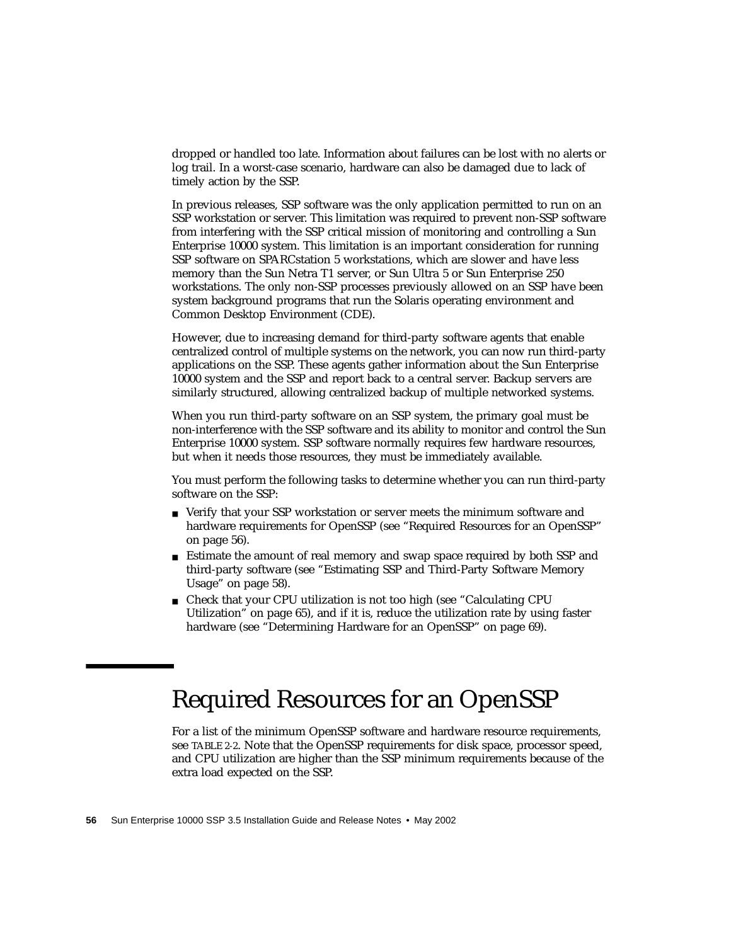dropped or handled too late. Information about failures can be lost with no alerts or log trail. In a worst-case scenario, hardware can also be damaged due to lack of timely action by the SSP.

In previous releases, SSP software was the only application permitted to run on an SSP workstation or server. This limitation was required to prevent non-SSP software from interfering with the SSP critical mission of monitoring and controlling a Sun Enterprise 10000 system. This limitation is an important consideration for running SSP software on SPARCstation 5 workstations, which are slower and have less memory than the Sun Netra T1 server, or Sun Ultra 5 or Sun Enterprise 250 workstations. The only non-SSP processes previously allowed on an SSP have been system background programs that run the Solaris operating environment and Common Desktop Environment (CDE).

However, due to increasing demand for third-party software agents that enable centralized control of multiple systems on the network, you can now run third-party applications on the SSP. These agents gather information about the Sun Enterprise 10000 system and the SSP and report back to a central server. Backup servers are similarly structured, allowing centralized backup of multiple networked systems.

When you run third-party software on an SSP system, the primary goal must be non-interference with the SSP software and its ability to monitor and control the Sun Enterprise 10000 system. SSP software normally requires few hardware resources, but when it needs those resources, they must be immediately available.

You must perform the following tasks to determine whether you can run third-party software on the SSP:

- Verify that your SSP workstation or server meets the minimum software and hardware requirements for OpenSSP (see ["Required Resources for an OpenSSP"](#page-73-0) [on page 56](#page-73-0)).
- Estimate the amount of real memory and swap space required by both SSP and third-party software (see ["Estimating SSP and Third-Party Software Memory](#page-75-0) [Usage" on page 58](#page-75-0)).
- Check that your CPU utilization is not too high (see ["Calculating CPU](#page-82-0) [Utilization" on page 65\)](#page-82-0), and if it is, reduce the utilization rate by using faster hardware (see ["Determining Hardware for an OpenSSP" on page 69](#page-86-0)).

# <span id="page-73-0"></span>Required Resources for an OpenSSP

For a list of the minimum OpenSSP software and hardware resource requirements, see [TABLE 2-2.](#page-40-0) Note that the OpenSSP requirements for disk space, processor speed, and CPU utilization are higher than the SSP minimum requirements because of the extra load expected on the SSP.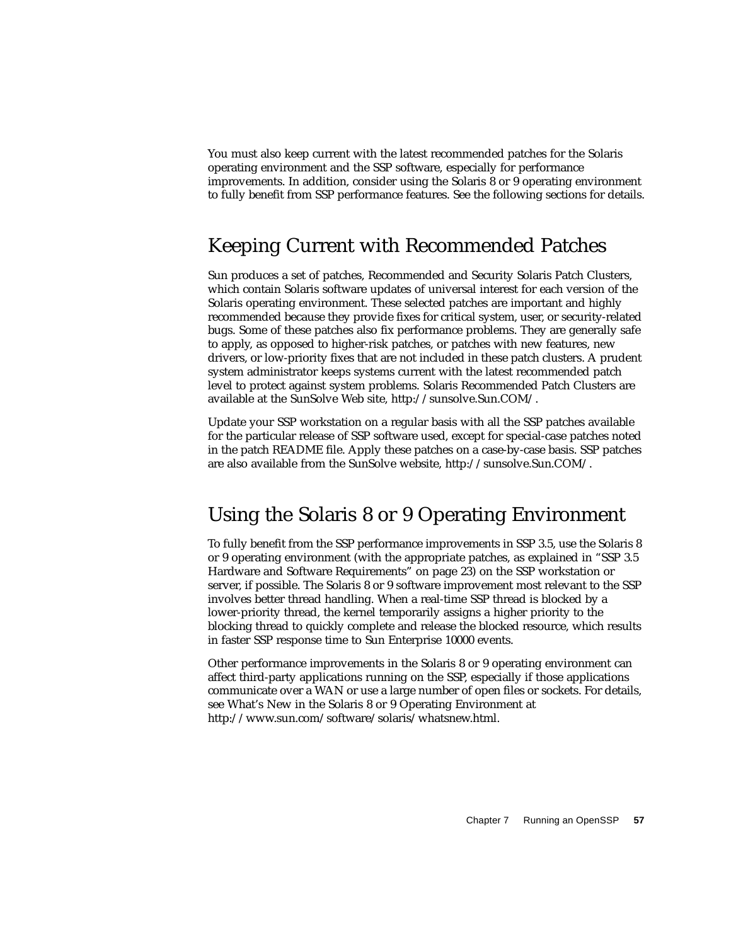You must also keep current with the latest recommended patches for the Solaris operating environment and the SSP software, especially for performance improvements. In addition, consider using the Solaris 8 or 9 operating environment to fully benefit from SSP performance features. See the following sections for details.

### Keeping Current with Recommended Patches

Sun produces a set of patches, Recommended and Security Solaris Patch Clusters, which contain Solaris software updates of universal interest for each version of the Solaris operating environment. These selected patches are important and highly recommended because they provide fixes for critical system, user, or security-related bugs. Some of these patches also fix performance problems. They are generally safe to apply, as opposed to higher-risk patches, or patches with new features, new drivers, or low-priority fixes that are not included in these patch clusters. A prudent system administrator keeps systems current with the latest recommended patch level to protect against system problems. Solaris Recommended Patch Clusters are available at the SunSolve Web site, http://sunsolve.Sun.COM/.

Update your SSP workstation on a regular basis with all the SSP patches available for the particular release of SSP software used, except for special-case patches noted in the patch README file. Apply these patches on a case-by-case basis. SSP patches are also available from the SunSolve website, http://sunsolve.Sun.COM/.

### Using the Solaris 8 or 9 Operating Environment

To fully benefit from the SSP performance improvements in SSP 3.5, use the Solaris 8 or 9 operating environment (with the appropriate patches, as explained in ["SSP 3.5](#page-40-1) [Hardware and Software Requirements" on page 23](#page-40-1)) on the SSP workstation or server, if possible. The Solaris 8 or 9 software improvement most relevant to the SSP involves better thread handling. When a real-time SSP thread is blocked by a lower-priority thread, the kernel temporarily assigns a higher priority to the blocking thread to quickly complete and release the blocked resource, which results in faster SSP response time to Sun Enterprise 10000 events.

Other performance improvements in the Solaris 8 or 9 operating environment can affect third-party applications running on the SSP, especially if those applications communicate over a WAN or use a large number of open files or sockets. For details, see What's New in the Solaris 8 or 9 Operating Environment at http://www.sun.com/software/solaris/whatsnew.html.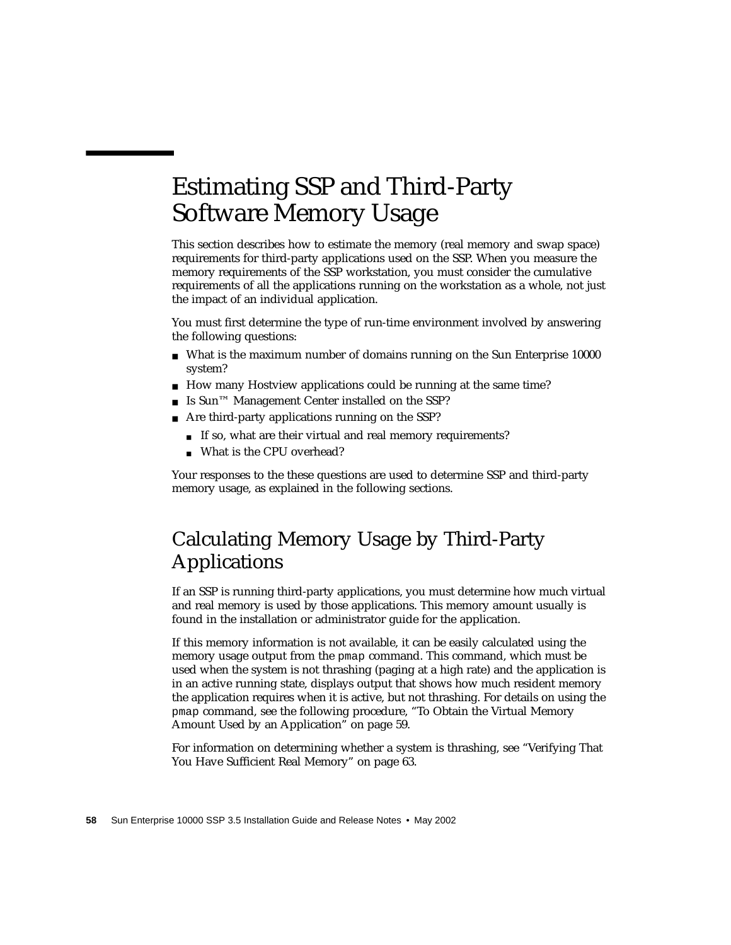# <span id="page-75-0"></span>Estimating SSP and Third-Party Software Memory Usage

This section describes how to estimate the memory (real memory and swap space) requirements for third-party applications used on the SSP. When you measure the memory requirements of the SSP workstation, you must consider the cumulative requirements of all the applications running on the workstation as a whole, not just the impact of an individual application.

You must first determine the type of run-time environment involved by answering the following questions:

- What is the maximum number of domains running on the Sun Enterprise 10000 system?
- How many Hostview applications could be running at the same time?
- Is Sun<sup>™</sup> Management Center installed on the SSP?
- Are third-party applications running on the SSP?
	- If so, what are their virtual and real memory requirements?
	- What is the CPU overhead?

Your responses to the these questions are used to determine SSP and third-party memory usage, as explained in the following sections.

## <span id="page-75-1"></span>Calculating Memory Usage by Third-Party Applications

If an SSP is running third-party applications, you must determine how much virtual and real memory is used by those applications. This memory amount usually is found in the installation or administrator guide for the application.

If this memory information is not available, it can be easily calculated using the memory usage output from the pmap command. This command, which must be used when the system is not thrashing (paging at a high rate) and the application is in an active running state, displays output that shows how much resident memory the application requires when it is active, but not thrashing. For details on using the pmap command, see the following procedure, ["To Obtain the Virtual Memory](#page-76-0) [Amount Used by an Application" on page 59](#page-76-0).

For information on determining whether a system is thrashing, see ["Verifying That](#page-80-0) [You Have Sufficient Real Memory" on page 63.](#page-80-0)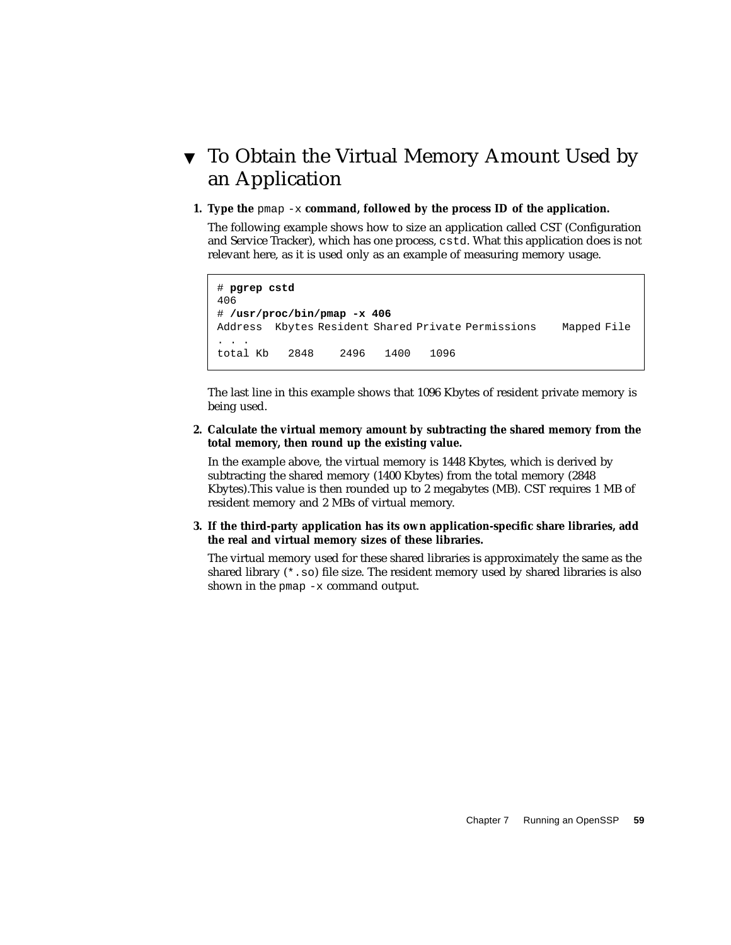## <span id="page-76-0"></span>▼ To Obtain the Virtual Memory Amount Used by an Application

#### **1. Type the** pmap -x **command, followed by the process ID of the application.**

The following example shows how to size an application called CST (Configuration and Service Tracker), which has one process, cstd. What this application does is not relevant here, as it is used only as an example of measuring memory usage.

```
# pgrep cstd
406
# /usr/proc/bin/pmap -x 406
Address Kbytes Resident Shared Private Permissions Mapped File
. . .
total Kb 2848 2496 1400 1096
```
The last line in this example shows that 1096 Kbytes of resident private memory is being used.

#### **2. Calculate the virtual memory amount by subtracting the shared memory from the total memory, then round up the existing value.**

In the example above, the virtual memory is 1448 Kbytes, which is derived by subtracting the shared memory (1400 Kbytes) from the total memory (2848 Kbytes).This value is then rounded up to 2 megabytes (MB). CST requires 1 MB of resident memory and 2 MBs of virtual memory.

#### **3. If the third-party application has its own application-specific share libraries, add the real and virtual memory sizes of these libraries.**

The virtual memory used for these shared libraries is approximately the same as the shared library  $(*. \text{ so})$  file size. The resident memory used by shared libraries is also shown in the pmap  $-x$  command output.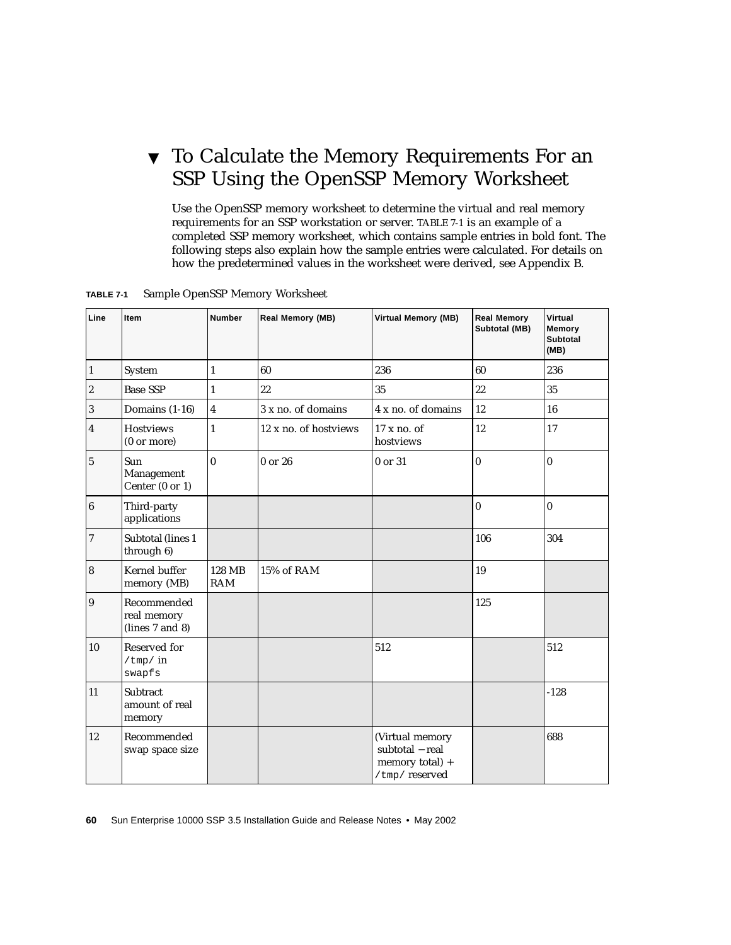## ▼ To Calculate the Memory Requirements For an SSP Using the OpenSSP Memory Worksheet

Use the OpenSSP memory worksheet to determine the virtual and real memory requirements for an SSP workstation or server. [TABLE 7-1](#page-77-0) is an example of a completed SSP memory worksheet, which contains sample entries in bold font. The following steps also explain how the sample entries were calculated. For details on how the predetermined values in the worksheet were derived, see [Appendix B](#page-146-0).

| Line                    | Item                                          | <b>Number</b>           | Real Memory (MB)      | <b>Virtual Memory (MB)</b>                                             | <b>Real Memory</b><br>Subtotal (MB) | Virtual<br>Memory<br><b>Subtotal</b><br>(MB) |
|-------------------------|-----------------------------------------------|-------------------------|-----------------------|------------------------------------------------------------------------|-------------------------------------|----------------------------------------------|
| $\overline{1}$          | System                                        | $\mathbf{1}$            | 60                    | 236                                                                    | 60                                  | 236                                          |
| $\sqrt{2}$              | <b>Base SSP</b>                               | $\mathbf{1}$            | 22                    | 35                                                                     | 22                                  | 35                                           |
| $\sqrt{3}$              | Domains (1-16)                                | $\overline{\mathbf{4}}$ | 3 x no. of domains    | 4 x no. of domains                                                     | 12                                  | 16                                           |
| $\overline{\mathbf{4}}$ | <b>Hostviews</b><br>$(0 \text{ or more})$     | $\mathbf{1}$            | 12 x no. of hostviews | $17x$ no. of<br>hostviews                                              | 12                                  | 17                                           |
| $\sqrt{5}$              | <b>Sun</b><br>Management<br>Center (0 or 1)   | $\bf{0}$                | $0$ or $26$           | 0 or 31                                                                | $\bf{0}$                            | $\bf{0}$                                     |
| $\boldsymbol{6}$        | Third-party<br>applications                   |                         |                       |                                                                        | $\vert$ 0                           | $\bf{0}$                                     |
| $\boldsymbol{7}$        | Subtotal (lines 1<br>through 6)               |                         |                       |                                                                        | 106                                 | 304                                          |
| $\boldsymbol{8}$        | Kernel buffer<br>memory (MB)                  | 128 MB<br><b>RAM</b>    | 15% of RAM            |                                                                        | 19                                  |                                              |
| $\overline{9}$          | Recommended<br>real memory<br>(lines 7 and 8) |                         |                       |                                                                        | 125                                 |                                              |
| 10                      | Reserved for<br>$/\text{tmp}/in$<br>swapfs    |                         |                       | 512                                                                    |                                     | 512                                          |
| 11                      | Subtract<br>amount of real<br>memory          |                         |                       |                                                                        |                                     | $-128$                                       |
| 12                      | Recommended<br>swap space size                |                         |                       | (Virtual memory<br>subtotal - real<br>memory total) +<br>/tmp/reserved |                                     | 688                                          |

<span id="page-77-0"></span>**TABLE 7-1** Sample OpenSSP Memory Worksheet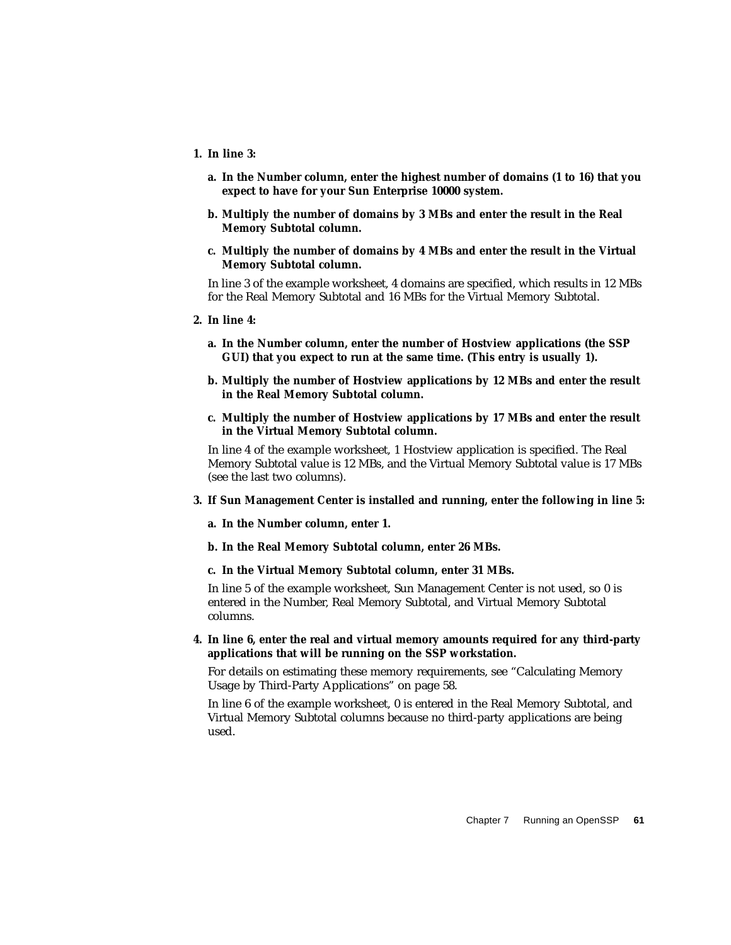- **1. In line 3:**
	- **a. In the Number column, enter the highest number of domains (1 to 16) that you expect to have for your Sun Enterprise 10000 system.**
	- **b. Multiply the number of domains by 3 MBs and enter the result in the Real Memory Subtotal column.**
	- **c. Multiply the number of domains by 4 MBs and enter the result in the Virtual Memory Subtotal column.**

In line 3 of the example worksheet, 4 domains are specified, which results in 12 MBs for the Real Memory Subtotal and 16 MBs for the Virtual Memory Subtotal.

- **2. In line 4:**
	- **a. In the Number column, enter the number of Hostview applications (the SSP GUI) that you expect to run at the same time. (This entry is usually 1).**
	- **b. Multiply the number of Hostview applications by 12 MBs and enter the result in the Real Memory Subtotal column.**
	- **c. Multiply the number of Hostview applications by 17 MBs and enter the result in the Virtual Memory Subtotal column.**

In line 4 of the example worksheet, 1 Hostview application is specified. The Real Memory Subtotal value is 12 MBs, and the Virtual Memory Subtotal value is 17 MBs (see the last two columns).

- **3. If Sun Management Center is installed and running, enter the following in line 5:**
	- **a. In the Number column, enter 1.**
	- **b. In the Real Memory Subtotal column, enter 26 MBs.**
	- **c. In the Virtual Memory Subtotal column, enter 31 MBs.**

In line 5 of the example worksheet, Sun Management Center is not used, so 0 is entered in the Number, Real Memory Subtotal, and Virtual Memory Subtotal columns.

**4. In line 6, enter the real and virtual memory amounts required for any third-party applications that will be running on the SSP workstation.**

For details on estimating these memory requirements, see ["Calculating Memory](#page-75-1) [Usage by Third-Party Applications" on page 58](#page-75-1).

In line 6 of the example worksheet, 0 is entered in the Real Memory Subtotal, and Virtual Memory Subtotal columns because no third-party applications are being used.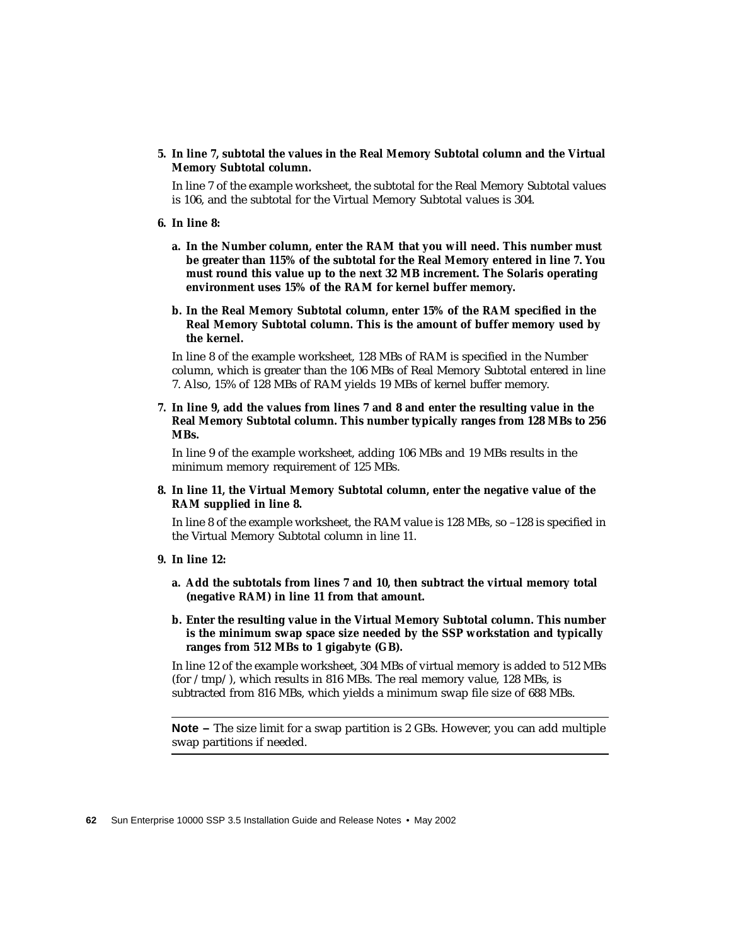**5. In line 7, subtotal the values in the Real Memory Subtotal column and the Virtual Memory Subtotal column.**

In line 7 of the example worksheet, the subtotal for the Real Memory Subtotal values is 106, and the subtotal for the Virtual Memory Subtotal values is 304.

- **6. In line 8:**
	- **a. In the Number column, enter the RAM that you will need. This number must be greater than 115% of the subtotal for the Real Memory entered in line 7. You must round this value up to the next 32 MB increment. The Solaris operating environment uses 15% of the RAM for kernel buffer memory.**
	- **b. In the Real Memory Subtotal column, enter 15% of the RAM specified in the Real Memory Subtotal column. This is the amount of buffer memory used by the kernel.**

In line 8 of the example worksheet, 128 MBs of RAM is specified in the Number column, which is greater than the 106 MBs of Real Memory Subtotal entered in line 7. Also, 15% of 128 MBs of RAM yields 19 MBs of kernel buffer memory.

**7. In line 9, add the values from lines 7 and 8 and enter the resulting value in the Real Memory Subtotal column. This number typically ranges from 128 MBs to 256 MBs.**

In line 9 of the example worksheet, adding 106 MBs and 19 MBs results in the minimum memory requirement of 125 MBs.

**8. In line 11, the Virtual Memory Subtotal column, enter the negative value of the RAM supplied in line 8.**

In line 8 of the example worksheet, the RAM value is 128 MBs, so –128 is specified in the Virtual Memory Subtotal column in line 11.

- **9. In line 12:**
	- **a. Add the subtotals from lines 7 and 10, then subtract the virtual memory total (negative RAM) in line 11 from that amount.**
	- **b. Enter the resulting value in the Virtual Memory Subtotal column. This number is the minimum swap space size needed by the SSP workstation and typically ranges from 512 MBs to 1 gigabyte (GB).**

In line 12 of the example worksheet, 304 MBs of virtual memory is added to 512 MBs (for /tmp/), which results in 816 MBs. The real memory value, 128 MBs, is subtracted from 816 MBs, which yields a minimum swap file size of 688 MBs.

**Note –** The size limit for a swap partition is 2 GBs. However, you can add multiple swap partitions if needed.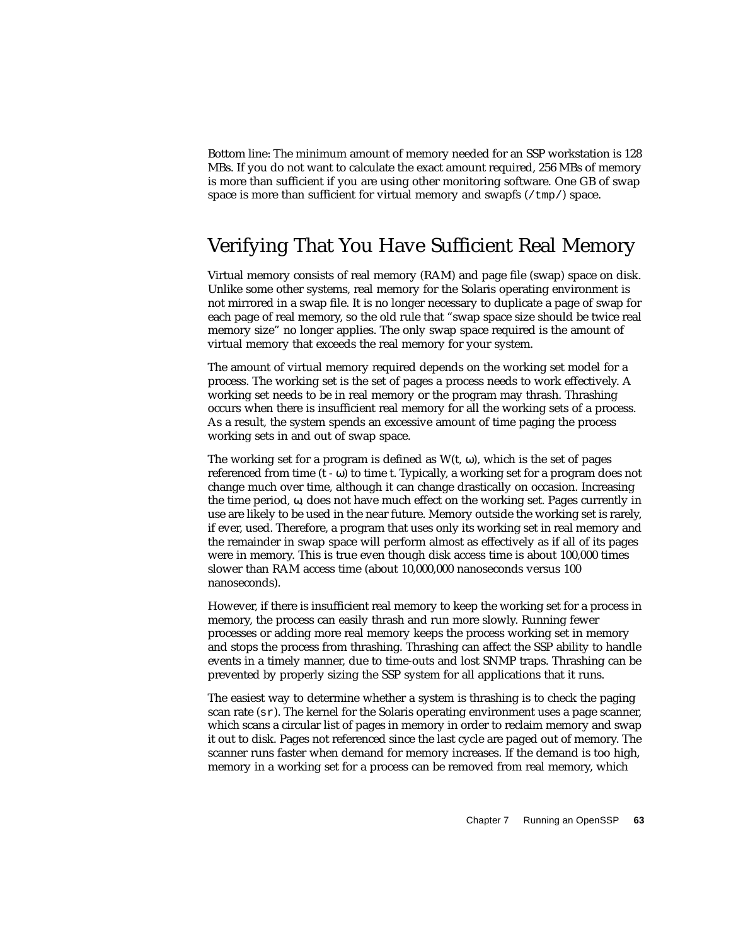Bottom line: The minimum amount of memory needed for an SSP workstation is 128 MBs. If you do not want to calculate the exact amount required, 256 MBs of memory is more than sufficient if you are using other monitoring software. One GB of swap space is more than sufficient for virtual memory and swapfs  $(\text{/tmp/})$  space.

### <span id="page-80-0"></span>Verifying That You Have Sufficient Real Memory

Virtual memory consists of real memory (RAM) and page file (swap) space on disk. Unlike some other systems, real memory for the Solaris operating environment is not mirrored in a swap file. It is no longer necessary to duplicate a page of swap for each page of real memory, so the old rule that "swap space size should be twice real memory size" no longer applies. The only swap space required is the amount of virtual memory that exceeds the real memory for your system.

The amount of virtual memory required depends on the working set model for a process. The working set is the set of pages a process needs to work effectively. A working set needs to be in real memory or the program may thrash. Thrashing occurs when there is insufficient real memory for all the working sets of a process. As a result, the system spends an excessive amount of time paging the process working sets in and out of swap space.

The working set for a program is defined as  $W(t, \omega)$ , which is the set of pages referenced from time  $(t - \omega)$  to time t. Typically, a working set for a program does not change much over time, although it can change drastically on occasion. Increasing the time period,  $\omega$ , does not have much effect on the working set. Pages currently in use are likely to be used in the near future. Memory outside the working set is rarely, if ever, used. Therefore, a program that uses only its working set in real memory and the remainder in swap space will perform almost as effectively as if all of its pages were in memory. This is true even though disk access time is about 100,000 times slower than RAM access time (about 10,000,000 nanoseconds versus 100 nanoseconds).

However, if there is insufficient real memory to keep the working set for a process in memory, the process can easily thrash and run more slowly. Running fewer processes or adding more real memory keeps the process working set in memory and stops the process from thrashing. Thrashing can affect the SSP ability to handle events in a timely manner, due to time-outs and lost SNMP traps. Thrashing can be prevented by properly sizing the SSP system for all applications that it runs.

The easiest way to determine whether a system is thrashing is to check the paging scan rate  $(sr)$ . The kernel for the Solaris operating environment uses a page scanner, which scans a circular list of pages in memory in order to reclaim memory and swap it out to disk. Pages not referenced since the last cycle are paged out of memory. The scanner runs faster when demand for memory increases. If the demand is too high, memory in a working set for a process can be removed from real memory, which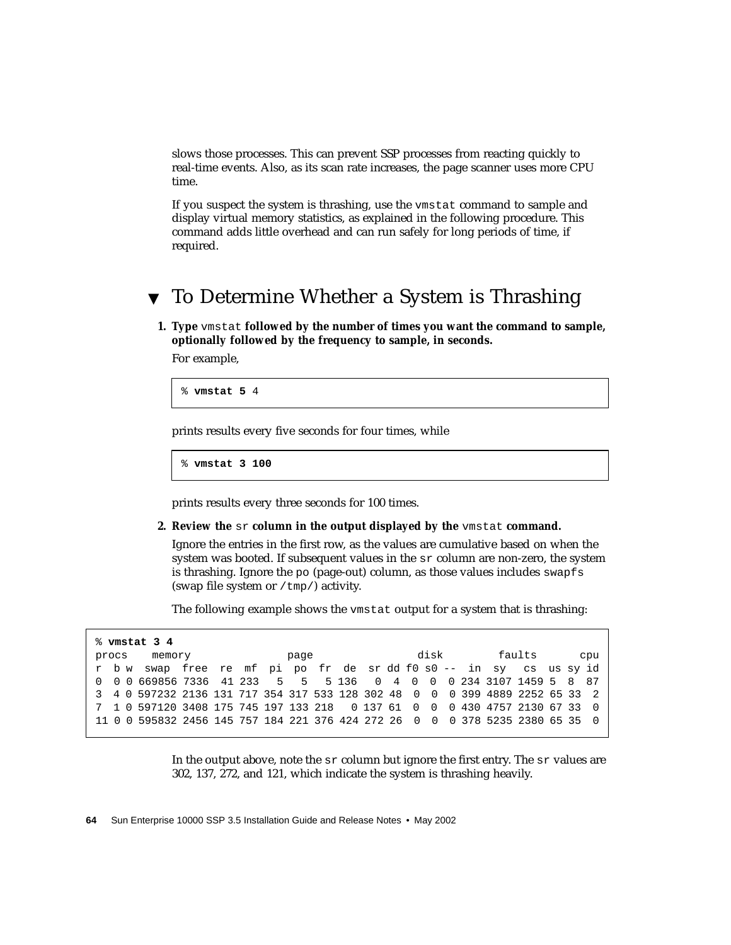slows those processes. This can prevent SSP processes from reacting quickly to real-time events. Also, as its scan rate increases, the page scanner uses more CPU time.

If you suspect the system is thrashing, use the vmstat command to sample and display virtual memory statistics, as explained in the following procedure. This command adds little overhead and can run safely for long periods of time, if required.

### ▼ To Determine Whether a System is Thrashing

**1. Type** vmstat **followed by the number of times you want the command to sample, optionally followed by the frequency to sample, in seconds.**

For example,

% **vmstat 5** 4

prints results every five seconds for four times, while

% **vmstat 3 100**

prints results every three seconds for 100 times.

**2. Review the** sr **column in the output displayed by the** vmstat **command.**

Ignore the entries in the first row, as the values are cumulative based on when the system was booted. If subsequent values in the sr column are non-zero, the system is thrashing. Ignore the po (page-out) column, as those values includes swapfs (swap file system or /tmp/) activity.

The following example shows the vmstat output for a system that is thrashing:

|       | % vmstat 3 4                                                                  |  |  |      |  |  |      |  |        |  |     |
|-------|-------------------------------------------------------------------------------|--|--|------|--|--|------|--|--------|--|-----|
| procs | memory                                                                        |  |  | page |  |  | disk |  | faults |  | cpu |
|       | r bw swap free re mf pi po fr de sr dd f0 s0 -- in sy cs us sy id             |  |  |      |  |  |      |  |        |  |     |
|       | 0 0 0 669856 7336 41 233 5 5 5 136 0 4 0 0 0 234 3107 1459 5 8 87             |  |  |      |  |  |      |  |        |  |     |
|       | 3 4 0 597232 2136 131 717 354 317 533 128 302 48 0 0 0 399 4889 2252 65 33 2  |  |  |      |  |  |      |  |        |  |     |
|       | 7 1 0 597120 3408 175 745 197 133 218 0 137 61 0 0 0 430 4757 2130 67 33 0    |  |  |      |  |  |      |  |        |  |     |
|       | 11 0 0 595832 2456 145 757 184 221 376 424 272 26 0 0 0 378 5235 2380 65 35 0 |  |  |      |  |  |      |  |        |  |     |

In the output above, note the  $sr$  column but ignore the first entry. The  $sr$  values are 302, 137, 272, and 121, which indicate the system is thrashing heavily.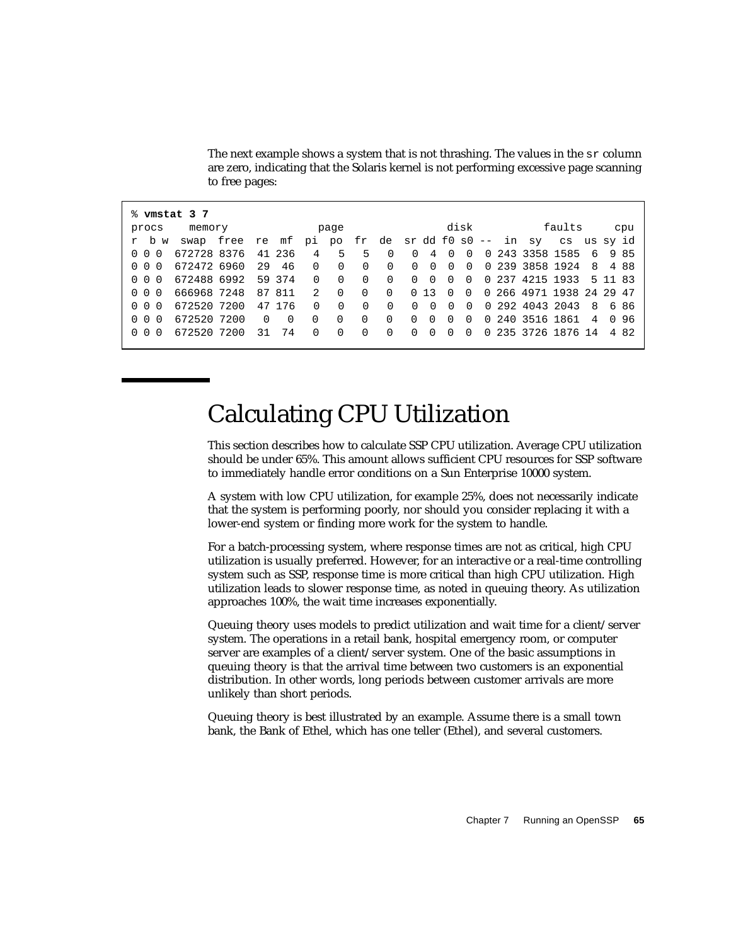| % vmstat 3 7 |                                                              |          |          |                 |          |          |          |          |                |                |                |  |                          |        |                |         |       |
|--------------|--------------------------------------------------------------|----------|----------|-----------------|----------|----------|----------|----------|----------------|----------------|----------------|--|--------------------------|--------|----------------|---------|-------|
| procs        | memory                                                       |          |          |                 | page     |          |          |          |                |                | disk           |  |                          | faults |                |         | cpu   |
| r b w        | swap free re mf pi po fr de sr dd f0 s0 -- in sy cs us sy id |          |          |                 |          |          |          |          |                |                |                |  |                          |        |                |         |       |
| 0 0 0        | 672728 8376                                                  |          | 41 236   | $4\overline{4}$ | $5 -$    | 5        | $\Omega$ | $\Omega$ | $\overline{4}$ | $\overline{0}$ | $\overline{0}$ |  | 0 243 3358 1585          |        | 6              |         | 985   |
| 0 0 0        | 672472 6960                                                  | 29       | 46       | $\Omega$        | $\Omega$ | $\Omega$ | $\Omega$ | $\Omega$ | $\overline{0}$ | $\Omega$       | $\cap$         |  | 0 239 3858 1924          |        | - 8            |         | 488   |
| 0 0 0        | 672488 6992                                                  |          | 59 374   | $\Omega$        | $\Omega$ | $\Omega$ | $\Omega$ | $\Omega$ | $\Omega$       | $\Omega$       | $\overline{0}$ |  | 0 237 4215 1933          |        |                | 5 11 83 |       |
| 0 0 0        | 666968 7248                                                  |          | 87 811   | $\overline{2}$  | $\Omega$ | $\Omega$ | $\Omega$ |          | 0, 13          | $\bigcirc$     | $\cap$         |  | 0 266 4971 1938 24 29 47 |        |                |         |       |
| 0 0 0        | 672520 7200                                                  |          | 47 176   | $\Omega$        | $\Omega$ | $\Omega$ | $\Omega$ | $\Omega$ | $\Omega$       | $\Omega$       | $\Omega$       |  | 0 292 4043 2043          |        | 8              |         | 686   |
| 0 0 0        | 672520 7200                                                  | $\Omega$ | $\Omega$ | $\Omega$        | $\Omega$ | $\Omega$ | $\Omega$ | $\Omega$ | $\Omega$       | $\Omega$       | $\Omega$       |  | 0 240 3516 1861          |        | $\overline{4}$ |         | 096   |
| 0 0 0        | 672520 7200                                                  | 31       | 74       | $\cap$          | $\Omega$ | $\Omega$ | $\Omega$ | $\Omega$ | $\Omega$       | $\cap$         | $\Omega$       |  | 0 235 3726 1876 14       |        |                |         | 4 8 2 |
|              |                                                              |          |          |                 |          |          |          |          |                |                |                |  |                          |        |                |         |       |

The next example shows a system that is not thrashing. The values in the  $sr$  column are zero, indicating that the Solaris kernel is not performing excessive page scanning to free pages:

# <span id="page-82-0"></span>Calculating CPU Utilization

This section describes how to calculate SSP CPU utilization. Average CPU utilization should be under 65%. This amount allows sufficient CPU resources for SSP software to immediately handle error conditions on a Sun Enterprise 10000 system.

A system with low CPU utilization, for example 25%, does not necessarily indicate that the system is performing poorly, nor should you consider replacing it with a lower-end system or finding more work for the system to handle.

For a batch-processing system, where response times are not as critical, high CPU utilization is usually preferred. However, for an interactive or a real-time controlling system such as SSP, response time is more critical than high CPU utilization. High utilization leads to slower response time, as noted in queuing theory. As utilization approaches 100%, the wait time increases exponentially.

Queuing theory uses models to predict utilization and wait time for a client/server system. The operations in a retail bank, hospital emergency room, or computer server are examples of a client/server system. One of the basic assumptions in queuing theory is that the arrival time between two customers is an exponential distribution. In other words, long periods between customer arrivals are more unlikely than short periods.

Queuing theory is best illustrated by an example. Assume there is a small town bank, the Bank of Ethel, which has one teller (Ethel), and several customers.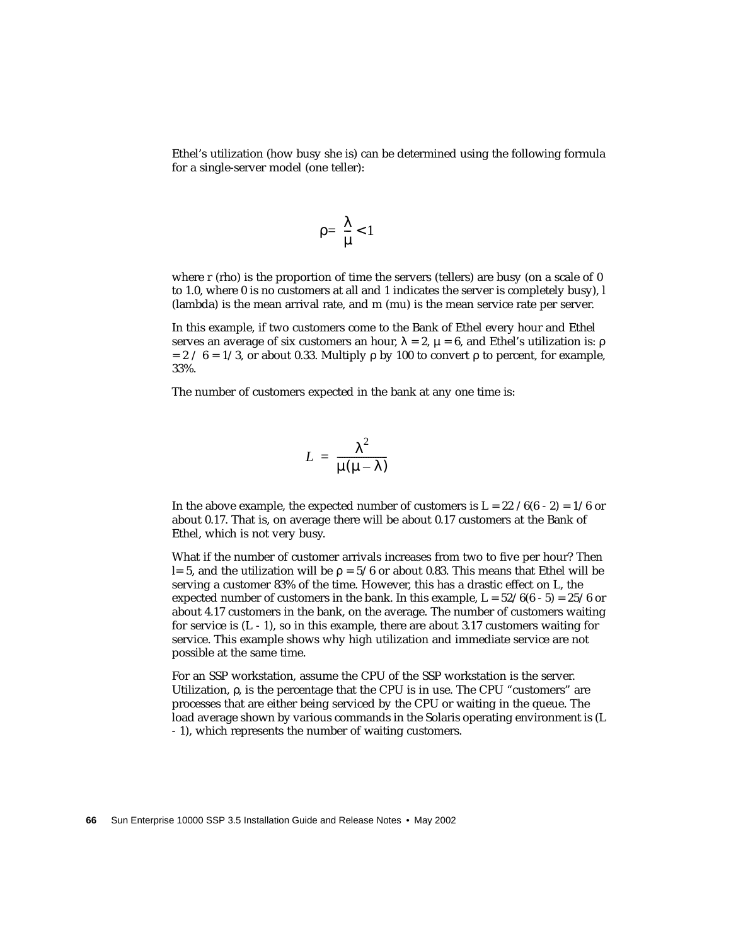Ethel's utilization (how busy she is) can be determined using the following formula for a single-server model (one teller):

$$
\rho = \frac{\lambda}{\mu} < 1
$$

where r (rho) is the proportion of time the servers (tellers) are busy (on a scale of 0 to 1.0, where 0 is no customers at all and 1 indicates the server is completely busy), l (lambda) is the mean arrival rate, and m (mu) is the mean service rate per server.

In this example, if two customers come to the Bank of Ethel every hour and Ethel serves an average of six customers an hour,  $\lambda = 2$ ,  $\mu = 6$ , and Ethel's utilization is: ρ  $= 2 / 6 = 1/3$ , or about 0.33. Multiply ρ by 100 to convert ρ to percent, for example, 33%.

The number of customers expected in the bank at any one time is:

$$
L = \frac{\lambda^2}{\mu(\mu - \lambda)}
$$

In the above example, the expected number of customers is  $L = 22 / 6(6 - 2) = 1/6$  or about 0.17. That is, on average there will be about 0.17 customers at the Bank of Ethel, which is not very busy.

What if the number of customer arrivals increases from two to five per hour? Then l= 5, and the utilization will be  $\rho = 5/6$  or about 0.83. This means that Ethel will be serving a customer 83% of the time. However, this has a drastic effect on L, the expected number of customers in the bank. In this example,  $L = 52/6(6 - 5) = 25/6$  or about 4.17 customers in the bank, on the average. The number of customers waiting for service is  $(L - 1)$ , so in this example, there are about 3.17 customers waiting for service. This example shows why high utilization and immediate service are not possible at the same time.

For an SSP workstation, assume the CPU of the SSP workstation is the server. Utilization, ρ, is the percentage that the CPU is in use. The CPU "customers" are processes that are either being serviced by the CPU or waiting in the queue. The load average shown by various commands in the Solaris operating environment is (L - 1), which represents the number of waiting customers.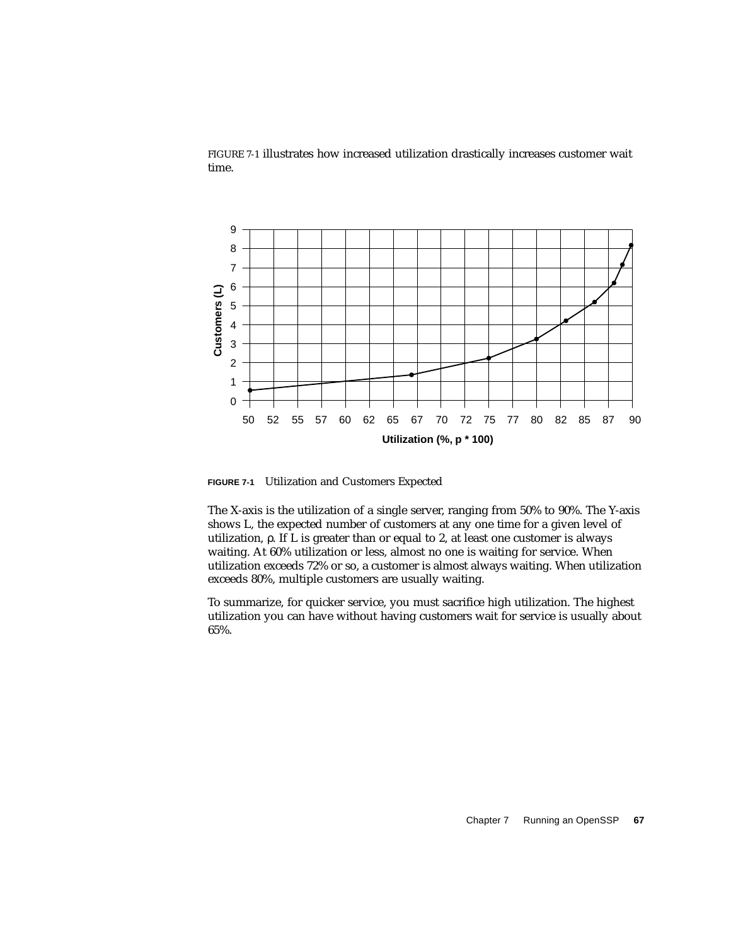



<span id="page-84-0"></span>**FIGURE 7-1** Utilization and Customers Expected

The X-axis is the utilization of a single server, ranging from 50% to 90%. The Y-axis shows L, the expected number of customers at any one time for a given level of utilization, ρ. If L is greater than or equal to 2, at least one customer is always waiting. At 60% utilization or less, almost no one is waiting for service. When utilization exceeds 72% or so, a customer is almost always waiting. When utilization exceeds 80%, multiple customers are usually waiting.

To summarize, for quicker service, you must sacrifice high utilization. The highest utilization you can have without having customers wait for service is usually about 65%.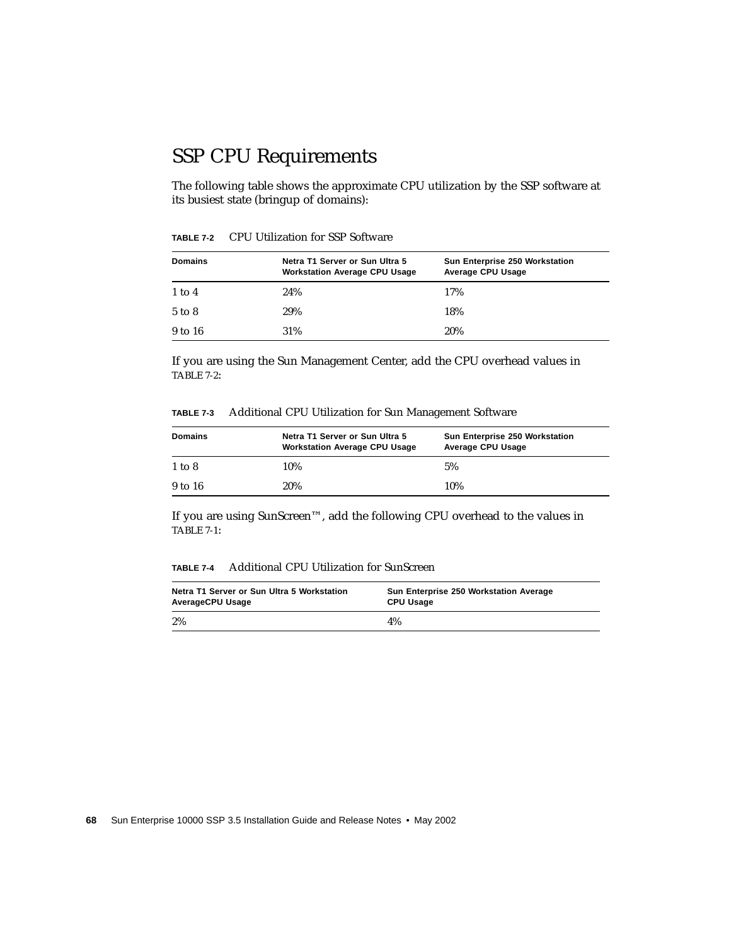# SSP CPU Requirements

The following table shows the approximate CPU utilization by the SSP software at its busiest state (bringup of domains):

| <b>Domains</b> | Netra T1 Server or Sun Ultra 5<br><b>Workstation Average CPU Usage</b> | Sun Enterprise 250 Workstation<br>Average CPU Usage |
|----------------|------------------------------------------------------------------------|-----------------------------------------------------|
| $1$ to $4$     | 24%                                                                    | 17%                                                 |
| 5 to 8         | 29%                                                                    | 18%                                                 |
| 9 to 16        | 31%                                                                    | 20%                                                 |

<span id="page-85-0"></span>**TABLE 7-2** CPU Utilization for SSP Software

If you are using the Sun Management Center, add the CPU overhead values in [TABLE 7-2:](#page-85-0)

| TABLE 7-3 |  |  |  |  |  | Additional CPU Utilization for Sun Management Software |  |
|-----------|--|--|--|--|--|--------------------------------------------------------|--|
|-----------|--|--|--|--|--|--------------------------------------------------------|--|

| <b>Domains</b> | Netra T1 Server or Sun Ultra 5<br><b>Workstation Average CPU Usage</b> | Sun Enterprise 250 Workstation<br>Average CPU Usage |
|----------------|------------------------------------------------------------------------|-----------------------------------------------------|
| $1$ to $8$     | 10%                                                                    | 5%                                                  |
| 9 to 16        | 20%                                                                    | 10%                                                 |

If you are using SunScreen™, add the following CPU overhead to the values in [TABLE 7-1:](#page-77-0)

#### **TABLE 7-4** Additional CPU Utilization for SunScreen

| Netra T1 Server or Sun Ultra 5 Workstation | Sun Enterprise 250 Workstation Average |
|--------------------------------------------|----------------------------------------|
| AverageCPU Usage                           | <b>CPU Usage</b>                       |
| 2%                                         | 4%                                     |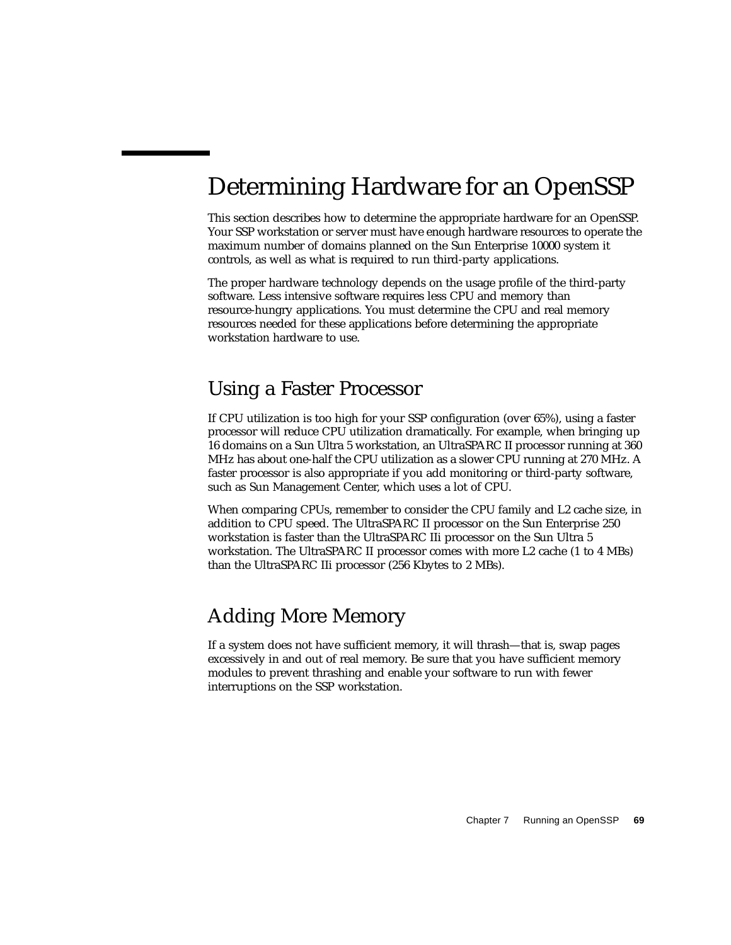# <span id="page-86-0"></span>Determining Hardware for an OpenSSP

This section describes how to determine the appropriate hardware for an OpenSSP. Your SSP workstation or server must have enough hardware resources to operate the maximum number of domains planned on the Sun Enterprise 10000 system it controls, as well as what is required to run third-party applications.

The proper hardware technology depends on the usage profile of the third-party software. Less intensive software requires less CPU and memory than resource-hungry applications. You must determine the CPU and real memory resources needed for these applications before determining the appropriate workstation hardware to use.

### Using a Faster Processor

If CPU utilization is too high for your SSP configuration (over 65%), using a faster processor will reduce CPU utilization dramatically. For example, when bringing up 16 domains on a Sun Ultra 5 workstation, an UltraSPARC II processor running at 360 MHz has about one-half the CPU utilization as a slower CPU running at 270 MHz. A faster processor is also appropriate if you add monitoring or third-party software, such as Sun Management Center, which uses a lot of CPU.

When comparing CPUs, remember to consider the CPU family and L2 cache size, in addition to CPU speed. The UltraSPARC II processor on the Sun Enterprise 250 workstation is faster than the UltraSPARC IIi processor on the Sun Ultra 5 workstation. The UltraSPARC II processor comes with more L2 cache (1 to 4 MBs) than the UltraSPARC IIi processor (256 Kbytes to 2 MBs).

## Adding More Memory

If a system does not have sufficient memory, it will thrash—that is, swap pages excessively in and out of real memory. Be sure that you have sufficient memory modules to prevent thrashing and enable your software to run with fewer interruptions on the SSP workstation.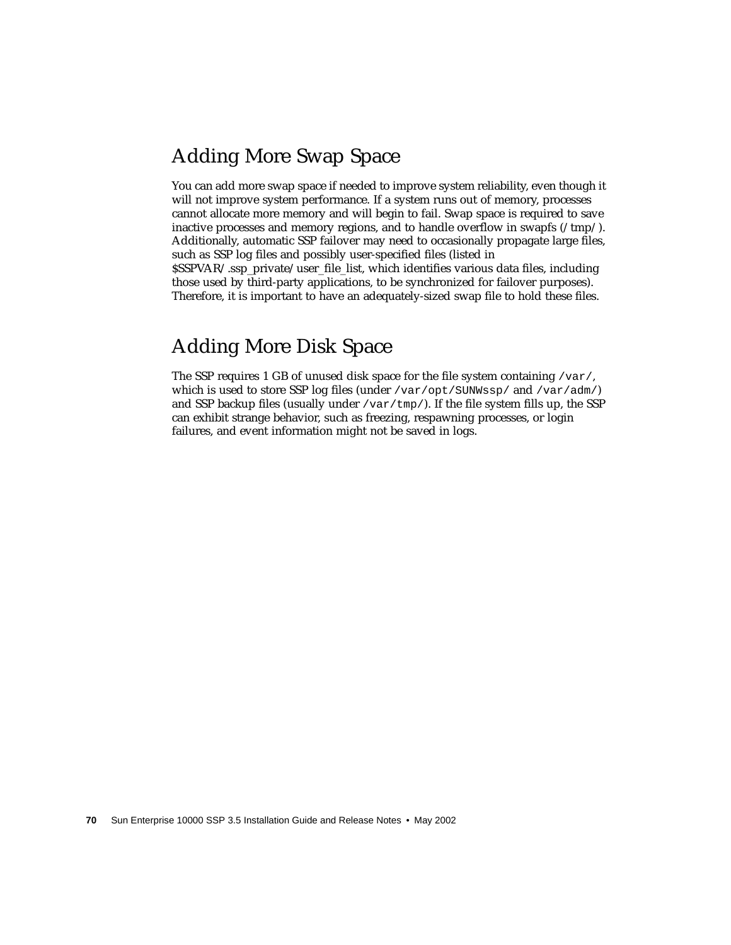## Adding More Swap Space

You can add more swap space if needed to improve system reliability, even though it will not improve system performance. If a system runs out of memory, processes cannot allocate more memory and will begin to fail. Swap space is required to save inactive processes and memory regions, and to handle overflow in swapfs  $(\ell m p/\ell)$ . Additionally, automatic SSP failover may need to occasionally propagate large files, such as SSP log files and possibly user-specified files (listed in \$SSPVAR/.ssp\_private/user\_file\_list, which identifies various data files, including those used by third-party applications, to be synchronized for failover purposes). Therefore, it is important to have an adequately-sized swap file to hold these files.

## Adding More Disk Space

The SSP requires 1 GB of unused disk space for the file system containing  $\sqrt{var/}$ , which is used to store SSP log files (under /var/opt/SUNWssp/ and /var/adm/) and SSP backup files (usually under  $\sqrt{\tan(\tan(\theta))}$ ). If the file system fills up, the SSP can exhibit strange behavior, such as freezing, respawning processes, or login failures, and event information might not be saved in logs.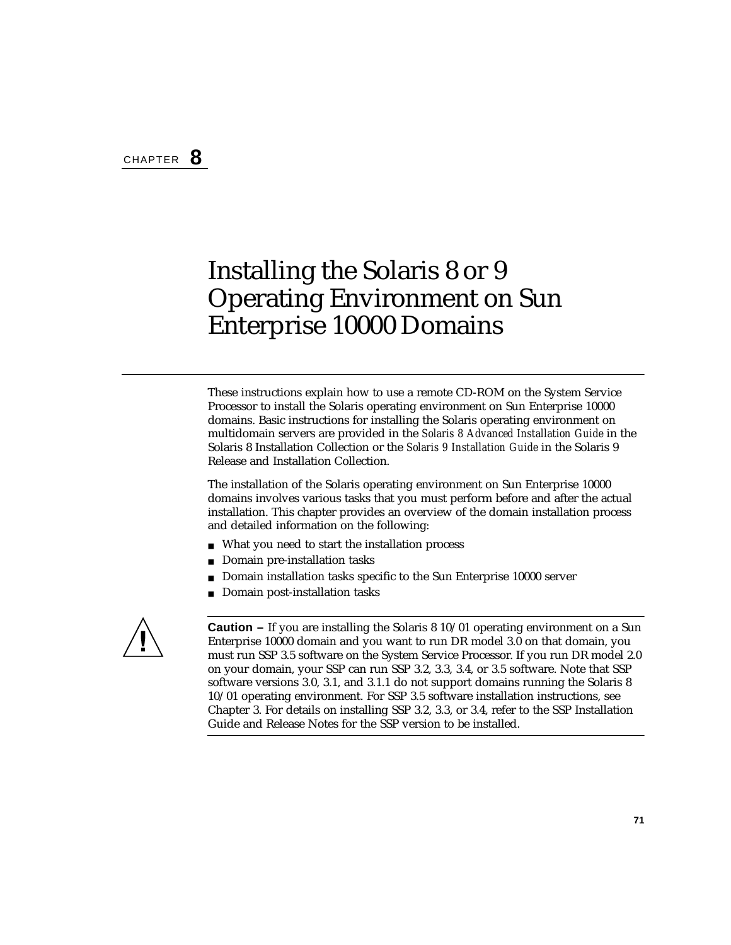# Installing the Solaris 8 or 9 Operating Environment on Sun Enterprise 10000 Domains

These instructions explain how to use a remote CD-ROM on the System Service Processor to install the Solaris operating environment on Sun Enterprise 10000 domains. Basic instructions for installing the Solaris operating environment on multidomain servers are provided in the *Solaris 8 Advanced Installation Guide* in the Solaris 8 Installation Collection or the *Solaris 9 Installation Guide* in the Solaris 9 Release and Installation Collection.

The installation of the Solaris operating environment on Sun Enterprise 10000 domains involves various tasks that you must perform before and after the actual installation. This chapter provides an overview of the domain installation process and detailed information on the following:

- What you need to start the installation process
- Domain pre-installation tasks
- Domain installation tasks specific to the Sun Enterprise 10000 server
- Domain post-installation tasks



**Caution –** If you are installing the Solaris 8 10/01 operating environment on a Sun Enterprise 10000 domain and you want to run DR model 3.0 on that domain, you must run SSP 3.5 software on the System Service Processor. If you run DR model 2.0 on your domain, your SSP can run SSP 3.2, 3.3, 3.4, or 3.5 software. Note that SSP software versions 3.0, 3.1, and 3.1.1 do not support domains running the Solaris 8 10/01 operating environment. For SSP 3.5 software installation instructions, see [Chapter 3.](#page-46-0) For details on installing SSP 3.2, 3.3, or 3.4, refer to the SSP Installation Guide and Release Notes for the SSP version to be installed.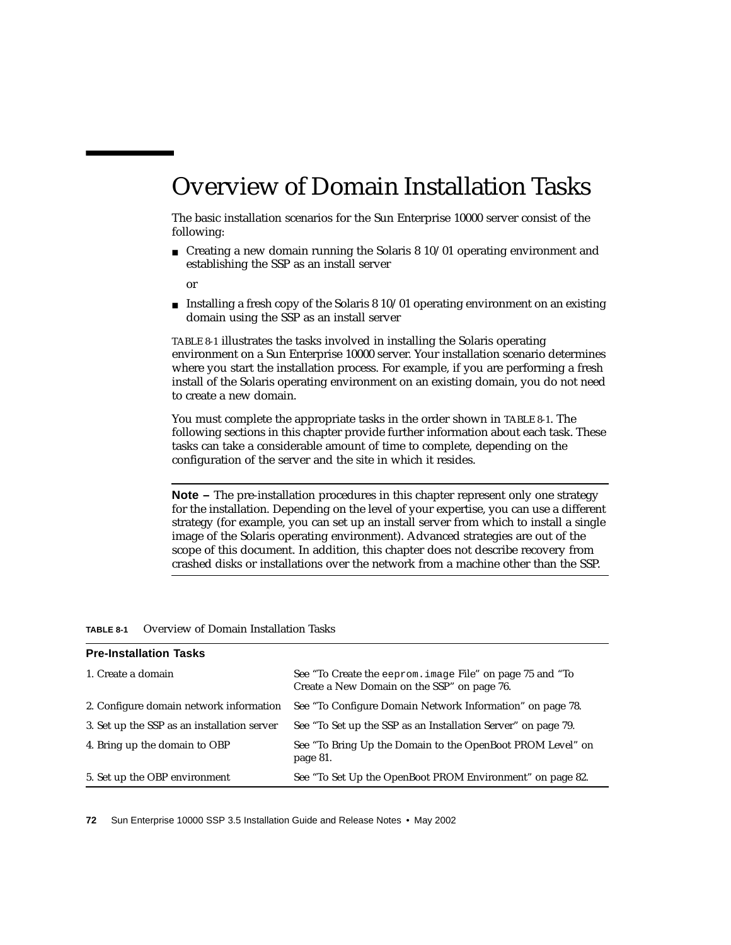# Overview of Domain Installation Tasks

The basic installation scenarios for the Sun Enterprise 10000 server consist of the following:

■ Creating a new domain running the Solaris 8 10/01 operating environment and establishing the SSP as an install server

or

**■** Installing a fresh copy of the Solaris  $8\frac{10}{01}$  operating environment on an existing domain using the SSP as an install server

[TABLE 8-1](#page-89-0) illustrates the tasks involved in installing the Solaris operating environment on a Sun Enterprise 10000 server. Your installation scenario determines where you start the installation process. For example, if you are performing a fresh install of the Solaris operating environment on an existing domain, you do not need to create a new domain.

You must complete the appropriate tasks in the order shown in [TABLE 8-1.](#page-89-0) The following sections in this chapter provide further information about each task. These tasks can take a considerable amount of time to complete, depending on the configuration of the server and the site in which it resides.

**Note** – The pre-installation procedures in this chapter represent only one strategy for the installation. Depending on the level of your expertise, you can use a different strategy (for example, you can set up an install server from which to install a single image of the Solaris operating environment). Advanced strategies are out of the scope of this document. In addition, this chapter does not describe recovery from crashed disks or installations over the network from a machine other than the SSP.

<span id="page-89-0"></span>

| <b>Pre-Installation Tasks</b>               |                                                                                                          |
|---------------------------------------------|----------------------------------------------------------------------------------------------------------|
| 1. Create a domain                          | See "To Create the eeprom. image File" on page 75 and "To<br>Create a New Domain on the SSP" on page 76. |
| 2. Configure domain network information     | See "To Configure Domain Network Information" on page 78.                                                |
| 3. Set up the SSP as an installation server | See "To Set up the SSP as an Installation Server" on page 79.                                            |
| 4. Bring up the domain to OBP               | See "To Bring Up the Domain to the OpenBoot PROM Level" on<br>page 81.                                   |
| 5. Set up the OBP environment               | See "To Set Up the OpenBoot PROM Environment" on page 82.                                                |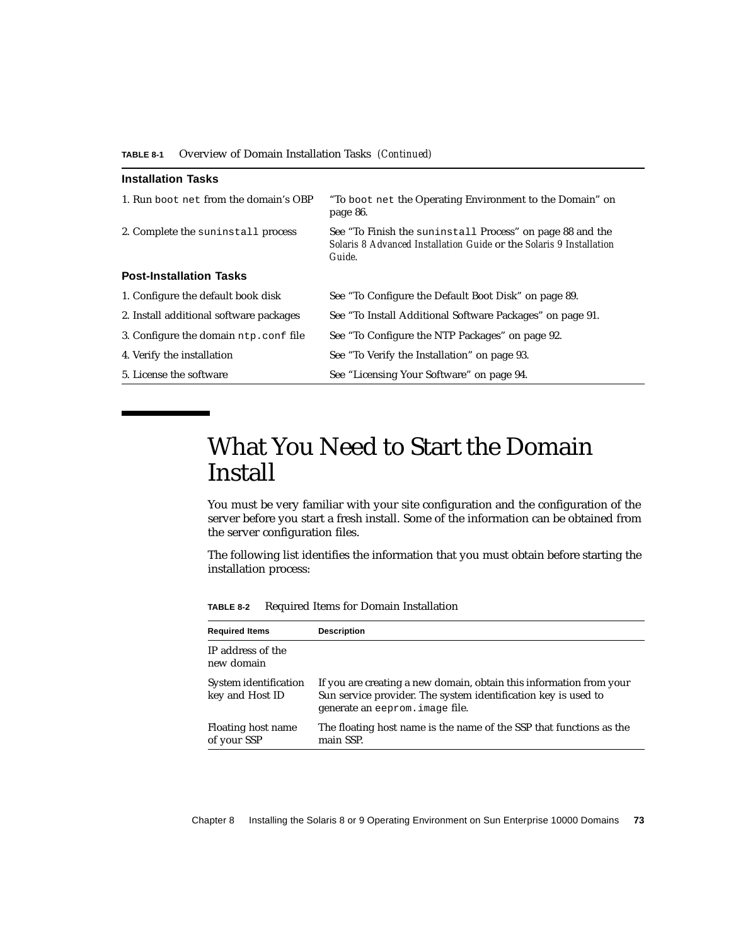| <b>Installation Tasks</b>               |                                                                                                                                            |
|-----------------------------------------|--------------------------------------------------------------------------------------------------------------------------------------------|
| 1. Run boot net from the domain's OBP   | "To boot net the Operating Environment to the Domain" on<br>page 86.                                                                       |
| 2. Complete the suninstall process      | See "To Finish the suninstall Process" on page 88 and the<br>Solaris 8 Advanced Installation Guide or the Solaris 9 Installation<br>Guide. |
| <b>Post-Installation Tasks</b>          |                                                                                                                                            |
| 1. Configure the default book disk      | See "To Configure the Default Boot Disk" on page 89.                                                                                       |
| 2. Install additional software packages | See "To Install Additional Software Packages" on page 91.                                                                                  |
| 3. Configure the domain ntp.conf file   | See "To Configure the NTP Packages" on page 92.                                                                                            |
| 4. Verify the installation              | See "To Verify the Installation" on page 93.                                                                                               |
| 5. License the software                 | See "Licensing Your Software" on page 94.                                                                                                  |

# What You Need to Start the Domain Install

You must be very familiar with your site configuration and the configuration of the server before you start a fresh install. Some of the information can be obtained from the server configuration files.

The following list identifies the information that you must obtain before starting the installation process:

| <b>Required Items</b>                    | <b>Description</b>                                                                                                                                                       |
|------------------------------------------|--------------------------------------------------------------------------------------------------------------------------------------------------------------------------|
| IP address of the<br>new domain          |                                                                                                                                                                          |
| System identification<br>key and Host ID | If you are creating a new domain, obtain this information from your<br>Sun service provider. The system identification key is used to<br>generate an eeprom. image file. |
| Floating host name<br>of your SSP        | The floating host name is the name of the SSP that functions as the<br>main SSP.                                                                                         |

**TABLE 8-2** Required Items for Domain Installation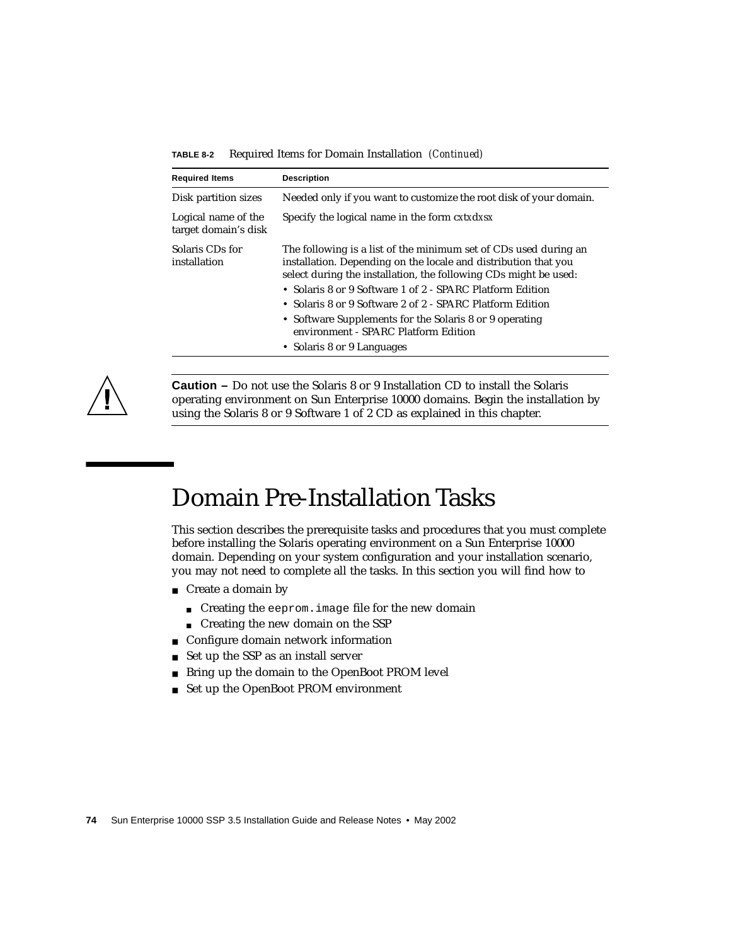|  |  | <b>TABLE 8-2</b> Required Items for Domain Installation (Continued) |  |
|--|--|---------------------------------------------------------------------|--|
|--|--|---------------------------------------------------------------------|--|

| <b>Required Items</b>                       | <b>Description</b>                                                                                                                                                                                                                                                                                                                                                                                                                                                 |  |
|---------------------------------------------|--------------------------------------------------------------------------------------------------------------------------------------------------------------------------------------------------------------------------------------------------------------------------------------------------------------------------------------------------------------------------------------------------------------------------------------------------------------------|--|
| Disk partition sizes                        | Needed only if you want to customize the root disk of your domain.                                                                                                                                                                                                                                                                                                                                                                                                 |  |
| Logical name of the<br>target domain's disk | Specify the logical name in the form cxtxdxsx                                                                                                                                                                                                                                                                                                                                                                                                                      |  |
| Solaris CDs for<br>installation             | The following is a list of the minimum set of CDs used during an<br>installation. Depending on the locale and distribution that you<br>select during the installation, the following CDs might be used:<br>• Solaris 8 or 9 Software 1 of 2 - SPARC Platform Edition<br>• Solaris 8 or 9 Software 2 of 2 - SPARC Platform Edition<br>• Software Supplements for the Solaris 8 or 9 operating<br>environment - SPARC Platform Edition<br>• Solaris 8 or 9 Languages |  |
|                                             |                                                                                                                                                                                                                                                                                                                                                                                                                                                                    |  |



**Caution –** Do not use the Solaris 8 or 9 Installation CD to install the Solaris operating environment on Sun Enterprise 10000 domains. Begin the installation by using the Solaris 8 or 9 Software 1 of 2 CD as explained in this chapter.

# Domain Pre-Installation Tasks

This section describes the prerequisite tasks and procedures that you must complete before installing the Solaris operating environment on a Sun Enterprise 10000 domain. Depending on your system configuration and your installation scenario, you may not need to complete all the tasks. In this section you will find how to

- Create a domain by
	- Creating the eeprom. image file for the new domain
	- Creating the new domain on the SSP
- Configure domain network information
- Set up the SSP as an install server
- Bring up the domain to the OpenBoot PROM level
- Set up the OpenBoot PROM environment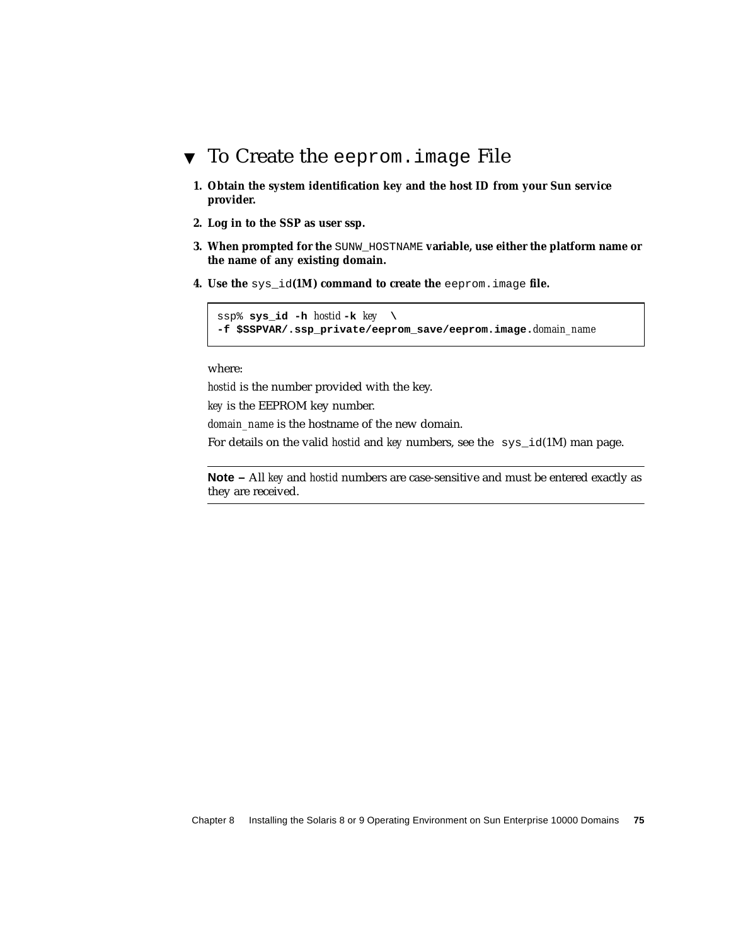### <span id="page-92-0"></span>▼ To Create the eeprom.image File

- **1. Obtain the system identification key and the host ID from your Sun service provider.**
- **2. Log in to the SSP as user ssp.**
- **3. When prompted for the** SUNW\_HOSTNAME **variable, use either the platform name or the name of any existing domain.**
- **4. Use the** sys\_id**(1M) command to create the** eeprom.image **file.**

```
ssp% sys id -h hostid -k key \setminus-f $SSPVAR/.ssp_private/eeprom_save/eeprom.image.domain_name
```
where:

*hostid* is the number provided with the key.

*key* is the EEPROM key number.

*domain\_name* is the hostname of the new domain.

For details on the valid *hostid* and *key* numbers, see the sys\_id(1M) man page.

**Note –** All *key* and *hostid* numbers are case-sensitive and must be entered exactly as they are received.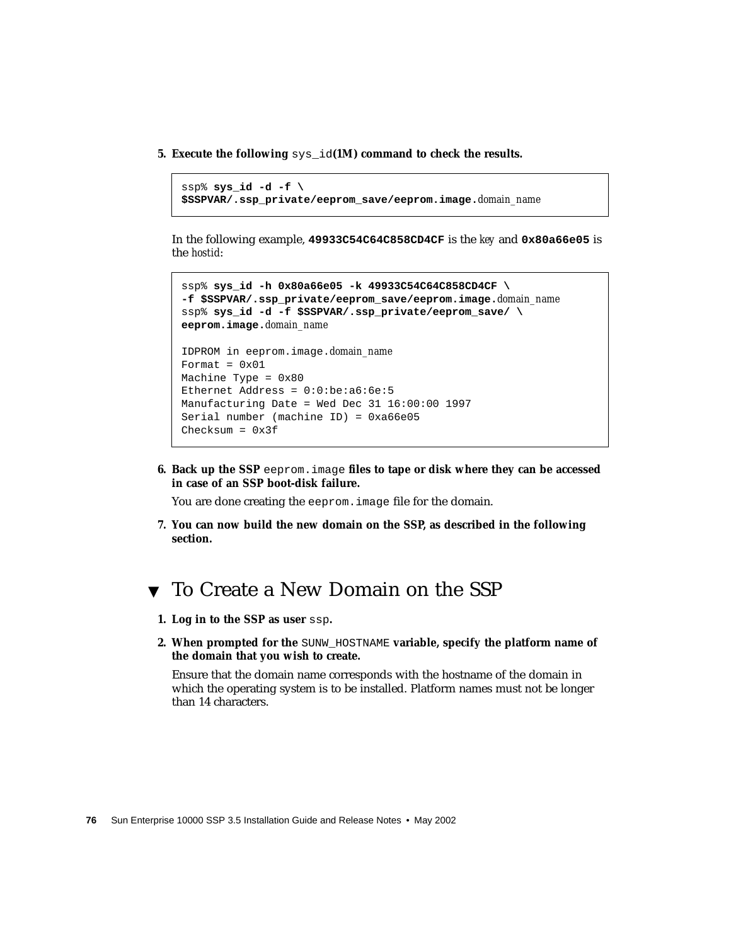**5. Execute the following** sys\_id**(1M) command to check the results.**

```
ssp% sys_id -d -f \
$SSPVAR/.ssp_private/eeprom_save/eeprom.image.domain_name
```
In the following example, **49933C54C64C858CD4CF** is the *key* and **0x80a66e05** is the *hostid*:

```
ssp% sys_id -h 0x80a66e05 -k 49933C54C64C858CD4CF \
-f $SSPVAR/.ssp_private/eeprom_save/eeprom.image.domain_name
ssp% sys_id -d -f $SSPVAR/.ssp_private/eeprom_save/ \
eeprom.image.domain_name
IDPROM in eeprom.image.domain_name
Format = 0x01Machine Type = 0x80
Ethernet Address = 0:0:be:ab:6e:5Manufacturing Date = Wed Dec 31 16:00:00 1997
Serial number (machine ID) = 0xa66e05
Checksum = 0x3f
```
**6. Back up the SSP** eeprom.image **files to tape or disk where they can be accessed in case of an SSP boot-disk failure.**

You are done creating the eeprom. image file for the domain.

**7. You can now build the new domain on the SSP, as described in the following section.**

### <span id="page-93-0"></span>▼ To Create a New Domain on the SSP

- **1. Log in to the SSP as user** ssp**.**
- **2. When prompted for the SUNW\_HOSTNAME variable, specify the platform name of the domain that you wish to create.**

Ensure that the domain name corresponds with the hostname of the domain in which the operating system is to be installed. Platform names must not be longer than 14 characters.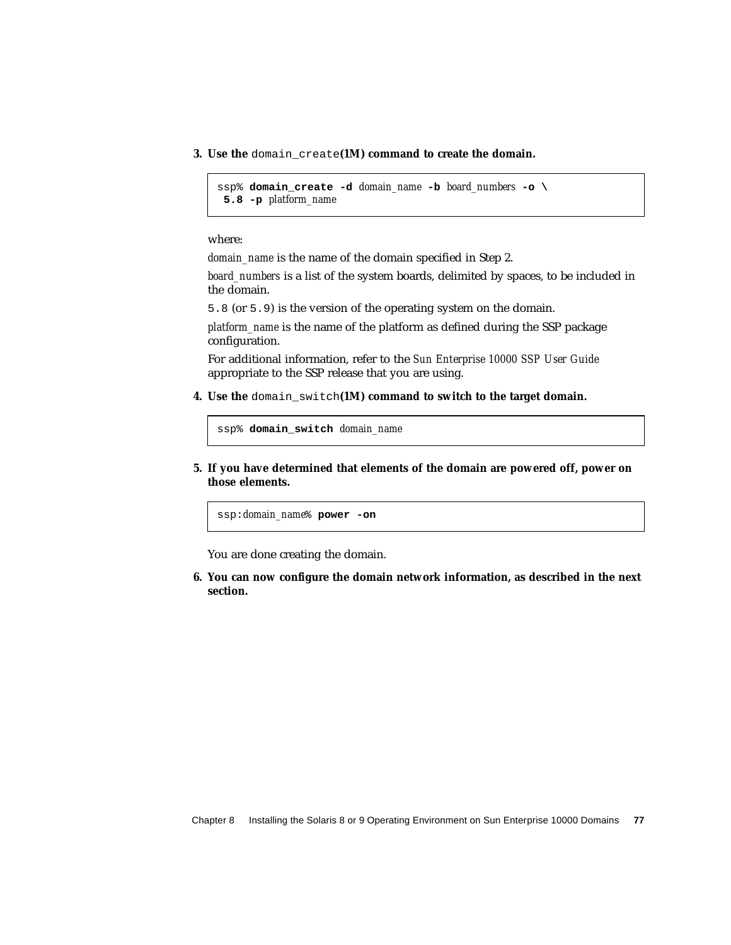**3. Use the** domain\_create**(1M) command to create the domain.**

```
ssp% domain_create -d domain_name -b board_numbers -o \
 5.8 -p platform_name
```
where:

*domain\_name* is the name of the domain specified in Step 2.

*board* numbers is a list of the system boards, delimited by spaces, to be included in the domain.

5.8 (or 5.9) is the version of the operating system on the domain.

*platform\_name* is the name of the platform as defined during the SSP package configuration.

For additional information, refer to the *Sun Enterprise 10000 SSP User Guide* appropriate to the SSP release that you are using.

**4. Use the** domain\_switch**(1M) command to switch to the target domain.**

```
ssp% domain_switch domain_name
```
**5. If you have determined that elements of the domain are powered off, power on those elements.**

ssp:*domain\_name*% **power -on**

You are done creating the domain.

**6. You can now configure the domain network information, as described in the next section.**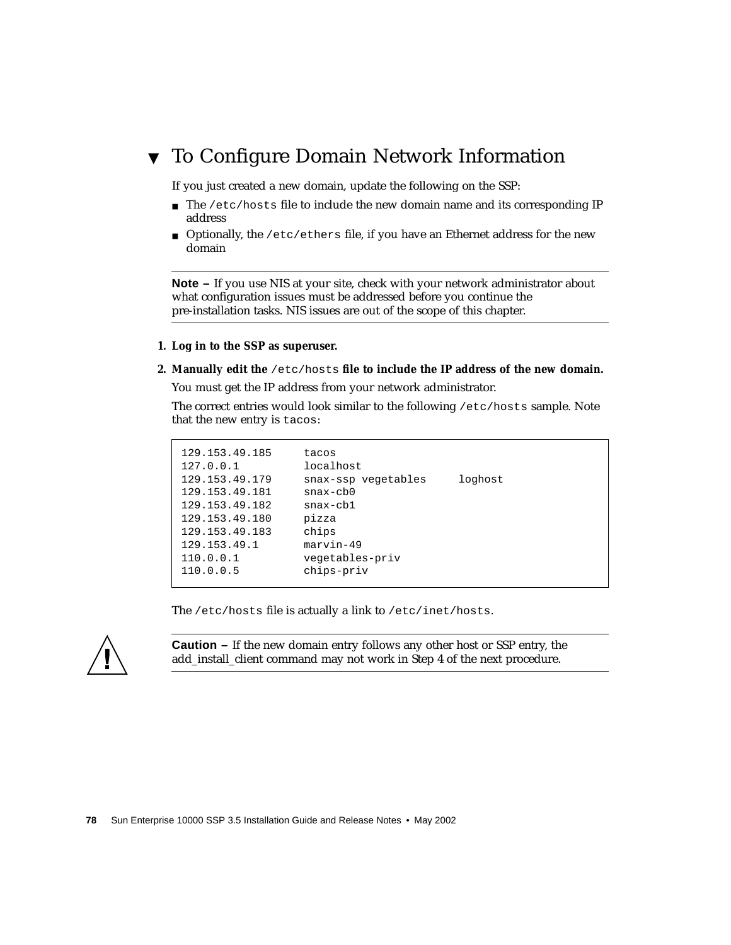## <span id="page-95-0"></span>▼ To Configure Domain Network Information

If you just created a new domain, update the following on the SSP:

- The /etc/hosts file to include the new domain name and its corresponding IP address
- Optionally, the /etc/ethers file, if you have an Ethernet address for the new domain

**Note –** If you use NIS at your site, check with your network administrator about what configuration issues must be addressed before you continue the pre-installation tasks. NIS issues are out of the scope of this chapter.

#### **1. Log in to the SSP as superuser.**

**2. Manually edit the** /etc/hosts **file to include the IP address of the new domain.**

You must get the IP address from your network administrator.

The correct entries would look similar to the following /etc/hosts sample. Note that the new entry is tacos:

The /etc/hosts file is actually a link to /etc/inet/hosts.



**Caution –** If the new domain entry follows any other host or SSP entry, the add\_install\_client command may not work in [Step 4](#page-97-0) of the next procedure.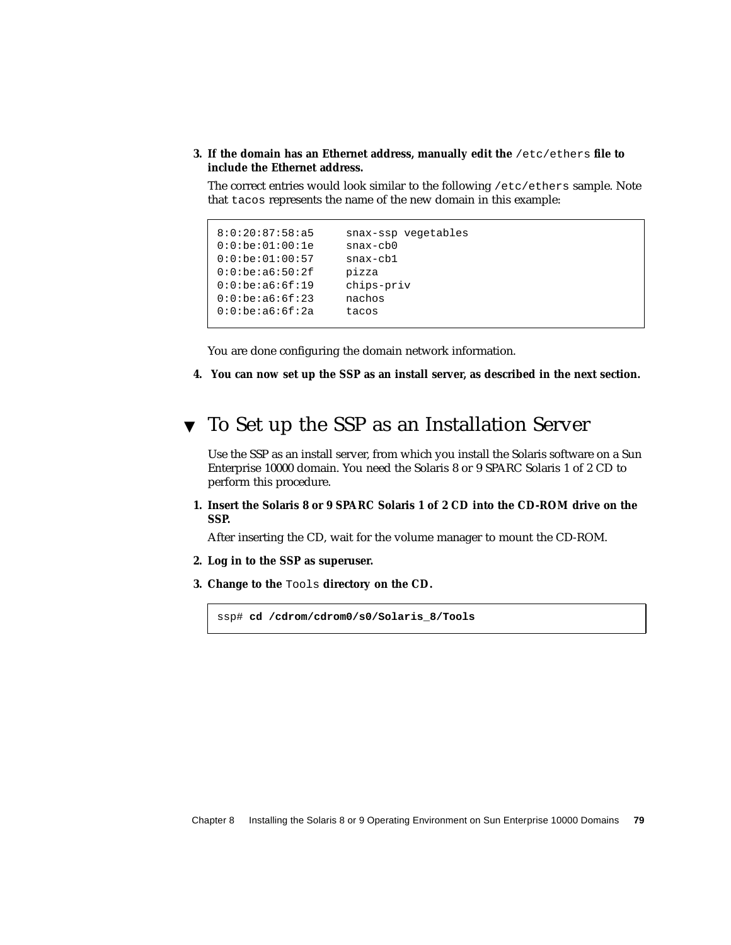#### **3. If the domain has an Ethernet address, manually edit the** /etc/ethers **file to include the Ethernet address.**

The correct entries would look similar to the following /etc/ethers sample. Note that tacos represents the name of the new domain in this example:

```
8:0:20:87:58:a5 snax-ssp vegetables
0:0:be:01:00:1e snax-cb0
0:0:be:01:00:57 snax-cb1
0:0:be:a6:50:2f pizza
0:0:be:a6:6f:19 chips-priv
0:0:be:a6:6f:23 nachos
0:0:be:a6:6f:2a tacos
```
You are done configuring the domain network information.

**4. You can now set up the SSP as an install server, as described in the next section.**

### <span id="page-96-0"></span>▼ To Set up the SSP as an Installation Server

Use the SSP as an install server, from which you install the Solaris software on a Sun Enterprise 10000 domain. You need the Solaris 8 or 9 SPARC Solaris 1 of 2 CD to perform this procedure.

**1. Insert the Solaris 8 or 9 SPARC Solaris 1 of 2 CD into the CD-ROM drive on the SSP.**

After inserting the CD, wait for the volume manager to mount the CD-ROM.

- **2. Log in to the SSP as superuser.**
- **3. Change to the** Tools **directory on the CD.**

ssp# **cd /cdrom/cdrom0/s0/Solaris\_8/Tools**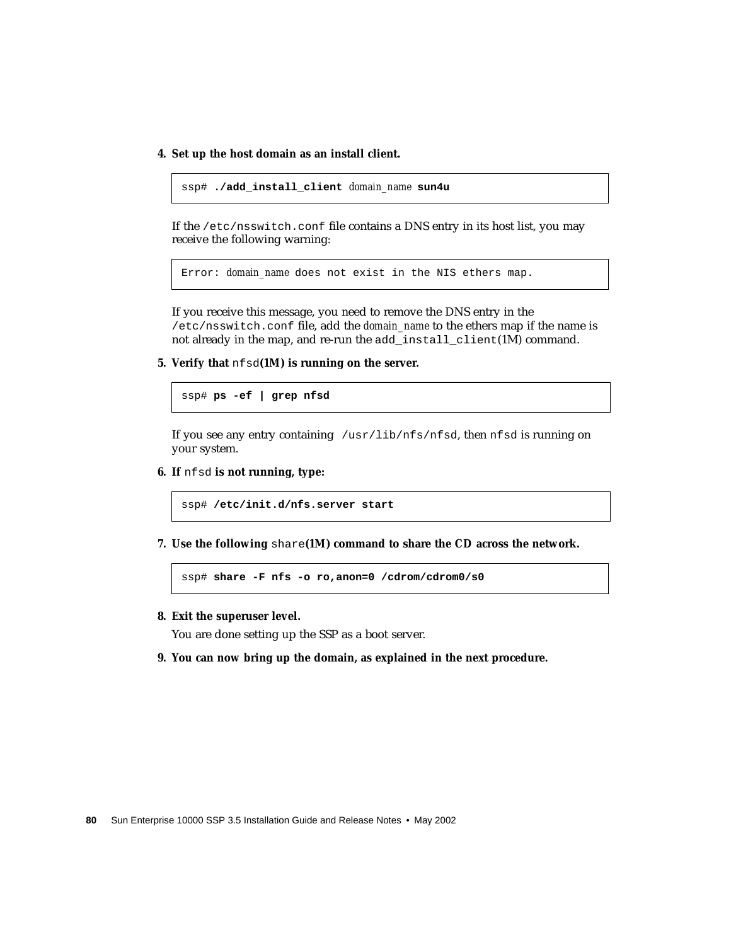<span id="page-97-0"></span>**4. Set up the host domain as an install client.**

```
ssp# ./add_install_client domain_name sun4u
```
If the /etc/nsswitch.conf file contains a DNS entry in its host list, you may receive the following warning:

Error: *domain\_name* does not exist in the NIS ethers map.

If you receive this message, you need to remove the DNS entry in the /etc/nsswitch.conf file, add the *domain\_name* to the ethers map if the name is not already in the map, and re-run the add\_install\_client(1M) command.

**5. Verify that** nfsd**(1M) is running on the server.**

ssp# **ps -ef | grep nfsd**

If you see any entry containing /usr/lib/nfs/nfsd, then nfsd is running on your system.

**6. If** nfsd **is not running, type:**

ssp# **/etc/init.d/nfs.server start**

**7. Use the following** share**(1M) command to share the CD across the network.**

ssp# **share -F nfs -o ro,anon=0 /cdrom/cdrom0/s0**

**8. Exit the superuser level.**

You are done setting up the SSP as a boot server.

**9. You can now bring up the domain, as explained in the next procedure.**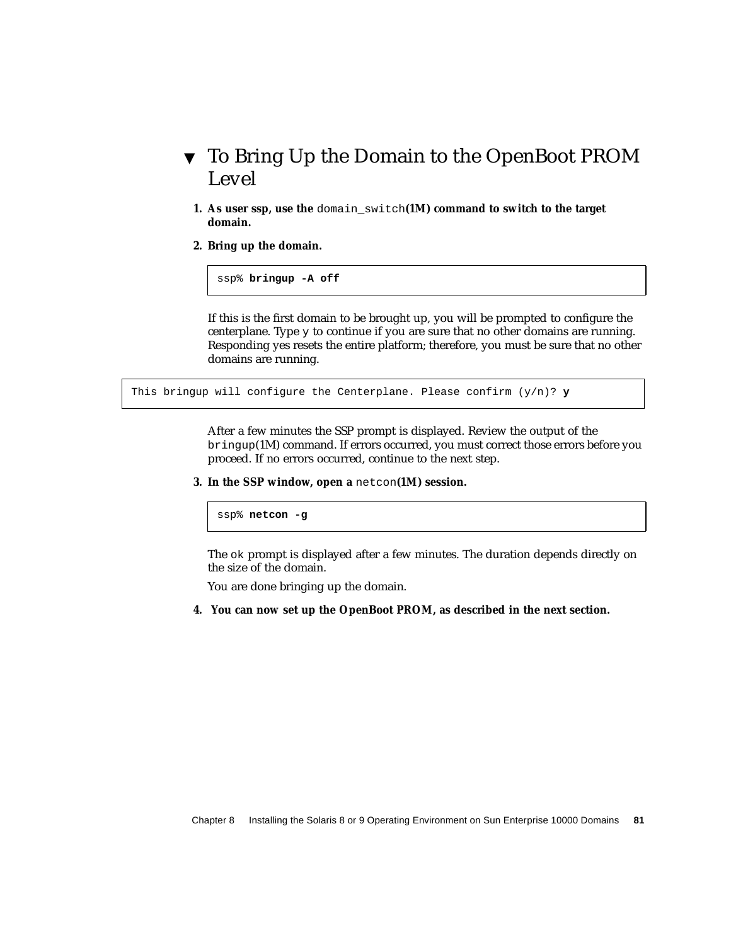- <span id="page-98-0"></span>▼ To Bring Up the Domain to the OpenBoot PROM Level
	- **1. As user ssp, use the** domain\_switch**(1M) command to switch to the target domain.**
	- **2. Bring up the domain.**

ssp% **bringup -A off**

If this is the first domain to be brought up, you will be prompted to configure the centerplane. Type  $\gamma$  to continue if you are sure that no other domains are running. Responding yes resets the entire platform; therefore, you must be sure that no other domains are running.

```
This bringup will configure the Centerplane. Please confirm (y/n)? y
```
After a few minutes the SSP prompt is displayed. Review the output of the bringup(1M) command. If errors occurred, you must correct those errors before you proceed. If no errors occurred, continue to the next step.

**3. In the SSP window, open a** netcon**(1M) session.**

ssp% **netcon -g**

The ok prompt is displayed after a few minutes. The duration depends directly on the size of the domain.

You are done bringing up the domain.

**4. You can now set up the OpenBoot PROM, as described in the next section.**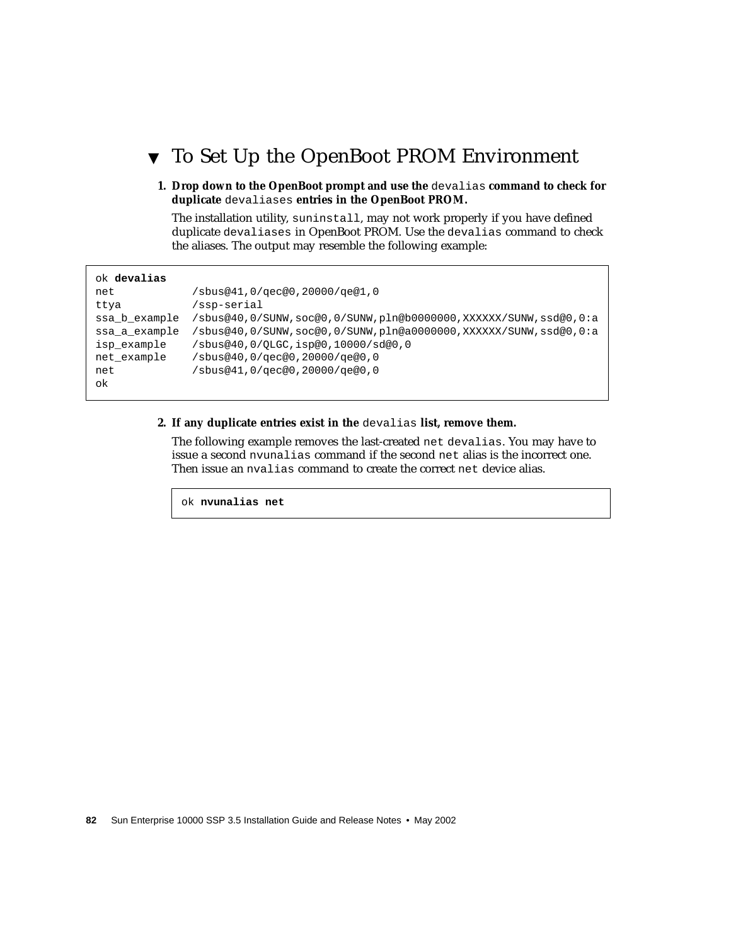## <span id="page-99-0"></span>▼ To Set Up the OpenBoot PROM Environment

**1. Drop down to the OpenBoot prompt and use the** devalias **command to check for duplicate** devaliases **entries in the OpenBoot PROM.**

The installation utility, suninstall, may not work properly if you have defined duplicate devaliases in OpenBoot PROM. Use the devalias command to check the aliases. The output may resemble the following example:

| ok <b>devalias</b> |                                                                 |
|--------------------|-----------------------------------------------------------------|
| net                | /sbus@41,0/qec@0,20000/qe@1,0                                   |
| ttya               | /ssp-serial                                                     |
| ssa b example      | /sbus@40,0/SUNW,soc@0,0/SUNW,pln@b0000000,XXXXXX/SUNW,ssd@0,0:a |
| ssa a example      | /sbus@40,0/SUNW,soc@0,0/SUNW,pln@a0000000,XXXXXX/SUNW,ssd@0,0:a |
| isp example        | /sbus@40,0/QLGC,isp@0,10000/sd@0,0                              |
| net example        | 0, bus@40 ,0/qec@0 ,20000/qe@0 /                                |
| net                | /sbus@41,0/qec@0,20000/qe@0,0                                   |
| ok                 |                                                                 |

#### **2. If any duplicate entries exist in the** devalias **list, remove them.**

The following example removes the last-created net devalias. You may have to issue a second nvunalias command if the second net alias is the incorrect one. Then issue an nvalias command to create the correct net device alias.

ok **nvunalias net**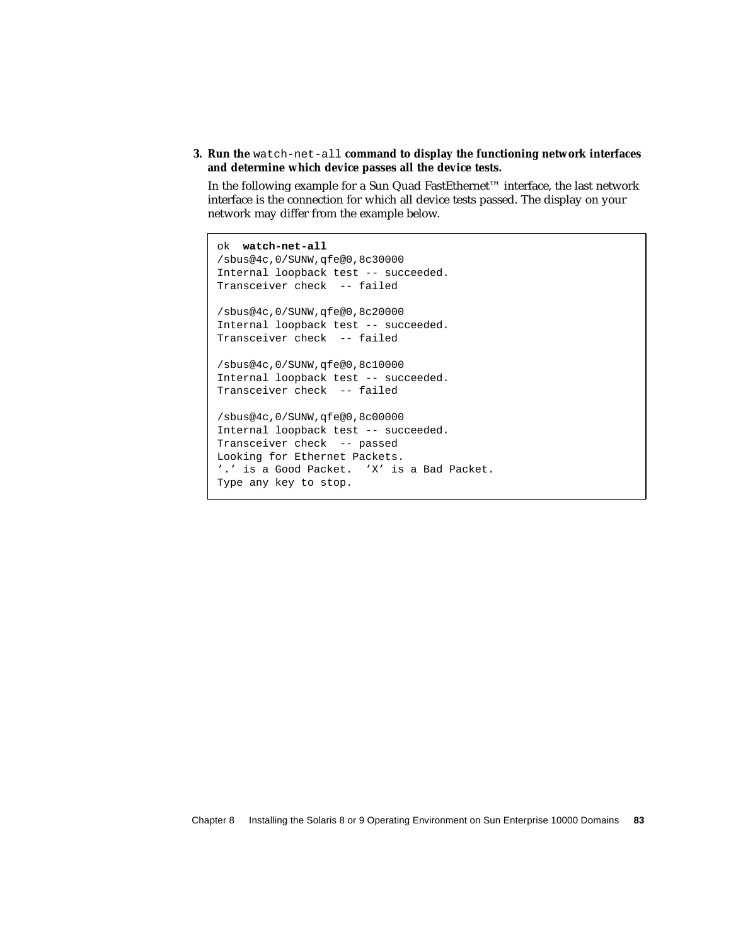**3. Run the** watch-net-all **command to display the functioning network interfaces and determine which device passes all the device tests.**

In the following example for a Sun Quad FastEthernet™ interface, the last network interface is the connection for which all device tests passed. The display on your network may differ from the example below.

```
ok watch-net-all
/sbus@4c,0/SUNW,qfe@0,8c30000
Internal loopback test -- succeeded.
Transceiver check -- failed
/sbus@4c,0/SUNW,qfe@0,8c20000
Internal loopback test -- succeeded.
Transceiver check -- failed
/sbus@4c,0/SUNW,qfe@0,8c10000
Internal loopback test -- succeeded.
Transceiver check -- failed
/sbus@4c,0/SUNW,qfe@0,8c00000
Internal loopback test -- succeeded.
Transceiver check -- passed
Looking for Ethernet Packets.
'.' is a Good Packet. 'X' is a Bad Packet.
Type any key to stop.
```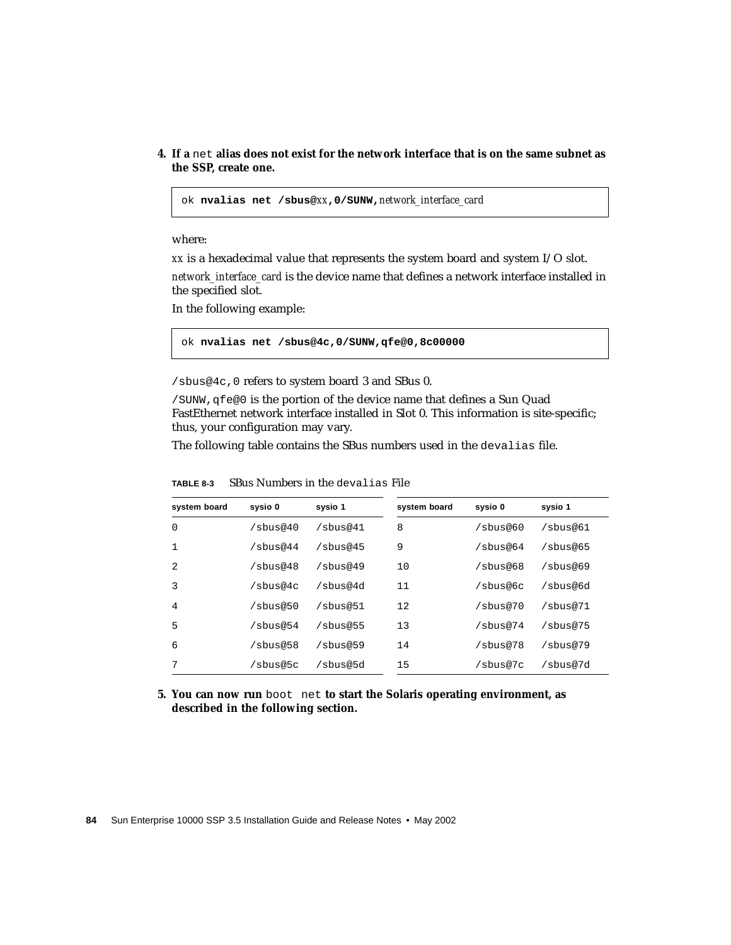**4. If a** net **alias does not exist for the network interface that is on the same subnet as the SSP, create one.**

ok **nvalias net /sbus@***xx***,0/SUNW,***network\_interface\_card*

where:

*xx* is a hexadecimal value that represents the system board and system I/O slot.

*network\_interface\_card* is the device name that defines a network interface installed in the specified slot.

In the following example:

ok **nvalias net /sbus@4c,0/SUNW,qfe@0,8c00000**

/sbus@4c,0 refers to system board 3 and SBus 0.

/SUNW,qfe@0 is the portion of the device name that defines a Sun Quad FastEthernet network interface installed in Slot 0. This information is site-specific; thus, your configuration may vary.

The following table contains the SBus numbers used in the devalias file.

| system board | sysio 0        | sysio 1     | system board | sysio 0     |  |
|--------------|----------------|-------------|--------------|-------------|--|
| $\Omega$     | $/s$ bus@40    | $/s$ bus@41 | 8            | $/s$ bus@60 |  |
| 1            | $/s$ bus@44    | $/s$ bus@45 | 9            | $/s$ bus@64 |  |
| 2            | $/s$ bus@48    | $/s$ bus@49 | 10           | $/s$ bus@68 |  |
| 3            | $/s$ bus@4 $c$ | /shus@4d    | 11           | /sbus@6c    |  |
| 4            | $/s$ bus@50    | /sbus@51    | 12           | /sbus@70    |  |
| 5            | $/s$ bus@54    | $/s$ bus@55 | 13           | /sbus@74    |  |
| 6            | $/s$ bus@58    | $/s$ bus@59 | 14           | $/s$ bus@78 |  |
| 7            | /sbus@5c       | /sbus@5d    | 15           | /sbus@7c    |  |

**TABLE 8-3** SBus Numbers in the devalias File

**5. You can now run** boot net **to start the Solaris operating environment, as described in the following section.**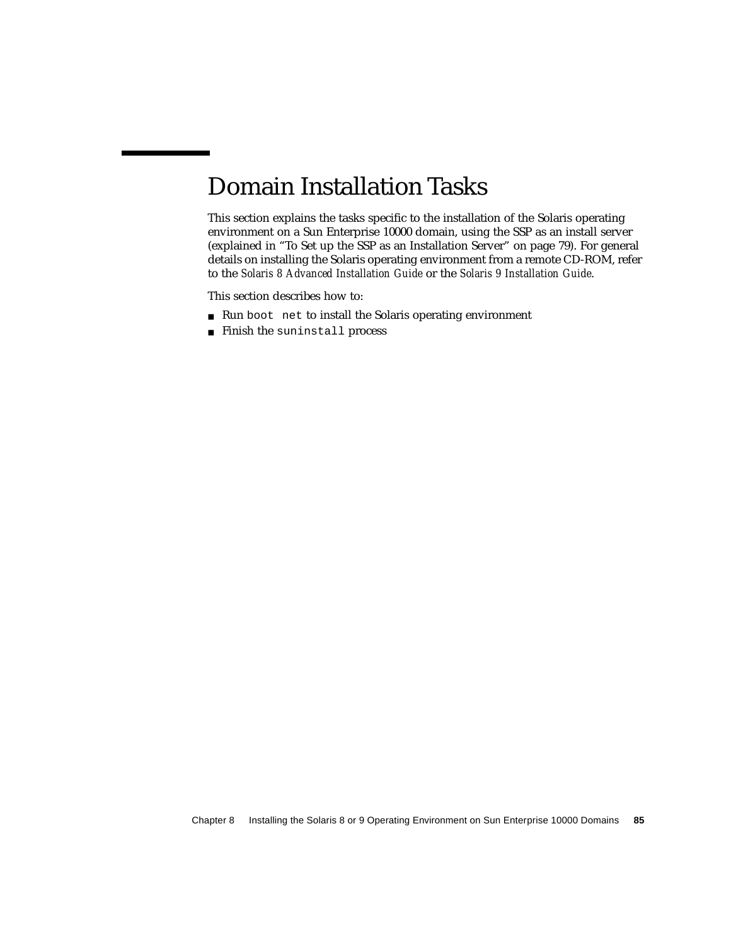# Domain Installation Tasks

This section explains the tasks specific to the installation of the Solaris operating environment on a Sun Enterprise 10000 domain, using the SSP as an install server (explained in ["To Set up the SSP as an Installation Server" on page 79](#page-96-0)). For general details on installing the Solaris operating environment from a remote CD-ROM, refer to the *Solaris 8 Advanced Installation Guide* or the *Solaris 9 Installation Guide*.

This section describes how to:

- Run boot net to install the Solaris operating environment
- Finish the suninstall process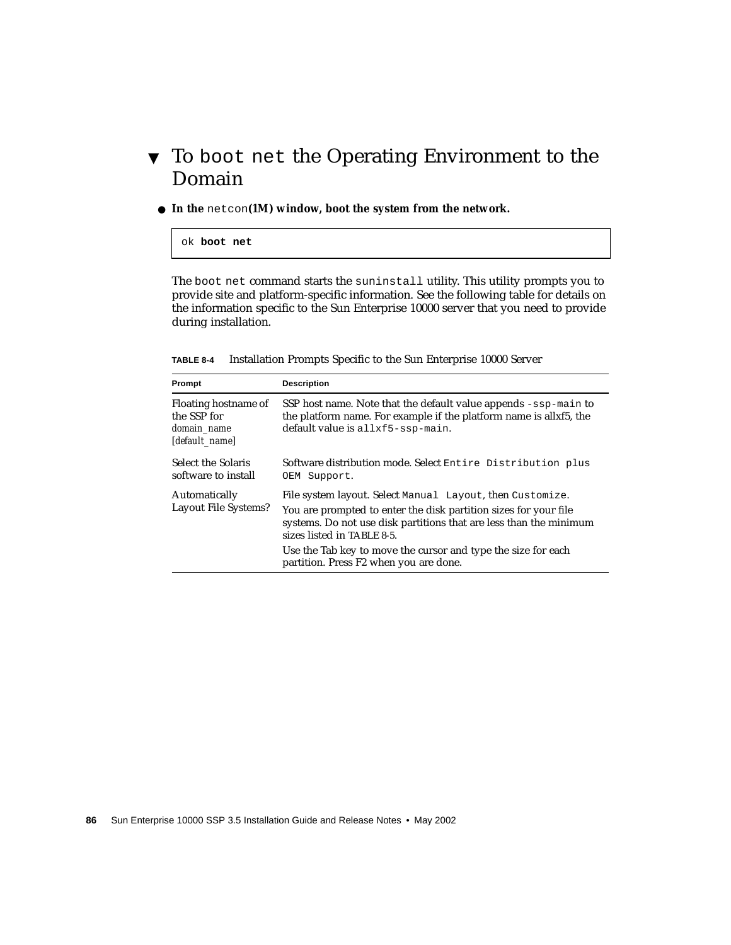## <span id="page-103-0"></span>▼ To boot net the Operating Environment to the Domain

● **In the** netcon**(1M) window, boot the system from the network.**

#### ok **boot net**

The boot net command starts the suninstall utility. This utility prompts you to provide site and platform-specific information. See the following table for details on the information specific to the Sun Enterprise 10000 server that you need to provide during installation.

| TABLE 8-4 | Installation Prompts Specific to the Sun Enterprise 10000 Server |  |  |  |  |  |  |  |
|-----------|------------------------------------------------------------------|--|--|--|--|--|--|--|
|-----------|------------------------------------------------------------------|--|--|--|--|--|--|--|

| Prompt                                                               | <b>Description</b>                                                                                                                                                                                                                                                                                                                           |
|----------------------------------------------------------------------|----------------------------------------------------------------------------------------------------------------------------------------------------------------------------------------------------------------------------------------------------------------------------------------------------------------------------------------------|
| Floating hostname of<br>the SSP for<br>domain name<br>[default_name] | SSP host name. Note that the default value appends $-$ ssp-main to<br>the platform name. For example if the platform name is allxf5, the<br>default value is allxf5-ssp-main.                                                                                                                                                                |
| Select the Solaris<br>software to install                            | Software distribution mode. Select Entire Distribution plus<br>OEM Support.                                                                                                                                                                                                                                                                  |
| Automatically<br><b>Layout File Systems?</b>                         | File system layout. Select Manual Layout, then Customize.<br>You are prompted to enter the disk partition sizes for your file<br>systems. Do not use disk partitions that are less than the minimum<br>sizes listed in TABLE 8-5.<br>Use the Tab key to move the cursor and type the size for each<br>partition. Press F2 when you are done. |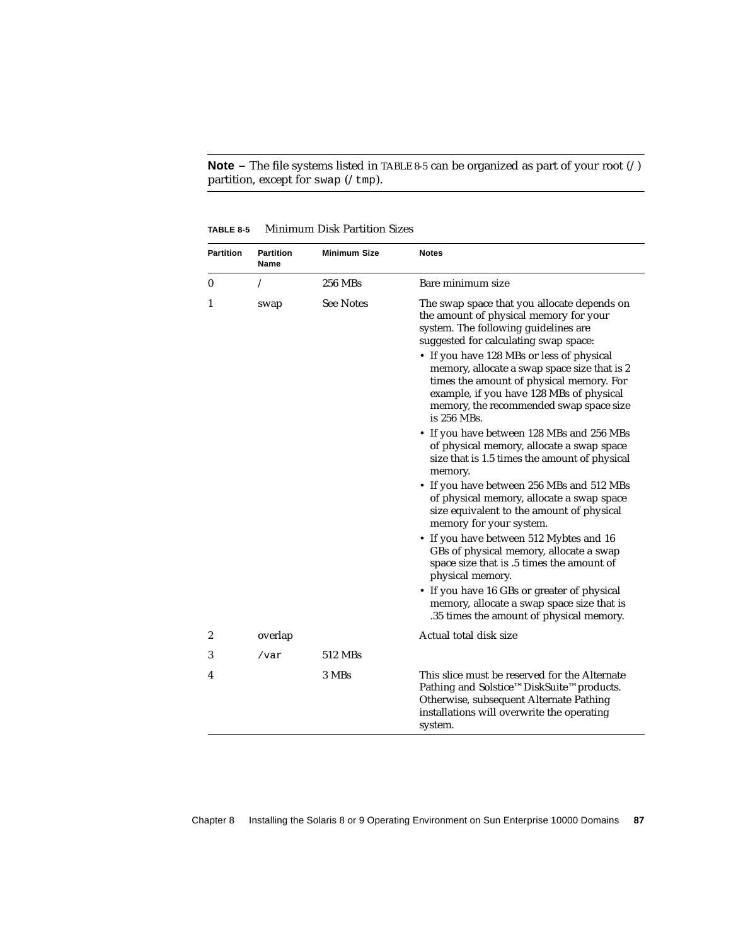**Note –** The file systems listed in [TABLE 8-5](#page-104-0) can be organized as part of your root (/) partition, except for swap ( $/\text{tmp}$ ).

<span id="page-104-0"></span>

| <b>Partition</b> | <b>Partition</b><br>Name | <b>Minimum Size</b> | <b>Notes</b>                                                                                                                                                                                                                                                                                                                                                                                                          |
|------------------|--------------------------|---------------------|-----------------------------------------------------------------------------------------------------------------------------------------------------------------------------------------------------------------------------------------------------------------------------------------------------------------------------------------------------------------------------------------------------------------------|
| 0                | Ϊ                        | 256 MBs             | Bare minimum size                                                                                                                                                                                                                                                                                                                                                                                                     |
| 1                | swap                     | <b>See Notes</b>    | The swap space that you allocate depends on<br>the amount of physical memory for your<br>system. The following guidelines are<br>suggested for calculating swap space:<br>• If you have 128 MBs or less of physical<br>memory, allocate a swap space size that is 2<br>times the amount of physical memory. For<br>example, if you have 128 MBs of physical<br>memory, the recommended swap space size<br>is 256 MBs. |
|                  |                          |                     | • If you have between 128 MBs and 256 MBs<br>of physical memory, allocate a swap space<br>size that is 1.5 times the amount of physical<br>memory.                                                                                                                                                                                                                                                                    |
|                  |                          |                     | • If you have between 256 MBs and 512 MBs<br>of physical memory, allocate a swap space<br>size equivalent to the amount of physical<br>memory for your system.                                                                                                                                                                                                                                                        |
|                  |                          |                     | • If you have between 512 Mybtes and 16<br>GBs of physical memory, allocate a swap<br>space size that is .5 times the amount of<br>physical memory.                                                                                                                                                                                                                                                                   |
|                  |                          |                     | • If you have 16 GBs or greater of physical<br>memory, allocate a swap space size that is<br>.35 times the amount of physical memory.                                                                                                                                                                                                                                                                                 |
| 2                | overlap                  |                     | Actual total disk size                                                                                                                                                                                                                                                                                                                                                                                                |
| 3                | /var                     | 512 MBs             |                                                                                                                                                                                                                                                                                                                                                                                                                       |
| 4                |                          | 3 MBs               | This slice must be reserved for the Alternate<br>Pathing and Solstice™DiskSuite™products.<br>Otherwise, subsequent Alternate Pathing<br>installations will overwrite the operating<br>system.                                                                                                                                                                                                                         |

**TABLE 8-5** Minimum Disk Partition Sizes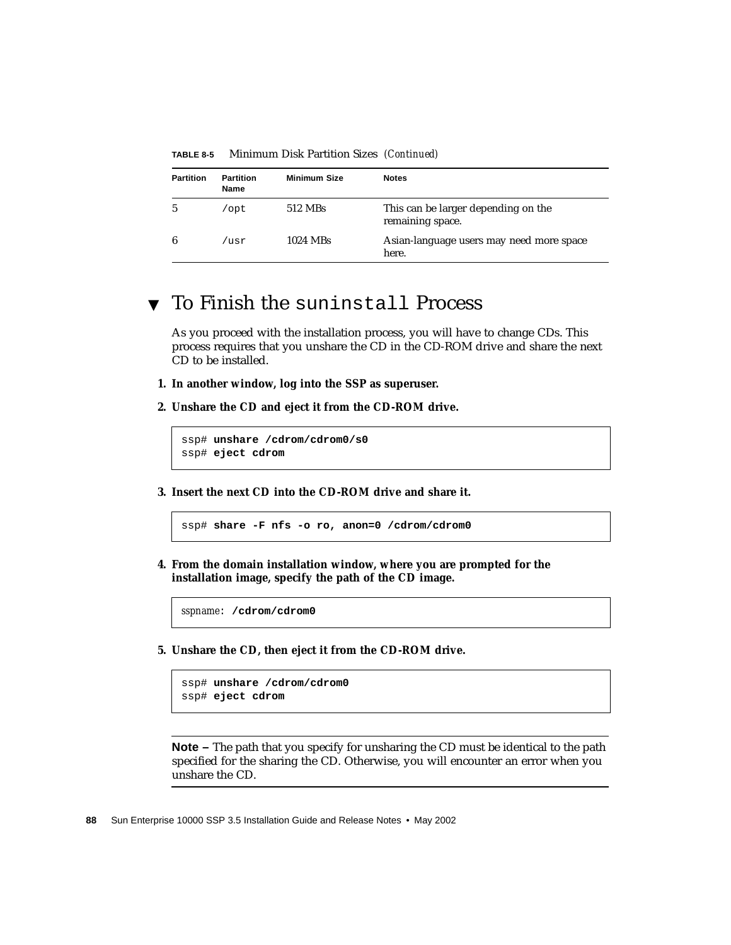| <b>Partition</b> | <b>Partition</b><br>Name | <b>Minimum Size</b> | <b>Notes</b>                                            |
|------------------|--------------------------|---------------------|---------------------------------------------------------|
|                  | opt/                     | 512 MBs             | This can be larger depending on the<br>remaining space. |
| 6                | /usr                     | 1024 MBs            | Asian-language users may need more space<br>here.       |

**TABLE 8-5** Minimum Disk Partition Sizes *(Continued)*

#### <span id="page-105-0"></span>▼ To Finish the suninstall Process

As you proceed with the installation process, you will have to change CDs. This process requires that you unshare the CD in the CD-ROM drive and share the next CD to be installed.

- **1. In another window, log into the SSP as superuser.**
- **2. Unshare the CD and eject it from the CD-ROM drive.**

```
ssp# unshare /cdrom/cdrom0/s0
ssp# eject cdrom
```
**3. Insert the next CD into the CD-ROM drive and share it.**

ssp# **share -F nfs -o ro, anon=0 /cdrom/cdrom0**

**4. From the domain installation window, where you are prompted for the installation image, specify the path of the CD image.**

*sspname*: **/cdrom/cdrom0**

**5. Unshare the CD, then eject it from the CD-ROM drive.**

```
ssp# unshare /cdrom/cdrom0
ssp# eject cdrom
```
**Note –** The path that you specify for unsharing the CD must be identical to the path specified for the sharing the CD. Otherwise, you will encounter an error when you unshare the CD.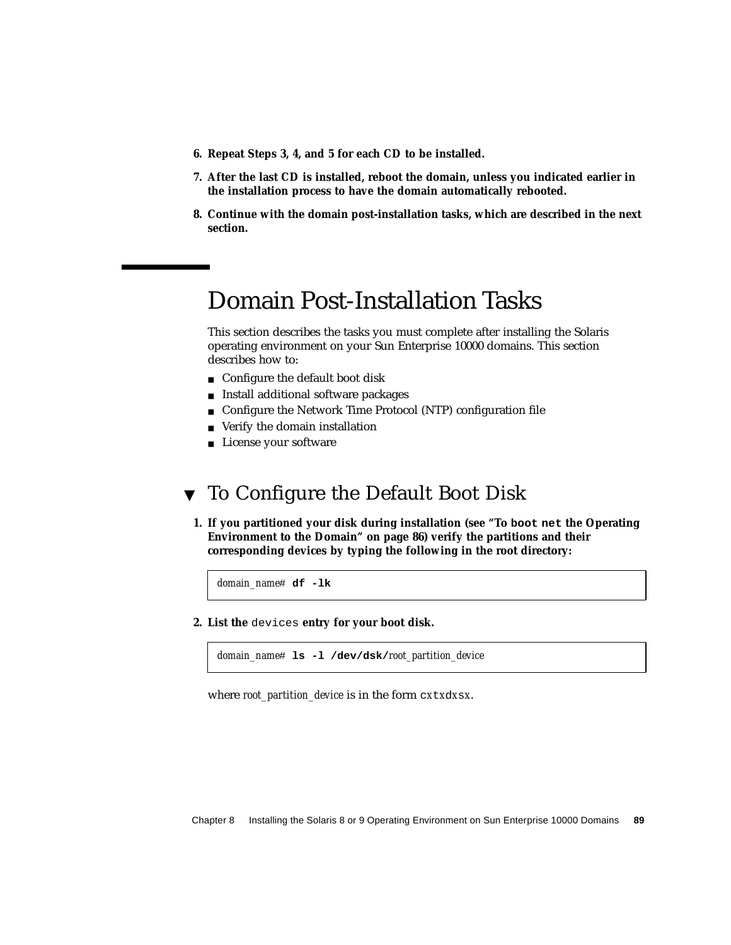- **6. Repeat Steps 3, 4, and 5 for each CD to be installed.**
- **7. After the last CD is installed, reboot the domain, unless you indicated earlier in the installation process to have the domain automatically rebooted.**
- **8. Continue with the domain post-installation tasks, which are described in the next section.**

## Domain Post-Installation Tasks

This section describes the tasks you must complete after installing the Solaris operating environment on your Sun Enterprise 10000 domains. This section describes how to:

- Configure the default boot disk
- Install additional software packages
- Configure the Network Time Protocol (NTP) configuration file
- Verify the domain installation
- License your software

### <span id="page-106-0"></span>▼ To Configure the Default Boot Disk

**1. If you partitioned your disk during installation (see "To boot net [the Operating](#page-103-0) [Environment to the Domain" on page 86](#page-103-0)) verify the partitions and their corresponding devices by typing the following in the root directory:**

*domain\_name*# **df -lk**

**2. List the** devices **entry for your boot disk.**

*domain\_name*# **ls -l /dev/dsk/***root\_partition\_device*

where *root\_partition\_device* is in the form c*x*t*x*d*x*s*x*.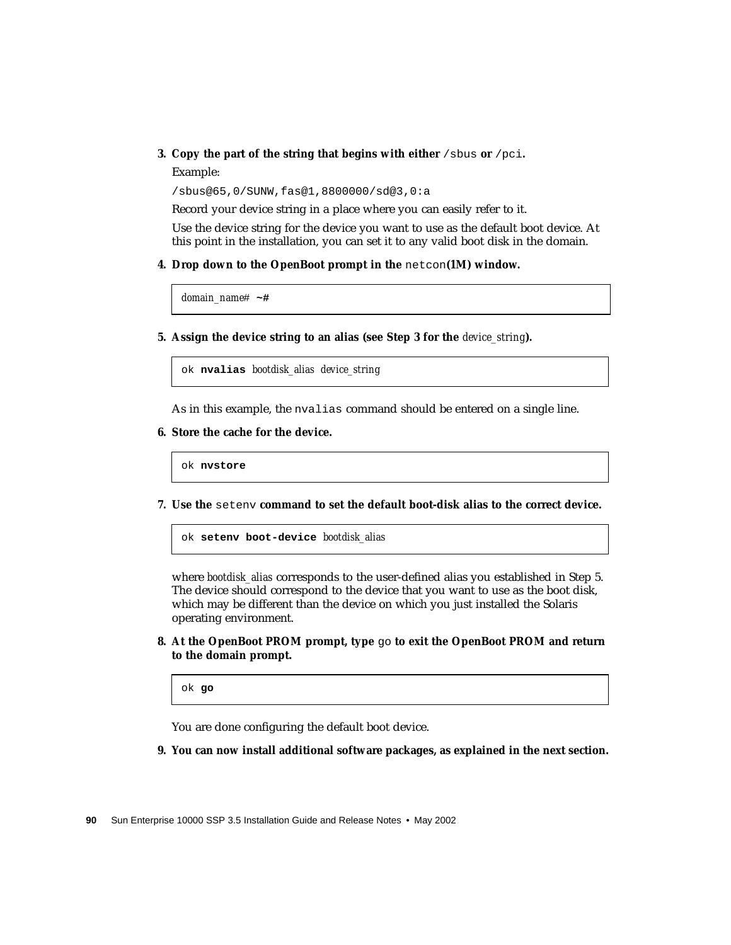#### <span id="page-107-0"></span>**3. Copy the part of the string that begins with either** /sbus **or** /pci**.**

Example:

/sbus@65,0/SUNW,fas@1,8800000/sd@3,0:a

Record your device string in a place where you can easily refer to it.

Use the device string for the device you want to use as the default boot device. At this point in the installation, you can set it to any valid boot disk in the domain.

**4. Drop down to the OpenBoot prompt in the** netcon**(1M) window.**

*domain\_name*# **~#**

**5. Assign the device string to an alias (see [Step 3](#page-107-0) for the** *device\_string***).**

ok **nvalias** *bootdisk\_alias device\_string*

As in this example, the nvalias command should be entered on a single line.

**6. Store the cache for the device.**

ok **nvstore**

**7. Use the** setenv **command to set the default boot-disk alias to the correct device.**

ok **setenv boot-device** *bootdisk\_alias*

where *bootdisk* alias corresponds to the user-defined alias you established in Step 5. The device should correspond to the device that you want to use as the boot disk, which may be different than the device on which you just installed the Solaris operating environment.

**8. At the OpenBoot PROM prompt, type** go **to exit the OpenBoot PROM and return to the domain prompt.**

ok **go**

You are done configuring the default boot device.

**9. You can now install additional software packages, as explained in the next section.**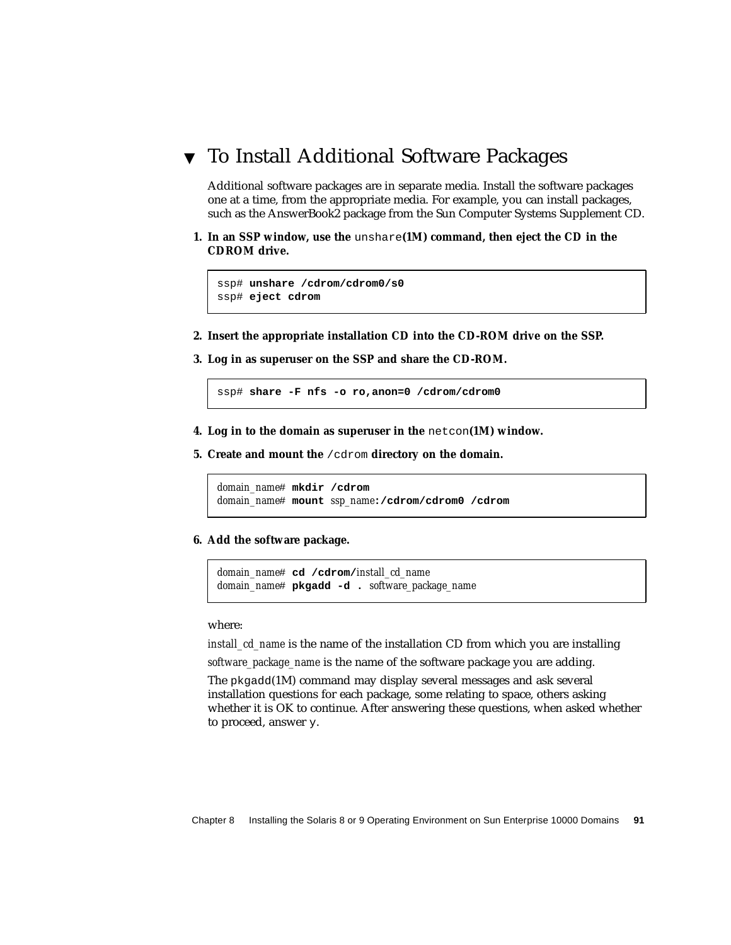## ▼ To Install Additional Software Packages

Additional software packages are in separate media. Install the software packages one at a time, from the appropriate media. For example, you can install packages, such as the AnswerBook2 package from the Sun Computer Systems Supplement CD.

**1. In an SSP window, use the** unshare**(1M) command, then eject the CD in the CDROM drive.**

```
ssp# unshare /cdrom/cdrom0/s0
ssp# eject cdrom
```
- **2. Insert the appropriate installation CD into the CD-ROM drive on the SSP.**
- **3. Log in as superuser on the SSP and share the CD-ROM.**

ssp# **share -F nfs -o ro,anon=0 /cdrom/cdrom0**

- **4. Log in to the domain as superuser in the** netcon**(1M) window.**
- **5. Create and mount the** /cdrom **directory on the domain.**

```
domain_name# mkdir /cdrom
domain_name# mount ssp_name:/cdrom/cdrom0 /cdrom
```
**6. Add the software package.**

```
domain_name# cd /cdrom/install_cd_name
domain_name# pkgadd -d . software_package_name
```
where:

*install\_cd\_name* is the name of the installation CD from which you are installing *software\_package\_name* is the name of the software package you are adding.

The pkgadd(1M) command may display several messages and ask several installation questions for each package, some relating to space, others asking whether it is OK to continue. After answering these questions, when asked whether to proceed, answer y.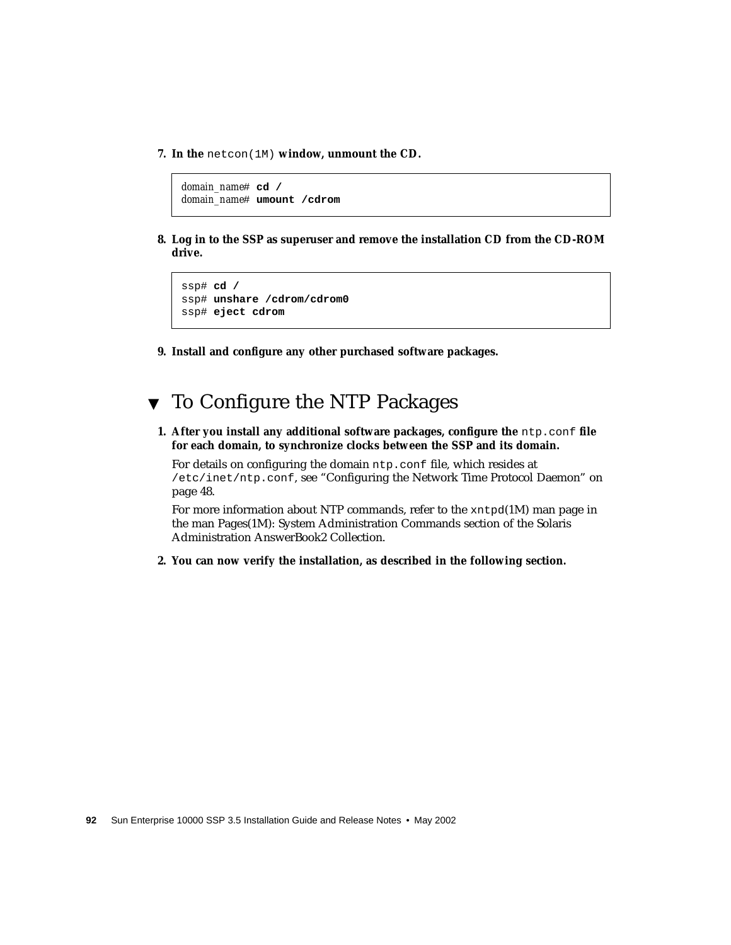**7. In the** netcon(1M) **window, unmount the CD.**

*domain\_name*# **cd /** *domain\_name*# **umount /cdrom**

**8. Log in to the SSP as superuser and remove the installation CD from the CD-ROM drive.**

```
ssp# cd /
ssp# unshare /cdrom/cdrom0
ssp# eject cdrom
```
**9. Install and configure any other purchased software packages.**



**1. After you install any additional software packages, configure the** ntp.conf **file for each domain, to synchronize clocks between the SSP and its domain.**

For details on configuring the domain ntp.conf file, which resides at /etc/inet/ntp.conf, see ["Configuring the Network Time Protocol Daemon" on](#page-65-0) [page 48](#page-65-0).

For more information about NTP commands, refer to the xntpd(1M) man page in the man Pages(1M): System Administration Commands section of the Solaris Administration AnswerBook2 Collection.

**2. You can now verify the installation, as described in the following section.**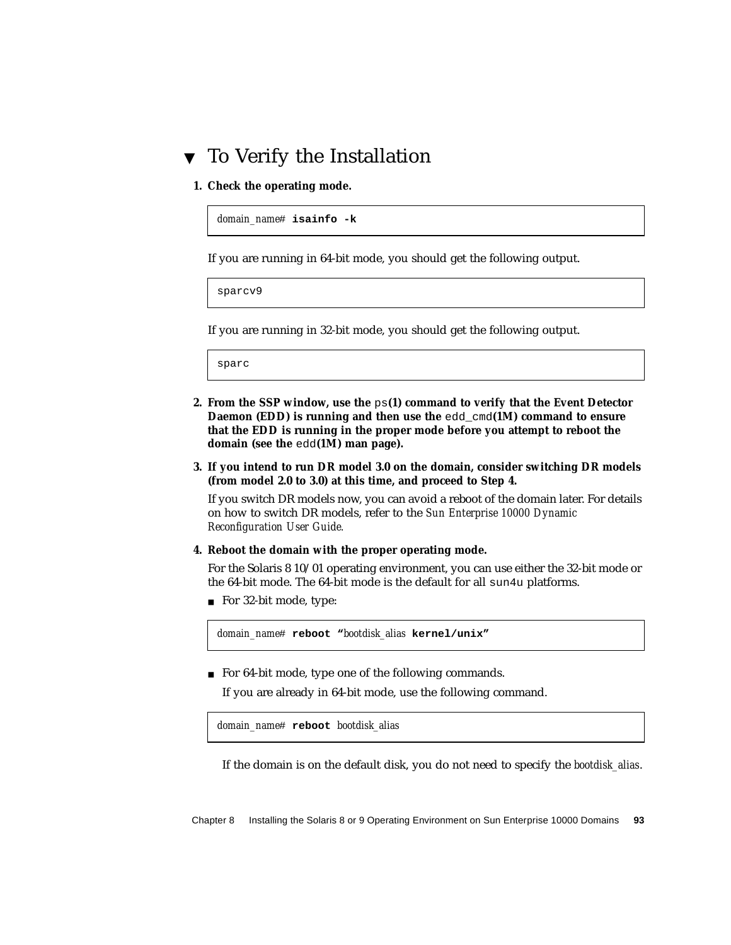## ▼ To Verify the Installation

**1. Check the operating mode.**

```
domain_name# isainfo -k
```
If you are running in 64-bit mode, you should get the following output.

sparcv9

If you are running in 32-bit mode, you should get the following output.

sparc

- **2. From the SSP window, use the** ps**(1) command to verify that the Event Detector Daemon (EDD) is running and then use the** edd\_cmd**(1M) command to ensure that the EDD is running in the proper mode before you attempt to reboot the domain (see the** edd**(1M) man page).**
- **3. If you intend to run DR model 3.0 on the domain, consider switching DR models (from model 2.0 to 3.0) at this time, and proceed to Step 4.**

If you switch DR models now, you can avoid a reboot of the domain later. For details on how to switch DR models, refer to the *Sun Enterprise 10000 Dynamic Reconfiguration User Guide.*

#### **4. Reboot the domain with the proper operating mode.**

For the Solaris 8 10/01 operating environment, you can use either the 32-bit mode or the 64-bit mode. The 64-bit mode is the default for all sun4u platforms.

■ For 32-bit mode, type:

*domain\_name*# **reboot "***bootdisk\_alias* **kernel/unix"**

■ For 64-bit mode, type one of the following commands.

If you are already in 64-bit mode, use the following command.

```
domain_name# reboot bootdisk_alias
```
If the domain is on the default disk, you do not need to specify the *bootdisk\_alias*.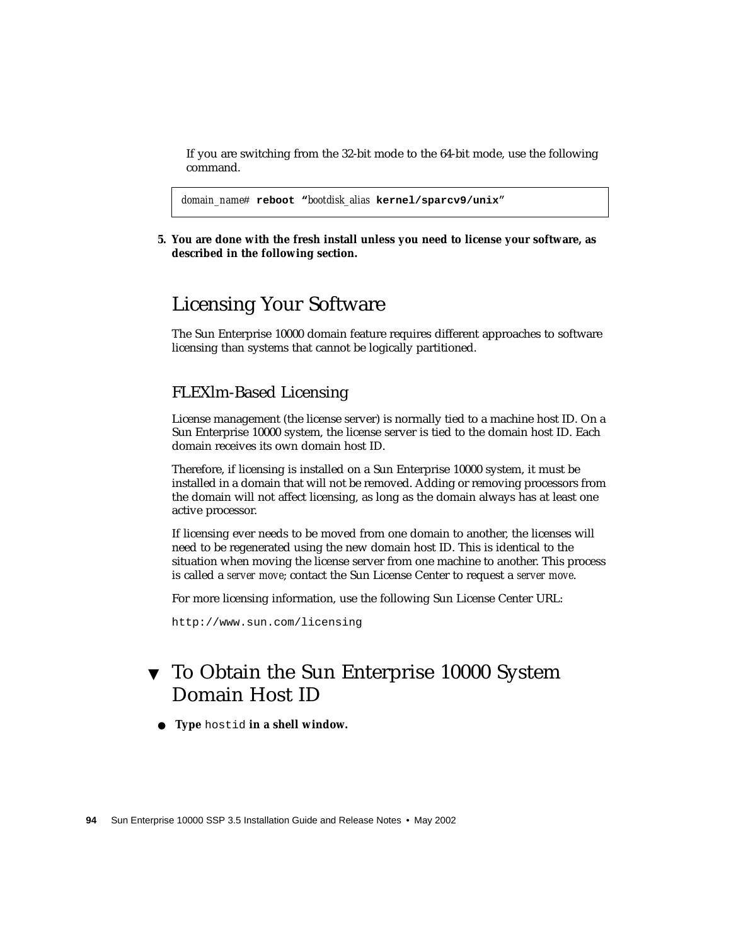If you are switching from the 32-bit mode to the 64-bit mode, use the following command.

```
domain_name# reboot "bootdisk_alias kernel/sparcv9/unix"
```
**5. You are done with the fresh install unless you need to license your software, as described in the following section.**

## Licensing Your Software

The Sun Enterprise 10000 domain feature requires different approaches to software licensing than systems that cannot be logically partitioned.

### FLEXlm-Based Licensing

License management (the license server) is normally tied to a machine host ID. On a Sun Enterprise 10000 system, the license server is tied to the domain host ID. Each domain receives its own domain host ID.

Therefore, if licensing is installed on a Sun Enterprise 10000 system, it must be installed in a domain that will not be removed. Adding or removing processors from the domain will not affect licensing, as long as the domain always has at least one active processor.

If licensing ever needs to be moved from one domain to another, the licenses will need to be regenerated using the new domain host ID. This is identical to the situation when moving the license server from one machine to another. This process is called a *server move*; contact the Sun License Center to request a *server move*.

For more licensing information, use the following Sun License Center URL:

http://www.sun.com/licensing

## ▼ To Obtain the Sun Enterprise 10000 System Domain Host ID

● **Type** hostid **in a shell window.**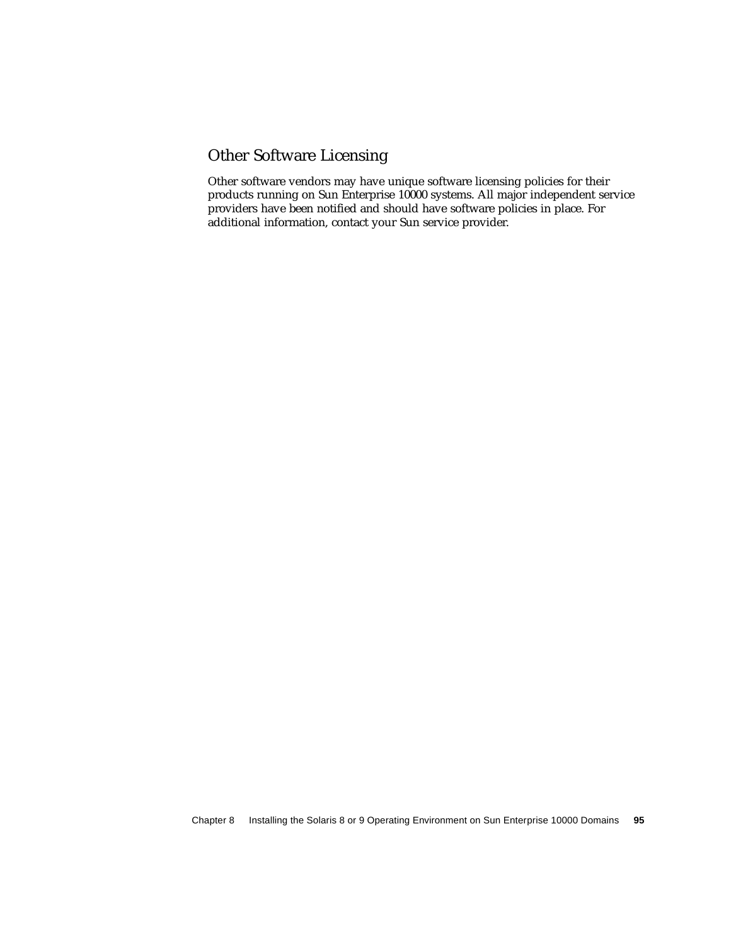## Other Software Licensing

Other software vendors may have unique software licensing policies for their products running on Sun Enterprise 10000 systems. All major independent service providers have been notified and should have software policies in place. For additional information, contact your Sun service provider.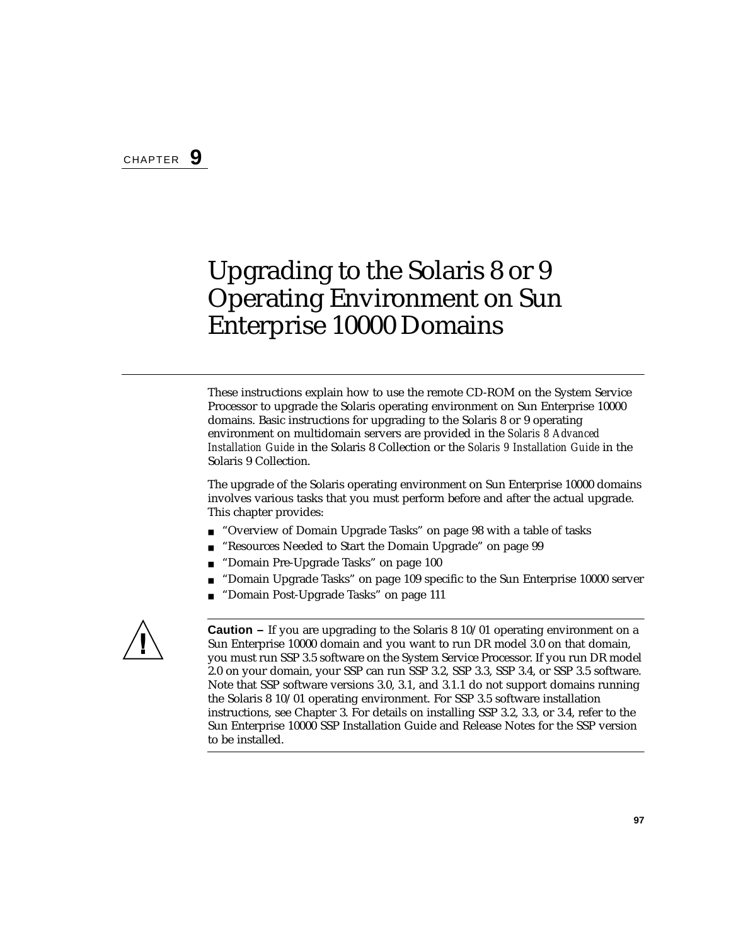# Upgrading to the Solaris 8 or 9 Operating Environment on Sun Enterprise 10000 Domains

These instructions explain how to use the remote CD-ROM on the System Service Processor to upgrade the Solaris operating environment on Sun Enterprise 10000 domains. Basic instructions for upgrading to the Solaris 8 or 9 operating environment on multidomain servers are provided in the *Solaris 8 Advanced Installation Guide* in the Solaris 8 Collection or the *Solaris 9 Installation Guide* in the Solaris 9 Collection.

The upgrade of the Solaris operating environment on Sun Enterprise 10000 domains involves various tasks that you must perform before and after the actual upgrade. This chapter provides:

- ["Overview of Domain Upgrade Tasks" on page 98](#page-115-0) with a table of tasks
- ["Resources Needed to Start the Domain Upgrade" on page 99](#page-116-0)
- ["Domain Pre-Upgrade Tasks" on page 100](#page-117-0)
- ["Domain Upgrade Tasks" on page 109](#page-126-0) specific to the Sun Enterprise 10000 server
- ["Domain Post-Upgrade Tasks" on page 111](#page-128-0)



**Caution –** If you are upgrading to the Solaris 8 10/01 operating environment on a Sun Enterprise 10000 domain and you want to run DR model 3.0 on that domain, you must run SSP 3.5 software on the System Service Processor. If you run DR model 2.0 on your domain, your SSP can run SSP 3.2, SSP 3.3, SSP 3.4, or SSP 3.5 software. Note that SSP software versions 3.0, 3.1, and 3.1.1 do not support domains running the Solaris 8 10/01 operating environment. For SSP 3.5 software installation instructions, see [Chapter 3](#page-46-0). For details on installing SSP 3.2, 3.3, or 3.4, refer to the Sun Enterprise 10000 SSP Installation Guide and Release Notes for the SSP version to be installed.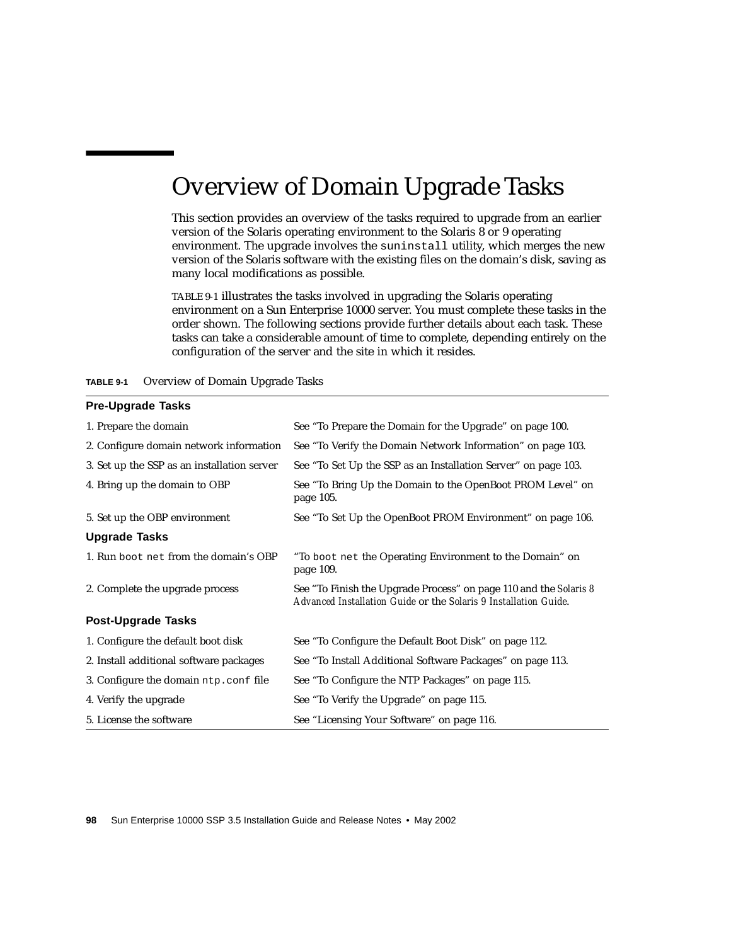# <span id="page-115-0"></span>Overview of Domain Upgrade Tasks

This section provides an overview of the tasks required to upgrade from an earlier version of the Solaris operating environment to the Solaris 8 or 9 operating environment. The upgrade involves the suninstall utility, which merges the new version of the Solaris software with the existing files on the domain's disk, saving as many local modifications as possible.

[TABLE 9-1](#page-115-1) illustrates the tasks involved in upgrading the Solaris operating environment on a Sun Enterprise 10000 server. You must complete these tasks in the order shown. The following sections provide further details about each task. These tasks can take a considerable amount of time to complete, depending entirely on the configuration of the server and the site in which it resides.

<span id="page-115-1"></span>

| TABLE 9-1 |  | Overview of Domain Upgrade Tasks |  |  |  |
|-----------|--|----------------------------------|--|--|--|
|-----------|--|----------------------------------|--|--|--|

## **Pre-Upgrade Tasks** 1. Prepare the domain See ["To Prepare the Domain for the Upgrade" on page 100](#page-117-1). 2. Configure domain network information See ["To Verify the Domain Network Information" on page 103](#page-120-0). 3. Set up the SSP as an installation server See ["To Set Up the SSP as an Installation Server" on page 103](#page-120-1). 4. Bring up the domain to OBP See ["To Bring Up the Domain to the OpenBoot PROM Level" on](#page-122-0) [page 105](#page-122-0). 5. Set up the OBP environment See ["To Set Up the OpenBoot PROM Environment" on page 106](#page-123-0). **Upgrade Tasks** 1. Run boot net from the domain's OBP "To boot net [the Operating Environment to the Domain" on](#page-126-1) [page 109](#page-126-1). 2. Complete the upgrade process See ["To Finish the Upgrade Process" on page 110](#page-127-0) and the *Solaris 8 Advanced Installation Guide* or the *Solaris 9 Installation Guide*. **Post-Upgrade Tasks** 1. Configure the default boot disk See ["To Configure the Default Boot Disk" on page 112](#page-129-0). 2. Install additional software packages See ["To Install Additional Software Packages" on page 113.](#page-130-0) 3. Configure the domain ntp.conf file See ["To Configure the NTP Packages" on page 115](#page-132-0). 4. Verify the upgrade See ["To Verify the Upgrade" on page 115](#page-132-1). 5. License the software See ["Licensing Your Software" on page 116.](#page-133-0)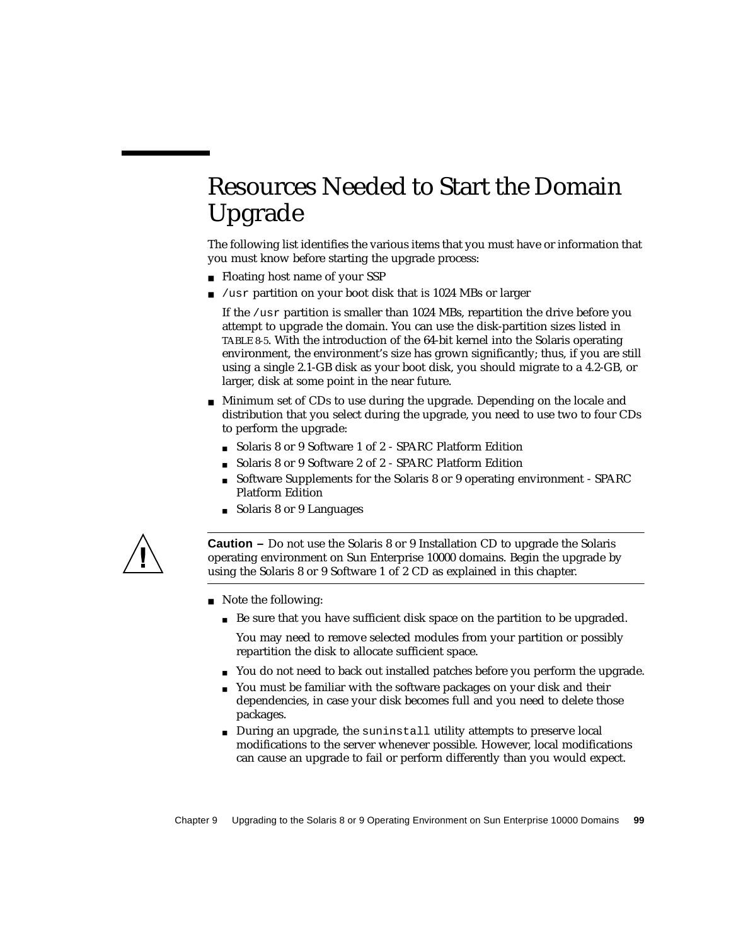# <span id="page-116-0"></span>Resources Needed to Start the Domain Upgrade

The following list identifies the various items that you must have or information that you must know before starting the upgrade process:

- Floating host name of your SSP
- /usr partition on your boot disk that is 1024 MBs or larger

If the /usr partition is smaller than 1024 MBs, repartition the drive before you attempt to upgrade the domain. You can use the disk-partition sizes listed in [TABLE 8-5.](#page-104-0) With the introduction of the 64-bit kernel into the Solaris operating environment, the environment's size has grown significantly; thus, if you are still using a single 2.1-GB disk as your boot disk, you should migrate to a 4.2-GB, or larger, disk at some point in the near future.

- Minimum set of CDs to use during the upgrade. Depending on the locale and distribution that you select during the upgrade, you need to use two to four CDs to perform the upgrade:
	- Solaris 8 or 9 Software 1 of 2 SPARC Platform Edition
	- Solaris 8 or 9 Software 2 of 2 SPARC Platform Edition
	- Software Supplements for the Solaris 8 or 9 operating environment SPARC Platform Edition
	- Solaris 8 or 9 Languages



**Caution –** Do not use the Solaris 8 or 9 Installation CD to upgrade the Solaris operating environment on Sun Enterprise 10000 domains. Begin the upgrade by using the Solaris 8 or 9 Software 1 of 2 CD as explained in this chapter.

- Note the following:
	- Be sure that you have sufficient disk space on the partition to be upgraded.

You may need to remove selected modules from your partition or possibly repartition the disk to allocate sufficient space.

- You do not need to back out installed patches before you perform the upgrade.
- You must be familiar with the software packages on your disk and their dependencies, in case your disk becomes full and you need to delete those packages.
- During an upgrade, the suninstall utility attempts to preserve local modifications to the server whenever possible. However, local modifications can cause an upgrade to fail or perform differently than you would expect.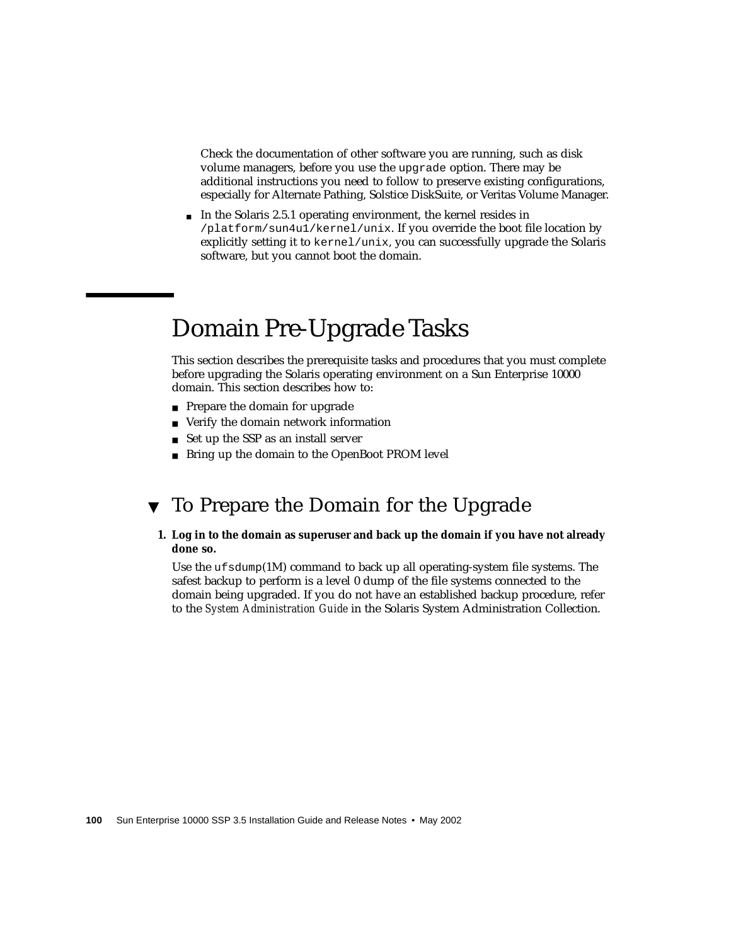Check the documentation of other software you are running, such as disk volume managers, before you use the upgrade option. There may be additional instructions you need to follow to preserve existing configurations, especially for Alternate Pathing, Solstice DiskSuite, or Veritas Volume Manager.

■ In the Solaris 2.5.1 operating environment, the kernel resides in /platform/sun4u1/kernel/unix. If you override the boot file location by explicitly setting it to  $\text{kernel/unix}$ , you can successfully upgrade the Solaris software, but you cannot boot the domain.

## <span id="page-117-0"></span>Domain Pre-Upgrade Tasks

This section describes the prerequisite tasks and procedures that you must complete before upgrading the Solaris operating environment on a Sun Enterprise 10000 domain. This section describes how to:

- Prepare the domain for upgrade
- Verify the domain network information
- Set up the SSP as an install server
- Bring up the domain to the OpenBoot PROM level

## <span id="page-117-1"></span>▼ To Prepare the Domain for the Upgrade

#### **1. Log in to the domain as superuser and back up the domain if you have not already done so.**

Use the ufsdump(1M) command to back up all operating-system file systems. The safest backup to perform is a level 0 dump of the file systems connected to the domain being upgraded. If you do not have an established backup procedure, refer to the *System Administration Guide* in the Solaris System Administration Collection.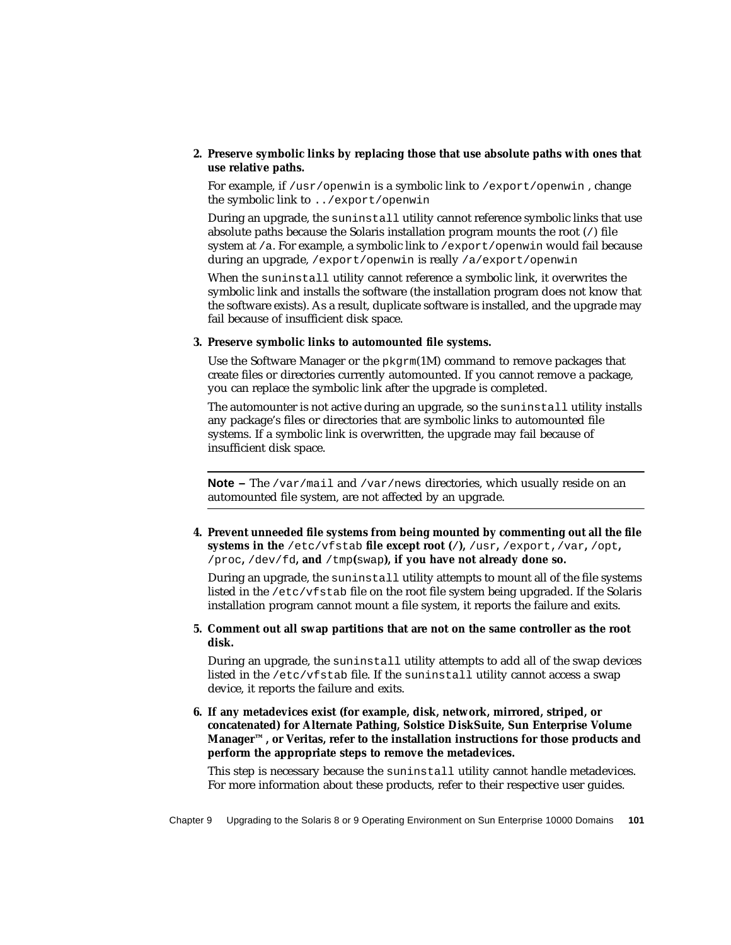#### **2. Preserve symbolic links by replacing those that use absolute paths with ones that use relative paths.**

For example, if  $/usr/openwin$  is a symbolic link to  $/expr/openwin$ , change the symbolic link to ../export/openwin

During an upgrade, the suninstall utility cannot reference symbolic links that use absolute paths because the Solaris installation program mounts the root (/) file system at /a. For example, a symbolic link to /export/openwin would fail because during an upgrade, /export/openwin is really /a/export/openwin

When the suninstall utility cannot reference a symbolic link, it overwrites the symbolic link and installs the software (the installation program does not know that the software exists). As a result, duplicate software is installed, and the upgrade may fail because of insufficient disk space.

#### **3. Preserve symbolic links to automounted file systems.**

Use the Software Manager or the  $pkqrm(TM)$  command to remove packages that create files or directories currently automounted. If you cannot remove a package, you can replace the symbolic link after the upgrade is completed.

The automounter is not active during an upgrade, so the suninstall utility installs any package's files or directories that are symbolic links to automounted file systems. If a symbolic link is overwritten, the upgrade may fail because of insufficient disk space.

**Note –** The /var/mail and /var/news directories, which usually reside on an automounted file system, are not affected by an upgrade.

**4. Prevent unneeded file systems from being mounted by commenting out all the file systems in the** /etc/vfstab **file except root (**/**),** /usr**,** /export,/var**,** /opt**,** /proc**,** /dev/fd**, and** /tmp**(**swap**), if you have not already done so.**

During an upgrade, the suninstall utility attempts to mount all of the file systems listed in the /etc/vfstab file on the root file system being upgraded. If the Solaris installation program cannot mount a file system, it reports the failure and exits.

**5. Comment out all swap partitions that are not on the same controller as the root disk.**

During an upgrade, the suninstall utility attempts to add all of the swap devices listed in the /etc/vfstab file. If the suninstall utility cannot access a swap device, it reports the failure and exits.

**6. If any metadevices exist (for example, disk, network, mirrored, striped, or concatenated) for Alternate Pathing, Solstice DiskSuite, Sun Enterprise Volume Manager™, or Veritas, refer to the installation instructions for those products and perform the appropriate steps to remove the metadevices.**

This step is necessary because the suninstall utility cannot handle metadevices. For more information about these products, refer to their respective user guides.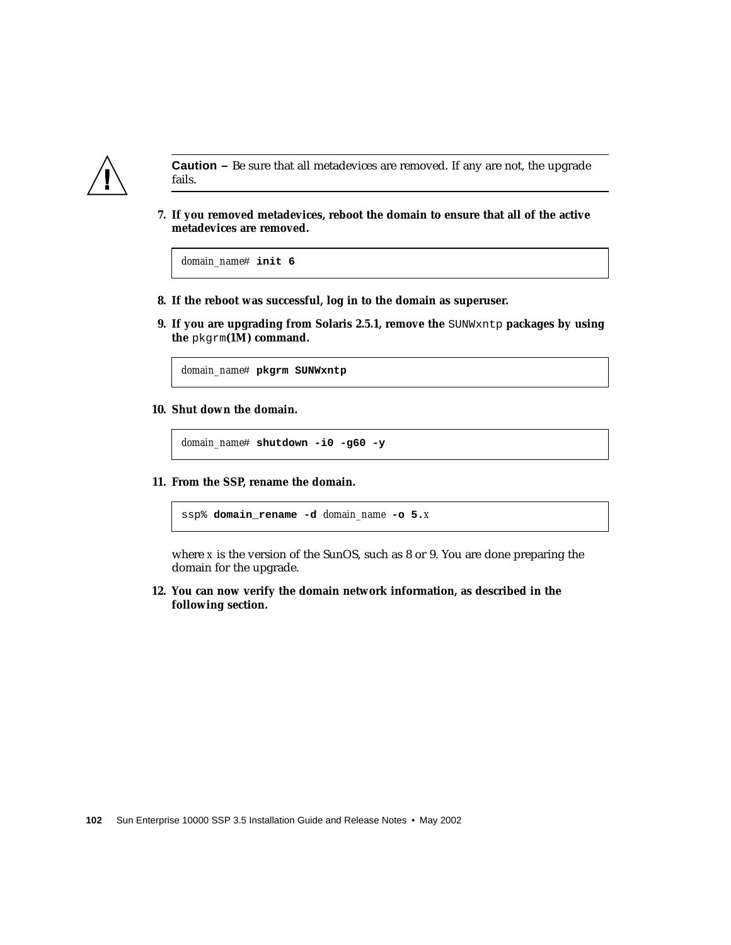

**Caution –** Be sure that all metadevices are removed. If any are not, the upgrade fails.

**7. If you removed metadevices, reboot the domain to ensure that all of the active metadevices are removed.**

*domain\_name*# **init 6**

- **8. If the reboot was successful, log in to the domain as superuser.**
- **9. If you are upgrading from Solaris 2.5.1, remove the** SUNWxntp **packages by using the** pkgrm**(1M) command.**

*domain\_name*# **pkgrm SUNWxntp**

**10. Shut down the domain.**

*domain\_name*# **shutdown -i0 -g60 -y**

**11. From the SSP, rename the domain.**

ssp% **domain\_rename -d** *domain\_name* **-o 5.***x*

where *x* is the version of the SunOS, such as 8 or 9. You are done preparing the domain for the upgrade.

**12. You can now verify the domain network information, as described in the following section.**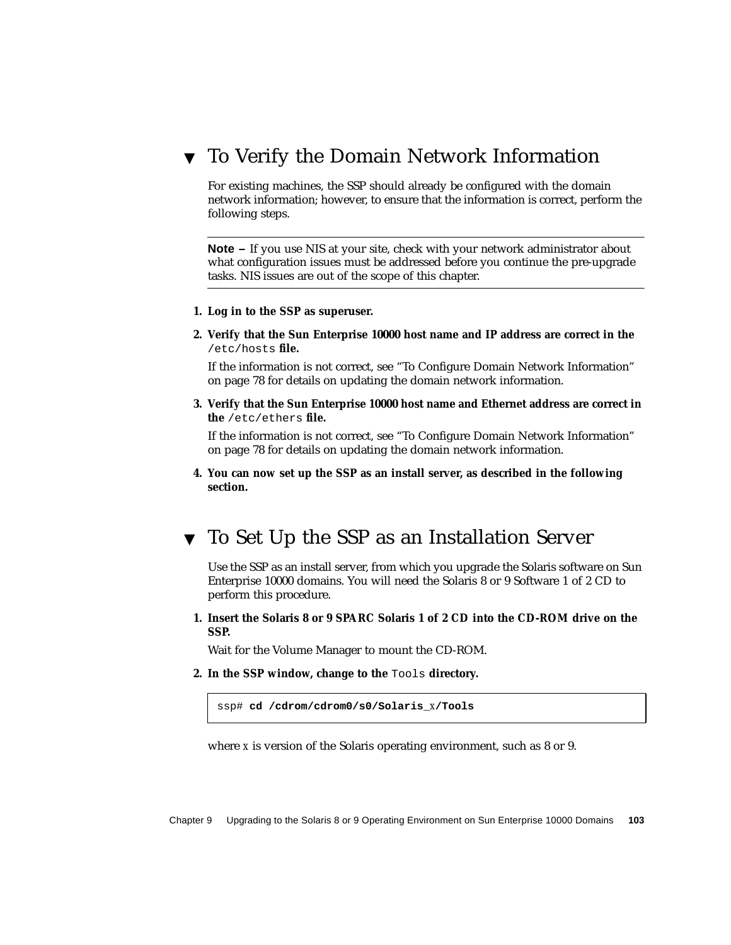## <span id="page-120-0"></span>▼ To Verify the Domain Network Information

For existing machines, the SSP should already be configured with the domain network information; however, to ensure that the information is correct, perform the following steps.

**Note –** If you use NIS at your site, check with your network administrator about what configuration issues must be addressed before you continue the pre-upgrade tasks. NIS issues are out of the scope of this chapter.

- **1. Log in to the SSP as superuser.**
- **2. Verify that the Sun Enterprise 10000 host name and IP address are correct in the** /etc/hosts **file.**

If the information is not correct, see ["To Configure Domain Network Information"](#page-95-0) [on page 78](#page-95-0) for details on updating the domain network information.

**3. Verify that the Sun Enterprise 10000 host name and Ethernet address are correct in the** /etc/ethers **file.**

If the information is not correct, see ["To Configure Domain Network Information"](#page-95-0) [on page 78](#page-95-0) for details on updating the domain network information.

**4. You can now set up the SSP as an install server, as described in the following section.**

## <span id="page-120-1"></span>▼ To Set Up the SSP as an Installation Server

Use the SSP as an install server, from which you upgrade the Solaris software on Sun Enterprise 10000 domains. You will need the Solaris 8 or 9 Software 1 of 2 CD to perform this procedure.

**1. Insert the Solaris 8 or 9 SPARC Solaris 1 of 2 CD into the CD-ROM drive on the SSP.**

Wait for the Volume Manager to mount the CD-ROM.

**2. In the SSP window, change to the** Tools **directory.**

ssp# **cd /cdrom/cdrom0/s0/Solaris\_***x***/Tools**

where *x* is version of the Solaris operating environment, such as 8 or 9.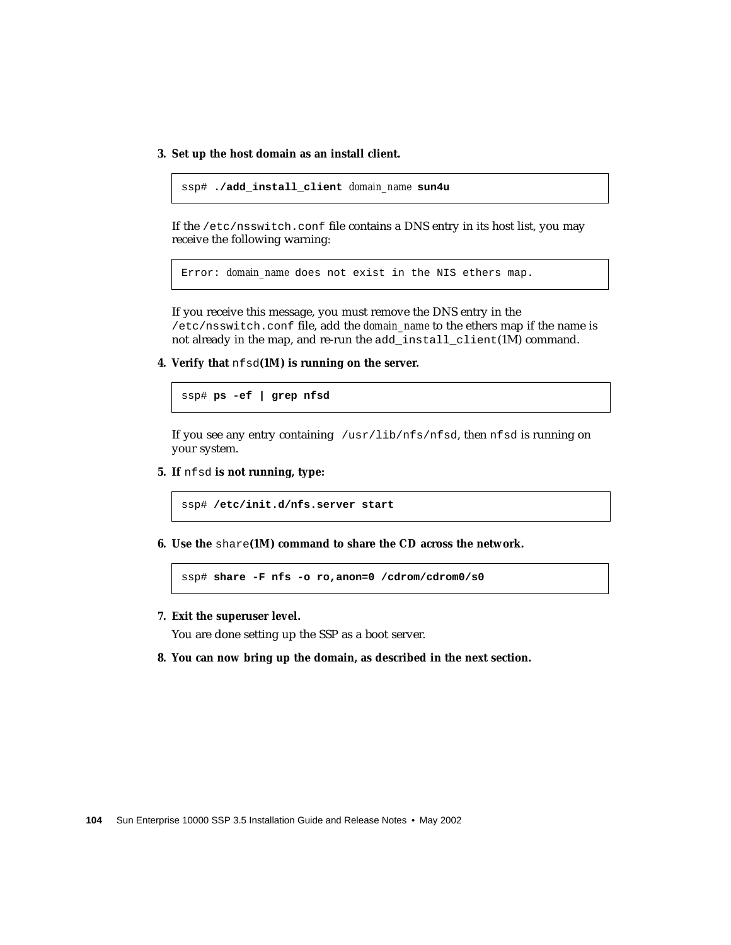**3. Set up the host domain as an install client.**

```
ssp# ./add_install_client domain_name sun4u
```
If the /etc/nsswitch.conf file contains a DNS entry in its host list, you may receive the following warning:

Error: *domain\_name* does not exist in the NIS ethers map.

If you receive this message, you must remove the DNS entry in the /etc/nsswitch.conf file, add the *domain\_name* to the ethers map if the name is not already in the map, and re-run the add\_install\_client(1M) command.

**4. Verify that** nfsd**(1M) is running on the server.**

ssp# **ps -ef | grep nfsd**

If you see any entry containing /usr/lib/nfs/nfsd, then nfsd is running on your system.

**5. If** nfsd **is not running, type:**

ssp# **/etc/init.d/nfs.server start**

**6. Use the** share**(1M) command to share the CD across the network.**

ssp# **share -F nfs -o ro,anon=0 /cdrom/cdrom0/s0**

**7. Exit the superuser level.**

You are done setting up the SSP as a boot server.

**8. You can now bring up the domain, as described in the next section.**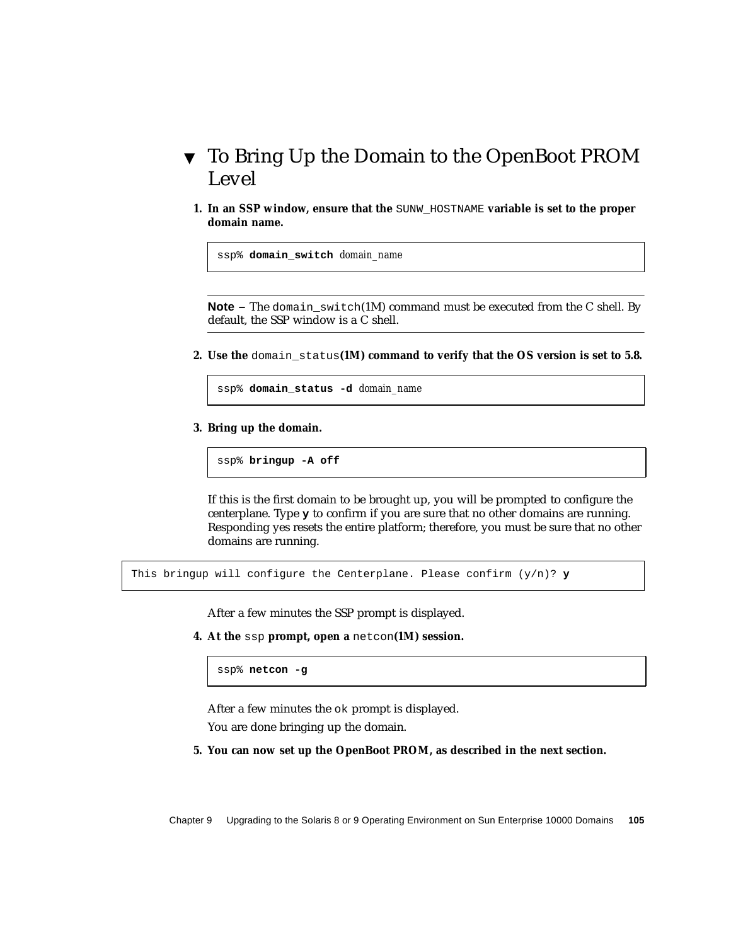## <span id="page-122-0"></span>▼ To Bring Up the Domain to the OpenBoot PROM Level

**1. In an SSP window, ensure that the SUNW\_HOSTNAME variable is set to the proper domain name.**

ssp% **domain\_switch** *domain\_name*

**Note** – The domain switch(1M) command must be executed from the C shell. By default, the SSP window is a C shell.

**2. Use the** domain\_status**(1M) command to verify that the OS version is set to 5.8.**

ssp% **domain\_status -d** *domain\_name*

**3. Bring up the domain.**

ssp% **bringup -A off**

If this is the first domain to be brought up, you will be prompted to configure the centerplane. Type **y** to confirm if you are sure that no other domains are running. Responding yes resets the entire platform; therefore, you must be sure that no other domains are running.

This bringup will configure the Centerplane. Please confirm  $(y/n)$ ? **y** 

After a few minutes the SSP prompt is displayed.

**4. At the** ssp **prompt, open a** netcon**(1M) session.**

ssp% **netcon -g**

After a few minutes the ok prompt is displayed.

You are done bringing up the domain.

**5. You can now set up the OpenBoot PROM, as described in the next section.**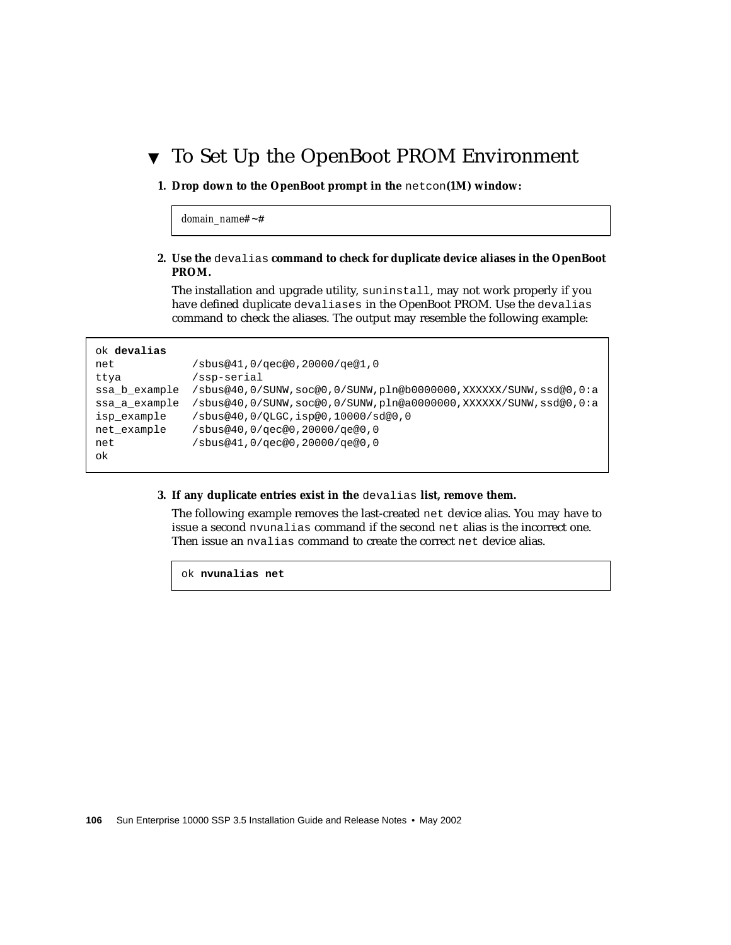## <span id="page-123-0"></span>▼ To Set Up the OpenBoot PROM Environment

#### **1. Drop down to the OpenBoot prompt in the** netcon**(1M) window:**

*domain\_name#* **~#**

#### **2. Use the** devalias **command to check for duplicate device aliases in the OpenBoot PROM.**

The installation and upgrade utility, suninstall, may not work properly if you have defined duplicate devaliases in the OpenBoot PROM. Use the devalias command to check the aliases. The output may resemble the following example:

#### ok **devalias**

| net           | /sbus@41,0/qec@0,20000/qe@1,0                                   |
|---------------|-----------------------------------------------------------------|
| ttya          | /ssp-serial                                                     |
| ssa b example | /sbus@40,0/SUNW,soc@0,0/SUNW,pln@b0000000,XXXXXX/SUNW,ssd@0,0:a |
| ssa a example | /sbus@40,0/SUNW,soc@0,0/SUNW,pln@a0000000,XXXXXX/SUNW,ssd@0,0:a |
| isp example   | /sbus@40,0/OLGC,isp@0,10000/sd@0,0                              |
| net example   | /sbus@40,0/qec@0,20000/qe@0,0                                   |
| net           | /sbus@41,0/qec@0,20000/qe@0,0                                   |
| ok            |                                                                 |

#### **3. If any duplicate entries exist in the** devalias **list, remove them.**

The following example removes the last-created net device alias. You may have to issue a second nvunalias command if the second net alias is the incorrect one. Then issue an nvalias command to create the correct net device alias.

ok **nvunalias net**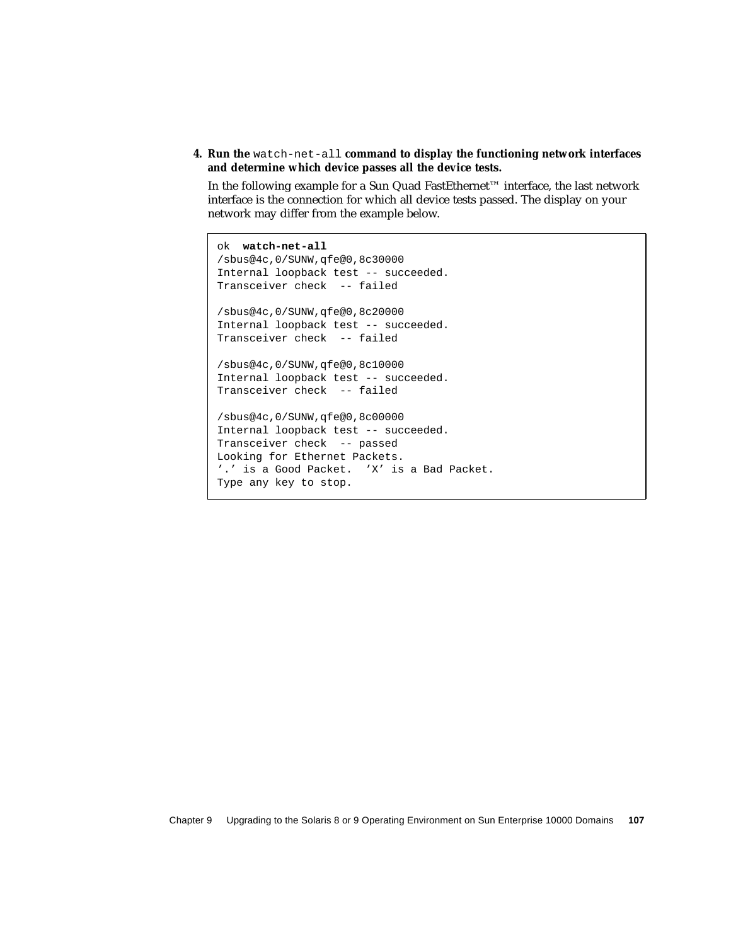**4. Run the** watch-net-all **command to display the functioning network interfaces and determine which device passes all the device tests.**

In the following example for a Sun Quad FastEthernet™ interface, the last network interface is the connection for which all device tests passed. The display on your network may differ from the example below.

```
ok watch-net-all
/sbus@4c,0/SUNW,qfe@0,8c30000
Internal loopback test -- succeeded.
Transceiver check -- failed
/sbus@4c,0/SUNW,qfe@0,8c20000
Internal loopback test -- succeeded.
Transceiver check -- failed
/sbus@4c,0/SUNW,qfe@0,8c10000
Internal loopback test -- succeeded.
Transceiver check -- failed
/sbus@4c,0/SUNW,qfe@0,8c00000
Internal loopback test -- succeeded.
Transceiver check -- passed
Looking for Ethernet Packets.
'.' is a Good Packet. 'X' is a Bad Packet.
Type any key to stop.
```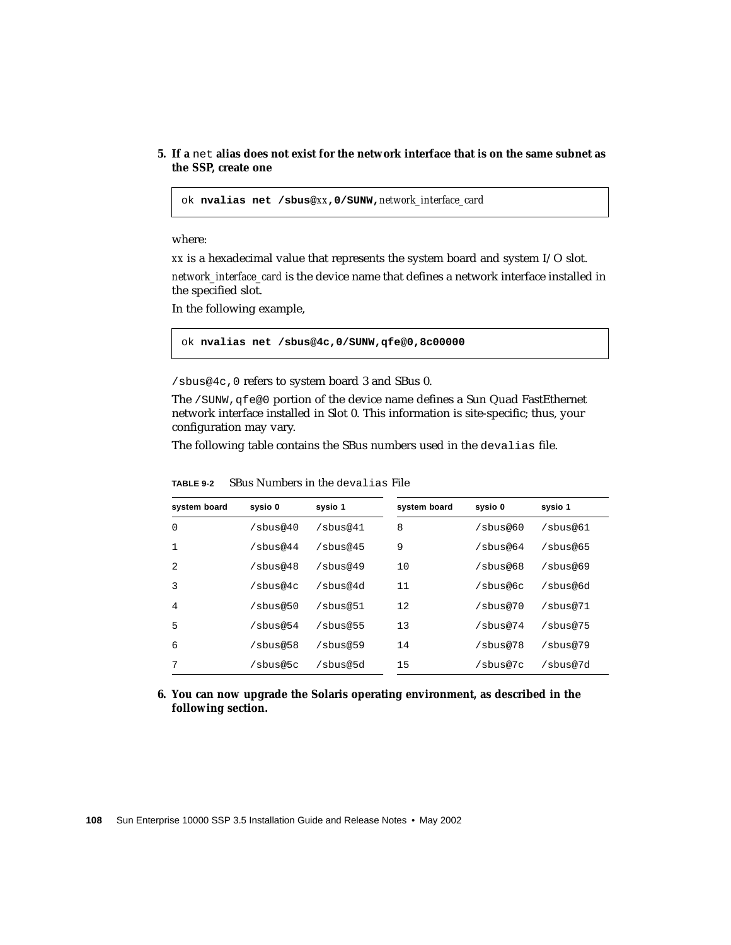#### **5. If a** net **alias does not exist for the network interface that is on the same subnet as the SSP, create one**

ok **nvalias net /sbus@***xx***,0/SUNW,***network\_interface\_card*

where:

*xx* is a hexadecimal value that represents the system board and system I/O slot.

*network\_interface\_card* is the device name that defines a network interface installed in the specified slot.

In the following example,

ok **nvalias net /sbus@4c,0/SUNW,qfe@0,8c00000**

/sbus@4c,0 refers to system board 3 and SBus 0.

The /SUNW, qfe@0 portion of the device name defines a Sun Quad FastEthernet network interface installed in Slot 0. This information is site-specific; thus, your configuration may vary.

The following table contains the SBus numbers used in the devalias file.

| system board | sysio 0     | sysio 1     | system board | sysio 0     | sysio 1     |
|--------------|-------------|-------------|--------------|-------------|-------------|
| $\Omega$     | $/s$ bus@40 | $/s$ bus@41 | 8            | $/s$ bus@60 | $/s$ bus@61 |
| 1            | $/s$ bus@44 | $/s$ bus@45 | 9            | $/s$ bus@64 | $/$ sbus@65 |
| 2            | $/s$ bus@48 | $/s$ bus@49 | 10           | /sbus@68    | $/s$ bus@69 |
| 3            | /sbus@4c    | /sbus@4d    | 11           | /sbus@6c    | /sbus@6d    |
| 4            | $/s$ bus@50 | /sbus@51    | 12           | /sbus@70    | /sbus@71    |
| 5            | $/s$ bus@54 | $/s$ bus@55 | 13           | /sbus@74    | $/s$ bus@75 |
| 6            | $/s$ bus@58 | $/s$ bus@59 | 14           | /sbus@78    | $/s$ bus@79 |
| 7            | /sbus@5c    | /sbus@5d    | 15           | /sbus@7c    | /sbus@7d    |

**TABLE 9-2** SBus Numbers in the devalias File

#### **6. You can now upgrade the Solaris operating environment, as described in the following section.**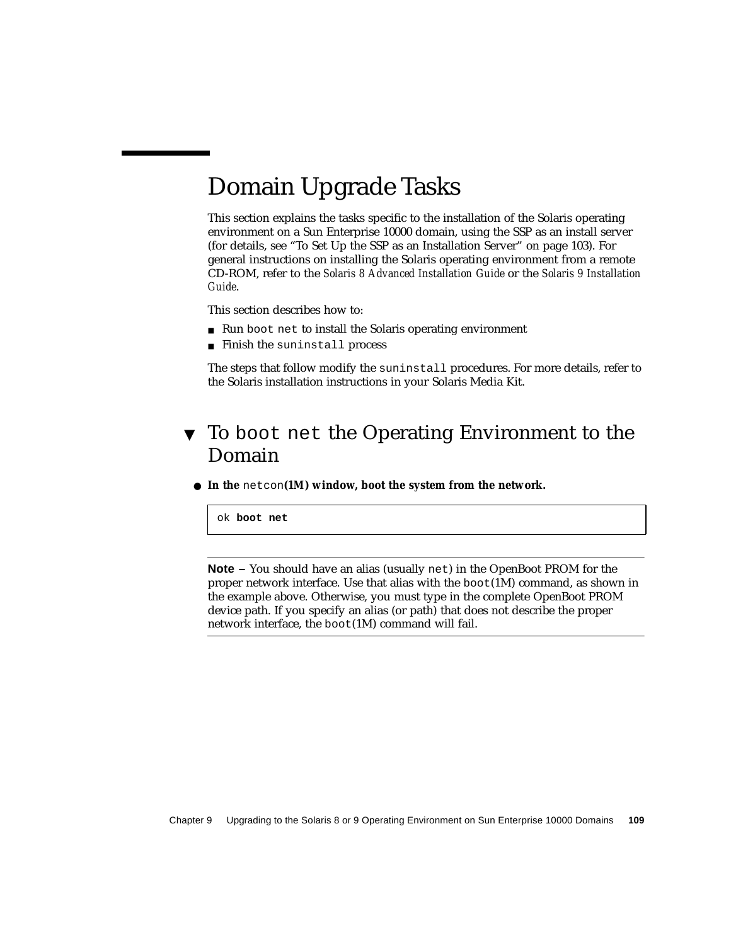# <span id="page-126-0"></span>Domain Upgrade Tasks

This section explains the tasks specific to the installation of the Solaris operating environment on a Sun Enterprise 10000 domain, using the SSP as an install server (for details, see ["To Set Up the SSP as an Installation Server" on page 103\)](#page-120-1). For general instructions on installing the Solaris operating environment from a remote CD-ROM, refer to the *Solaris 8 Advanced Installation Guide* or the *Solaris 9 Installation Guide*.

This section describes how to:

- Run boot net to install the Solaris operating environment
- Finish the suninstall process

The steps that follow modify the suninstall procedures. For more details, refer to the Solaris installation instructions in your Solaris Media Kit.

## <span id="page-126-1"></span>▼ To boot net the Operating Environment to the Domain

● **In the** netcon**(1M) window, boot the system from the network.**

ok **boot net**

**Note –** You should have an alias (usually net) in the OpenBoot PROM for the proper network interface. Use that alias with the  $boot(1M)$  command, as shown in the example above. Otherwise, you must type in the complete OpenBoot PROM device path. If you specify an alias (or path) that does not describe the proper network interface, the boot(1M) command will fail.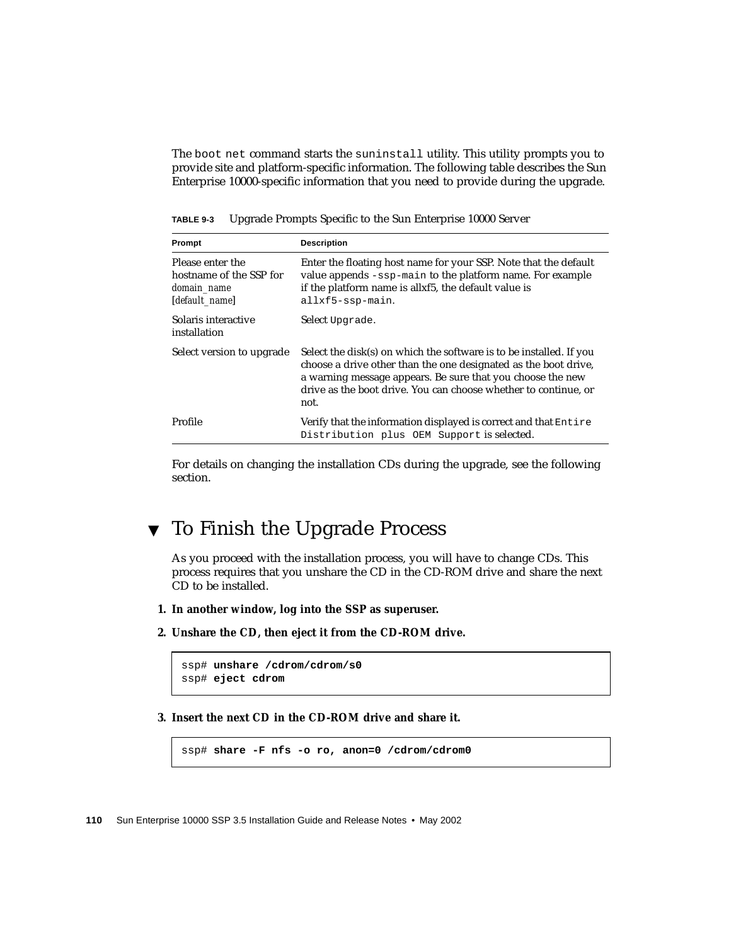The boot net command starts the suninstall utility. This utility prompts you to provide site and platform-specific information. The following table describes the Sun Enterprise 10000-specific information that you need to provide during the upgrade.

| Prompt                                                                       | <b>Description</b>                                                                                                                                                                                                                                                              |
|------------------------------------------------------------------------------|---------------------------------------------------------------------------------------------------------------------------------------------------------------------------------------------------------------------------------------------------------------------------------|
| Please enter the<br>hostname of the SSP for<br>domain_name<br>[default name] | Enter the floating host name for your SSP. Note that the default<br>value appends -ssp-main to the platform name. For example<br>if the platform name is allxf5, the default value is<br>allxf5-ssp-main.                                                                       |
| Solaris interactive<br>installation                                          | Select Upgrade.                                                                                                                                                                                                                                                                 |
| Select version to upgrade                                                    | Select the disk(s) on which the software is to be installed. If you<br>choose a drive other than the one designated as the boot drive,<br>a warning message appears. Be sure that you choose the new<br>drive as the boot drive. You can choose whether to continue, or<br>not. |
| Profile                                                                      | Verify that the information displayed is correct and that Entire<br>Distribution plus OEM Support is selected.                                                                                                                                                                  |

**TABLE 9-3** Upgrade Prompts Specific to the Sun Enterprise 10000 Server

For details on changing the installation CDs during the upgrade, see the following section.

## <span id="page-127-0"></span>▼ To Finish the Upgrade Process

As you proceed with the installation process, you will have to change CDs. This process requires that you unshare the CD in the CD-ROM drive and share the next CD to be installed.

- **1. In another window, log into the SSP as superuser.**
- **2. Unshare the CD, then eject it from the CD-ROM drive.**

```
ssp# unshare /cdrom/cdrom/s0
ssp# eject cdrom
```
**3. Insert the next CD in the CD-ROM drive and share it.**

ssp# **share -F nfs -o ro, anon=0 /cdrom/cdrom0**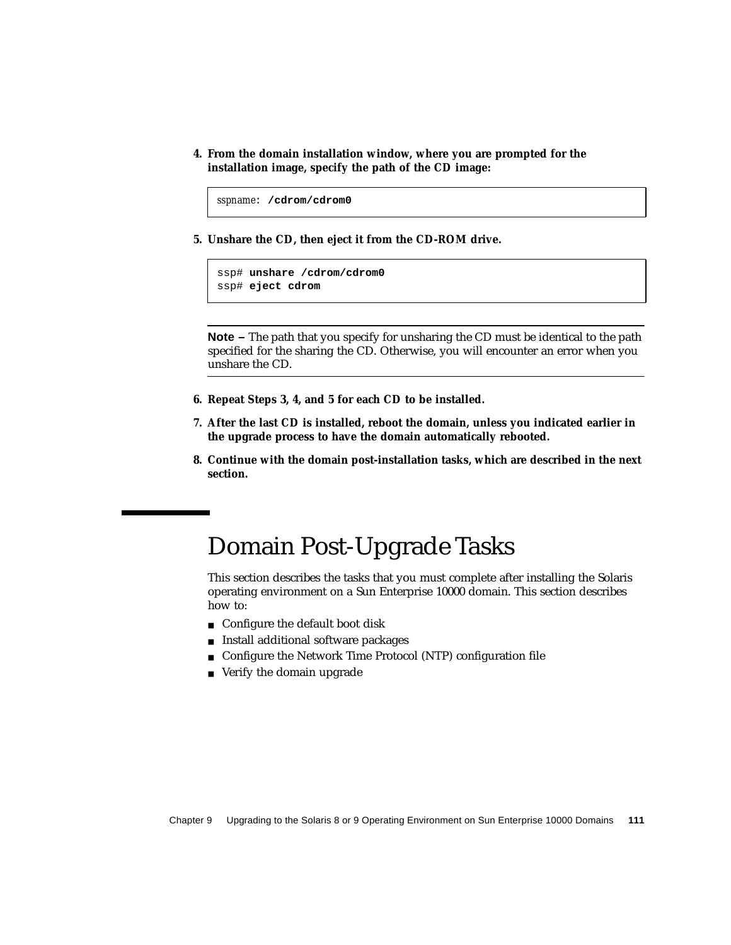**4. From the domain installation window, where you are prompted for the installation image, specify the path of the CD image:**

```
sspname: /cdrom/cdrom0
```
**5. Unshare the CD, then eject it from the CD-ROM drive.**

```
ssp# unshare /cdrom/cdrom0
ssp# eject cdrom
```
**Note** – The path that you specify for unsharing the CD must be identical to the path specified for the sharing the CD. Otherwise, you will encounter an error when you unshare the CD.

- **6. Repeat Steps 3, 4, and 5 for each CD to be installed.**
- **7. After the last CD is installed, reboot the domain, unless you indicated earlier in the upgrade process to have the domain automatically rebooted.**
- **8. Continue with the domain post-installation tasks, which are described in the next section.**

## <span id="page-128-0"></span>Domain Post-Upgrade Tasks

This section describes the tasks that you must complete after installing the Solaris operating environment on a Sun Enterprise 10000 domain. This section describes how to:

- Configure the default boot disk
- Install additional software packages
- Configure the Network Time Protocol (NTP) configuration file
- Verify the domain upgrade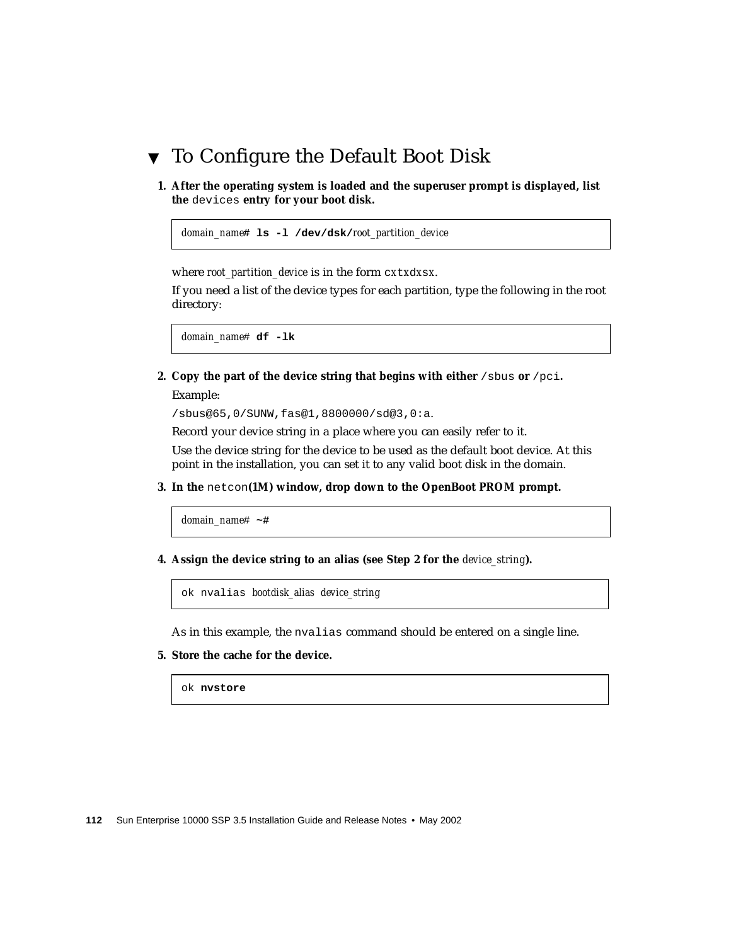## <span id="page-129-0"></span>▼ To Configure the Default Boot Disk

**1. After the operating system is loaded and the superuser prompt is displayed, list the** devices **entry for your boot disk.**

```
domain_name# ls -l /dev/dsk/root_partition_device
```
where *root\_partition\_device* is in the form c*x*t*x*d*x*s*x*.

If you need a list of the device types for each partition, type the following in the root directory:

*domain\_name*# **df -lk**

<span id="page-129-1"></span>**2. Copy the part of the device string that begins with either** /sbus **or** /pci**.**

Example:

/sbus@65,0/SUNW,fas@1,8800000/sd@3,0:a.

Record your device string in a place where you can easily refer to it.

Use the device string for the device to be used as the default boot device. At this point in the installation, you can set it to any valid boot disk in the domain.

**3. In the** netcon**(1M) window, drop down to the OpenBoot PROM prompt.**

*domain\_name*# **~#**

**4. Assign the device string to an alias (see [Step 2](#page-129-1) for the** *device\_string***).**

ok nvalias *bootdisk\_alias device\_string*

As in this example, the nvalias command should be entered on a single line.

#### **5. Store the cache for the device.**

ok **nvstore**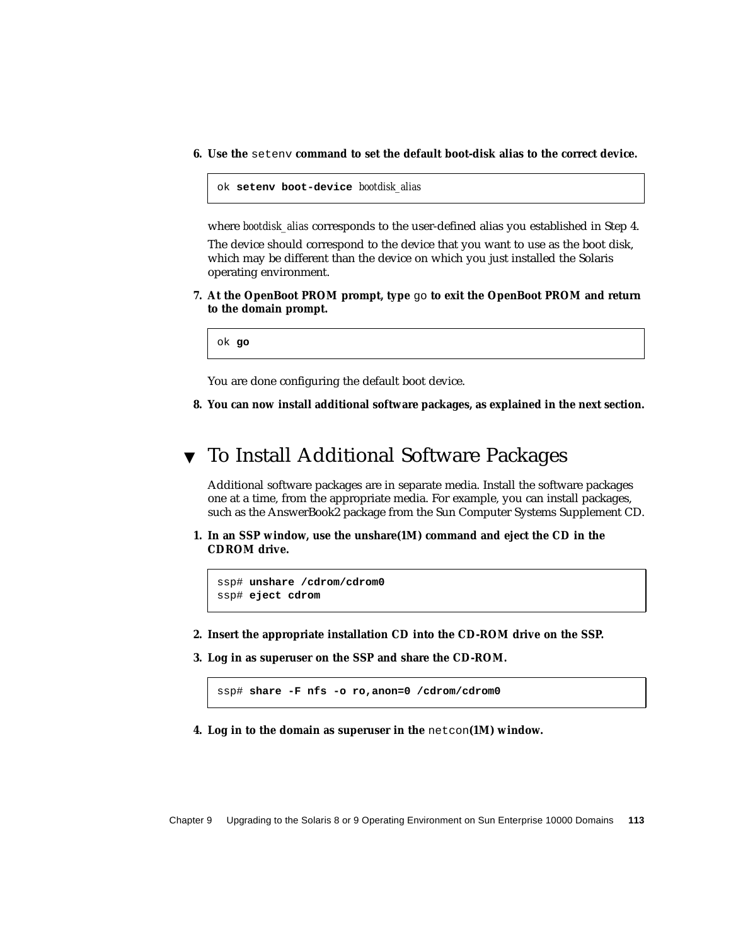**6. Use the** setenv **command to set the default boot-disk alias to the correct device.**

```
ok setenv boot-device bootdisk_alias
```
where *bootdisk\_alias* corresponds to the user-defined alias you established in Step 4.

The device should correspond to the device that you want to use as the boot disk, which may be different than the device on which you just installed the Solaris operating environment.

**7. At the OpenBoot PROM prompt, type** go **to exit the OpenBoot PROM and return to the domain prompt.**

ok **go**

You are done configuring the default boot device.

**8. You can now install additional software packages, as explained in the next section.**

## <span id="page-130-0"></span>▼ To Install Additional Software Packages

Additional software packages are in separate media. Install the software packages one at a time, from the appropriate media. For example, you can install packages, such as the AnswerBook2 package from the Sun Computer Systems Supplement CD.

**1. In an SSP window, use the unshare(1M) command and eject the CD in the CDROM drive.**

```
ssp# unshare /cdrom/cdrom0
ssp# eject cdrom
```
- **2. Insert the appropriate installation CD into the CD-ROM drive on the SSP.**
- **3. Log in as superuser on the SSP and share the CD-ROM.**

ssp# **share -F nfs -o ro,anon=0 /cdrom/cdrom0**

**4. Log in to the domain as superuser in the** netcon**(1M) window.**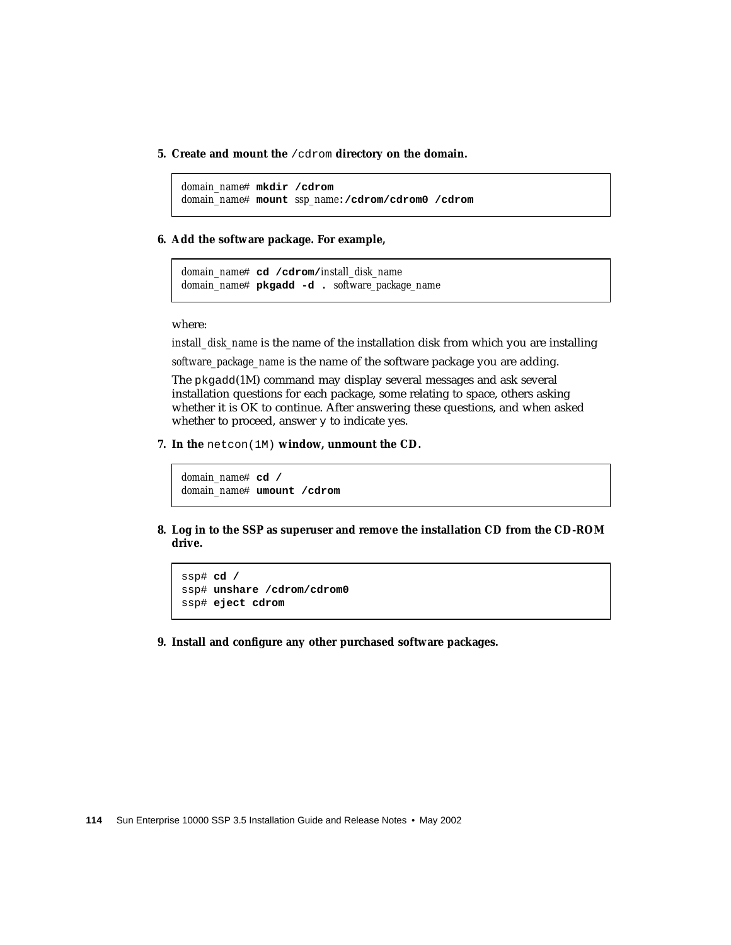**5. Create and mount the** /cdrom **directory on the domain.**

```
domain_name# mkdir /cdrom
domain_name# mount ssp_name:/cdrom/cdrom0 /cdrom
```
#### **6. Add the software package. For example,**

*domain\_name*# **cd /cdrom/***install\_disk\_name domain\_name*# **pkgadd -d .** *software\_package\_name*

where:

*install\_disk\_name* is the name of the installation disk from which you are installing *software\_package\_name* is the name of the software package you are adding.

The pkgadd(1M) command may display several messages and ask several installation questions for each package, some relating to space, others asking whether it is OK to continue. After answering these questions, and when asked whether to proceed, answer  $y$  to indicate yes.

**7. In the** netcon(1M) **window, unmount the CD.**

```
domain_name# cd /
domain_name# umount /cdrom
```
**8. Log in to the SSP as superuser and remove the installation CD from the CD-ROM drive.**

```
ssp# cd /
ssp# unshare /cdrom/cdrom0
ssp# eject cdrom
```
**9. Install and configure any other purchased software packages.**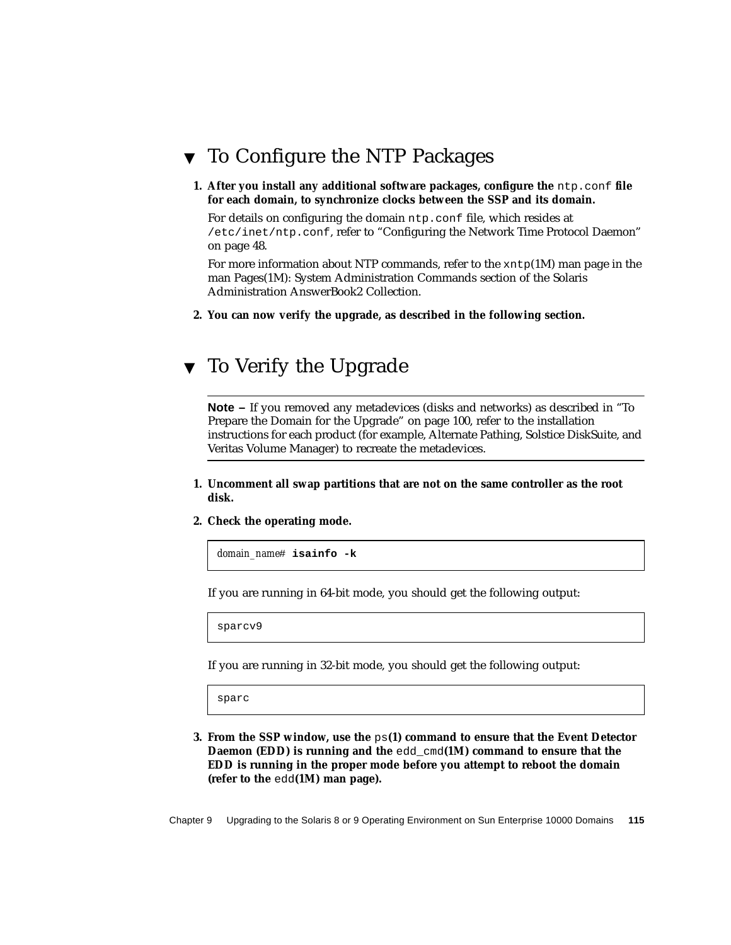## <span id="page-132-0"></span>▼ To Configure the NTP Packages

**1. After you install any additional software packages, configure the** ntp.conf **file for each domain, to synchronize clocks between the SSP and its domain.**

For details on configuring the domain ntp.conf file, which resides at /etc/inet/ntp.conf, refer to ["Configuring the Network Time Protocol Daemon"](#page-65-0) [on page 48](#page-65-0).

For more information about NTP commands, refer to the  $xntp(1M)$  man page in the man Pages(1M): System Administration Commands section of the Solaris Administration AnswerBook2 Collection.

**2. You can now verify the upgrade, as described in the following section.**

## <span id="page-132-1"></span>▼ To Verify the Upgrade

**Note** – If you removed any metadevices (disks and networks) as described in ["To](#page-117-1) [Prepare the Domain for the Upgrade" on page 100,](#page-117-1) refer to the installation instructions for each product (for example, Alternate Pathing, Solstice DiskSuite, and Veritas Volume Manager) to recreate the metadevices.

- **1. Uncomment all swap partitions that are not on the same controller as the root disk.**
- **2. Check the operating mode.**

*domain\_name*# **isainfo -k**

If you are running in 64-bit mode, you should get the following output:

sparcv9

If you are running in 32-bit mode, you should get the following output:

sparc

**3. From the SSP window, use the** ps**(1) command to ensure that the Event Detector Daemon (EDD) is running and the** edd\_cmd**(1M) command to ensure that the EDD is running in the proper mode before you attempt to reboot the domain (refer to the** edd**(1M) man page).**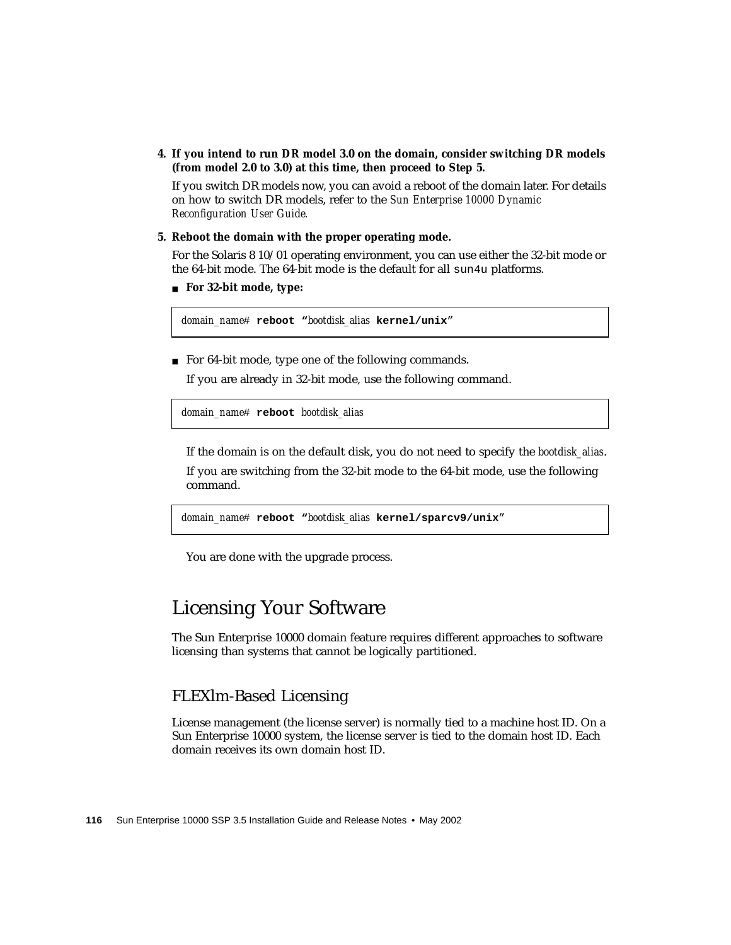**4. If you intend to run DR model 3.0 on the domain, consider switching DR models (from model 2.0 to 3.0) at this time, then proceed to Step 5.**

If you switch DR models now, you can avoid a reboot of the domain later. For details on how to switch DR models, refer to the *Sun Enterprise 10000 Dynamic Reconfiguration User Guide.*

**5. Reboot the domain with the proper operating mode.**

For the Solaris 8 10/01 operating environment, you can use either the 32-bit mode or the 64-bit mode. The 64-bit mode is the default for all sun4u platforms.

■ **For 32-bit mode, type:**

*domain\_name*# **reboot "***bootdisk\_alias* **kernel/unix**"

■ For 64-bit mode, type one of the following commands.

If you are already in 32-bit mode, use the following command.

*domain\_name*# **reboot** *bootdisk\_alias*

If the domain is on the default disk, you do not need to specify the *bootdisk\_alias*.

If you are switching from the 32-bit mode to the 64-bit mode, use the following command.

*domain\_name*# **reboot "***bootdisk\_alias* **kernel/sparcv9/unix**"

You are done with the upgrade process.

## <span id="page-133-0"></span>Licensing Your Software

The Sun Enterprise 10000 domain feature requires different approaches to software licensing than systems that cannot be logically partitioned.

### FLEXlm-Based Licensing

License management (the license server) is normally tied to a machine host ID. On a Sun Enterprise 10000 system, the license server is tied to the domain host ID. Each domain receives its own domain host ID.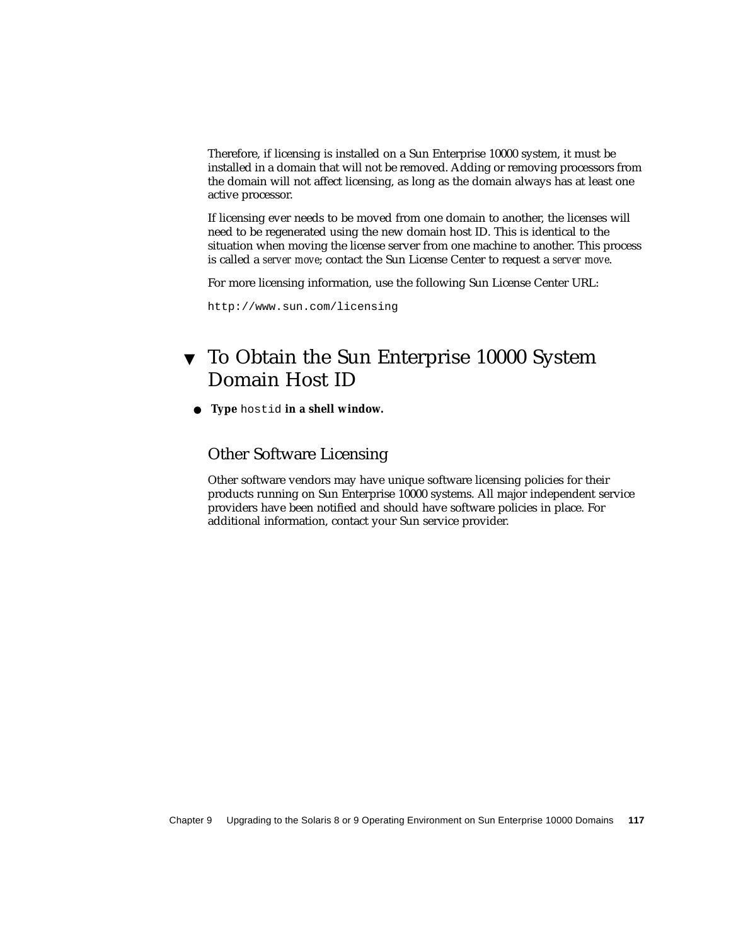Therefore, if licensing is installed on a Sun Enterprise 10000 system, it must be installed in a domain that will not be removed. Adding or removing processors from the domain will not affect licensing, as long as the domain always has at least one active processor.

If licensing ever needs to be moved from one domain to another, the licenses will need to be regenerated using the new domain host ID. This is identical to the situation when moving the license server from one machine to another. This process is called a *server move*; contact the Sun License Center to request a *server move*.

For more licensing information, use the following Sun License Center URL:

http://www.sun.com/licensing

## ▼ To Obtain the Sun Enterprise 10000 System Domain Host ID

● **Type** hostid **in a shell window.**

### Other Software Licensing

Other software vendors may have unique software licensing policies for their products running on Sun Enterprise 10000 systems. All major independent service providers have been notified and should have software policies in place. For additional information, contact your Sun service provider.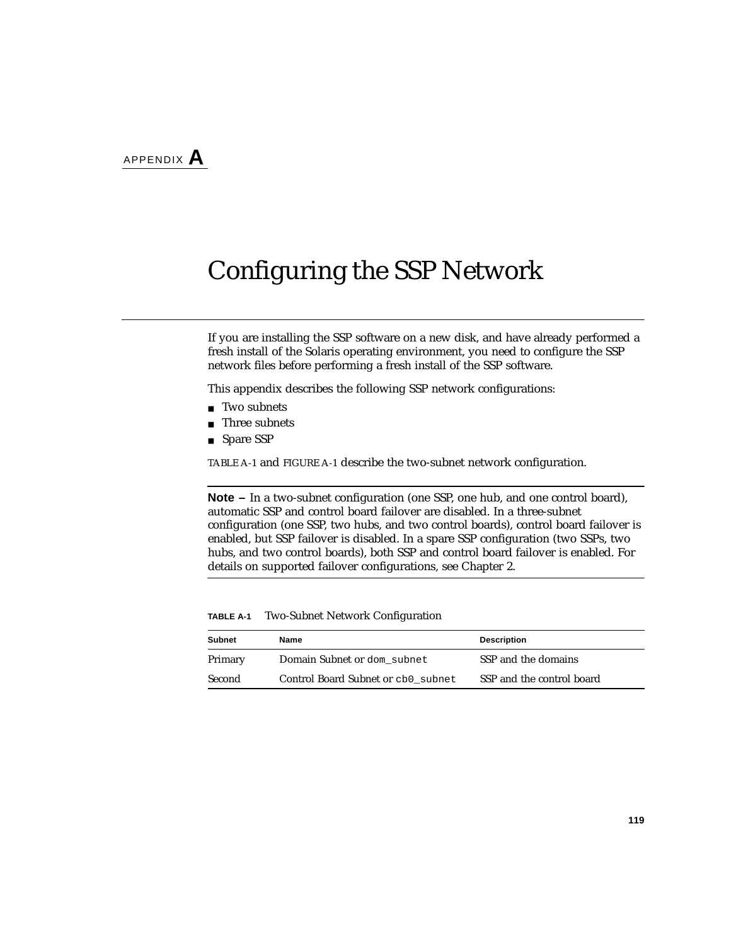# Configuring the SSP Network

If you are installing the SSP software on a new disk, and have already performed a fresh install of the Solaris operating environment, you need to configure the SSP network files before performing a fresh install of the SSP software.

This appendix describes the following SSP network configurations:

- Two subnets
- Three subnets
- Spare SSP

[TABLE A-1](#page-136-0) and [FIGURE A-1](#page-137-0) describe the two-subnet network configuration.

**Note –** In a two-subnet configuration (one SSP, one hub, and one control board), automatic SSP and control board failover are disabled. In a three-subnet configuration (one SSP, two hubs, and two control boards), control board failover is enabled, but SSP failover is disabled. In a spare SSP configuration (two SSPs, two hubs, and two control boards), both SSP and control board failover is enabled. For details on supported failover configurations, see [Chapter 2](#page-30-0).

| <b>TABLE A-1</b> |  |  |  |  | <b>Two-Subnet Network Configuration</b> |
|------------------|--|--|--|--|-----------------------------------------|
|------------------|--|--|--|--|-----------------------------------------|

<span id="page-136-0"></span>

| Subnet  | Name                               | <b>Description</b>        |
|---------|------------------------------------|---------------------------|
| Primary | Domain Subnet or dom subnet        | SSP and the domains       |
| Second  | Control Board Subnet or cb0 subnet | SSP and the control board |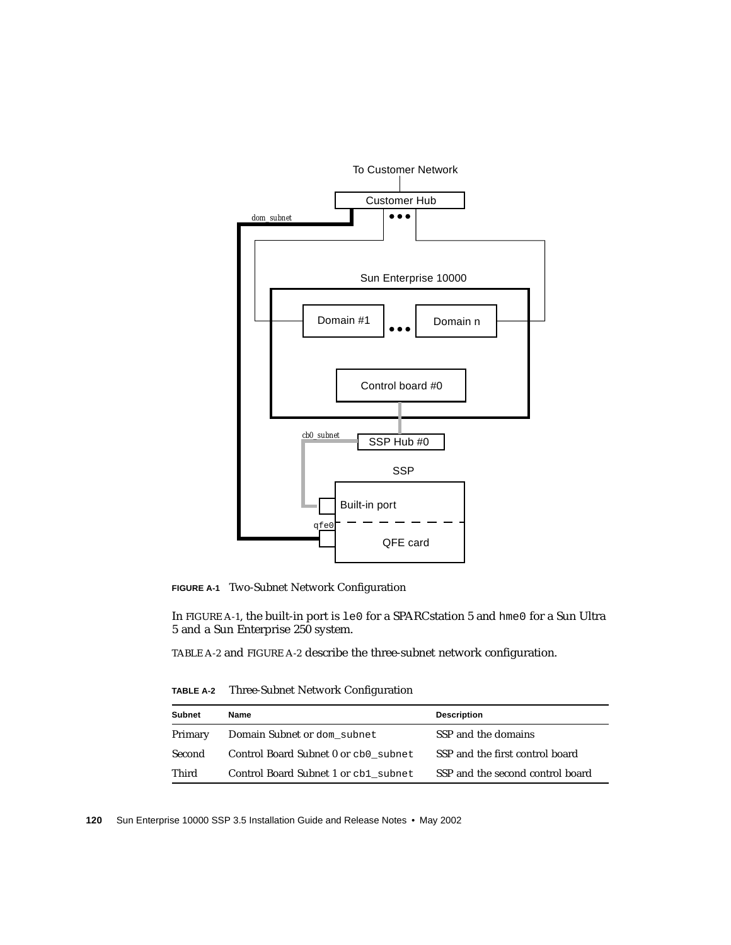

<span id="page-137-0"></span>**FIGURE A-1** Two-Subnet Network Configuration

In [FIGURE A-1,](#page-137-0) the built-in port is le0 for a SPARCstation 5 and hme0 for a Sun Ultra 5 and a Sun Enterprise 250 system.

[TABLE A-2](#page-137-1) and [FIGURE A-2](#page-138-0) describe the three-subnet network configuration.

<span id="page-137-1"></span>

| TABLE A-2 |  | Three-Subnet Network Configuration |
|-----------|--|------------------------------------|
|-----------|--|------------------------------------|

| <b>Subnet</b> | Name                                 | <b>Description</b>               |
|---------------|--------------------------------------|----------------------------------|
| Primary       | Domain Subnet or dom_subnet          | SSP and the domains              |
| Second        | Control Board Subnet 0 or cb0 subnet | SSP and the first control board  |
| Third         | Control Board Subnet 1 or cb1 subnet | SSP and the second control board |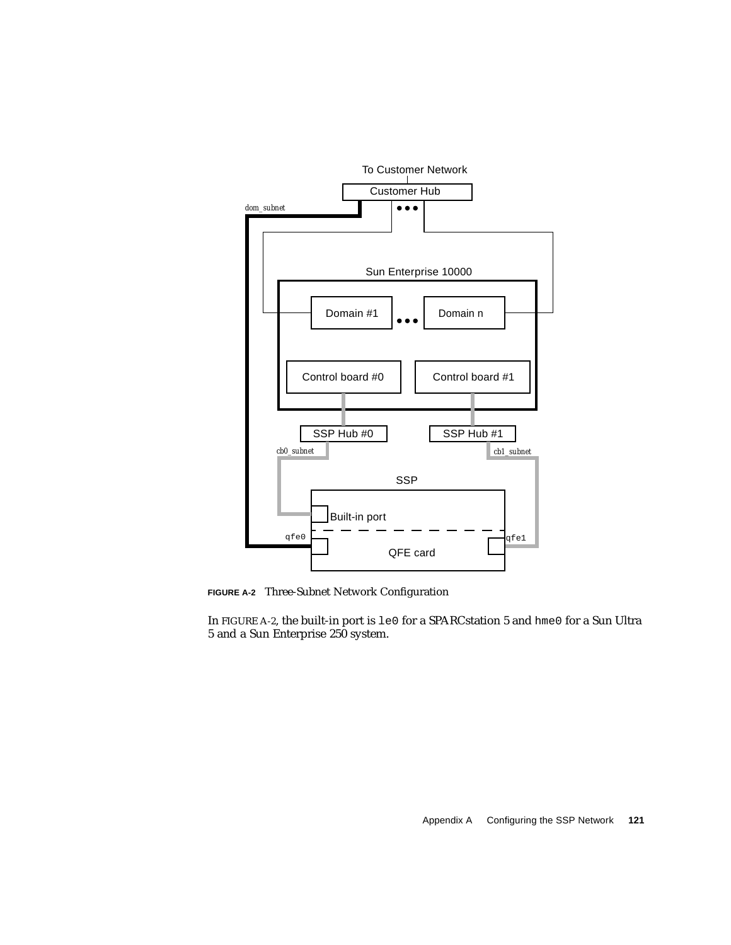

<span id="page-138-0"></span>**FIGURE A-2** Three-Subnet Network Configuration

In [FIGURE A-2,](#page-138-0) the built-in port is le0 for a SPARCstation 5 and hme0 for a Sun Ultra 5 and a Sun Enterprise 250 system.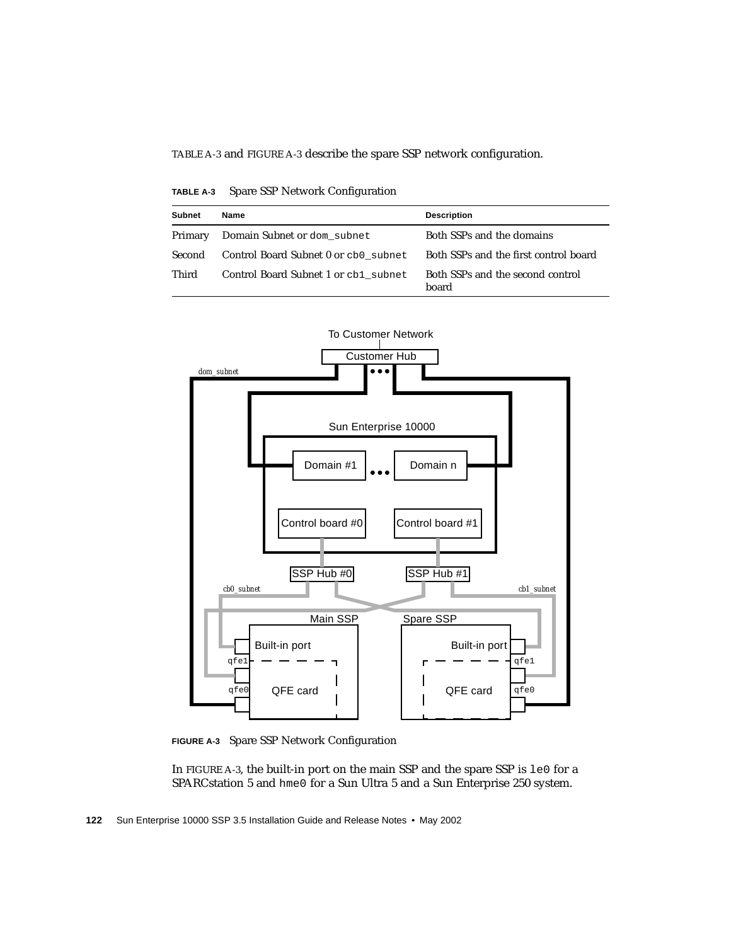[TABLE A-3](#page-139-0) and [FIGURE A-3](#page-139-1) describe the spare SSP network configuration.

**TABLE A-3** Spare SSP Network Configuration

<span id="page-139-0"></span>

| <b>Subnet</b> | Name                                 | <b>Description</b>                        |
|---------------|--------------------------------------|-------------------------------------------|
| Primary       | Domain Subnet or dom_subnet          | Both SSPs and the domains                 |
| Second        | Control Board Subnet 0 or cb0 subnet | Both SSPs and the first control board     |
| Third         | Control Board Subnet 1 or cb1 subnet | Both SSPs and the second control<br>hoard |



<span id="page-139-1"></span>**FIGURE A-3** Spare SSP Network Configuration

In [FIGURE A-3](#page-139-1), the built-in port on the main SSP and the spare SSP is le0 for a SPARCstation 5 and hme0 for a Sun Ultra 5 and a Sun Enterprise 250 system.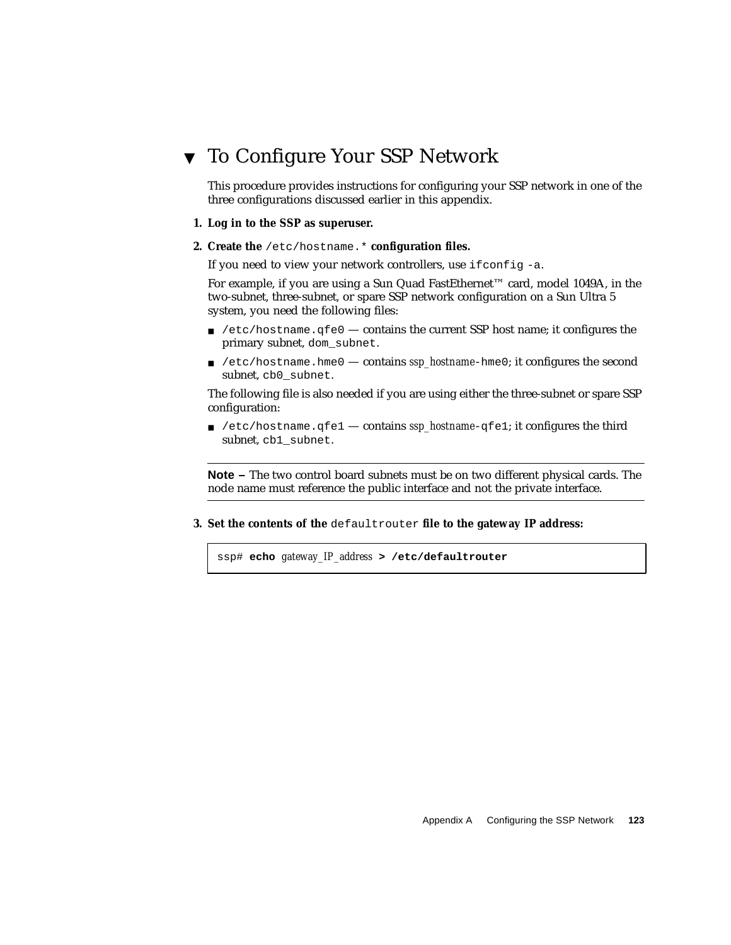## ▼ To Configure Your SSP Network

This procedure provides instructions for configuring your SSP network in one of the three configurations discussed earlier in this appendix.

- **1. Log in to the SSP as superuser.**
- **2. Create the** /etc/hostname.\* **configuration files.**

If you need to view your network controllers, use ifconfig -a.

For example, if you are using a Sun Quad FastEthernet™ card, model 1049A, in the two-subnet, three-subnet, or spare SSP network configuration on a Sun Ultra 5 system, you need the following files:

- $\blacksquare$  /etc/hostname.qfe0 contains the current SSP host name; it configures the primary subnet, dom\_subnet.
- /etc/hostname.hme0 contains *ssp\_hostname*-hme0; it configures the second subnet, cb0\_subnet.

The following file is also needed if you are using either the three-subnet or spare SSP configuration:

■ /etc/hostname.qfe1 — contains *ssp\_hostname*-qfe1; it configures the third subnet, cb1\_subnet.

**Note –** The two control board subnets must be on two different physical cards. The node name must reference the public interface and not the private interface.

**3. Set the contents of the** defaultrouter **file to the gateway IP address:**

ssp# **echo** *gateway\_IP\_address* **> /etc/defaultrouter**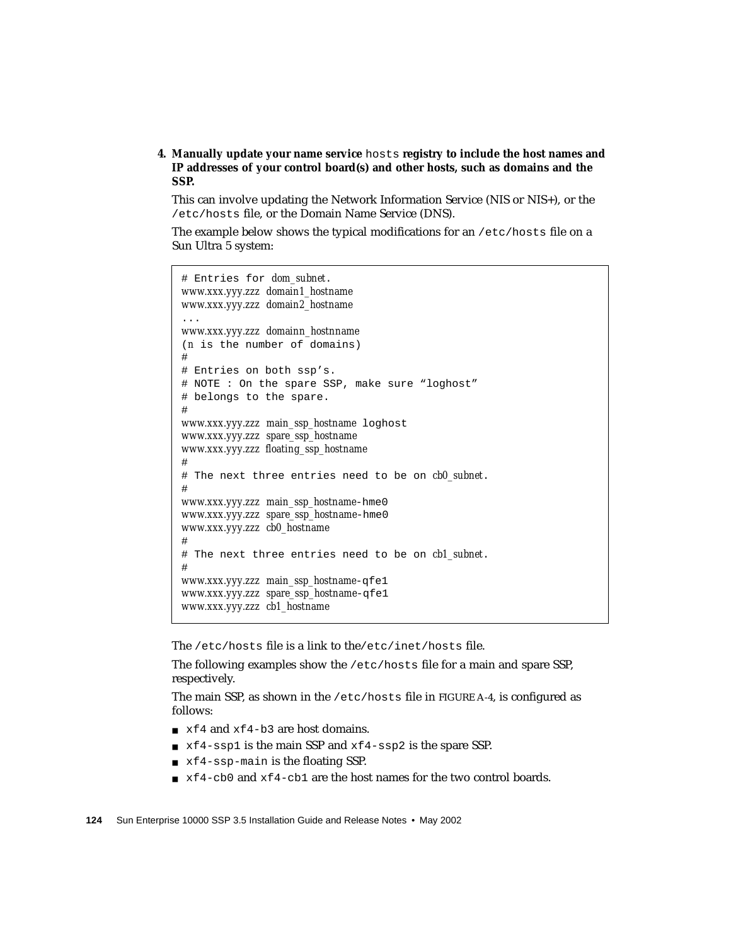**4. Manually update your name service** hosts **registry to include the host names and IP addresses of your control board(s) and other hosts, such as domains and the SSP.**

This can involve updating the Network Information Service (NIS or NIS+), or the /etc/hosts file, or the Domain Name Service (DNS).

The example below shows the typical modifications for an /etc/hosts file on a Sun Ultra 5 system:

```
# Entries for dom_subnet.
www.xxx.yyy.zzz domain1_hostname
www.xxx.yyy.zzz domain2_hostname
...
www.xxx.yyy.zzz domainn_hostnname
(n is the number of domains)
#
# Entries on both ssp's.
# NOTE : On the spare SSP, make sure "loghost"
# belongs to the spare.
#
www.xxx.yyy.zzz main_ssp_hostname loghost
www.xxx.yyy.zzz spare_ssp_hostname
www.xxx.yyy.zzz floating_ssp_hostname
#
# The next three entries need to be on cb0_subnet.
#
www.xxx.yyy.zzz main_ssp_hostname-hme0
www.xxx.yyy.zzz spare_ssp_hostname-hme0
www.xxx.yyy.zzz cb0_hostname
#
# The next three entries need to be on cb1_subnet.
#
www.xxx.yyy.zzz main_ssp_hostname-qfe1
www.xxx.yyy.zzz spare_ssp_hostname-qfe1
www.xxx.yyy.zzz cb1_hostname
```
The /etc/hosts file is a link to the/etc/inet/hosts file.

The following examples show the /etc/hosts file for a main and spare SSP, respectively.

The main SSP, as shown in the /etc/hosts file in [FIGURE A-4,](#page-142-0) is configured as follows:

- xf4 and xf4-b3 are host domains.
- xf4-ssp1 is the main SSP and xf4-ssp2 is the spare SSP.
- xf4-ssp-main is the floating SSP.
- $\bullet$  xf4-cb0 and xf4-cb1 are the host names for the two control boards.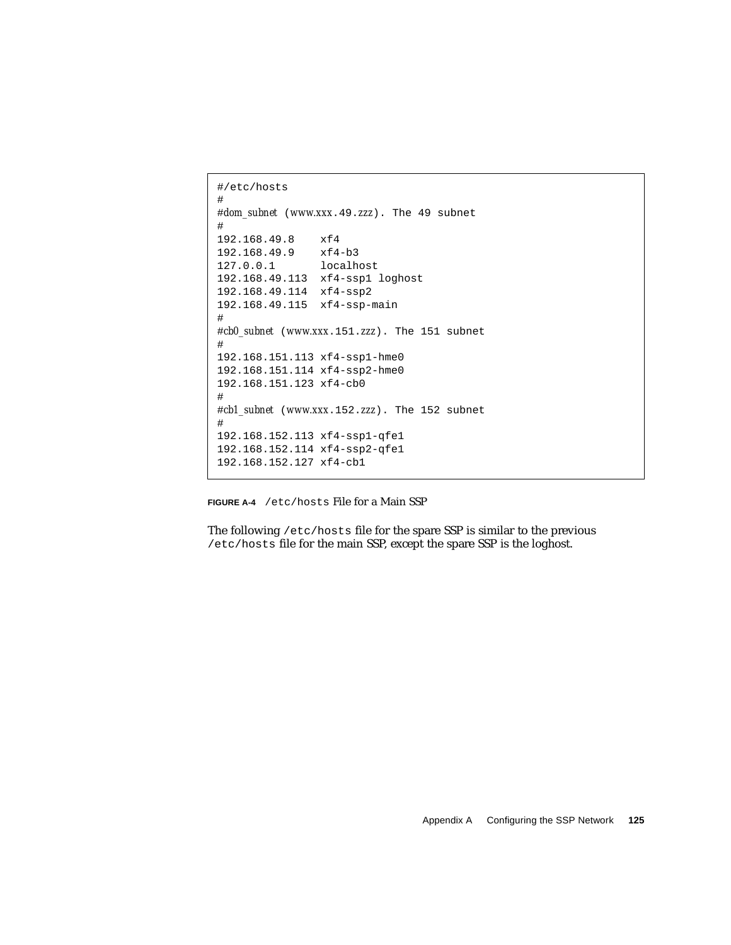```
#/etc/hosts
#
#dom_subnet (www.xxx.49.zzz). The 49 subnet
#
192.168.49.8 xf4
192.168.49.9 xf4-b3
127.0.0.1 localhost
192.168.49.113 xf4-ssp1 loghost
192.168.49.114 xf4-ssp2
192.168.49.115 xf4-ssp-main
#
#cb0_subnet (www.xxx.151.zzz). The 151 subnet
#
192.168.151.113 xf4-ssp1-hme0
192.168.151.114 xf4-ssp2-hme0
192.168.151.123 xf4-cb0
#
#cb1_subnet (www.xxx.152.zzz). The 152 subnet
#
192.168.152.113 xf4-ssp1-qfe1
192.168.152.114 xf4-ssp2-qfe1
192.168.152.127 xf4-cb1
```
<span id="page-142-0"></span>**FIGURE A-4** /etc/hosts File for a Main SSP

The following /etc/hosts file for the spare SSP is similar to the previous /etc/hosts file for the main SSP, except the spare SSP is the loghost.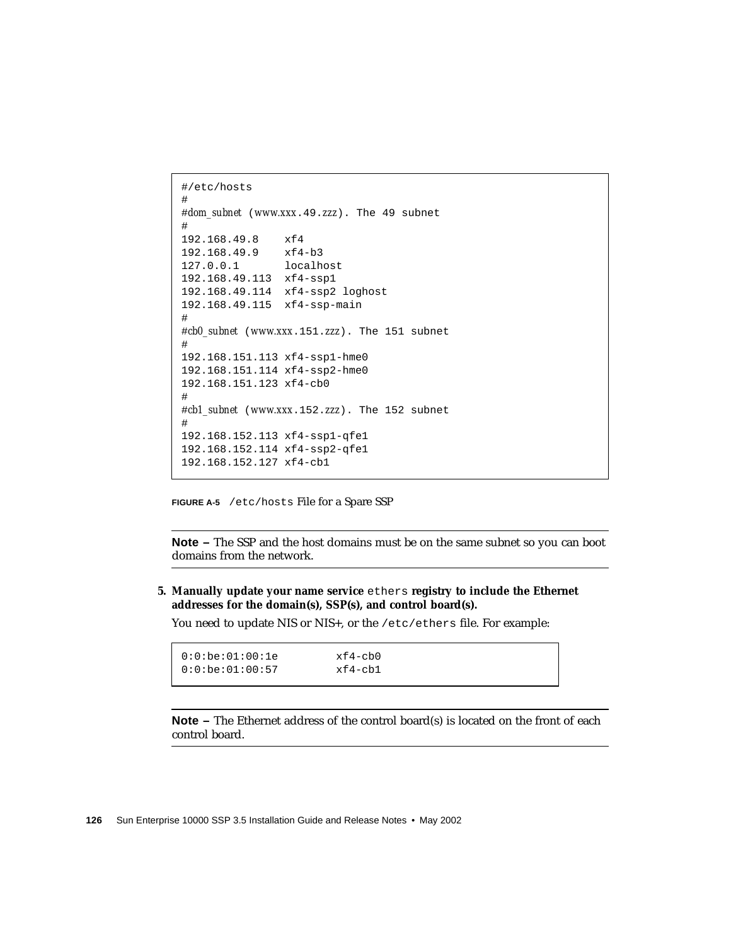```
#/etc/hosts
#
#dom_subnet (www.xxx.49.zzz). The 49 subnet
#
192.168.49.8 xf4
192.168.49.9 xf4-b3
127.0.0.1 localhost
192.168.49.113 xf4-ssp1
192.168.49.114 xf4-ssp2 loghost
192.168.49.115 xf4-ssp-main
#
#cb0_subnet (www.xxx.151.zzz). The 151 subnet
#
192.168.151.113 xf4-ssp1-hme0
192.168.151.114 xf4-ssp2-hme0
192.168.151.123 xf4-cb0
#
#cb1_subnet (www.xxx.152.zzz). The 152 subnet
#
192.168.152.113 xf4-ssp1-qfe1
192.168.152.114 xf4-ssp2-qfe1
192.168.152.127 xf4-cb1
```
**FIGURE A-5** /etc/hosts File for a Spare SSP

**Note –** The SSP and the host domains must be on the same subnet so you can boot domains from the network.

**5. Manually update your name service** ethers **registry to include the Ethernet addresses for the domain(s), SSP(s), and control board(s).**

You need to update NIS or NIS+, or the /etc/ethers file. For example:

| 0:0:be:01:00:1e      | xf4-cb0 |
|----------------------|---------|
| $  0:0:b$ e:01:00:57 | xf4-cb1 |
|                      |         |

**Note** – The Ethernet address of the control board(s) is located on the front of each control board.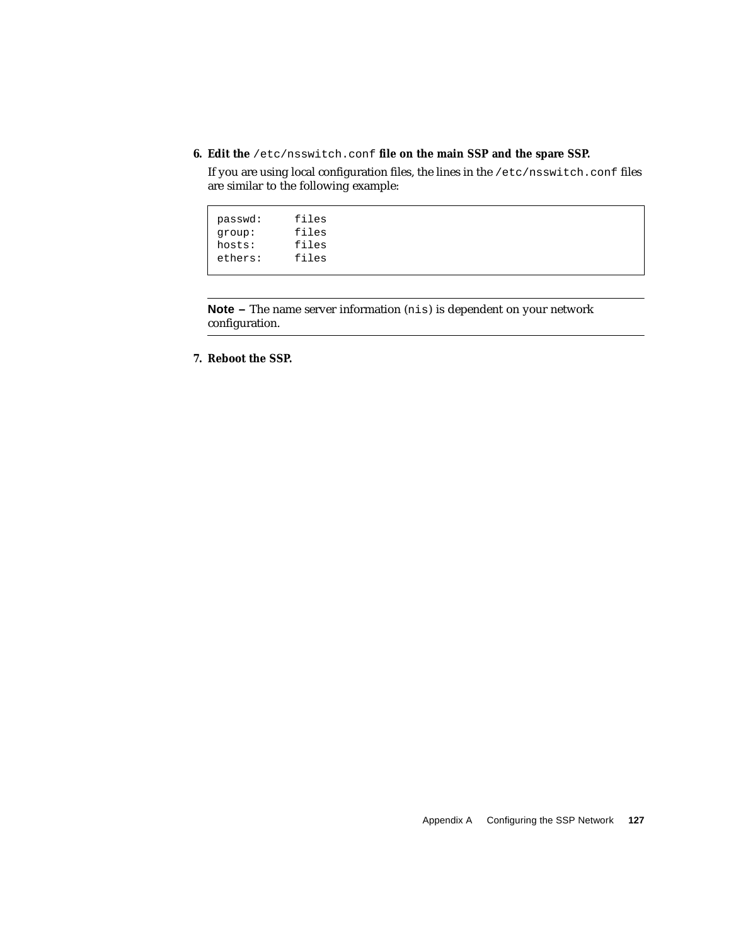**6. Edit the** /etc/nsswitch.conf **file on the main SSP and the spare SSP.**

If you are using local configuration files, the lines in the /etc/nsswitch.conf files are similar to the following example:

| passwd: | files |
|---------|-------|
| qroup:  | files |
| hosts:  | files |
| ethers: | files |
|         |       |

**Note –** The name server information (nis) is dependent on your network configuration.

**7. Reboot the SSP.**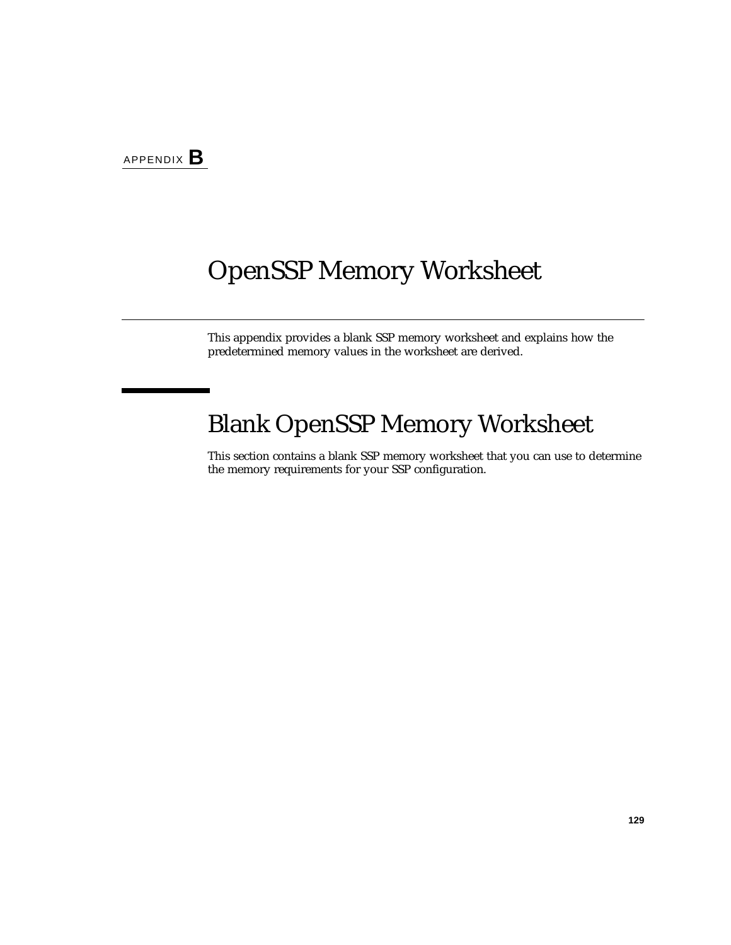## OpenSSP Memory Worksheet

This appendix provides a blank SSP memory worksheet and explains how the predetermined memory values in the worksheet are derived.

# Blank OpenSSP Memory Worksheet

This section contains a blank SSP memory worksheet that you can use to determine the memory requirements for your SSP configuration.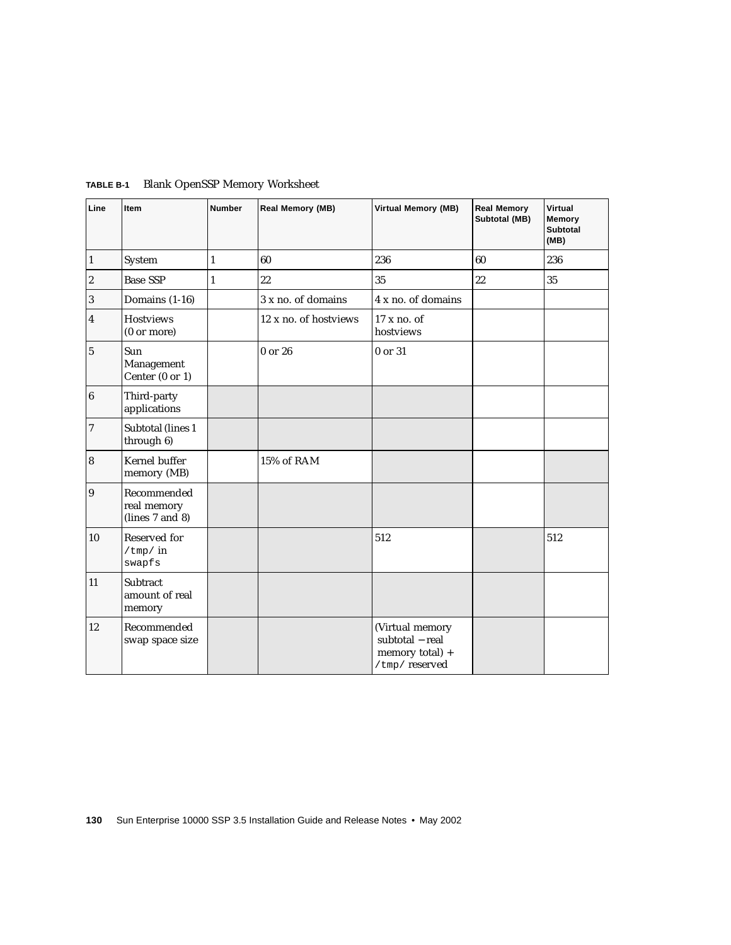| Line             | Item                                          | <b>Number</b> | Real Memory (MB)      | <b>Virtual Memory (MB)</b>                                             | <b>Real Memory</b><br>Subtotal (MB) | Virtual<br>Memory<br><b>Subtotal</b><br>(MB) |
|------------------|-----------------------------------------------|---------------|-----------------------|------------------------------------------------------------------------|-------------------------------------|----------------------------------------------|
| $\vert$ 1        | System                                        | $\mathbf{1}$  | 60                    | 236                                                                    | 60                                  | 236                                          |
| $\overline{2}$   | <b>Base SSP</b>                               | $\mathbf{1}$  | 22                    | 35                                                                     | 22                                  | 35                                           |
| $\sqrt{3}$       | Domains (1-16)                                |               | 3 x no. of domains    | 4 x no. of domains                                                     |                                     |                                              |
| 4                | <b>Hostviews</b><br>(0 or more)               |               | 12 x no. of hostviews | 17 x no. of<br>hostviews                                               |                                     |                                              |
| $\bf 5$          | Sun<br>Management<br>Center (0 or 1)          |               | 0 or 26               | 0 or 31                                                                |                                     |                                              |
| $\boldsymbol{6}$ | Third-party<br>applications                   |               |                       |                                                                        |                                     |                                              |
| 7                | Subtotal (lines 1<br>through 6)               |               |                       |                                                                        |                                     |                                              |
| $\vert 8$        | Kernel buffer<br>memory (MB)                  |               | 15% of RAM            |                                                                        |                                     |                                              |
| $\overline{9}$   | Recommended<br>real memory<br>(lines 7 and 8) |               |                       |                                                                        |                                     |                                              |
| 10               | Reserved for<br>$/\text{tmp}/in$<br>swapfs    |               |                       | 512                                                                    |                                     | 512                                          |
| 11               | Subtract<br>amount of real<br>memory          |               |                       |                                                                        |                                     |                                              |
| 12               | Recommended<br>swap space size                |               |                       | (Virtual memory<br>subtotal - real<br>memory total) +<br>/tmp/reserved |                                     |                                              |

<span id="page-147-0"></span>**TABLE B-1** Blank OpenSSP Memory Worksheet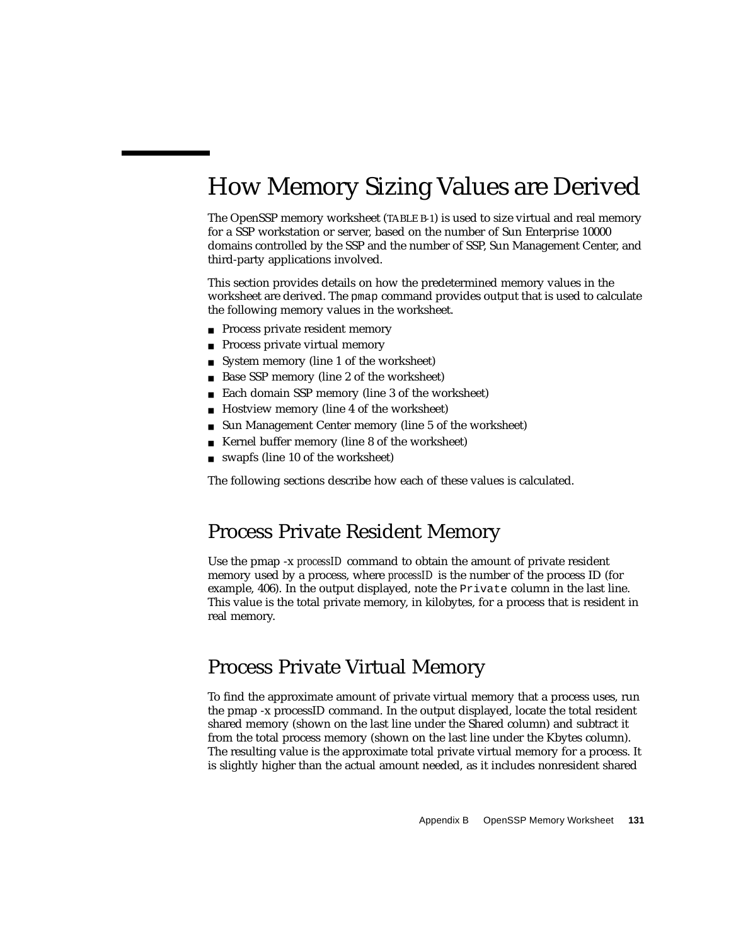# How Memory Sizing Values are Derived

The OpenSSP memory worksheet [\(TABLE B-1\)](#page-147-0) is used to size virtual and real memory for a SSP workstation or server, based on the number of Sun Enterprise 10000 domains controlled by the SSP and the number of SSP, Sun Management Center, and third-party applications involved.

This section provides details on how the predetermined memory values in the worksheet are derived. The pmap command provides output that is used to calculate the following memory values in the worksheet.

- Process private resident memory
- Process private virtual memory
- System memory (line 1 of the worksheet)
- Base SSP memory (line 2 of the worksheet)
- Each domain SSP memory (line 3 of the worksheet)
- Hostview memory (line 4 of the worksheet)
- Sun Management Center memory (line 5 of the worksheet)
- Kernel buffer memory (line 8 of the worksheet)
- swapfs (line 10 of the worksheet)

The following sections describe how each of these values is calculated.

### Process Private Resident Memory

Use the pmap -x *processID* command to obtain the amount of private resident memory used by a process, where *processID* is the number of the process ID (for example, 406). In the output displayed, note the Private column in the last line. This value is the total private memory, in kilobytes, for a process that is resident in real memory.

### Process Private Virtual Memory

To find the approximate amount of private virtual memory that a process uses, run the pmap -x processID command. In the output displayed, locate the total resident shared memory (shown on the last line under the Shared column) and subtract it from the total process memory (shown on the last line under the Kbytes column). The resulting value is the approximate total private virtual memory for a process. It is slightly higher than the actual amount needed, as it includes nonresident shared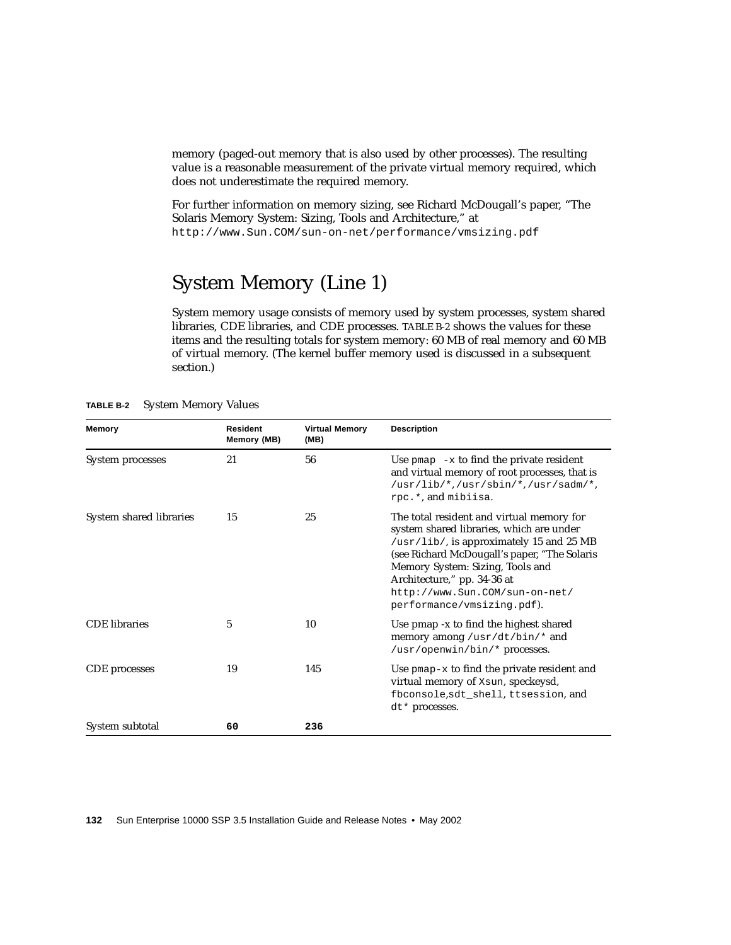memory (paged-out memory that is also used by other processes). The resulting value is a reasonable measurement of the private virtual memory required, which does not underestimate the required memory.

For further information on memory sizing, see Richard McDougall's paper, "The Solaris Memory System: Sizing, Tools and Architecture," at http://www.Sun.COM/sun-on-net/performance/vmsizing.pdf

### System Memory (Line 1)

System memory usage consists of memory used by system processes, system shared libraries, CDE libraries, and CDE processes. [TABLE B-2](#page-149-0) shows the values for these items and the resulting totals for system memory: 60 MB of real memory and 60 MB of virtual memory. (The kernel buffer memory used is discussed in a subsequent section.)

| <b>Memory</b>           | <b>Resident</b><br>Memory (MB) | <b>Virtual Memory</b><br>(MB) | <b>Description</b>                                                                                                                                                                                                                                                                                                   |
|-------------------------|--------------------------------|-------------------------------|----------------------------------------------------------------------------------------------------------------------------------------------------------------------------------------------------------------------------------------------------------------------------------------------------------------------|
| System processes        | 21                             | 56                            | Use $pmap -x$ to find the private resident<br>and virtual memory of root processes, that is<br>/usr/lib/*,/usr/sbin/*,/usr/sadm/*,<br>rpc.*, and mibiisa.                                                                                                                                                            |
| System shared libraries | 15                             | 25                            | The total resident and virtual memory for<br>system shared libraries, which are under<br>/usr/lib/, is approximately 15 and 25 MB<br>(see Richard McDougall's paper, "The Solaris<br>Memory System: Sizing, Tools and<br>Architecture," pp. 34-36 at<br>http://www.Sun.COM/sun-on-net/<br>performance/vmsizing.pdf). |
| <b>CDE</b> libraries    | 5                              | 10                            | Use pmap -x to find the highest shared<br>memory among /usr/dt/bin/* and<br>/usr/openwin/bin/* processes.                                                                                                                                                                                                            |
| CDE processes           | 19                             | 145                           | Use $pmap-x$ to find the private resident and<br>virtual memory of Xsun, speckeysd,<br>fbconsole, sdt_shell, ttsession, and<br>dt* processes.                                                                                                                                                                        |
| System subtotal         | 60                             | 236                           |                                                                                                                                                                                                                                                                                                                      |

<span id="page-149-0"></span>

| TABLE B-2 |  | <b>System Memory Values</b> |  |
|-----------|--|-----------------------------|--|
|-----------|--|-----------------------------|--|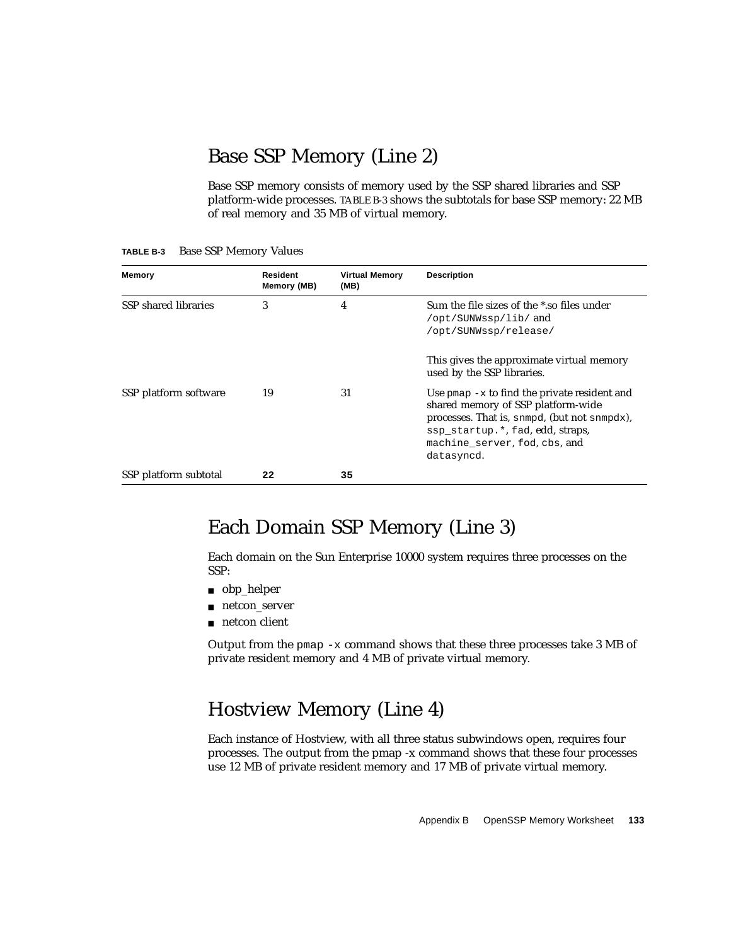### Base SSP Memory (Line 2)

Base SSP memory consists of memory used by the SSP shared libraries and SSP platform-wide processes. [TABLE B-3](#page-150-0) shows the subtotals for base SSP memory: 22 MB of real memory and 35 MB of virtual memory.

| Memory                | Resident<br>Memory (MB) | <b>Virtual Memory</b><br>(MB) | <b>Description</b>                                                                                                                                                                                                      |
|-----------------------|-------------------------|-------------------------------|-------------------------------------------------------------------------------------------------------------------------------------------------------------------------------------------------------------------------|
| SSP shared libraries  | 3                       | 4                             | Sum the file sizes of the *.so files under<br>/opt/SUNWssp/lib/ and<br>/opt/SUNWssp/release/                                                                                                                            |
|                       |                         |                               | This gives the approximate virtual memory<br>used by the SSP libraries.                                                                                                                                                 |
| SSP platform software | 19                      | 31                            | Use $pmap -x$ to find the private resident and<br>shared memory of SSP platform-wide<br>processes. That is, snmpd, (but not snmpdx),<br>ssp_startup.*, fad, edd, straps,<br>machine server, fod, cbs, and<br>datasyncd. |
| SSP platform subtotal | 22                      | 35                            |                                                                                                                                                                                                                         |

<span id="page-150-0"></span>**TABLE B-3** Base SSP Memory Values

### Each Domain SSP Memory (Line 3)

Each domain on the Sun Enterprise 10000 system requires three processes on the SSP:

- obp\_helper
- netcon\_server
- netcon client

Output from the pmap  $-x$  command shows that these three processes take 3 MB of private resident memory and 4 MB of private virtual memory.

### Hostview Memory (Line 4)

Each instance of Hostview, with all three status subwindows open, requires four processes. The output from the pmap -x command shows that these four processes use 12 MB of private resident memory and 17 MB of private virtual memory.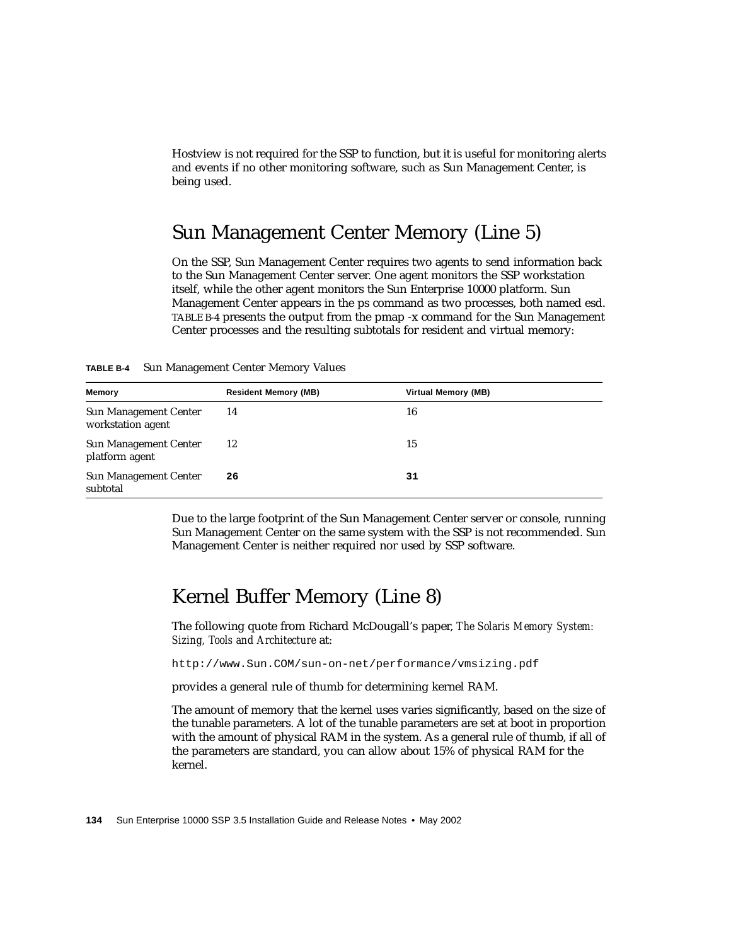Hostview is not required for the SSP to function, but it is useful for monitoring alerts and events if no other monitoring software, such as Sun Management Center, is being used.

### Sun Management Center Memory (Line 5)

On the SSP, Sun Management Center requires two agents to send information back to the Sun Management Center server. One agent monitors the SSP workstation itself, while the other agent monitors the Sun Enterprise 10000 platform. Sun Management Center appears in the ps command as two processes, both named esd. [TABLE B-4](#page-151-0) presents the output from the pmap -x command for the Sun Management Center processes and the resulting subtotals for resident and virtual memory:

<span id="page-151-0"></span>**TABLE B-4** Sun Management Center Memory Values

| <b>Memory</b>                                     | <b>Resident Memory (MB)</b> | Virtual Memory (MB) |
|---------------------------------------------------|-----------------------------|---------------------|
| <b>Sun Management Center</b><br>workstation agent | 14                          | 16                  |
| <b>Sun Management Center</b><br>platform agent    | 12                          | 15                  |
| <b>Sun Management Center</b><br>subtotal          | 26                          | 31                  |

Due to the large footprint of the Sun Management Center server or console, running Sun Management Center on the same system with the SSP is not recommended. Sun Management Center is neither required nor used by SSP software.

### Kernel Buffer Memory (Line 8)

The following quote from Richard McDougall's paper, *The Solaris Memory System: Sizing, Tools and Architecture* at:

http://www.Sun.COM/sun-on-net/performance/vmsizing.pdf

provides a general rule of thumb for determining kernel RAM.

The amount of memory that the kernel uses varies significantly, based on the size of the tunable parameters. A lot of the tunable parameters are set at boot in proportion with the amount of physical RAM in the system. As a general rule of thumb, if all of the parameters are standard, you can allow about 15% of physical RAM for the kernel.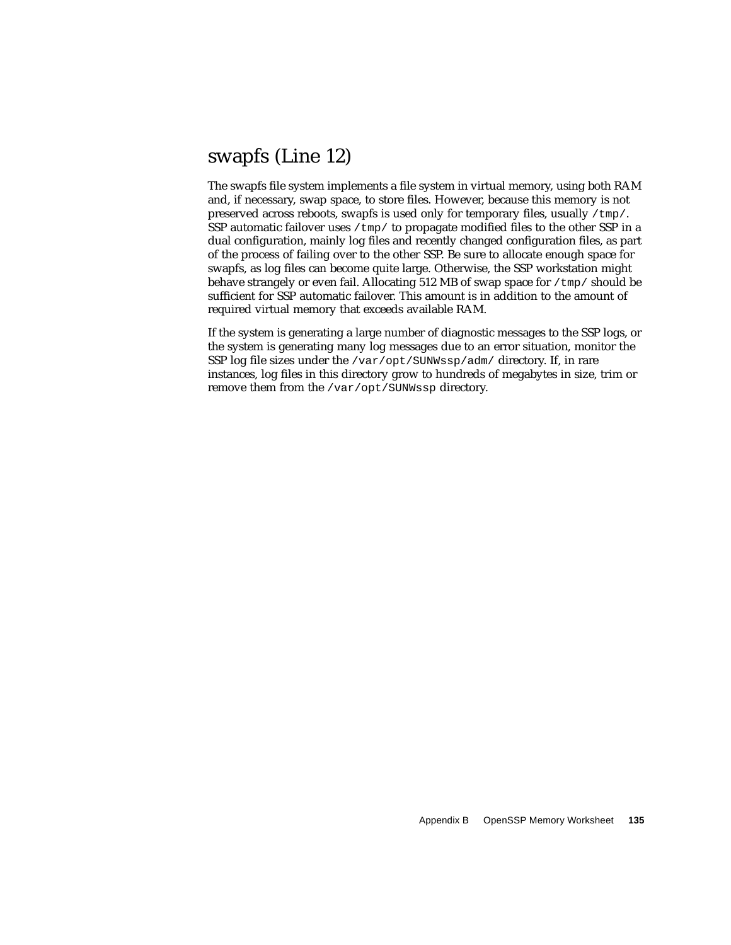### swapfs (Line 12)

The swapfs file system implements a file system in virtual memory, using both RAM and, if necessary, swap space, to store files. However, because this memory is not preserved across reboots, swapfs is used only for temporary files, usually  $/\text{tmp}/$ . SSP automatic failover uses  $/\text{tmp}/$  to propagate modified files to the other SSP in a dual configuration, mainly log files and recently changed configuration files, as part of the process of failing over to the other SSP. Be sure to allocate enough space for swapfs, as log files can become quite large. Otherwise, the SSP workstation might behave strangely or even fail. Allocating 512 MB of swap space for  $/\text{tmp}/$  should be sufficient for SSP automatic failover. This amount is in addition to the amount of required virtual memory that exceeds available RAM.

If the system is generating a large number of diagnostic messages to the SSP logs, or the system is generating many log messages due to an error situation, monitor the SSP log file sizes under the /var/opt/SUNWssp/adm/ directory. If, in rare instances, log files in this directory grow to hundreds of megabytes in size, trim or remove them from the /var/opt/SUNWssp directory.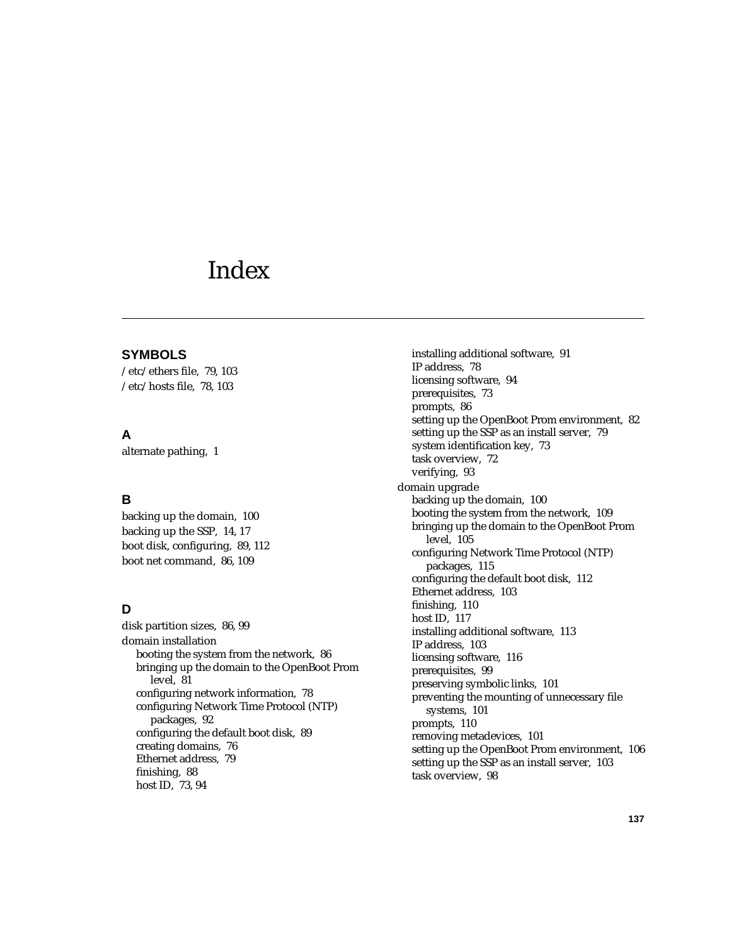## Index

#### **SYMBOLS**

[/etc/ethers file, 79,](#page-96-0) [103](#page-120-0) [/etc/hosts file, 78,](#page-95-0) [103](#page-120-1)

#### **A**

[alternate pathing, 1](#page-18-0)

#### **B**

[backing up the domain, 100](#page-117-0) [backing up the SSP, 14,](#page-31-0) [17](#page-34-0) [boot disk, configuring, 89,](#page-106-0) [112](#page-129-0) [boot net command, 86,](#page-103-0) [109](#page-126-0)

#### **D**

[disk partition sizes, 86,](#page-103-1) [99](#page-116-0) domain installation [booting the system from the network, 86](#page-103-2) [bringing up the domain to the OpenBoot Prom](#page-98-0) level, 81 [configuring network information, 78](#page-95-1) [configuring Network Time Protocol \(NTP\)](#page-109-0) packages, 92 [configuring the default boot disk, 89](#page-106-0) [creating domains, 76](#page-93-0) [Ethernet address, 79](#page-96-0) [finishing, 88](#page-105-0) [host ID, 73,](#page-90-0) [94](#page-111-0)

[installing additional software, 91](#page-108-0) [IP address, 78](#page-95-0) [licensing software, 94](#page-111-1) [prerequisites, 73](#page-90-1) [prompts, 86](#page-103-3) [setting up the OpenBoot Prom environment, 82](#page-99-0) [setting up the SSP as an install server, 79](#page-96-1) [system identification key, 73](#page-90-0) [task overview, 72](#page-89-0) [verifying, 93](#page-110-0) domain upgrade [backing up the domain, 100](#page-117-0) [booting the system from the network, 109](#page-126-1) [bringing up the domain to the OpenBoot Prom](#page-122-0) level, 105 [configuring Network Time Protocol \(NTP\)](#page-132-0) packages, 115 [configuring the default boot disk, 112](#page-129-0) [Ethernet address, 103](#page-120-1) [finishing, 110](#page-127-0) [host ID, 117](#page-134-0) [installing additional software, 113](#page-130-0) [IP address, 103](#page-120-1) [licensing software, 116](#page-133-0) [prerequisites, 99](#page-116-1) [preserving symbolic links, 101](#page-118-0) [preventing the mounting of unnecessary file](#page-118-1) systems, 101 [prompts, 110](#page-127-1) [removing metadevices, 101](#page-118-2) [setting up the OpenBoot Prom environment, 106](#page-123-0) [setting up the SSP as an install server, 103](#page-120-2) [task overview, 98](#page-115-0)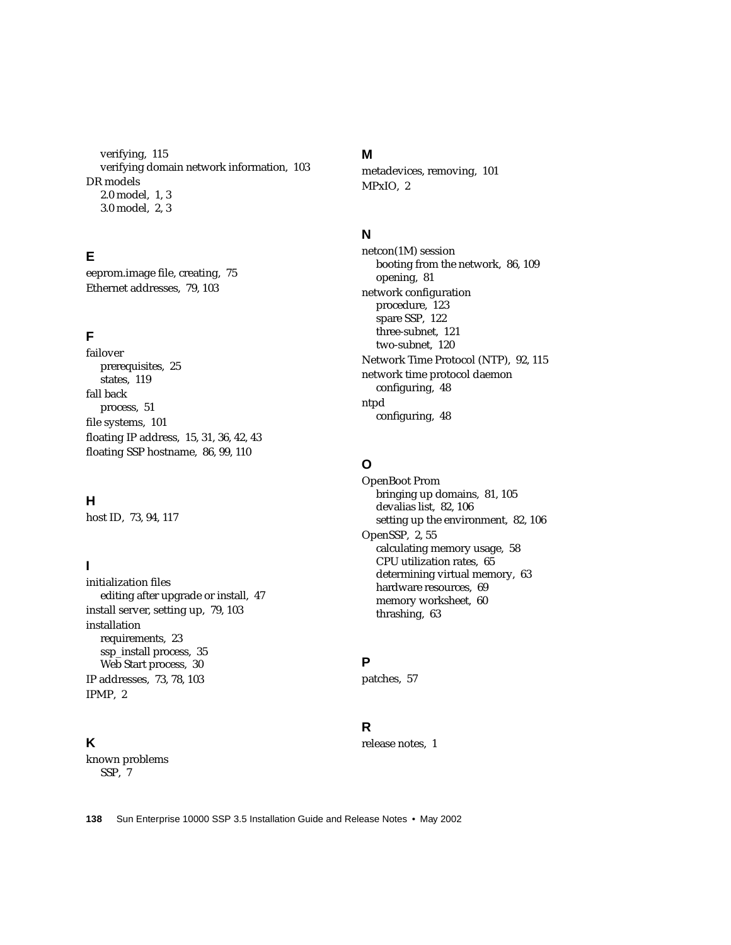[verifying, 115](#page-132-1) [verifying domain network information, 103](#page-120-3) DR models [2.0 model, 1,](#page-18-1) [3](#page-20-0) [3.0 model, 2,](#page-19-0) [3](#page-20-1)

#### **E**

[eeprom.image file, creating, 75](#page-92-0) [Ethernet addresses, 79,](#page-96-0) [103](#page-120-1)

#### **F**

failover [prerequisites, 25](#page-42-0) [states, 119](#page-136-0) fall back [process, 51](#page-68-0) [file systems, 101](#page-118-3) [floating IP address, 15,](#page-32-0) [31,](#page-48-0) [36,](#page-53-0) [42,](#page-59-0) [43](#page-60-0) [floating SSP hostname, 86,](#page-103-4) [99,](#page-116-2) [110](#page-127-2)

#### **H**

[host ID, 73,](#page-90-0) [94,](#page-111-0) [117](#page-134-0)

#### **I**

initialization files [editing after upgrade or install, 47](#page-64-0) [install server, setting up, 79,](#page-96-1) [103](#page-120-2) installation [requirements, 23](#page-40-0) [ssp\\_install process, 35](#page-52-0) [Web Start process, 30](#page-47-0) [IP addresses, 73,](#page-90-2) [78,](#page-95-0) [103](#page-120-1) [IPMP, 2](#page-19-0)

#### **K**

known problems [SSP, 7](#page-24-0)

#### **M**

[metadevices, removing, 101](#page-118-2) [MPxIO, 2](#page-19-0)

#### **N**

netcon(1M) session [booting from the network, 86,](#page-103-2) [109](#page-126-0) [opening, 81](#page-98-1) network configuration [procedure, 123](#page-140-0) [spare SSP, 122](#page-139-0) [three-subnet, 121](#page-138-0) [two-subnet, 120](#page-137-0) [Network Time Protocol \(NTP\), 92,](#page-109-0) [115](#page-132-0) network time protocol daemon [configuring, 48](#page-65-0) ntpd [configuring, 48](#page-65-0)

#### **O**

OpenBoot Prom [bringing up domains, 81,](#page-98-0) [105](#page-122-0) [devalias list, 82,](#page-99-1) [106](#page-123-1) [setting up the environment, 82,](#page-99-0) [106](#page-123-0) [OpenSSP, 2,](#page-19-1) [55](#page-72-0) [calculating memory usage, 58](#page-75-0) [CPU utilization rates, 65](#page-82-0) [determining virtual memory, 63](#page-80-0) [hardware resources, 69](#page-86-0) [memory worksheet, 60](#page-77-0) [thrashing, 63](#page-80-1)

#### **P**

[patches, 57](#page-74-0)

#### **R**

[release notes, 1](#page-18-0)